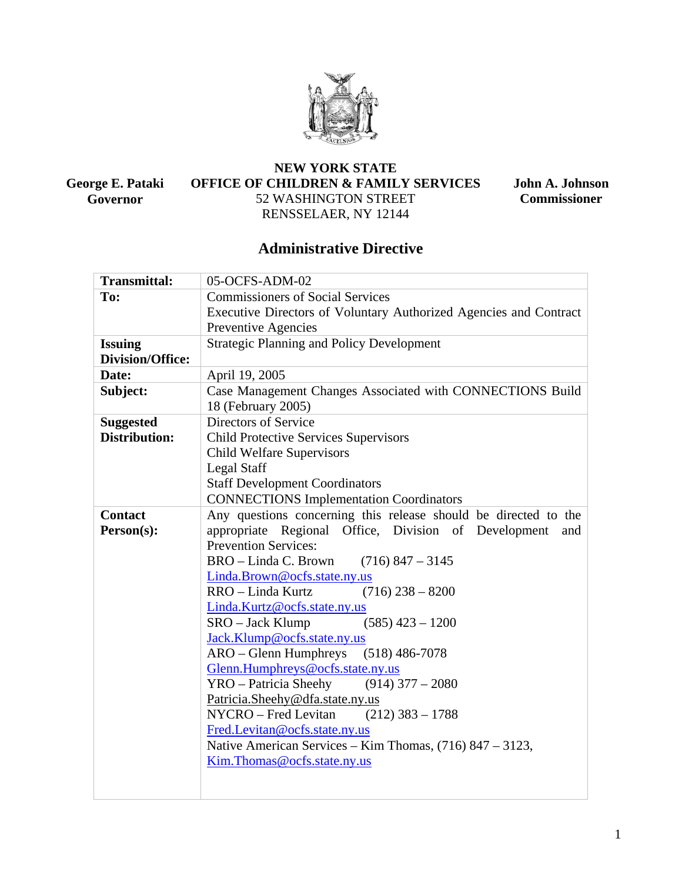

**George E. Pataki Governor** 

## **NEW YORK STATE OFFICE OF CHILDREN & FAMILY SERVICES**  52 WASHINGTON STREET RENSSELAER, NY 12144

**John A. Johnson Commissioner** 

# **Administrative Directive**

| <b>Transmittal:</b>     | 05-OCFS-ADM-02                                                    |  |  |  |
|-------------------------|-------------------------------------------------------------------|--|--|--|
| To:                     | <b>Commissioners of Social Services</b>                           |  |  |  |
|                         | Executive Directors of Voluntary Authorized Agencies and Contract |  |  |  |
|                         | Preventive Agencies                                               |  |  |  |
| <b>Issuing</b>          | <b>Strategic Planning and Policy Development</b>                  |  |  |  |
| <b>Division/Office:</b> |                                                                   |  |  |  |
| Date:                   | April 19, 2005                                                    |  |  |  |
| Subject:                | Case Management Changes Associated with CONNECTIONS Build         |  |  |  |
|                         | 18 (February 2005)                                                |  |  |  |
| <b>Suggested</b>        | Directors of Service                                              |  |  |  |
| Distribution:           | <b>Child Protective Services Supervisors</b>                      |  |  |  |
|                         | <b>Child Welfare Supervisors</b>                                  |  |  |  |
|                         | <b>Legal Staff</b>                                                |  |  |  |
|                         | <b>Staff Development Coordinators</b>                             |  |  |  |
|                         | <b>CONNECTIONS Implementation Coordinators</b>                    |  |  |  |
| <b>Contact</b>          | Any questions concerning this release should be directed to the   |  |  |  |
| Person(s):              | Office, Division of Development<br>appropriate Regional<br>and    |  |  |  |
|                         | <b>Prevention Services:</b>                                       |  |  |  |
|                         | BRO – Linda C. Brown<br>$(716)$ 847 - 3145                        |  |  |  |
|                         | Linda.Brown@ocfs.state.ny.us                                      |  |  |  |
|                         | RRO – Linda Kurtz<br>$(716)$ 238 - 8200                           |  |  |  |
|                         | Linda.Kurtz@ocfs.state.ny.us                                      |  |  |  |
|                         | SRO – Jack Klump<br>$(585)$ 423 - 1200                            |  |  |  |
|                         | Jack.Klump@ocfs.state.ny.us                                       |  |  |  |
|                         | ARO – Glenn Humphreys (518) 486-7078                              |  |  |  |
|                         | Glenn.Humphreys@ocfs.state.ny.us                                  |  |  |  |
|                         | $YRO - Patricia Sheehy$ (914) 377 - 2080                          |  |  |  |
|                         | Patricia.Sheehy@dfa.state.ny.us                                   |  |  |  |
|                         | NYCRO – Fred Levitan<br>$(212)$ 383 - 1788                        |  |  |  |
|                         | Fred.Levitan@ocfs.state.ny.us                                     |  |  |  |
|                         | Native American Services – Kim Thomas, $(716)$ 847 – 3123,        |  |  |  |
|                         | Kim. Thomas @ ocfs.state.ny.us                                    |  |  |  |
|                         |                                                                   |  |  |  |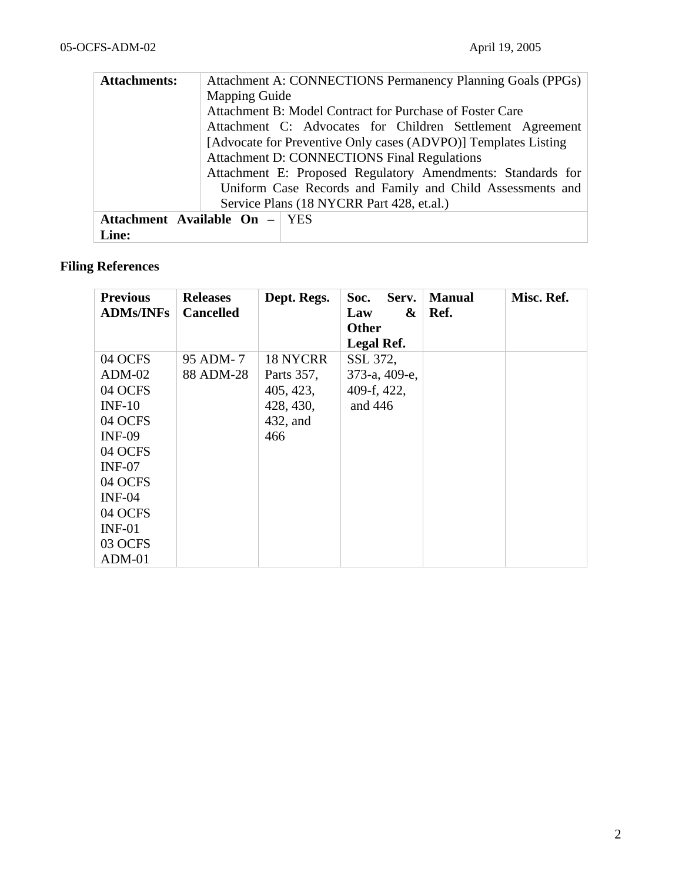| <b>Attachments:</b>           | Attachment A: CONNECTIONS Permanency Planning Goals (PPGs)     |  |  |  |  |
|-------------------------------|----------------------------------------------------------------|--|--|--|--|
|                               | <b>Mapping Guide</b>                                           |  |  |  |  |
|                               | Attachment B: Model Contract for Purchase of Foster Care       |  |  |  |  |
|                               | Attachment C: Advocates for Children Settlement Agreement      |  |  |  |  |
|                               | [Advocate for Preventive Only cases (ADVPO)] Templates Listing |  |  |  |  |
|                               | <b>Attachment D: CONNECTIONS Final Regulations</b>             |  |  |  |  |
|                               | Attachment E: Proposed Regulatory Amendments: Standards for    |  |  |  |  |
|                               | Uniform Case Records and Family and Child Assessments and      |  |  |  |  |
|                               | Service Plans (18 NYCRR Part 428, et.al.)                      |  |  |  |  |
| Attachment Available On - YES |                                                                |  |  |  |  |
| Line:                         |                                                                |  |  |  |  |

# **Filing References**

| <b>Previous</b>  | <b>Releases</b>  | Dept. Regs. | Serv.<br>Soc. | <b>Manual</b> | Misc. Ref. |
|------------------|------------------|-------------|---------------|---------------|------------|
| <b>ADMs/INFs</b> | <b>Cancelled</b> |             | Law<br>&      | Ref.          |            |
|                  |                  |             | <b>Other</b>  |               |            |
|                  |                  |             | Legal Ref.    |               |            |
| 04 OCFS          | 95 ADM-7         | 18 NYCRR    | SSL 372,      |               |            |
| $ADM-02$         | 88 ADM-28        | Parts 357,  | 373-а, 409-е, |               |            |
| 04 OCFS          |                  | 405, 423,   | 409-f, 422,   |               |            |
| $INF-10$         |                  | 428, 430,   | and $446$     |               |            |
| 04 OCFS          |                  | 432, and    |               |               |            |
| <b>INF-09</b>    |                  | 466         |               |               |            |
| 04 OCFS          |                  |             |               |               |            |
| $INF-07$         |                  |             |               |               |            |
| 04 OCFS          |                  |             |               |               |            |
| $INF-04$         |                  |             |               |               |            |
| 04 OCFS          |                  |             |               |               |            |
| $INF-01$         |                  |             |               |               |            |
| 03 OCFS          |                  |             |               |               |            |
| $ADM-01$         |                  |             |               |               |            |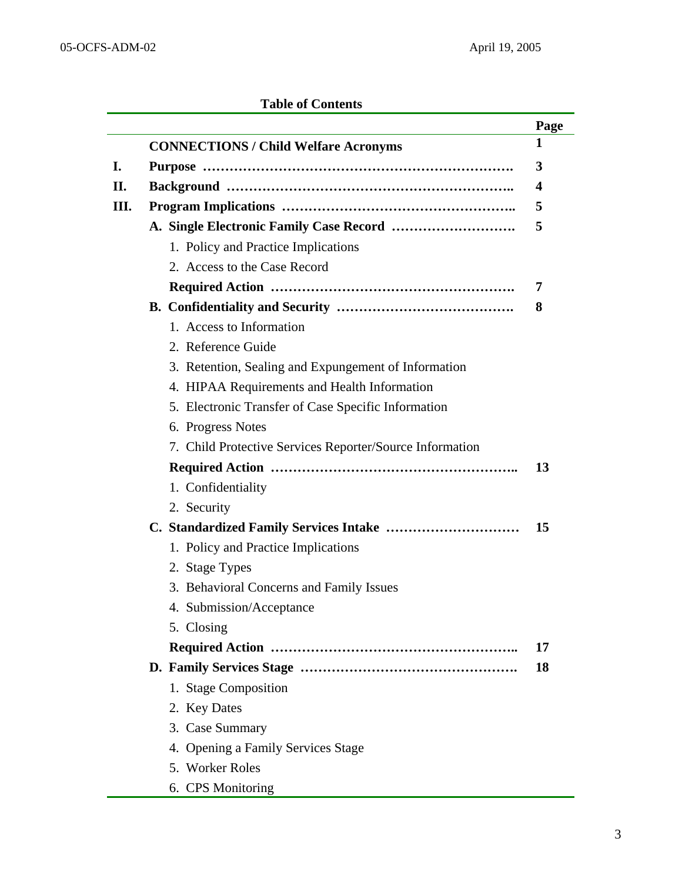## **Table of Contents**

|     |                                                          | Page |
|-----|----------------------------------------------------------|------|
|     | <b>CONNECTIONS / Child Welfare Acronyms</b>              | 1    |
| I.  |                                                          | 3    |
| II. |                                                          | 4    |
| Ш.  |                                                          | 5    |
|     |                                                          | 5    |
|     | 1. Policy and Practice Implications                      |      |
|     | 2. Access to the Case Record                             |      |
|     |                                                          | 7    |
|     |                                                          | 8    |
|     | 1. Access to Information                                 |      |
|     | 2. Reference Guide                                       |      |
|     | 3. Retention, Sealing and Expungement of Information     |      |
|     | 4. HIPAA Requirements and Health Information             |      |
|     | 5. Electronic Transfer of Case Specific Information      |      |
|     | 6. Progress Notes                                        |      |
|     | 7. Child Protective Services Reporter/Source Information |      |
|     |                                                          | 13   |
|     | 1. Confidentiality                                       |      |
|     | 2. Security                                              |      |
|     |                                                          | 15   |
|     | 1. Policy and Practice Implications                      |      |
|     | 2. Stage Types                                           |      |
|     | 3. Behavioral Concerns and Family Issues                 |      |
|     | 4. Submission/Acceptance                                 |      |
|     | 5. Closing                                               |      |
|     |                                                          | 17   |
|     |                                                          | 18   |
|     | 1. Stage Composition                                     |      |
|     | 2. Key Dates                                             |      |
|     | 3. Case Summary                                          |      |
|     | 4. Opening a Family Services Stage                       |      |
|     | 5. Worker Roles                                          |      |
|     | 6. CPS Monitoring                                        |      |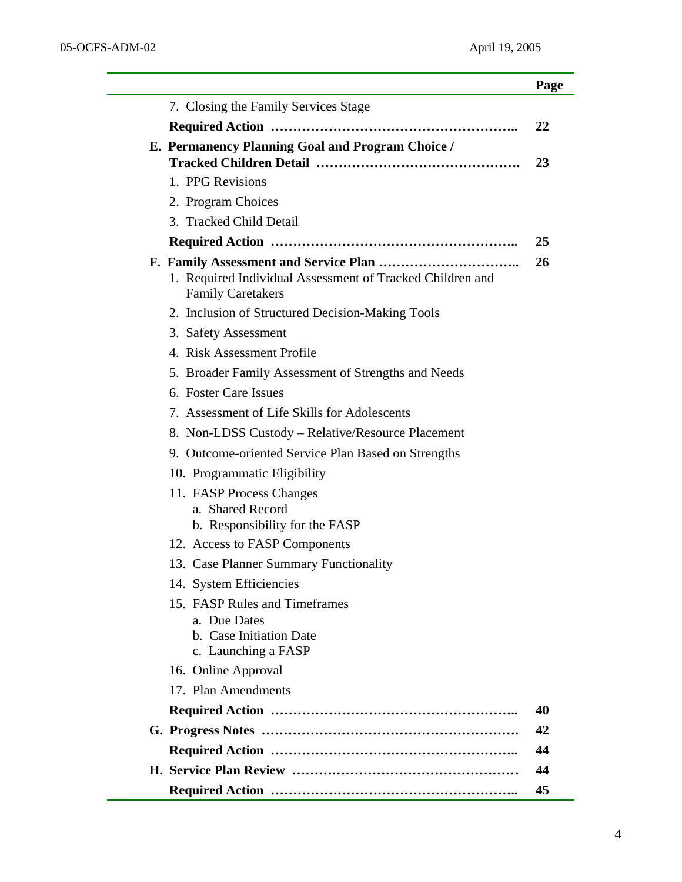L,

|                                                                                                 | Page |
|-------------------------------------------------------------------------------------------------|------|
| 7. Closing the Family Services Stage                                                            |      |
|                                                                                                 | 22   |
| E. Permanency Planning Goal and Program Choice /                                                |      |
|                                                                                                 | 23   |
| 1. PPG Revisions                                                                                |      |
| 2. Program Choices                                                                              |      |
| 3. Tracked Child Detail                                                                         |      |
|                                                                                                 | 25   |
| 1. Required Individual Assessment of Tracked Children and<br><b>Family Caretakers</b>           | 26   |
| 2. Inclusion of Structured Decision-Making Tools                                                |      |
| 3. Safety Assessment                                                                            |      |
| 4. Risk Assessment Profile                                                                      |      |
| 5. Broader Family Assessment of Strengths and Needs                                             |      |
| 6. Foster Care Issues                                                                           |      |
| 7. Assessment of Life Skills for Adolescents                                                    |      |
| 8. Non-LDSS Custody – Relative/Resource Placement                                               |      |
| 9. Outcome-oriented Service Plan Based on Strengths                                             |      |
| 10. Programmatic Eligibility                                                                    |      |
| 11. FASP Process Changes<br>a. Shared Record<br>b. Responsibility for the FASP                  |      |
| 12. Access to FASP Components                                                                   |      |
| 13. Case Planner Summary Functionality                                                          |      |
| 14. System Efficiencies                                                                         |      |
| 15. FASP Rules and Timeframes<br>a. Due Dates<br>b. Case Initiation Date<br>c. Launching a FASP |      |
| 16. Online Approval                                                                             |      |
| 17. Plan Amendments                                                                             |      |
|                                                                                                 | 40   |
|                                                                                                 | 42   |
|                                                                                                 | 44   |
|                                                                                                 | 44   |
|                                                                                                 | 45   |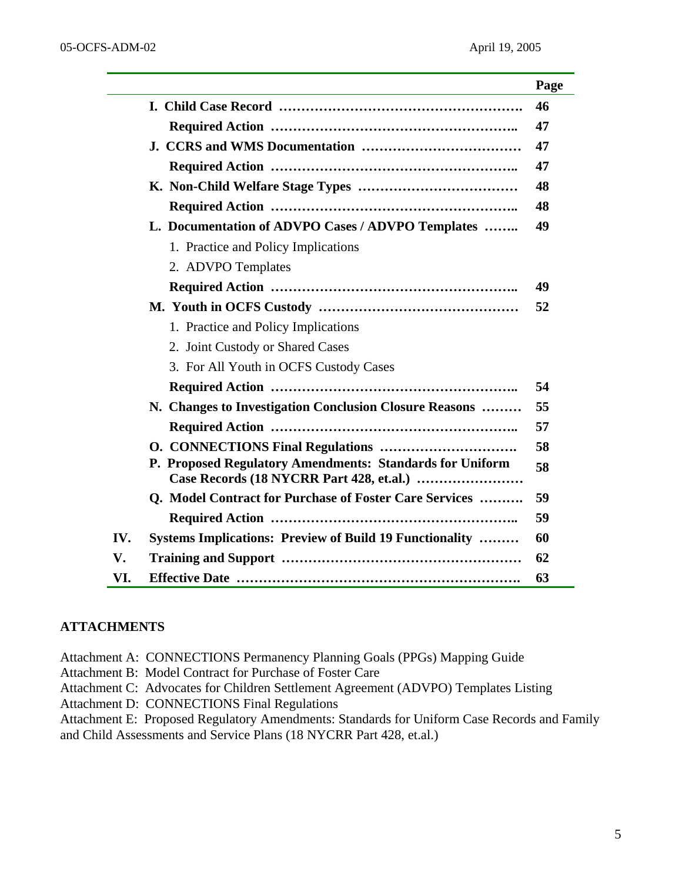|     |                                                                 | Page |
|-----|-----------------------------------------------------------------|------|
|     |                                                                 | 46   |
|     |                                                                 | 47   |
|     |                                                                 | 47   |
|     |                                                                 | 47   |
|     |                                                                 | 48   |
|     |                                                                 | 48   |
|     | L. Documentation of ADVPO Cases / ADVPO Templates               | 49   |
|     | 1. Practice and Policy Implications                             |      |
|     | 2. ADVPO Templates                                              |      |
|     |                                                                 | 49   |
|     |                                                                 | 52   |
|     | 1. Practice and Policy Implications                             |      |
|     | 2. Joint Custody or Shared Cases                                |      |
|     | 3. For All Youth in OCFS Custody Cases                          |      |
|     |                                                                 | 54   |
|     | N. Changes to Investigation Conclusion Closure Reasons          | 55   |
|     |                                                                 | 57   |
|     |                                                                 | 58   |
|     | P. Proposed Regulatory Amendments: Standards for Uniform        | 58   |
|     | Q. Model Contract for Purchase of Foster Care Services          | 59   |
|     |                                                                 | 59   |
| IV. | <b>Systems Implications: Preview of Build 19 Functionality </b> | 60   |
| V.  |                                                                 | 62   |
| VI. |                                                                 | 63   |

### **ATTACHMENTS**

Attachment A: CONNECTIONS Permanency Planning Goals (PPGs) Mapping Guide

Attachment B: Model Contract for Purchase of Foster Care

Attachment C: Advocates for Children Settlement Agreement (ADVPO) Templates Listing

Attachment D: CONNECTIONS Final Regulations

Attachment E: Proposed Regulatory Amendments: Standards for Uniform Case Records and Family and Child Assessments and Service Plans (18 NYCRR Part 428, et.al.)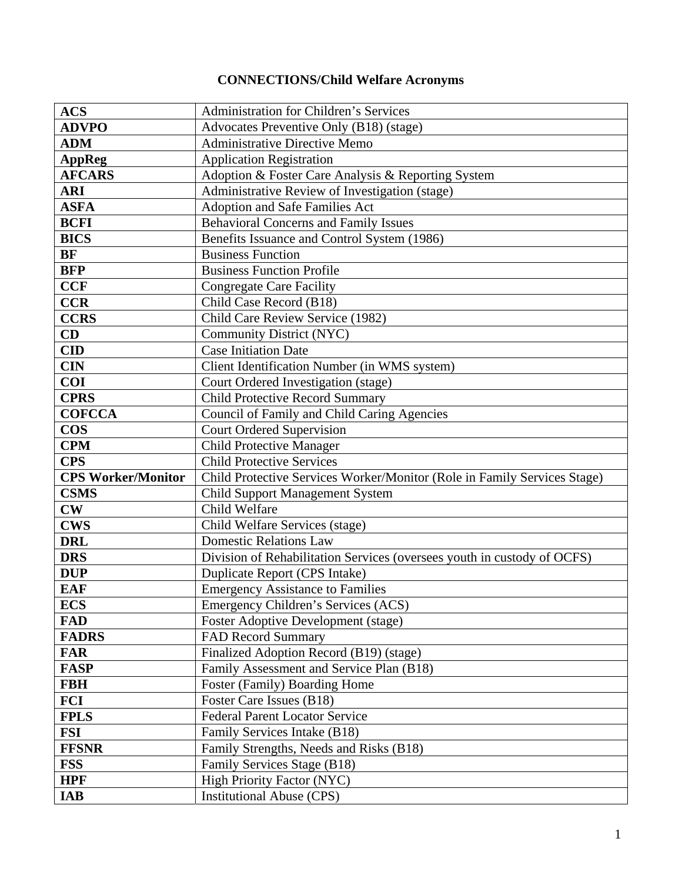# **CONNECTIONS/Child Welfare Acronyms**

| <b>ACS</b>                | <b>Administration for Children's Services</b>                            |  |  |
|---------------------------|--------------------------------------------------------------------------|--|--|
| <b>ADVPO</b>              | Advocates Preventive Only (B18) (stage)                                  |  |  |
| <b>ADM</b>                | <b>Administrative Directive Memo</b>                                     |  |  |
| <b>AppReg</b>             | <b>Application Registration</b>                                          |  |  |
| <b>AFCARS</b>             | Adoption & Foster Care Analysis & Reporting System                       |  |  |
| <b>ARI</b>                | Administrative Review of Investigation (stage)                           |  |  |
| <b>ASFA</b>               | Adoption and Safe Families Act                                           |  |  |
| <b>BCFI</b>               | <b>Behavioral Concerns and Family Issues</b>                             |  |  |
| <b>BICS</b>               | Benefits Issuance and Control System (1986)                              |  |  |
| <b>BF</b>                 | <b>Business Function</b>                                                 |  |  |
| <b>BFP</b>                | <b>Business Function Profile</b>                                         |  |  |
| <b>CCF</b>                | <b>Congregate Care Facility</b>                                          |  |  |
| <b>CCR</b>                | Child Case Record (B18)                                                  |  |  |
| <b>CCRS</b>               | Child Care Review Service (1982)                                         |  |  |
| CD                        | Community District (NYC)                                                 |  |  |
| <b>CID</b>                | <b>Case Initiation Date</b>                                              |  |  |
| <b>CIN</b>                | Client Identification Number (in WMS system)                             |  |  |
| <b>COI</b>                | Court Ordered Investigation (stage)                                      |  |  |
| <b>CPRS</b>               | <b>Child Protective Record Summary</b>                                   |  |  |
| <b>COFCCA</b>             | Council of Family and Child Caring Agencies                              |  |  |
| <b>COS</b>                | <b>Court Ordered Supervision</b>                                         |  |  |
| <b>CPM</b>                | <b>Child Protective Manager</b>                                          |  |  |
| <b>CPS</b>                | <b>Child Protective Services</b>                                         |  |  |
| <b>CPS Worker/Monitor</b> | Child Protective Services Worker/Monitor (Role in Family Services Stage) |  |  |
| <b>CSMS</b>               | <b>Child Support Management System</b>                                   |  |  |
| $\mathbf{CW}$             | Child Welfare                                                            |  |  |
| <b>CWS</b>                | Child Welfare Services (stage)                                           |  |  |
| <b>DRL</b>                | <b>Domestic Relations Law</b>                                            |  |  |
| <b>DRS</b>                | Division of Rehabilitation Services (oversees youth in custody of OCFS)  |  |  |
| <b>DUP</b>                | Duplicate Report (CPS Intake)                                            |  |  |
| <b>EAF</b>                | <b>Emergency Assistance to Families</b>                                  |  |  |
| <b>ECS</b>                | Emergency Children's Services (ACS)                                      |  |  |
| <b>FAD</b>                | <b>Foster Adoptive Development (stage)</b>                               |  |  |
| <b>FADRS</b>              | <b>FAD Record Summary</b>                                                |  |  |
| <b>FAR</b>                | Finalized Adoption Record (B19) (stage)                                  |  |  |
| <b>FASP</b>               | Family Assessment and Service Plan (B18)                                 |  |  |
| <b>FBH</b>                | Foster (Family) Boarding Home                                            |  |  |
| <b>FCI</b>                | Foster Care Issues (B18)                                                 |  |  |
| <b>FPLS</b>               | <b>Federal Parent Locator Service</b>                                    |  |  |
| <b>FSI</b>                | Family Services Intake (B18)                                             |  |  |
| <b>FFSNR</b>              | Family Strengths, Needs and Risks (B18)                                  |  |  |
| <b>FSS</b>                | Family Services Stage (B18)                                              |  |  |
| <b>HPF</b>                | <b>High Priority Factor (NYC)</b>                                        |  |  |
| <b>IAB</b>                | <b>Institutional Abuse (CPS)</b>                                         |  |  |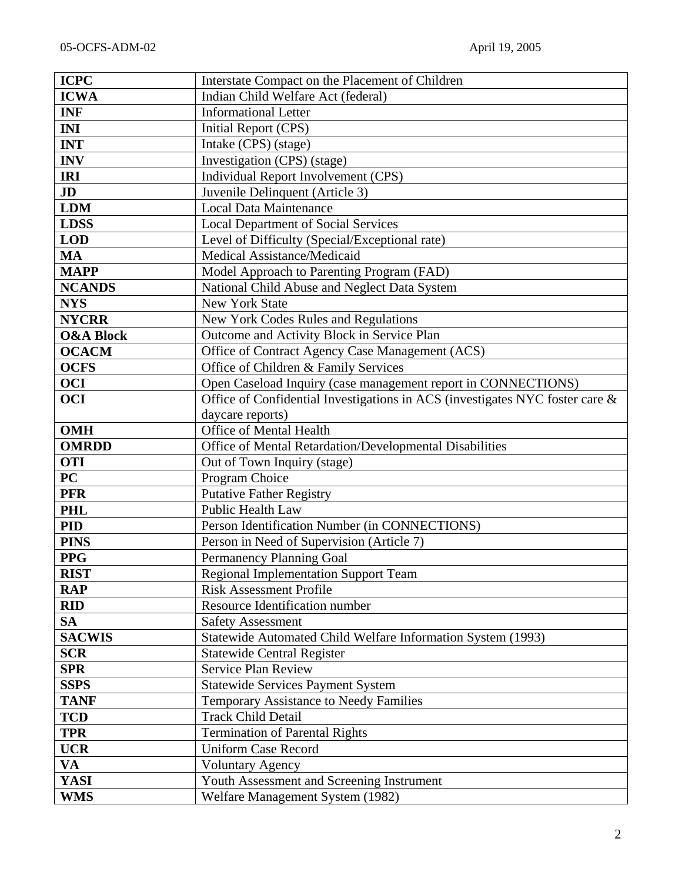| <b>ICPC</b>              | Interstate Compact on the Placement of Children                              |  |
|--------------------------|------------------------------------------------------------------------------|--|
| <b>ICWA</b>              | Indian Child Welfare Act (federal)                                           |  |
| <b>INF</b>               | <b>Informational Letter</b>                                                  |  |
| <b>INI</b>               | Initial Report (CPS)                                                         |  |
| <b>INT</b>               | Intake (CPS) (stage)                                                         |  |
| <b>INV</b>               | Investigation (CPS) (stage)                                                  |  |
| <b>IRI</b>               | Individual Report Involvement (CPS)                                          |  |
| JD                       | Juvenile Delinquent (Article 3)                                              |  |
| <b>LDM</b>               | <b>Local Data Maintenance</b>                                                |  |
| <b>LDSS</b>              | <b>Local Department of Social Services</b>                                   |  |
| <b>LOD</b>               | Level of Difficulty (Special/Exceptional rate)                               |  |
| <b>MA</b>                | Medical Assistance/Medicaid                                                  |  |
| <b>MAPP</b>              | Model Approach to Parenting Program (FAD)                                    |  |
| <b>NCANDS</b>            | National Child Abuse and Neglect Data System                                 |  |
| <b>NYS</b>               | <b>New York State</b>                                                        |  |
| <b>NYCRR</b>             | New York Codes Rules and Regulations                                         |  |
| <b>O&amp;A Block</b>     | Outcome and Activity Block in Service Plan                                   |  |
| <b>OCACM</b>             | Office of Contract Agency Case Management (ACS)                              |  |
| <b>OCFS</b>              | Office of Children & Family Services                                         |  |
| <b>OCI</b>               | Open Caseload Inquiry (case management report in CONNECTIONS)                |  |
| <b>OCI</b>               | Office of Confidential Investigations in ACS (investigates NYC foster care & |  |
| daycare reports)         |                                                                              |  |
| <b>OMH</b>               | Office of Mental Health                                                      |  |
| <b>OMRDD</b>             | Office of Mental Retardation/Developmental Disabilities                      |  |
| <b>OTI</b>               | Out of Town Inquiry (stage)                                                  |  |
| $\overline{\mathbf{PC}}$ | Program Choice                                                               |  |
| <b>PFR</b>               | <b>Putative Father Registry</b>                                              |  |
| <b>PHL</b>               | Public Health Law                                                            |  |
| <b>PID</b>               | Person Identification Number (in CONNECTIONS)                                |  |
| <b>PINS</b>              | Person in Need of Supervision (Article 7)                                    |  |
| <b>PPG</b>               | Permanency Planning Goal                                                     |  |
| <b>RIST</b>              | <b>Regional Implementation Support Team</b>                                  |  |
| <b>RAP</b>               | <b>Risk Assessment Profile</b>                                               |  |
| <b>RID</b>               | Resource Identification number                                               |  |
| <b>SA</b>                | <b>Safety Assessment</b>                                                     |  |
| <b>SACWIS</b>            | Statewide Automated Child Welfare Information System (1993)                  |  |
| <b>SCR</b>               | <b>Statewide Central Register</b>                                            |  |
| <b>SPR</b>               | Service Plan Review                                                          |  |
| <b>SSPS</b>              | <b>Statewide Services Payment System</b>                                     |  |
| <b>TANF</b>              | Temporary Assistance to Needy Families                                       |  |
| <b>TCD</b>               | <b>Track Child Detail</b>                                                    |  |
| <b>TPR</b>               | <b>Termination of Parental Rights</b>                                        |  |
| <b>UCR</b>               | <b>Uniform Case Record</b>                                                   |  |
| VA                       | <b>Voluntary Agency</b>                                                      |  |
| <b>YASI</b>              | Youth Assessment and Screening Instrument                                    |  |
| <b>WMS</b>               | Welfare Management System (1982)                                             |  |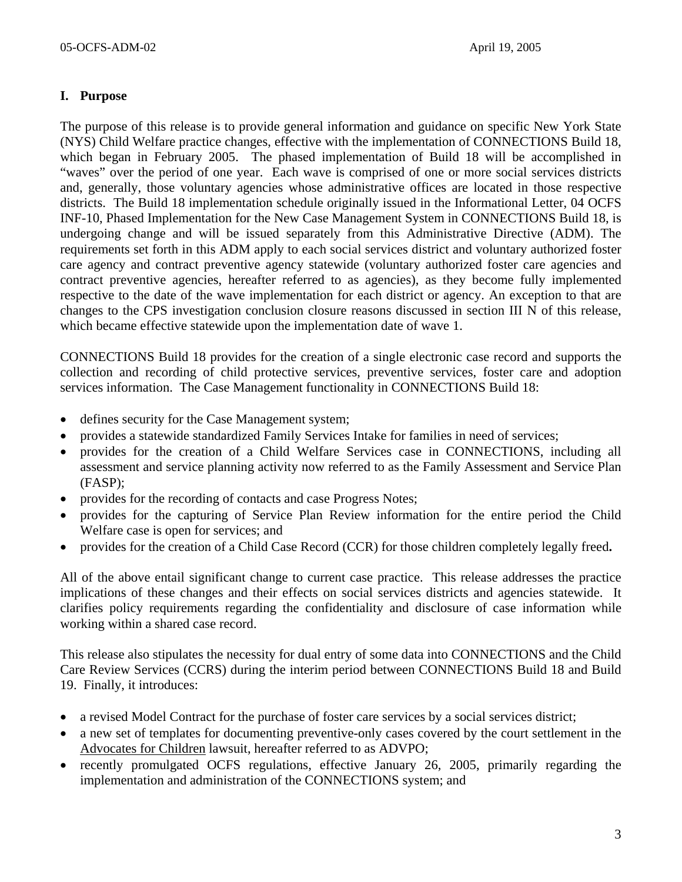## **I. Purpose**

The purpose of this release is to provide general information and guidance on specific New York State (NYS) Child Welfare practice changes, effective with the implementation of CONNECTIONS Build 18, which began in February 2005. The phased implementation of Build 18 will be accomplished in "waves" over the period of one year. Each wave is comprised of one or more social services districts and, generally, those voluntary agencies whose administrative offices are located in those respective districts. The Build 18 implementation schedule originally issued in the Informational Letter, 04 OCFS INF-10, Phased Implementation for the New Case Management System in CONNECTIONS Build 18, is undergoing change and will be issued separately from this Administrative Directive (ADM). The requirements set forth in this ADM apply to each social services district and voluntary authorized foster care agency and contract preventive agency statewide (voluntary authorized foster care agencies and contract preventive agencies, hereafter referred to as agencies), as they become fully implemented respective to the date of the wave implementation for each district or agency. An exception to that are changes to the CPS investigation conclusion closure reasons discussed in section III N of this release, which became effective statewide upon the implementation date of wave 1.

CONNECTIONS Build 18 provides for the creation of a single electronic case record and supports the collection and recording of child protective services, preventive services, foster care and adoption services information. The Case Management functionality in CONNECTIONS Build 18:

- defines security for the Case Management system;
- provides a statewide standardized Family Services Intake for families in need of services;
- provides for the creation of a Child Welfare Services case in CONNECTIONS, including all assessment and service planning activity now referred to as the Family Assessment and Service Plan (FASP);
- provides for the recording of contacts and case Progress Notes;
- provides for the capturing of Service Plan Review information for the entire period the Child Welfare case is open for services; and
- provides for the creation of a Child Case Record (CCR) for those children completely legally freed**.**

All of the above entail significant change to current case practice. This release addresses the practice implications of these changes and their effects on social services districts and agencies statewide. It clarifies policy requirements regarding the confidentiality and disclosure of case information while working within a shared case record.

This release also stipulates the necessity for dual entry of some data into CONNECTIONS and the Child Care Review Services (CCRS) during the interim period between CONNECTIONS Build 18 and Build 19. Finally, it introduces:

- a revised Model Contract for the purchase of foster care services by a social services district;
- a new set of templates for documenting preventive-only cases covered by the court settlement in the Advocates for Children lawsuit, hereafter referred to as ADVPO;
- recently promulgated OCFS regulations, effective January 26, 2005, primarily regarding the implementation and administration of the CONNECTIONS system; and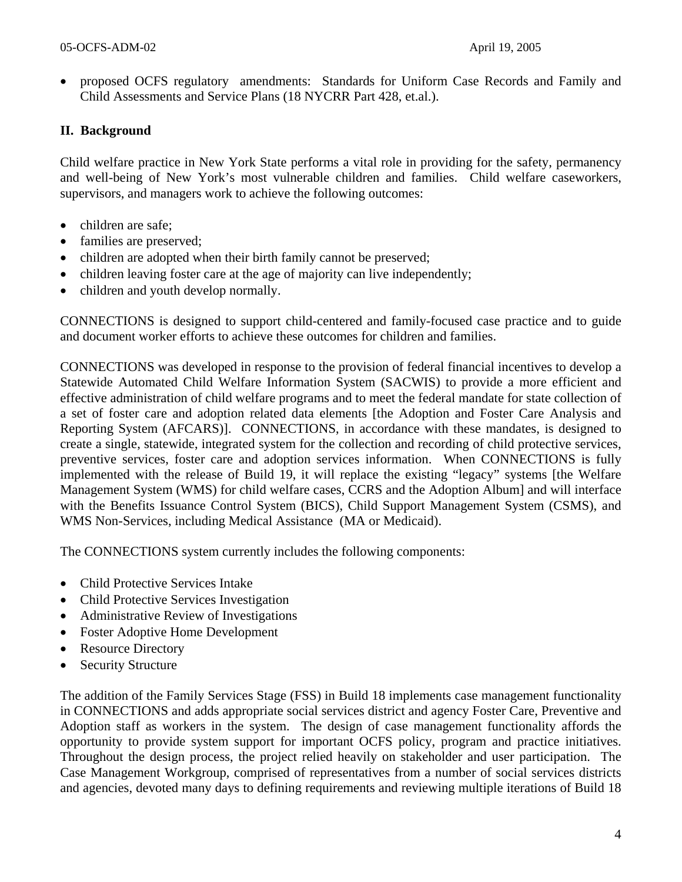• proposed OCFS regulatory amendments: Standards for Uniform Case Records and Family and Child Assessments and Service Plans (18 NYCRR Part 428, et.al.).

## **II. Background**

Child welfare practice in New York State performs a vital role in providing for the safety, permanency and well-being of New York's most vulnerable children and families. Child welfare caseworkers, supervisors, and managers work to achieve the following outcomes:

- children are safe;
- families are preserved;
- children are adopted when their birth family cannot be preserved;
- children leaving foster care at the age of majority can live independently;
- children and youth develop normally.

CONNECTIONS is designed to support child-centered and family-focused case practice and to guide and document worker efforts to achieve these outcomes for children and families.

CONNECTIONS was developed in response to the provision of federal financial incentives to develop a Statewide Automated Child Welfare Information System (SACWIS) to provide a more efficient and effective administration of child welfare programs and to meet the federal mandate for state collection of a set of foster care and adoption related data elements [the Adoption and Foster Care Analysis and Reporting System (AFCARS)]. CONNECTIONS, in accordance with these mandates, is designed to create a single, statewide, integrated system for the collection and recording of child protective services, preventive services, foster care and adoption services information. When CONNECTIONS is fully implemented with the release of Build 19, it will replace the existing "legacy" systems [the Welfare Management System (WMS) for child welfare cases, CCRS and the Adoption Album] and will interface with the Benefits Issuance Control System (BICS), Child Support Management System (CSMS), and WMS Non-Services, including Medical Assistance (MA or Medicaid).

The CONNECTIONS system currently includes the following components:

- Child Protective Services Intake
- Child Protective Services Investigation
- Administrative Review of Investigations
- Foster Adoptive Home Development
- Resource Directory
- Security Structure

The addition of the Family Services Stage (FSS) in Build 18 implements case management functionality in CONNECTIONS and adds appropriate social services district and agency Foster Care, Preventive and Adoption staff as workers in the system. The design of case management functionality affords the opportunity to provide system support for important OCFS policy, program and practice initiatives. Throughout the design process, the project relied heavily on stakeholder and user participation. The Case Management Workgroup, comprised of representatives from a number of social services districts and agencies, devoted many days to defining requirements and reviewing multiple iterations of Build 18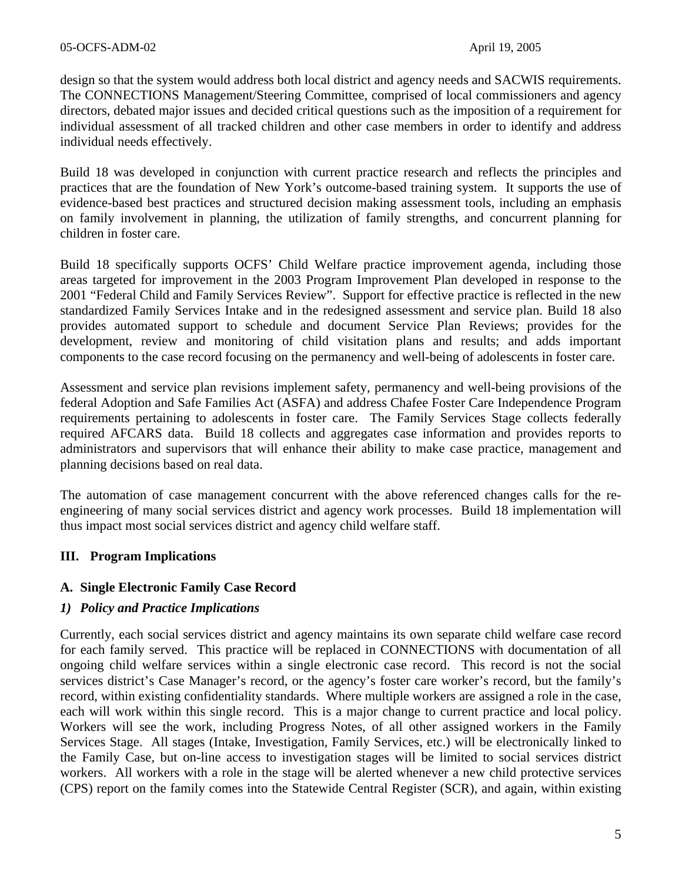design so that the system would address both local district and agency needs and SACWIS requirements. The CONNECTIONS Management/Steering Committee, comprised of local commissioners and agency directors, debated major issues and decided critical questions such as the imposition of a requirement for individual assessment of all tracked children and other case members in order to identify and address individual needs effectively.

Build 18 was developed in conjunction with current practice research and reflects the principles and practices that are the foundation of New York's outcome-based training system. It supports the use of evidence-based best practices and structured decision making assessment tools, including an emphasis on family involvement in planning, the utilization of family strengths, and concurrent planning for children in foster care.

Build 18 specifically supports OCFS' Child Welfare practice improvement agenda, including those areas targeted for improvement in the 2003 Program Improvement Plan developed in response to the 2001 "Federal Child and Family Services Review". Support for effective practice is reflected in the new standardized Family Services Intake and in the redesigned assessment and service plan. Build 18 also provides automated support to schedule and document Service Plan Reviews; provides for the development, review and monitoring of child visitation plans and results; and adds important components to the case record focusing on the permanency and well-being of adolescents in foster care.

Assessment and service plan revisions implement safety, permanency and well-being provisions of the federal Adoption and Safe Families Act (ASFA) and address Chafee Foster Care Independence Program requirements pertaining to adolescents in foster care. The Family Services Stage collects federally required AFCARS data. Build 18 collects and aggregates case information and provides reports to administrators and supervisors that will enhance their ability to make case practice, management and planning decisions based on real data.

The automation of case management concurrent with the above referenced changes calls for the reengineering of many social services district and agency work processes. Build 18 implementation will thus impact most social services district and agency child welfare staff.

## **III. Program Implications**

## **A. Single Electronic Family Case Record**

## *1) Policy and Practice Implications*

Currently, each social services district and agency maintains its own separate child welfare case record for each family served. This practice will be replaced in CONNECTIONS with documentation of all ongoing child welfare services within a single electronic case record. This record is not the social services district's Case Manager's record, or the agency's foster care worker's record, but the family's record, within existing confidentiality standards. Where multiple workers are assigned a role in the case, each will work within this single record. This is a major change to current practice and local policy. Workers will see the work, including Progress Notes, of all other assigned workers in the Family Services Stage. All stages (Intake, Investigation, Family Services, etc.) will be electronically linked to the Family Case, but on-line access to investigation stages will be limited to social services district workers. All workers with a role in the stage will be alerted whenever a new child protective services (CPS) report on the family comes into the Statewide Central Register (SCR), and again, within existing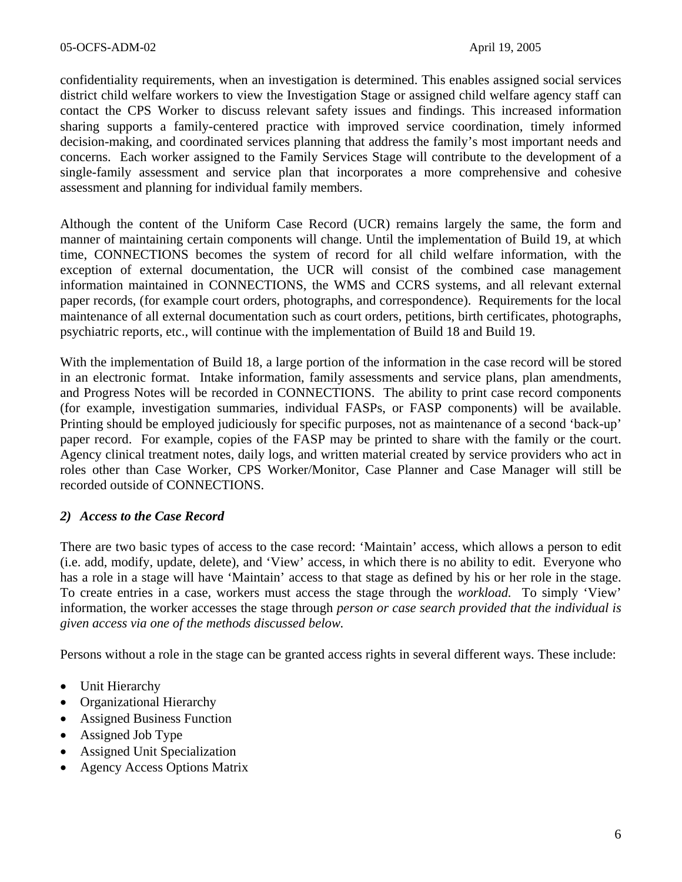confidentiality requirements, when an investigation is determined. This enables assigned social services district child welfare workers to view the Investigation Stage or assigned child welfare agency staff can contact the CPS Worker to discuss relevant safety issues and findings. This increased information sharing supports a family-centered practice with improved service coordination, timely informed decision-making, and coordinated services planning that address the family's most important needs and concerns. Each worker assigned to the Family Services Stage will contribute to the development of a single-family assessment and service plan that incorporates a more comprehensive and cohesive assessment and planning for individual family members.

Although the content of the Uniform Case Record (UCR) remains largely the same, the form and manner of maintaining certain components will change. Until the implementation of Build 19, at which time, CONNECTIONS becomes the system of record for all child welfare information, with the exception of external documentation, the UCR will consist of the combined case management information maintained in CONNECTIONS, the WMS and CCRS systems, and all relevant external paper records, (for example court orders, photographs, and correspondence). Requirements for the local maintenance of all external documentation such as court orders, petitions, birth certificates, photographs, psychiatric reports, etc., will continue with the implementation of Build 18 and Build 19.

With the implementation of Build 18, a large portion of the information in the case record will be stored in an electronic format. Intake information, family assessments and service plans, plan amendments, and Progress Notes will be recorded in CONNECTIONS. The ability to print case record components (for example, investigation summaries, individual FASPs, or FASP components) will be available. Printing should be employed judiciously for specific purposes, not as maintenance of a second 'back-up' paper record. For example, copies of the FASP may be printed to share with the family or the court. Agency clinical treatment notes, daily logs, and written material created by service providers who act in roles other than Case Worker, CPS Worker/Monitor, Case Planner and Case Manager will still be recorded outside of CONNECTIONS.

## *2) Access to the Case Record*

There are two basic types of access to the case record: 'Maintain' access, which allows a person to edit (i.e. add, modify, update, delete), and 'View' access, in which there is no ability to edit. Everyone who has a role in a stage will have 'Maintain' access to that stage as defined by his or her role in the stage. To create entries in a case, workers must access the stage through the *workload.* To simply 'View' information, the worker accesses the stage through *person or case search provided that the individual is given access via one of the methods discussed below.* 

Persons without a role in the stage can be granted access rights in several different ways. These include:

- Unit Hierarchy
- Organizational Hierarchy
- Assigned Business Function
- Assigned Job Type
- Assigned Unit Specialization
- Agency Access Options Matrix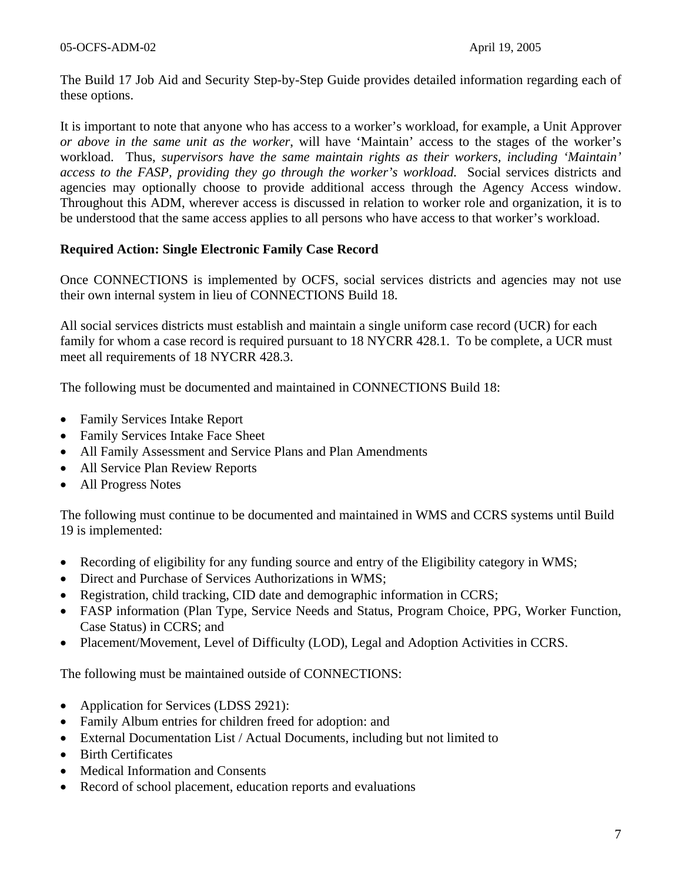The Build 17 Job Aid and Security Step-by-Step Guide provides detailed information regarding each of these options.

It is important to note that anyone who has access to a worker's workload, for example, a Unit Approver *or above in the same unit as the worker*, will have 'Maintain' access to the stages of the worker's workload. Thus, *supervisors have the same maintain rights as their workers, including 'Maintain' access to the FASP, providing they go through the worker's workload*. Social services districts and agencies may optionally choose to provide additional access through the Agency Access window. Throughout this ADM, wherever access is discussed in relation to worker role and organization, it is to be understood that the same access applies to all persons who have access to that worker's workload.

#### **Required Action: Single Electronic Family Case Record**

Once CONNECTIONS is implemented by OCFS, social services districts and agencies may not use their own internal system in lieu of CONNECTIONS Build 18.

All social services districts must establish and maintain a single uniform case record (UCR) for each family for whom a case record is required pursuant to 18 NYCRR 428.1. To be complete, a UCR must meet all requirements of 18 NYCRR 428.3.

The following must be documented and maintained in CONNECTIONS Build 18:

- Family Services Intake Report
- Family Services Intake Face Sheet
- All Family Assessment and Service Plans and Plan Amendments
- All Service Plan Review Reports
- All Progress Notes

The following must continue to be documented and maintained in WMS and CCRS systems until Build 19 is implemented:

- Recording of eligibility for any funding source and entry of the Eligibility category in WMS;
- Direct and Purchase of Services Authorizations in WMS;
- Registration, child tracking, CID date and demographic information in CCRS;
- FASP information (Plan Type, Service Needs and Status, Program Choice, PPG, Worker Function, Case Status) in CCRS; and
- Placement/Movement, Level of Difficulty (LOD), Legal and Adoption Activities in CCRS.

The following must be maintained outside of CONNECTIONS:

- Application for Services (LDSS 2921):
- Family Album entries for children freed for adoption: and
- External Documentation List / Actual Documents, including but not limited to
- Birth Certificates
- Medical Information and Consents
- Record of school placement, education reports and evaluations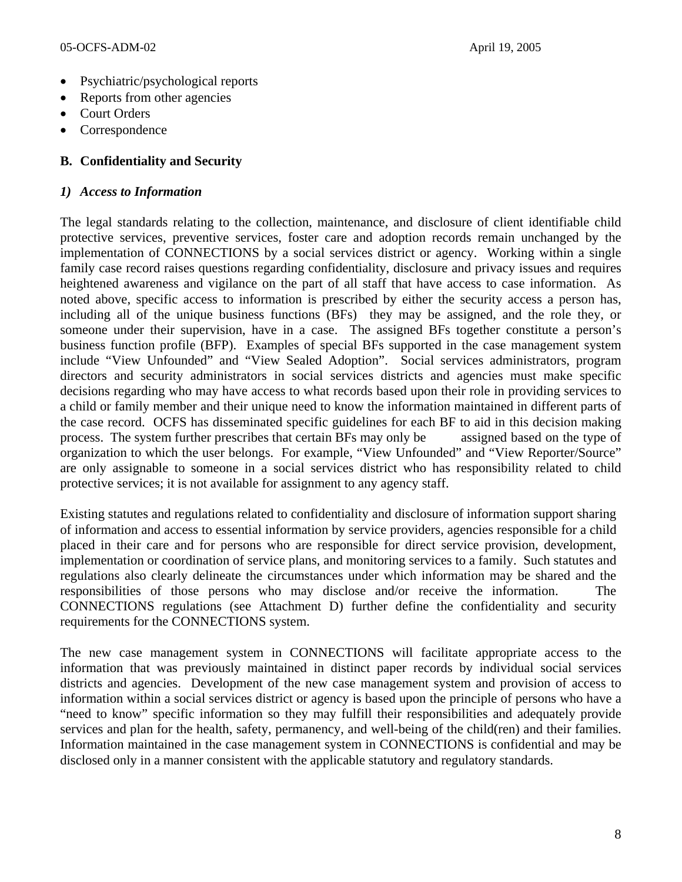- Psychiatric/psychological reports
- Reports from other agencies
- Court Orders
- **Correspondence**

## **B. Confidentiality and Security**

#### *1) Access to Information*

The legal standards relating to the collection, maintenance, and disclosure of client identifiable child protective services, preventive services, foster care and adoption records remain unchanged by the implementation of CONNECTIONS by a social services district or agency. Working within a single family case record raises questions regarding confidentiality, disclosure and privacy issues and requires heightened awareness and vigilance on the part of all staff that have access to case information. As noted above, specific access to information is prescribed by either the security access a person has, including all of the unique business functions (BFs) they may be assigned, and the role they, or someone under their supervision, have in a case. The assigned BFs together constitute a person's business function profile (BFP). Examples of special BFs supported in the case management system include "View Unfounded" and "View Sealed Adoption". Social services administrators, program directors and security administrators in social services districts and agencies must make specific decisions regarding who may have access to what records based upon their role in providing services to a child or family member and their unique need to know the information maintained in different parts of the case record. OCFS has disseminated specific guidelines for each BF to aid in this decision making process. The system further prescribes that certain BFs may only be assigned based on the type of organization to which the user belongs. For example, "View Unfounded" and "View Reporter/Source" are only assignable to someone in a social services district who has responsibility related to child protective services; it is not available for assignment to any agency staff.

Existing statutes and regulations related to confidentiality and disclosure of information support sharing of information and access to essential information by service providers, agencies responsible for a child placed in their care and for persons who are responsible for direct service provision, development, implementation or coordination of service plans, and monitoring services to a family. Such statutes and regulations also clearly delineate the circumstances under which information may be shared and the responsibilities of those persons who may disclose and/or receive the information. The CONNECTIONS regulations (see Attachment D) further define the confidentiality and security requirements for the CONNECTIONS system.

The new case management system in CONNECTIONS will facilitate appropriate access to the information that was previously maintained in distinct paper records by individual social services districts and agencies. Development of the new case management system and provision of access to information within a social services district or agency is based upon the principle of persons who have a "need to know" specific information so they may fulfill their responsibilities and adequately provide services and plan for the health, safety, permanency, and well-being of the child(ren) and their families. Information maintained in the case management system in CONNECTIONS is confidential and may be disclosed only in a manner consistent with the applicable statutory and regulatory standards.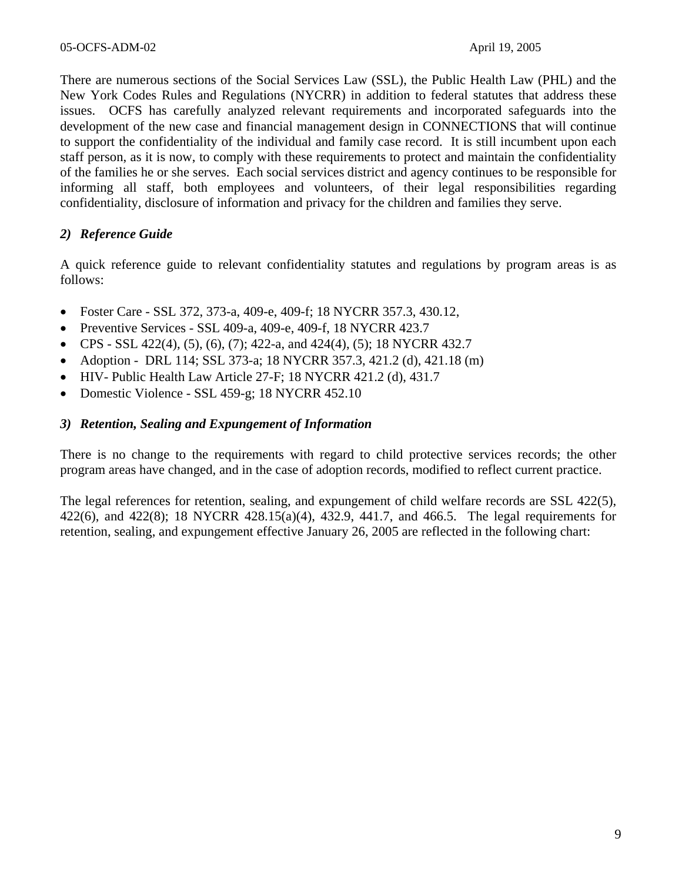There are numerous sections of the Social Services Law (SSL), the Public Health Law (PHL) and the New York Codes Rules and Regulations (NYCRR) in addition to federal statutes that address these issues. OCFS has carefully analyzed relevant requirements and incorporated safeguards into the development of the new case and financial management design in CONNECTIONS that will continue to support the confidentiality of the individual and family case record. It is still incumbent upon each staff person, as it is now, to comply with these requirements to protect and maintain the confidentiality of the families he or she serves. Each social services district and agency continues to be responsible for informing all staff, both employees and volunteers, of their legal responsibilities regarding confidentiality, disclosure of information and privacy for the children and families they serve.

## *2) Reference Guide*

A quick reference guide to relevant confidentiality statutes and regulations by program areas is as follows:

- Foster Care SSL 372, 373-a, 409-e, 409-f; 18 NYCRR 357.3, 430.12,
- Preventive Services SSL 409-a, 409-e, 409-f, 18 NYCRR 423.7
- CPS SSL 422(4), (5), (6), (7); 422-a, and 424(4), (5); 18 NYCRR 432.7
- Adoption DRL 114; SSL 373-a; 18 NYCRR 357.3, 421.2 (d), 421.18 (m)
- HIV- Public Health Law Article 27-F; 18 NYCRR 421.2 (d), 431.7
- Domestic Violence SSL 459-g; 18 NYCRR 452.10

### *3) Retention, Sealing and Expungement of Information*

There is no change to the requirements with regard to child protective services records; the other program areas have changed, and in the case of adoption records, modified to reflect current practice.

The legal references for retention, sealing, and expungement of child welfare records are SSL 422(5), 422(6), and 422(8); 18 NYCRR 428.15(a)(4), 432.9, 441.7, and 466.5. The legal requirements for retention, sealing, and expungement effective January 26, 2005 are reflected in the following chart: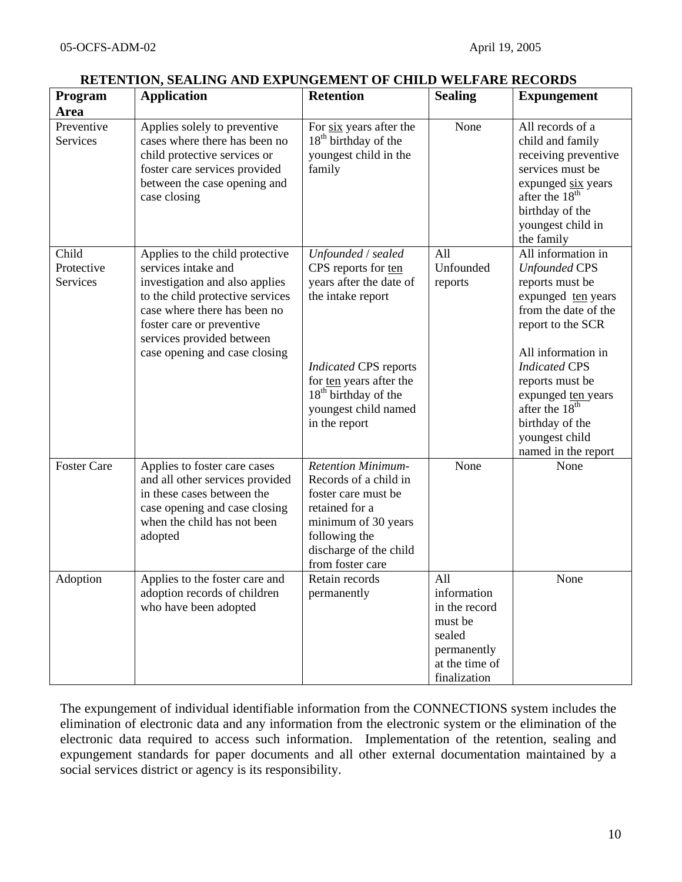| Program                         | <u>Retention, semento mto em croement of cheo weel me Records</u><br><b>Application</b>                                                                                                                                                                 | <b>Retention</b>                                                                                                                                                                                                                  | <b>Sealing</b>                                                                                            | <b>Expungement</b>                                                                                                                                                                                                                                                                                                |
|---------------------------------|---------------------------------------------------------------------------------------------------------------------------------------------------------------------------------------------------------------------------------------------------------|-----------------------------------------------------------------------------------------------------------------------------------------------------------------------------------------------------------------------------------|-----------------------------------------------------------------------------------------------------------|-------------------------------------------------------------------------------------------------------------------------------------------------------------------------------------------------------------------------------------------------------------------------------------------------------------------|
| Area                            |                                                                                                                                                                                                                                                         |                                                                                                                                                                                                                                   |                                                                                                           |                                                                                                                                                                                                                                                                                                                   |
| Preventive<br>Services          | Applies solely to preventive<br>cases where there has been no<br>child protective services or<br>foster care services provided<br>between the case opening and<br>case closing                                                                          | For six years after the<br>18 <sup>th</sup> birthday of the<br>youngest child in the<br>family                                                                                                                                    | None                                                                                                      | All records of a<br>child and family<br>receiving preventive<br>services must be<br>expunged six years<br>after the 18 <sup>th</sup><br>birthday of the<br>youngest child in<br>the family                                                                                                                        |
| Child<br>Protective<br>Services | Applies to the child protective<br>services intake and<br>investigation and also applies<br>to the child protective services<br>case where there has been no<br>foster care or preventive<br>services provided between<br>case opening and case closing | Unfounded / sealed<br>CPS reports for ten<br>years after the date of<br>the intake report<br><b>Indicated CPS reports</b><br>for ten years after the<br>18 <sup>th</sup> birthday of the<br>youngest child named<br>in the report | All<br>Unfounded<br>reports                                                                               | All information in<br><b>Unfounded CPS</b><br>reports must be<br>expunged ten years<br>from the date of the<br>report to the SCR<br>All information in<br><b>Indicated CPS</b><br>reports must be<br>expunged ten years<br>after the 18 <sup>th</sup><br>birthday of the<br>youngest child<br>named in the report |
| <b>Foster Care</b>              | Applies to foster care cases<br>and all other services provided<br>in these cases between the<br>case opening and case closing<br>when the child has not been<br>adopted                                                                                | <b>Retention Minimum-</b><br>Records of a child in<br>foster care must be<br>retained for a<br>minimum of 30 years<br>following the<br>discharge of the child<br>from foster care                                                 | None                                                                                                      | None                                                                                                                                                                                                                                                                                                              |
| Adoption                        | Applies to the foster care and<br>adoption records of children<br>who have been adopted                                                                                                                                                                 | Retain records<br>permanently                                                                                                                                                                                                     | All<br>information<br>in the record<br>must be<br>sealed<br>permanently<br>at the time of<br>finalization | None                                                                                                                                                                                                                                                                                                              |

#### **RETENTION, SEALING AND EXPUNGEMENT OF CHILD WELFARE RECORDS**

The expungement of individual identifiable information from the CONNECTIONS system includes the elimination of electronic data and any information from the electronic system or the elimination of the electronic data required to access such information. Implementation of the retention, sealing and expungement standards for paper documents and all other external documentation maintained by a social services district or agency is its responsibility.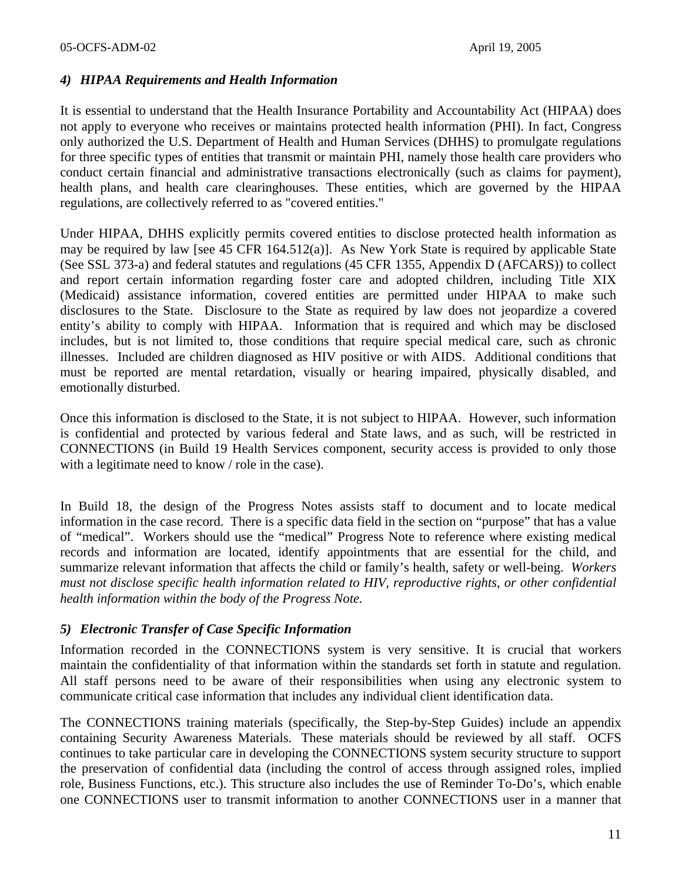### *4) HIPAA Requirements and Health Information*

It is essential to understand that the Health Insurance Portability and Accountability Act (HIPAA) does not apply to everyone who receives or maintains protected health information (PHI). In fact, Congress only authorized the U.S. Department of Health and Human Services (DHHS) to promulgate regulations for three specific types of entities that transmit or maintain PHI, namely those health care providers who conduct certain financial and administrative transactions electronically (such as claims for payment), health plans, and health care clearinghouses. These entities, which are governed by the HIPAA regulations, are collectively referred to as "covered entities."

Under HIPAA, DHHS explicitly permits covered entities to disclose protected health information as may be required by law [see 45 CFR 164.512(a)]. As New York State is required by applicable State (See SSL 373-a) and federal statutes and regulations (45 CFR 1355, Appendix D (AFCARS)) to collect and report certain information regarding foster care and adopted children, including Title XIX (Medicaid) assistance information, covered entities are permitted under HIPAA to make such disclosures to the State. Disclosure to the State as required by law does not jeopardize a covered entity's ability to comply with HIPAA. Information that is required and which may be disclosed includes, but is not limited to, those conditions that require special medical care, such as chronic illnesses. Included are children diagnosed as HIV positive or with AIDS. Additional conditions that must be reported are mental retardation, visually or hearing impaired, physically disabled, and emotionally disturbed.

Once this information is disclosed to the State, it is not subject to HIPAA. However, such information is confidential and protected by various federal and State laws, and as such, will be restricted in CONNECTIONS (in Build 19 Health Services component, security access is provided to only those with a legitimate need to know / role in the case).

In Build 18, the design of the Progress Notes assists staff to document and to locate medical information in the case record. There is a specific data field in the section on "purpose" that has a value of "medical". Workers should use the "medical" Progress Note to reference where existing medical records and information are located, identify appointments that are essential for the child, and summarize relevant information that affects the child or family's health, safety or well-being. *Workers must not disclose specific health information related to HIV, reproductive rights, or other confidential health information within the body of the Progress Note.* 

#### *5) Electronic Transfer of Case Specific Information*

Information recorded in the CONNECTIONS system is very sensitive. It is crucial that workers maintain the confidentiality of that information within the standards set forth in statute and regulation. All staff persons need to be aware of their responsibilities when using any electronic system to communicate critical case information that includes any individual client identification data.

The CONNECTIONS training materials (specifically, the Step-by-Step Guides) include an appendix containing Security Awareness Materials. These materials should be reviewed by all staff. OCFS continues to take particular care in developing the CONNECTIONS system security structure to support the preservation of confidential data (including the control of access through assigned roles, implied role, Business Functions, etc.). This structure also includes the use of Reminder To-Do's, which enable one CONNECTIONS user to transmit information to another CONNECTIONS user in a manner that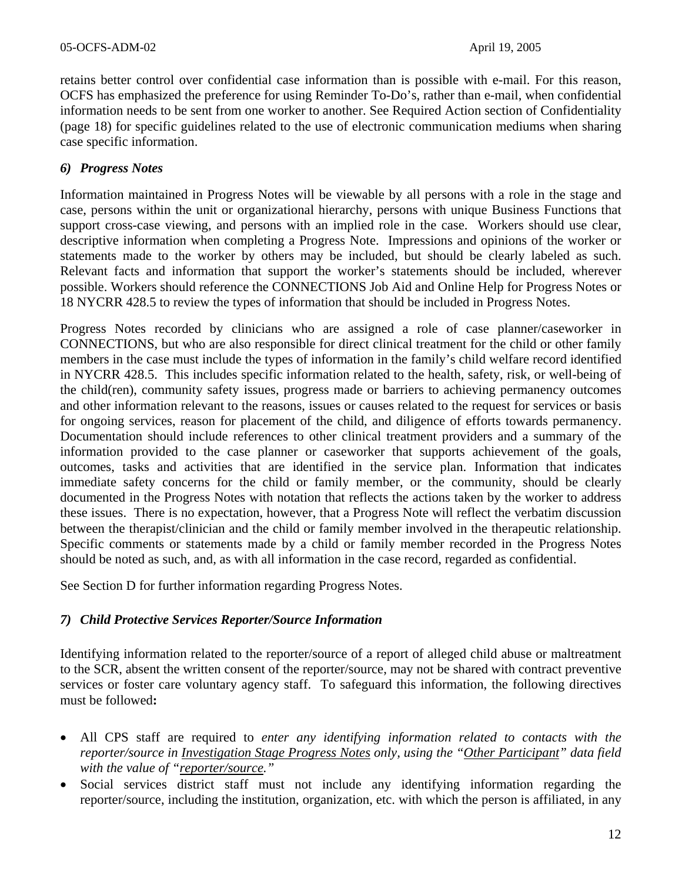retains better control over confidential case information than is possible with e-mail. For this reason, OCFS has emphasized the preference for using Reminder To-Do's, rather than e-mail, when confidential information needs to be sent from one worker to another. See Required Action section of Confidentiality (page 18) for specific guidelines related to the use of electronic communication mediums when sharing case specific information.

## *6) Progress Notes*

Information maintained in Progress Notes will be viewable by all persons with a role in the stage and case, persons within the unit or organizational hierarchy, persons with unique Business Functions that support cross-case viewing, and persons with an implied role in the case. Workers should use clear, descriptive information when completing a Progress Note. Impressions and opinions of the worker or statements made to the worker by others may be included, but should be clearly labeled as such. Relevant facts and information that support the worker's statements should be included, wherever possible. Workers should reference the CONNECTIONS Job Aid and Online Help for Progress Notes or 18 NYCRR 428.5 to review the types of information that should be included in Progress Notes.

Progress Notes recorded by clinicians who are assigned a role of case planner/caseworker in CONNECTIONS, but who are also responsible for direct clinical treatment for the child or other family members in the case must include the types of information in the family's child welfare record identified in NYCRR 428.5. This includes specific information related to the health, safety, risk, or well-being of the child(ren), community safety issues, progress made or barriers to achieving permanency outcomes and other information relevant to the reasons, issues or causes related to the request for services or basis for ongoing services, reason for placement of the child, and diligence of efforts towards permanency. Documentation should include references to other clinical treatment providers and a summary of the information provided to the case planner or caseworker that supports achievement of the goals, outcomes, tasks and activities that are identified in the service plan. Information that indicates immediate safety concerns for the child or family member, or the community, should be clearly documented in the Progress Notes with notation that reflects the actions taken by the worker to address these issues. There is no expectation, however, that a Progress Note will reflect the verbatim discussion between the therapist/clinician and the child or family member involved in the therapeutic relationship. Specific comments or statements made by a child or family member recorded in the Progress Notes should be noted as such, and, as with all information in the case record, regarded as confidential.

See Section D for further information regarding Progress Notes.

#### *7) Child Protective Services Reporter/Source Information*

Identifying information related to the reporter/source of a report of alleged child abuse or maltreatment to the SCR, absent the written consent of the reporter/source, may not be shared with contract preventive services or foster care voluntary agency staff. To safeguard this information, the following directives must be followed**:** 

- All CPS staff are required to *enter any identifying information related to contacts with the reporter/source in Investigation Stage Progress Notes only, using the "Other Participant" data field with the value of "reporter/source."*
- Social services district staff must not include any identifying information regarding the reporter/source, including the institution, organization, etc. with which the person is affiliated, in any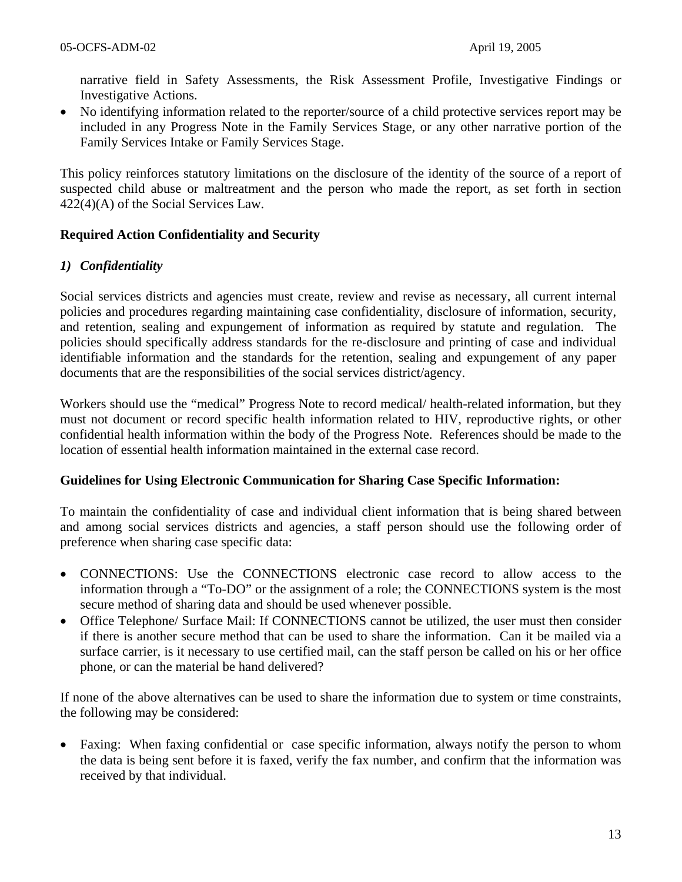narrative field in Safety Assessments, the Risk Assessment Profile, Investigative Findings or Investigative Actions.

• No identifying information related to the reporter/source of a child protective services report may be included in any Progress Note in the Family Services Stage, or any other narrative portion of the Family Services Intake or Family Services Stage.

This policy reinforces statutory limitations on the disclosure of the identity of the source of a report of suspected child abuse or maltreatment and the person who made the report, as set forth in section 422(4)(A) of the Social Services Law.

### **Required Action Confidentiality and Security**

### *1) Confidentiality*

Social services districts and agencies must create, review and revise as necessary, all current internal policies and procedures regarding maintaining case confidentiality, disclosure of information, security, and retention, sealing and expungement of information as required by statute and regulation. The policies should specifically address standards for the re-disclosure and printing of case and individual identifiable information and the standards for the retention, sealing and expungement of any paper documents that are the responsibilities of the social services district/agency.

Workers should use the "medical" Progress Note to record medical/ health-related information, but they must not document or record specific health information related to HIV, reproductive rights, or other confidential health information within the body of the Progress Note. References should be made to the location of essential health information maintained in the external case record.

#### **Guidelines for Using Electronic Communication for Sharing Case Specific Information:**

To maintain the confidentiality of case and individual client information that is being shared between and among social services districts and agencies, a staff person should use the following order of preference when sharing case specific data:

- CONNECTIONS: Use the CONNECTIONS electronic case record to allow access to the information through a "To-DO" or the assignment of a role; the CONNECTIONS system is the most secure method of sharing data and should be used whenever possible.
- Office Telephone/ Surface Mail: If CONNECTIONS cannot be utilized, the user must then consider if there is another secure method that can be used to share the information. Can it be mailed via a surface carrier, is it necessary to use certified mail, can the staff person be called on his or her office phone, or can the material be hand delivered?

If none of the above alternatives can be used to share the information due to system or time constraints, the following may be considered:

• Faxing: When faxing confidential or case specific information, always notify the person to whom the data is being sent before it is faxed, verify the fax number, and confirm that the information was received by that individual.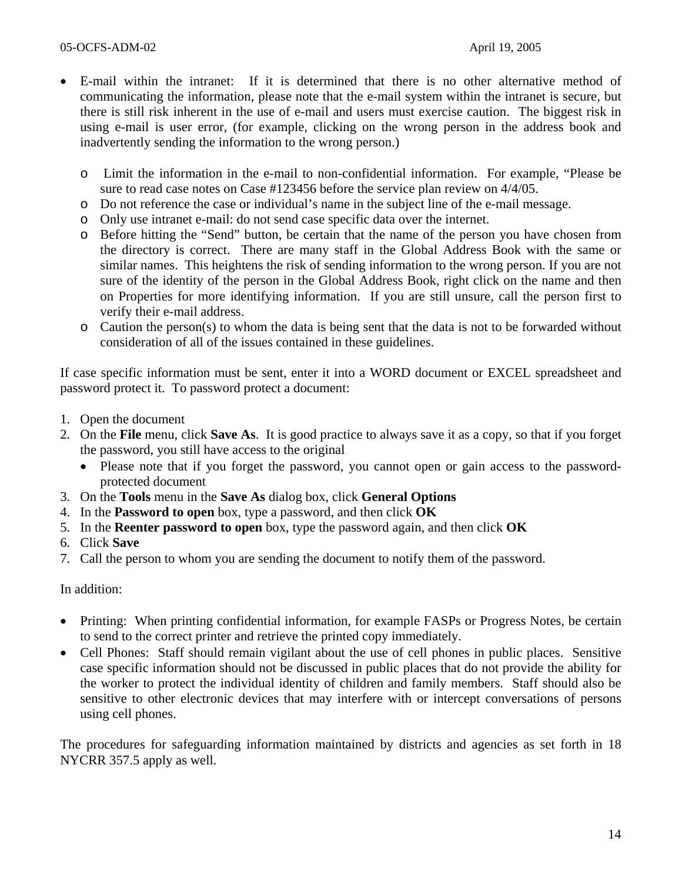- E-mail within the intranet: If it is determined that there is no other alternative method of communicating the information, please note that the e-mail system within the intranet is secure, but there is still risk inherent in the use of e-mail and users must exercise caution. The biggest risk in using e-mail is user error, (for example, clicking on the wrong person in the address book and inadvertently sending the information to the wrong person.)
	- o Limit the information in the e-mail to non-confidential information. For example, "Please be sure to read case notes on Case #123456 before the service plan review on 4/4/05.
	- o Do not reference the case or individual's name in the subject line of the e-mail message.
	- o Only use intranet e-mail: do not send case specific data over the internet.
	- o Before hitting the "Send" button, be certain that the name of the person you have chosen from the directory is correct. There are many staff in the Global Address Book with the same or similar names. This heightens the risk of sending information to the wrong person. If you are not sure of the identity of the person in the Global Address Book, right click on the name and then on Properties for more identifying information. If you are still unsure, call the person first to verify their e-mail address.
	- o Caution the person(s) to whom the data is being sent that the data is not to be forwarded without consideration of all of the issues contained in these guidelines.

If case specific information must be sent, enter it into a WORD document or EXCEL spreadsheet and password protect it. To password protect a document:

- 1. Open the document
- 2. On the **File** menu, click **Save As**. It is good practice to always save it as a copy, so that if you forget the password, you still have access to the original
	- Please note that if you forget the password, you cannot open or gain access to the passwordprotected document
- 3. On the **Tools** menu in the **Save As** dialog box, click **General Options**
- 4. In the **Password to open** box, type a password, and then click **OK**
- 5. In the **Reenter password to open** box, type the password again, and then click **OK**
- 6. Click **Save**
- 7. Call the person to whom you are sending the document to notify them of the password.

In addition:

- Printing: When printing confidential information, for example FASPs or Progress Notes, be certain to send to the correct printer and retrieve the printed copy immediately.
- Cell Phones: Staff should remain vigilant about the use of cell phones in public places. Sensitive case specific information should not be discussed in public places that do not provide the ability for the worker to protect the individual identity of children and family members. Staff should also be sensitive to other electronic devices that may interfere with or intercept conversations of persons using cell phones.

The procedures for safeguarding information maintained by districts and agencies as set forth in 18 NYCRR 357.5 apply as well.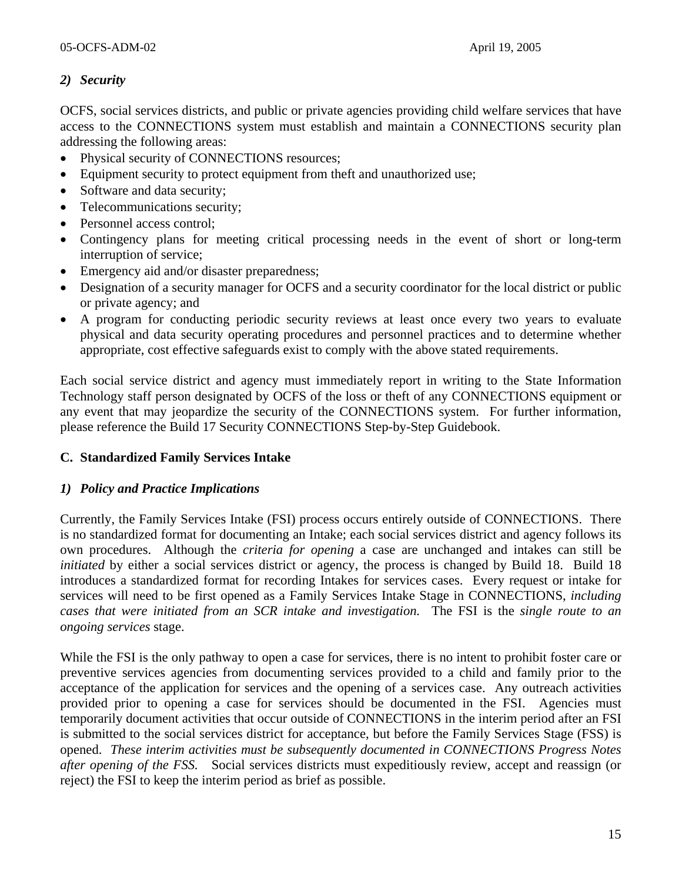## *2) Security*

OCFS, social services districts, and public or private agencies providing child welfare services that have access to the CONNECTIONS system must establish and maintain a CONNECTIONS security plan addressing the following areas:

- Physical security of CONNECTIONS resources;
- Equipment security to protect equipment from theft and unauthorized use;
- Software and data security;
- Telecommunications security;
- Personnel access control;
- Contingency plans for meeting critical processing needs in the event of short or long-term interruption of service;
- Emergency aid and/or disaster preparedness;
- Designation of a security manager for OCFS and a security coordinator for the local district or public or private agency; and
- A program for conducting periodic security reviews at least once every two years to evaluate physical and data security operating procedures and personnel practices and to determine whether appropriate, cost effective safeguards exist to comply with the above stated requirements.

Each social service district and agency must immediately report in writing to the State Information Technology staff person designated by OCFS of the loss or theft of any CONNECTIONS equipment or any event that may jeopardize the security of the CONNECTIONS system. For further information, please reference the Build 17 Security CONNECTIONS Step-by-Step Guidebook.

## **C. Standardized Family Services Intake**

## *1) Policy and Practice Implications*

Currently, the Family Services Intake (FSI) process occurs entirely outside of CONNECTIONS. There is no standardized format for documenting an Intake; each social services district and agency follows its own procedures. Although the *criteria for opening* a case are unchanged and intakes can still be *initiated* by either a social services district or agency, the process is changed by Build 18. Build 18 introduces a standardized format for recording Intakes for services cases. Every request or intake for services will need to be first opened as a Family Services Intake Stage in CONNECTIONS, *including cases that were initiated from an SCR intake and investigation.* The FSI is the *single route to an ongoing services* stage.

While the FSI is the only pathway to open a case for services, there is no intent to prohibit foster care or preventive services agencies from documenting services provided to a child and family prior to the acceptance of the application for services and the opening of a services case. Any outreach activities provided prior to opening a case for services should be documented in the FSI. Agencies must temporarily document activities that occur outside of CONNECTIONS in the interim period after an FSI is submitted to the social services district for acceptance, but before the Family Services Stage (FSS) is opened. *These interim activities must be subsequently documented in CONNECTIONS Progress Notes after opening of the FSS.* Social services districts must expeditiously review, accept and reassign (or reject) the FSI to keep the interim period as brief as possible.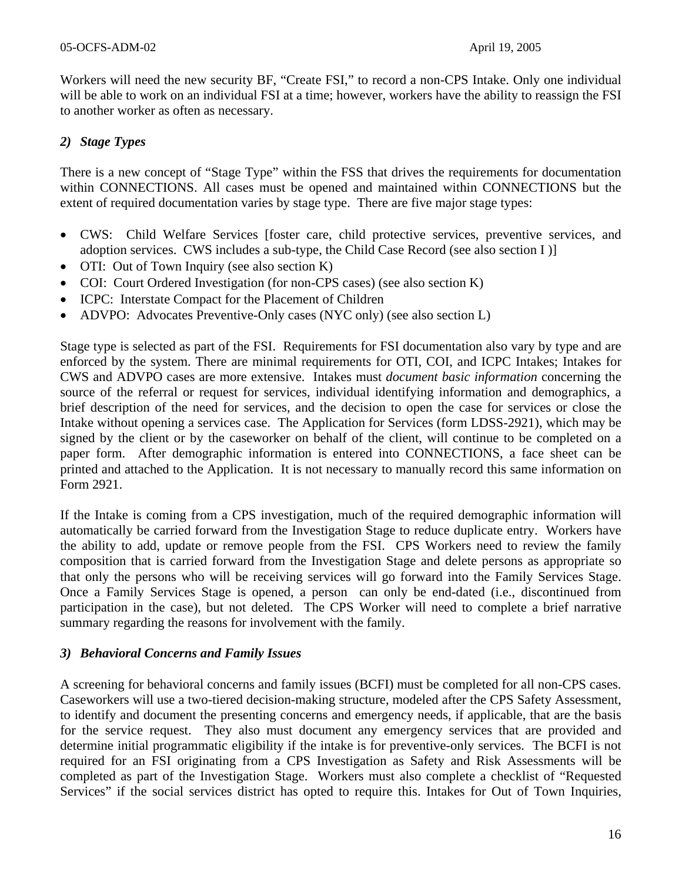Workers will need the new security BF, "Create FSI," to record a non-CPS Intake. Only one individual will be able to work on an individual FSI at a time; however, workers have the ability to reassign the FSI to another worker as often as necessary.

## *2) Stage Types*

There is a new concept of "Stage Type" within the FSS that drives the requirements for documentation within CONNECTIONS. All cases must be opened and maintained within CONNECTIONS but the extent of required documentation varies by stage type. There are five major stage types:

- CWS: Child Welfare Services [foster care, child protective services, preventive services, and adoption services. CWS includes a sub-type, the Child Case Record (see also section I )]
- OTI: Out of Town Inquiry (see also section K)
- COI: Court Ordered Investigation (for non-CPS cases) (see also section K)
- ICPC: Interstate Compact for the Placement of Children
- ADVPO: Advocates Preventive-Only cases (NYC only) (see also section L)

Stage type is selected as part of the FSI. Requirements for FSI documentation also vary by type and are enforced by the system. There are minimal requirements for OTI, COI, and ICPC Intakes; Intakes for CWS and ADVPO cases are more extensive. Intakes must *document basic information* concerning the source of the referral or request for services, individual identifying information and demographics, a brief description of the need for services, and the decision to open the case for services or close the Intake without opening a services case. The Application for Services (form LDSS-2921), which may be signed by the client or by the caseworker on behalf of the client, will continue to be completed on a paper form. After demographic information is entered into CONNECTIONS, a face sheet can be printed and attached to the Application. It is not necessary to manually record this same information on Form 2921.

If the Intake is coming from a CPS investigation, much of the required demographic information will automatically be carried forward from the Investigation Stage to reduce duplicate entry. Workers have the ability to add, update or remove people from the FSI. CPS Workers need to review the family composition that is carried forward from the Investigation Stage and delete persons as appropriate so that only the persons who will be receiving services will go forward into the Family Services Stage. Once a Family Services Stage is opened, a person can only be end-dated (i.e., discontinued from participation in the case), but not deleted. The CPS Worker will need to complete a brief narrative summary regarding the reasons for involvement with the family.

## *3) Behavioral Concerns and Family Issues*

A screening for behavioral concerns and family issues (BCFI) must be completed for all non-CPS cases. Caseworkers will use a two-tiered decision-making structure, modeled after the CPS Safety Assessment, to identify and document the presenting concerns and emergency needs, if applicable, that are the basis for the service request. They also must document any emergency services that are provided and determine initial programmatic eligibility if the intake is for preventive-only services. The BCFI is not required for an FSI originating from a CPS Investigation as Safety and Risk Assessments will be completed as part of the Investigation Stage. Workers must also complete a checklist of "Requested Services" if the social services district has opted to require this. Intakes for Out of Town Inquiries,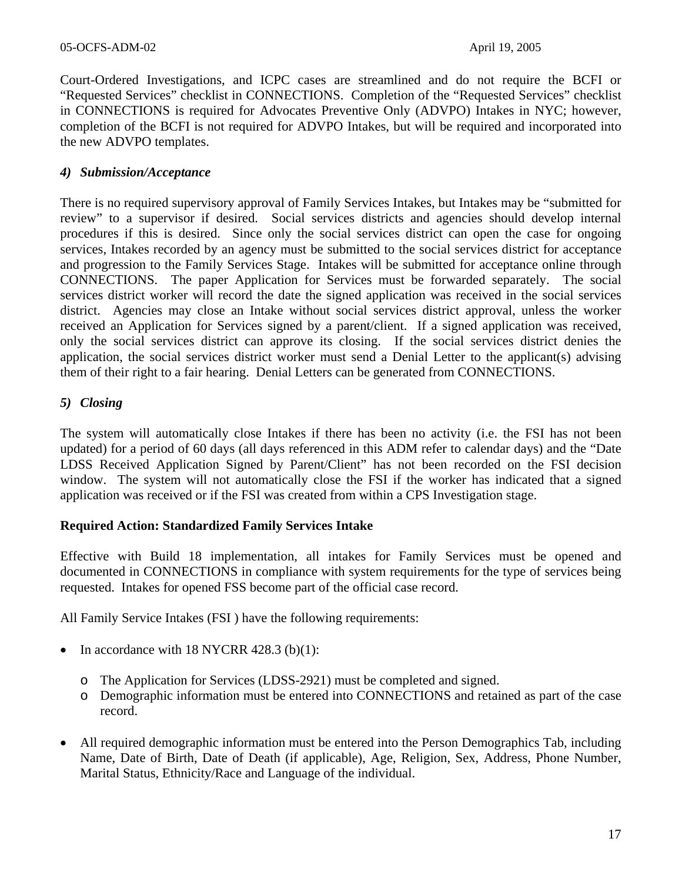Court-Ordered Investigations, and ICPC cases are streamlined and do not require the BCFI or "Requested Services" checklist in CONNECTIONS. Completion of the "Requested Services" checklist in CONNECTIONS is required for Advocates Preventive Only (ADVPO) Intakes in NYC; however, completion of the BCFI is not required for ADVPO Intakes, but will be required and incorporated into the new ADVPO templates.

#### *4) Submission/Acceptance*

There is no required supervisory approval of Family Services Intakes, but Intakes may be "submitted for review" to a supervisor if desired. Social services districts and agencies should develop internal procedures if this is desired. Since only the social services district can open the case for ongoing services, Intakes recorded by an agency must be submitted to the social services district for acceptance and progression to the Family Services Stage. Intakes will be submitted for acceptance online through CONNECTIONS. The paper Application for Services must be forwarded separately. The social services district worker will record the date the signed application was received in the social services district. Agencies may close an Intake without social services district approval, unless the worker received an Application for Services signed by a parent/client. If a signed application was received, only the social services district can approve its closing. If the social services district denies the application, the social services district worker must send a Denial Letter to the applicant(s) advising them of their right to a fair hearing. Denial Letters can be generated from CONNECTIONS.

### *5) Closing*

The system will automatically close Intakes if there has been no activity (i.e. the FSI has not been updated) for a period of 60 days (all days referenced in this ADM refer to calendar days) and the "Date LDSS Received Application Signed by Parent/Client" has not been recorded on the FSI decision window. The system will not automatically close the FSI if the worker has indicated that a signed application was received or if the FSI was created from within a CPS Investigation stage.

#### **Required Action: Standardized Family Services Intake**

Effective with Build 18 implementation, all intakes for Family Services must be opened and documented in CONNECTIONS in compliance with system requirements for the type of services being requested. Intakes for opened FSS become part of the official case record.

All Family Service Intakes (FSI ) have the following requirements:

- In accordance with 18 NYCRR 428.3 (b) $(1)$ :
	- o The Application for Services (LDSS-2921) must be completed and signed.
	- o Demographic information must be entered into CONNECTIONS and retained as part of the case record.
- All required demographic information must be entered into the Person Demographics Tab, including Name, Date of Birth, Date of Death (if applicable), Age, Religion, Sex, Address, Phone Number, Marital Status, Ethnicity/Race and Language of the individual.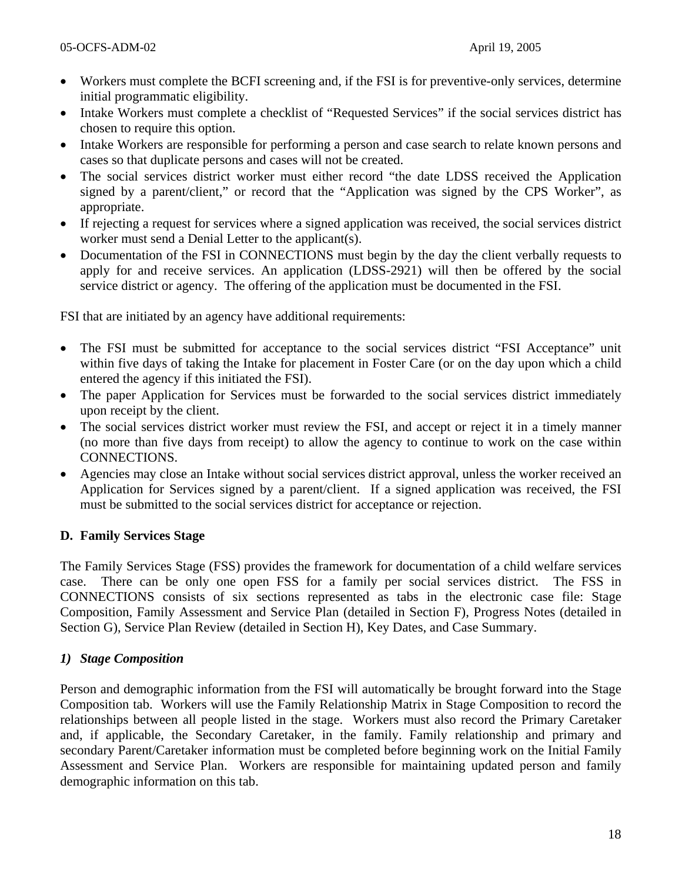- Workers must complete the BCFI screening and, if the FSI is for preventive-only services, determine initial programmatic eligibility.
- Intake Workers must complete a checklist of "Requested Services" if the social services district has chosen to require this option.
- Intake Workers are responsible for performing a person and case search to relate known persons and cases so that duplicate persons and cases will not be created.
- The social services district worker must either record "the date LDSS received the Application signed by a parent/client," or record that the "Application was signed by the CPS Worker", as appropriate.
- If rejecting a request for services where a signed application was received, the social services district worker must send a Denial Letter to the applicant(s).
- Documentation of the FSI in CONNECTIONS must begin by the day the client verbally requests to apply for and receive services. An application (LDSS-2921) will then be offered by the social service district or agency. The offering of the application must be documented in the FSI.

FSI that are initiated by an agency have additional requirements:

- The FSI must be submitted for acceptance to the social services district "FSI Acceptance" unit within five days of taking the Intake for placement in Foster Care (or on the day upon which a child entered the agency if this initiated the FSI).
- The paper Application for Services must be forwarded to the social services district immediately upon receipt by the client.
- The social services district worker must review the FSI, and accept or reject it in a timely manner (no more than five days from receipt) to allow the agency to continue to work on the case within CONNECTIONS.
- Agencies may close an Intake without social services district approval, unless the worker received an Application for Services signed by a parent/client. If a signed application was received, the FSI must be submitted to the social services district for acceptance or rejection.

## **D. Family Services Stage**

The Family Services Stage (FSS) provides the framework for documentation of a child welfare services case. There can be only one open FSS for a family per social services district. The FSS in CONNECTIONS consists of six sections represented as tabs in the electronic case file: Stage Composition, Family Assessment and Service Plan (detailed in Section F), Progress Notes (detailed in Section G), Service Plan Review (detailed in Section H), Key Dates, and Case Summary.

## *1) Stage Composition*

Person and demographic information from the FSI will automatically be brought forward into the Stage Composition tab. Workers will use the Family Relationship Matrix in Stage Composition to record the relationships between all people listed in the stage. Workers must also record the Primary Caretaker and, if applicable, the Secondary Caretaker, in the family. Family relationship and primary and secondary Parent/Caretaker information must be completed before beginning work on the Initial Family Assessment and Service Plan. Workers are responsible for maintaining updated person and family demographic information on this tab.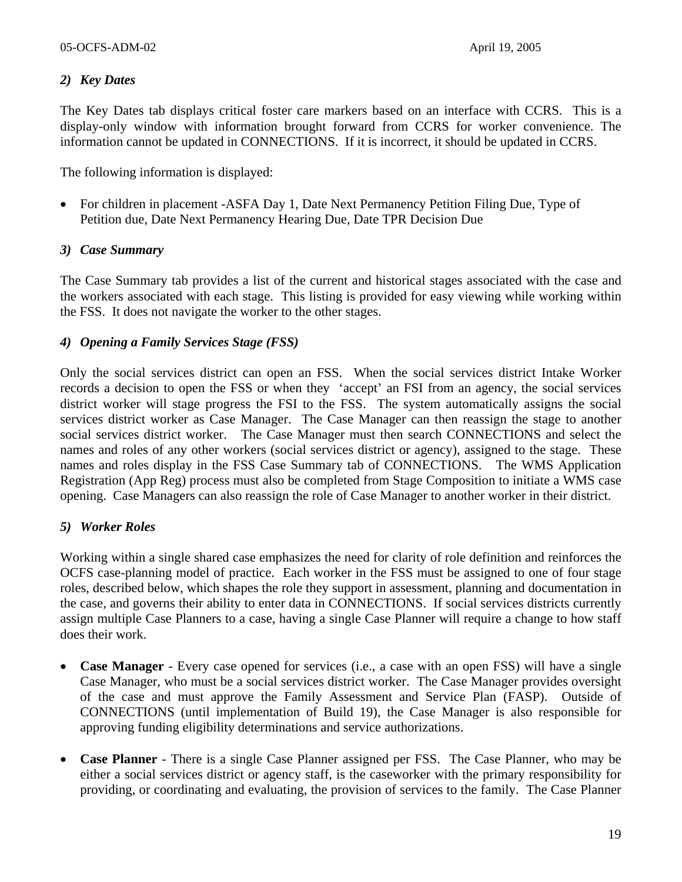## *2) Key Dates*

The Key Dates tab displays critical foster care markers based on an interface with CCRS. This is a display-only window with information brought forward from CCRS for worker convenience. The information cannot be updated in CONNECTIONS. If it is incorrect, it should be updated in CCRS.

The following information is displayed:

• For children in placement -ASFA Day 1, Date Next Permanency Petition Filing Due, Type of Petition due, Date Next Permanency Hearing Due, Date TPR Decision Due

#### *3) Case Summary*

The Case Summary tab provides a list of the current and historical stages associated with the case and the workers associated with each stage. This listing is provided for easy viewing while working within the FSS. It does not navigate the worker to the other stages.

### *4) Opening a Family Services Stage (FSS)*

Only the social services district can open an FSS. When the social services district Intake Worker records a decision to open the FSS or when they 'accept' an FSI from an agency, the social services district worker will stage progress the FSI to the FSS. The system automatically assigns the social services district worker as Case Manager. The Case Manager can then reassign the stage to another social services district worker. The Case Manager must then search CONNECTIONS and select the names and roles of any other workers (social services district or agency), assigned to the stage. These names and roles display in the FSS Case Summary tab of CONNECTIONS. The WMS Application Registration (App Reg) process must also be completed from Stage Composition to initiate a WMS case opening. Case Managers can also reassign the role of Case Manager to another worker in their district.

## *5) Worker Roles*

Working within a single shared case emphasizes the need for clarity of role definition and reinforces the OCFS case-planning model of practice. Each worker in the FSS must be assigned to one of four stage roles, described below, which shapes the role they support in assessment, planning and documentation in the case, and governs their ability to enter data in CONNECTIONS. If social services districts currently assign multiple Case Planners to a case, having a single Case Planner will require a change to how staff does their work.

- **Case Manager** Every case opened for services (i.e., a case with an open FSS) will have a single Case Manager, who must be a social services district worker. The Case Manager provides oversight of the case and must approve the Family Assessment and Service Plan (FASP). Outside of CONNECTIONS (until implementation of Build 19), the Case Manager is also responsible for approving funding eligibility determinations and service authorizations.
- **Case Planner** There is a single Case Planner assigned per FSS. The Case Planner, who may be either a social services district or agency staff, is the caseworker with the primary responsibility for providing, or coordinating and evaluating, the provision of services to the family. The Case Planner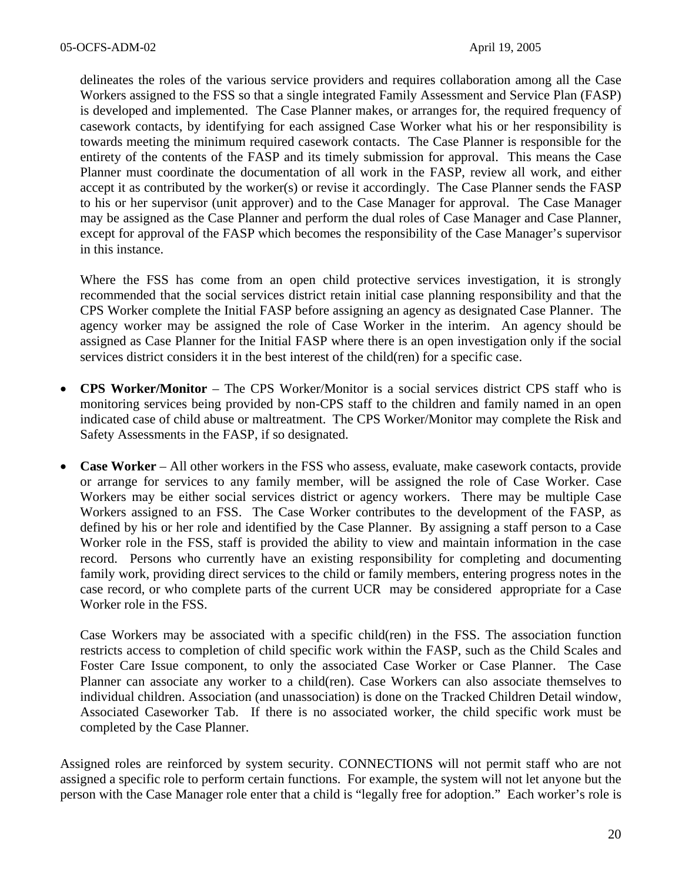delineates the roles of the various service providers and requires collaboration among all the Case Workers assigned to the FSS so that a single integrated Family Assessment and Service Plan (FASP) is developed and implemented. The Case Planner makes, or arranges for, the required frequency of casework contacts, by identifying for each assigned Case Worker what his or her responsibility is towards meeting the minimum required casework contacts. The Case Planner is responsible for the entirety of the contents of the FASP and its timely submission for approval. This means the Case Planner must coordinate the documentation of all work in the FASP, review all work, and either accept it as contributed by the worker(s) or revise it accordingly. The Case Planner sends the FASP to his or her supervisor (unit approver) and to the Case Manager for approval. The Case Manager may be assigned as the Case Planner and perform the dual roles of Case Manager and Case Planner, except for approval of the FASP which becomes the responsibility of the Case Manager's supervisor in this instance.

Where the FSS has come from an open child protective services investigation, it is strongly recommended that the social services district retain initial case planning responsibility and that the CPS Worker complete the Initial FASP before assigning an agency as designated Case Planner. The agency worker may be assigned the role of Case Worker in the interim. An agency should be assigned as Case Planner for the Initial FASP where there is an open investigation only if the social services district considers it in the best interest of the child(ren) for a specific case.

- **CPS Worker/Monitor** The CPS Worker/Monitor is a social services district CPS staff who is monitoring services being provided by non-CPS staff to the children and family named in an open indicated case of child abuse or maltreatment. The CPS Worker/Monitor may complete the Risk and Safety Assessments in the FASP, if so designated.
- **Case Worker** All other workers in the FSS who assess, evaluate, make casework contacts, provide or arrange for services to any family member, will be assigned the role of Case Worker. Case Workers may be either social services district or agency workers. There may be multiple Case Workers assigned to an FSS. The Case Worker contributes to the development of the FASP, as defined by his or her role and identified by the Case Planner. By assigning a staff person to a Case Worker role in the FSS, staff is provided the ability to view and maintain information in the case record. Persons who currently have an existing responsibility for completing and documenting family work, providing direct services to the child or family members, entering progress notes in the case record, or who complete parts of the current UCR may be considered appropriate for a Case Worker role in the FSS.

Case Workers may be associated with a specific child(ren) in the FSS. The association function restricts access to completion of child specific work within the FASP, such as the Child Scales and Foster Care Issue component, to only the associated Case Worker or Case Planner. The Case Planner can associate any worker to a child(ren). Case Workers can also associate themselves to individual children. Association (and unassociation) is done on the Tracked Children Detail window, Associated Caseworker Tab. If there is no associated worker, the child specific work must be completed by the Case Planner.

Assigned roles are reinforced by system security. CONNECTIONS will not permit staff who are not assigned a specific role to perform certain functions. For example, the system will not let anyone but the person with the Case Manager role enter that a child is "legally free for adoption." Each worker's role is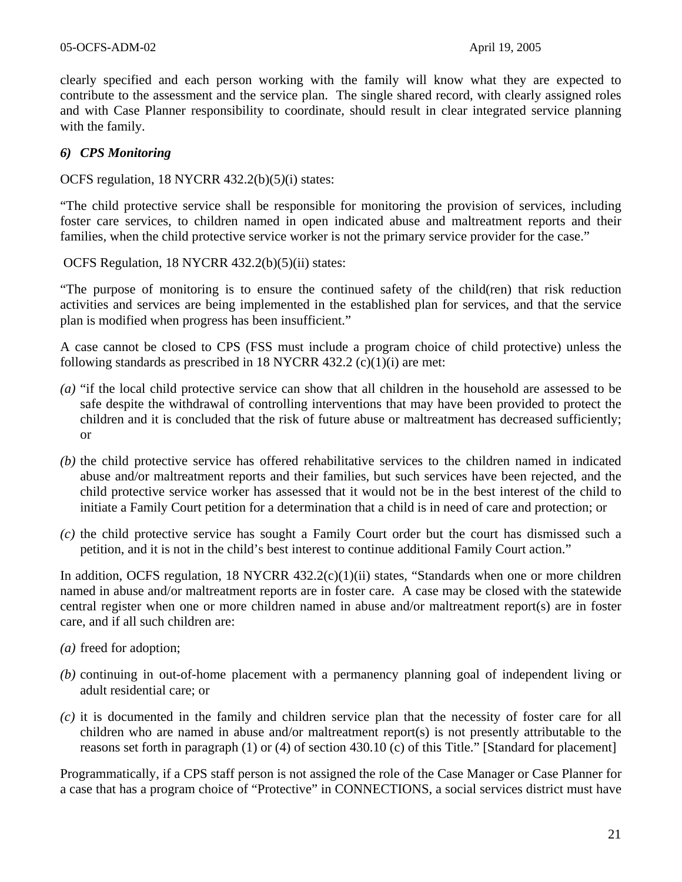clearly specified and each person working with the family will know what they are expected to contribute to the assessment and the service plan. The single shared record, with clearly assigned roles and with Case Planner responsibility to coordinate, should result in clear integrated service planning with the family.

### *6) CPS Monitoring*

OCFS regulation, 18 NYCRR 432.2(b)(5*)*(i) states:

"The child protective service shall be responsible for monitoring the provision of services, including foster care services, to children named in open indicated abuse and maltreatment reports and their families, when the child protective service worker is not the primary service provider for the case."

OCFS Regulation, 18 NYCRR 432.2(b)(5)(ii) states:

"The purpose of monitoring is to ensure the continued safety of the child(ren) that risk reduction activities and services are being implemented in the established plan for services, and that the service plan is modified when progress has been insufficient."

A case cannot be closed to CPS (FSS must include a program choice of child protective) unless the following standards as prescribed in 18 NYCRR 432.2  $(c)(1)(i)$  are met:

- *(a)* "if the local child protective service can show that all children in the household are assessed to be safe despite the withdrawal of controlling interventions that may have been provided to protect the children and it is concluded that the risk of future abuse or maltreatment has decreased sufficiently; or
- *(b)* the child protective service has offered rehabilitative services to the children named in indicated abuse and/or maltreatment reports and their families, but such services have been rejected, and the child protective service worker has assessed that it would not be in the best interest of the child to initiate a Family Court petition for a determination that a child is in need of care and protection; or
- *(c)* the child protective service has sought a Family Court order but the court has dismissed such a petition, and it is not in the child's best interest to continue additional Family Court action."

In addition, OCFS regulation, 18 NYCRR 432.2(c)(1)(ii) states, "Standards when one or more children named in abuse and/or maltreatment reports are in foster care. A case may be closed with the statewide central register when one or more children named in abuse and/or maltreatment report(s) are in foster care, and if all such children are:

- *(a)* freed for adoption;
- *(b)* continuing in out-of-home placement with a permanency planning goal of independent living or adult residential care; or
- *(c)* it is documented in the family and children service plan that the necessity of foster care for all children who are named in abuse and/or maltreatment report(s) is not presently attributable to the reasons set forth in paragraph (1) or (4) of section 430.10 (c) of this Title." [Standard for placement]

Programmatically, if a CPS staff person is not assigned the role of the Case Manager or Case Planner for a case that has a program choice of "Protective" in CONNECTIONS, a social services district must have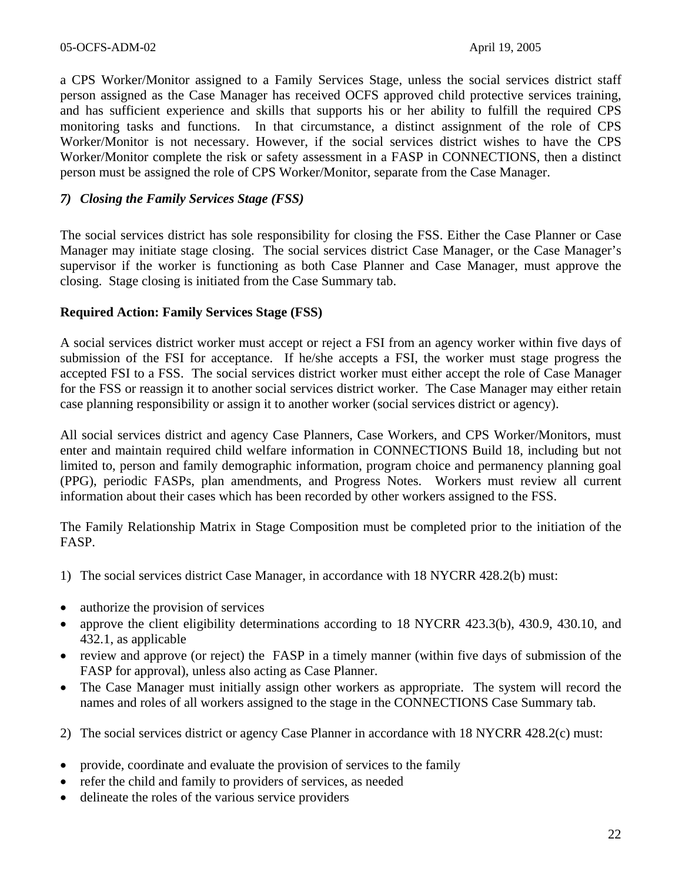a CPS Worker/Monitor assigned to a Family Services Stage, unless the social services district staff person assigned as the Case Manager has received OCFS approved child protective services training, and has sufficient experience and skills that supports his or her ability to fulfill the required CPS monitoring tasks and functions. In that circumstance, a distinct assignment of the role of CPS Worker/Monitor is not necessary. However, if the social services district wishes to have the CPS Worker/Monitor complete the risk or safety assessment in a FASP in CONNECTIONS, then a distinct person must be assigned the role of CPS Worker/Monitor, separate from the Case Manager.

## *7) Closing the Family Services Stage (FSS)*

The social services district has sole responsibility for closing the FSS. Either the Case Planner or Case Manager may initiate stage closing. The social services district Case Manager, or the Case Manager's supervisor if the worker is functioning as both Case Planner and Case Manager, must approve the closing. Stage closing is initiated from the Case Summary tab.

#### **Required Action: Family Services Stage (FSS)**

A social services district worker must accept or reject a FSI from an agency worker within five days of submission of the FSI for acceptance. If he/she accepts a FSI, the worker must stage progress the accepted FSI to a FSS. The social services district worker must either accept the role of Case Manager for the FSS or reassign it to another social services district worker. The Case Manager may either retain case planning responsibility or assign it to another worker (social services district or agency).

All social services district and agency Case Planners, Case Workers, and CPS Worker/Monitors, must enter and maintain required child welfare information in CONNECTIONS Build 18, including but not limited to, person and family demographic information, program choice and permanency planning goal (PPG), periodic FASPs, plan amendments, and Progress Notes. Workers must review all current information about their cases which has been recorded by other workers assigned to the FSS.

The Family Relationship Matrix in Stage Composition must be completed prior to the initiation of the FASP.

- 1) The social services district Case Manager, in accordance with 18 NYCRR 428.2(b) must:
- authorize the provision of services
- approve the client eligibility determinations according to 18 NYCRR 423.3(b), 430.9, 430.10, and 432.1, as applicable
- review and approve (or reject) the FASP in a timely manner (within five days of submission of the FASP for approval), unless also acting as Case Planner.
- The Case Manager must initially assign other workers as appropriate. The system will record the names and roles of all workers assigned to the stage in the CONNECTIONS Case Summary tab.

2) The social services district or agency Case Planner in accordance with 18 NYCRR 428.2(c) must:

- provide, coordinate and evaluate the provision of services to the family
- refer the child and family to providers of services, as needed
- delineate the roles of the various service providers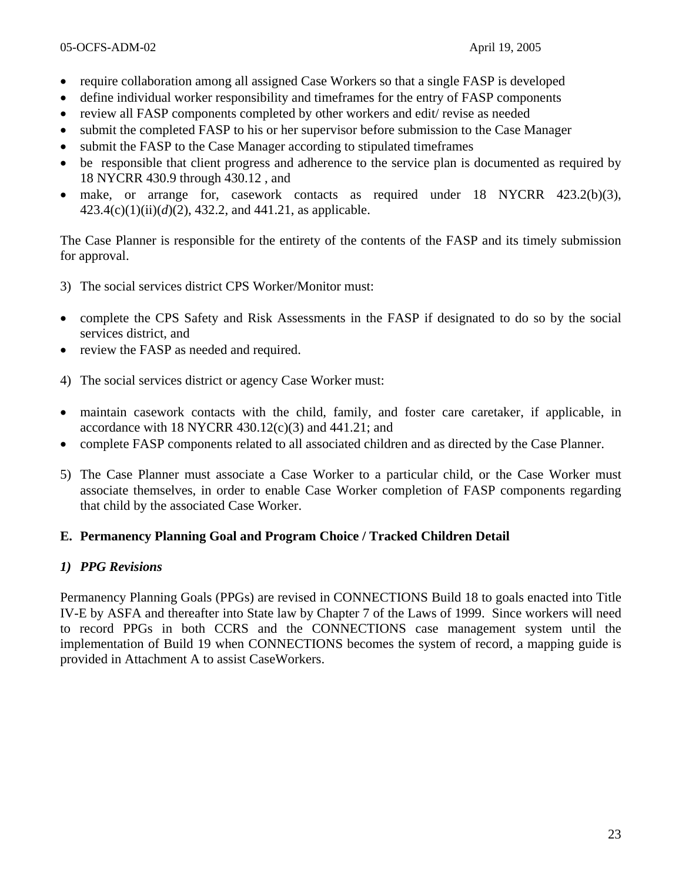- require collaboration among all assigned Case Workers so that a single FASP is developed
- define individual worker responsibility and timeframes for the entry of FASP components
- review all FASP components completed by other workers and edit/ revise as needed
- submit the completed FASP to his or her supervisor before submission to the Case Manager
- submit the FASP to the Case Manager according to stipulated timeframes
- be responsible that client progress and adherence to the service plan is documented as required by 18 NYCRR 430.9 through 430.12 , and
- make, or arrange for, casework contacts as required under 18 NYCRR 423.2(b)(3), 423.4(c)(1)(ii)(*d*)(2), 432.2, and 441.21, as applicable.

The Case Planner is responsible for the entirety of the contents of the FASP and its timely submission for approval.

- 3) The social services district CPS Worker/Monitor must:
- complete the CPS Safety and Risk Assessments in the FASP if designated to do so by the social services district, and
- review the FASP as needed and required.
- 4) The social services district or agency Case Worker must:
- maintain casework contacts with the child, family, and foster care caretaker, if applicable, in accordance with 18 NYCRR  $430.12(c)(3)$  and  $441.21$ ; and
- complete FASP components related to all associated children and as directed by the Case Planner.
- 5) The Case Planner must associate a Case Worker to a particular child, or the Case Worker must associate themselves, in order to enable Case Worker completion of FASP components regarding that child by the associated Case Worker.

#### **E. Permanency Planning Goal and Program Choice / Tracked Children Detail**

#### *1) PPG Revisions*

Permanency Planning Goals (PPGs) are revised in CONNECTIONS Build 18 to goals enacted into Title IV-E by ASFA and thereafter into State law by Chapter 7 of the Laws of 1999. Since workers will need to record PPGs in both CCRS and the CONNECTIONS case management system until the implementation of Build 19 when CONNECTIONS becomes the system of record, a mapping guide is provided in Attachment A to assist CaseWorkers.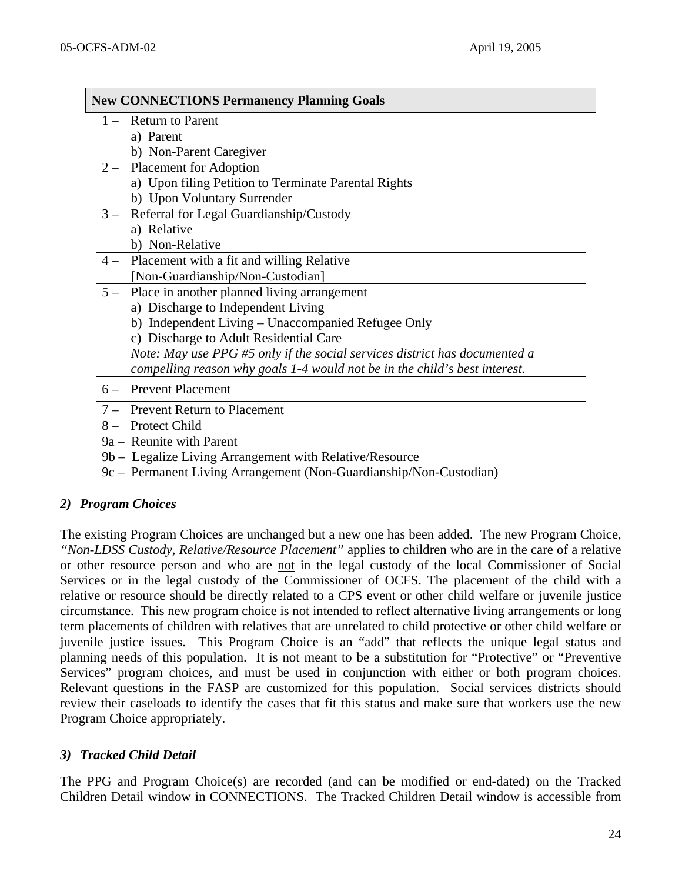|      | <b>New CONNECTIONS Permanency Planning Goals</b>                           |
|------|----------------------------------------------------------------------------|
|      | 1 – Return to Parent                                                       |
|      | a) Parent                                                                  |
|      | b) Non-Parent Caregiver                                                    |
|      | 2 – Placement for Adoption                                                 |
|      | a) Upon filing Petition to Terminate Parental Rights                       |
|      | b) Upon Voluntary Surrender                                                |
| $3-$ | Referral for Legal Guardianship/Custody                                    |
|      | a) Relative                                                                |
|      | b) Non-Relative                                                            |
| $4-$ | Placement with a fit and willing Relative                                  |
|      | [Non-Guardianship/Non-Custodian]                                           |
| $5-$ | Place in another planned living arrangement                                |
|      | a) Discharge to Independent Living                                         |
|      | b) Independent Living - Unaccompanied Refugee Only                         |
|      | c) Discharge to Adult Residential Care                                     |
|      | Note: May use PPG #5 only if the social services district has documented a |
|      | compelling reason why goals 1-4 would not be in the child's best interest. |
| $6-$ | <b>Prevent Placement</b>                                                   |
| $7-$ | <b>Prevent Return to Placement</b>                                         |
|      | 8 - Protect Child                                                          |
|      | 9a – Reunite with Parent                                                   |
|      | 9b – Legalize Living Arrangement with Relative/Resource                    |
|      | 9c – Permanent Living Arrangement (Non-Guardianship/Non-Custodian)         |

## *2) Program Choices*

The existing Program Choices are unchanged but a new one has been added. The new Program Choice, *"Non-LDSS Custody, Relative/Resource Placement"* applies to children who are in the care of a relative or other resource person and who are not in the legal custody of the local Commissioner of Social Services or in the legal custody of the Commissioner of OCFS. The placement of the child with a relative or resource should be directly related to a CPS event or other child welfare or juvenile justice circumstance. This new program choice is not intended to reflect alternative living arrangements or long term placements of children with relatives that are unrelated to child protective or other child welfare or juvenile justice issues. This Program Choice is an "add" that reflects the unique legal status and planning needs of this population. It is not meant to be a substitution for "Protective" or "Preventive Services" program choices, and must be used in conjunction with either or both program choices. Relevant questions in the FASP are customized for this population. Social services districts should review their caseloads to identify the cases that fit this status and make sure that workers use the new Program Choice appropriately.

## *3) Tracked Child Detail*

The PPG and Program Choice(s) are recorded (and can be modified or end-dated) on the Tracked Children Detail window in CONNECTIONS. The Tracked Children Detail window is accessible from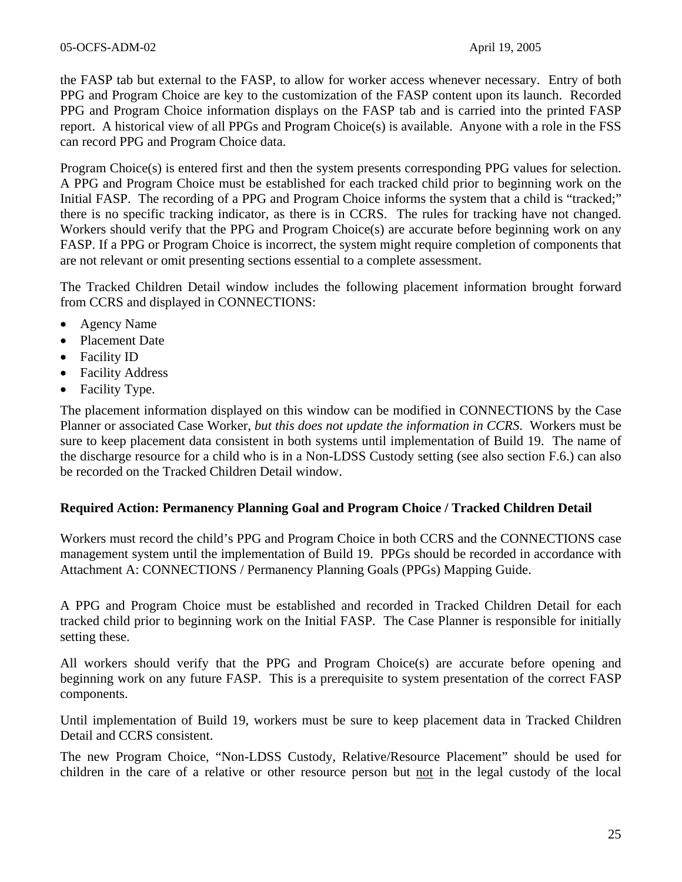the FASP tab but external to the FASP, to allow for worker access whenever necessary. Entry of both PPG and Program Choice are key to the customization of the FASP content upon its launch. Recorded PPG and Program Choice information displays on the FASP tab and is carried into the printed FASP report. A historical view of all PPGs and Program Choice(s) is available. Anyone with a role in the FSS can record PPG and Program Choice data.

Program Choice(s) is entered first and then the system presents corresponding PPG values for selection. A PPG and Program Choice must be established for each tracked child prior to beginning work on the Initial FASP. The recording of a PPG and Program Choice informs the system that a child is "tracked;" there is no specific tracking indicator, as there is in CCRS. The rules for tracking have not changed. Workers should verify that the PPG and Program Choice(s) are accurate before beginning work on any FASP. If a PPG or Program Choice is incorrect, the system might require completion of components that are not relevant or omit presenting sections essential to a complete assessment.

The Tracked Children Detail window includes the following placement information brought forward from CCRS and displayed in CONNECTIONS:

- Agency Name
- Placement Date
- Facility ID
- Facility Address
- Facility Type.

The placement information displayed on this window can be modified in CONNECTIONS by the Case Planner or associated Case Worker, *but this does not update the information in CCRS*. Workers must be sure to keep placement data consistent in both systems until implementation of Build 19. The name of the discharge resource for a child who is in a Non-LDSS Custody setting (see also section F.6.) can also be recorded on the Tracked Children Detail window.

## **Required Action: Permanency Planning Goal and Program Choice / Tracked Children Detail**

Workers must record the child's PPG and Program Choice in both CCRS and the CONNECTIONS case management system until the implementation of Build 19. PPGs should be recorded in accordance with Attachment A: CONNECTIONS / Permanency Planning Goals (PPGs) Mapping Guide.

A PPG and Program Choice must be established and recorded in Tracked Children Detail for each tracked child prior to beginning work on the Initial FASP. The Case Planner is responsible for initially setting these.

All workers should verify that the PPG and Program Choice(s) are accurate before opening and beginning work on any future FASP. This is a prerequisite to system presentation of the correct FASP components.

Until implementation of Build 19, workers must be sure to keep placement data in Tracked Children Detail and CCRS consistent.

The new Program Choice, "Non-LDSS Custody, Relative/Resource Placement" should be used for children in the care of a relative or other resource person but not in the legal custody of the local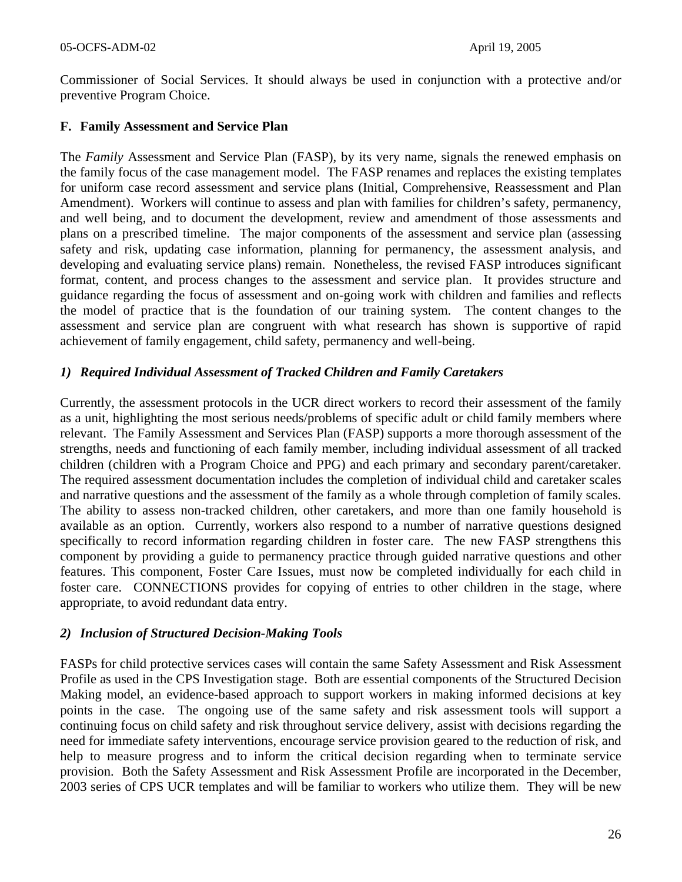Commissioner of Social Services. It should always be used in conjunction with a protective and/or preventive Program Choice.

### **F. Family Assessment and Service Plan**

The *Family* Assessment and Service Plan (FASP), by its very name*,* signals the renewed emphasis on the family focus of the case management model. The FASP renames and replaces the existing templates for uniform case record assessment and service plans (Initial, Comprehensive, Reassessment and Plan Amendment). Workers will continue to assess and plan with families for children's safety, permanency, and well being, and to document the development, review and amendment of those assessments and plans on a prescribed timeline. The major components of the assessment and service plan (assessing safety and risk, updating case information, planning for permanency, the assessment analysis, and developing and evaluating service plans) remain. Nonetheless, the revised FASP introduces significant format, content, and process changes to the assessment and service plan. It provides structure and guidance regarding the focus of assessment and on-going work with children and families and reflects the model of practice that is the foundation of our training system. The content changes to the assessment and service plan are congruent with what research has shown is supportive of rapid achievement of family engagement, child safety, permanency and well-being.

### *1) Required Individual Assessment of Tracked Children and Family Caretakers*

Currently, the assessment protocols in the UCR direct workers to record their assessment of the family as a unit, highlighting the most serious needs/problems of specific adult or child family members where relevant. The Family Assessment and Services Plan (FASP) supports a more thorough assessment of the strengths, needs and functioning of each family member, including individual assessment of all tracked children (children with a Program Choice and PPG) and each primary and secondary parent/caretaker. The required assessment documentation includes the completion of individual child and caretaker scales and narrative questions and the assessment of the family as a whole through completion of family scales. The ability to assess non-tracked children, other caretakers, and more than one family household is available as an option. Currently, workers also respond to a number of narrative questions designed specifically to record information regarding children in foster care. The new FASP strengthens this component by providing a guide to permanency practice through guided narrative questions and other features. This component, Foster Care Issues, must now be completed individually for each child in foster care. CONNECTIONS provides for copying of entries to other children in the stage, where appropriate, to avoid redundant data entry.

#### *2) Inclusion of Structured Decision-Making Tools*

FASPs for child protective services cases will contain the same Safety Assessment and Risk Assessment Profile as used in the CPS Investigation stage. Both are essential components of the Structured Decision Making model, an evidence-based approach to support workers in making informed decisions at key points in the case. The ongoing use of the same safety and risk assessment tools will support a continuing focus on child safety and risk throughout service delivery, assist with decisions regarding the need for immediate safety interventions, encourage service provision geared to the reduction of risk, and help to measure progress and to inform the critical decision regarding when to terminate service provision. Both the Safety Assessment and Risk Assessment Profile are incorporated in the December, 2003 series of CPS UCR templates and will be familiar to workers who utilize them. They will be new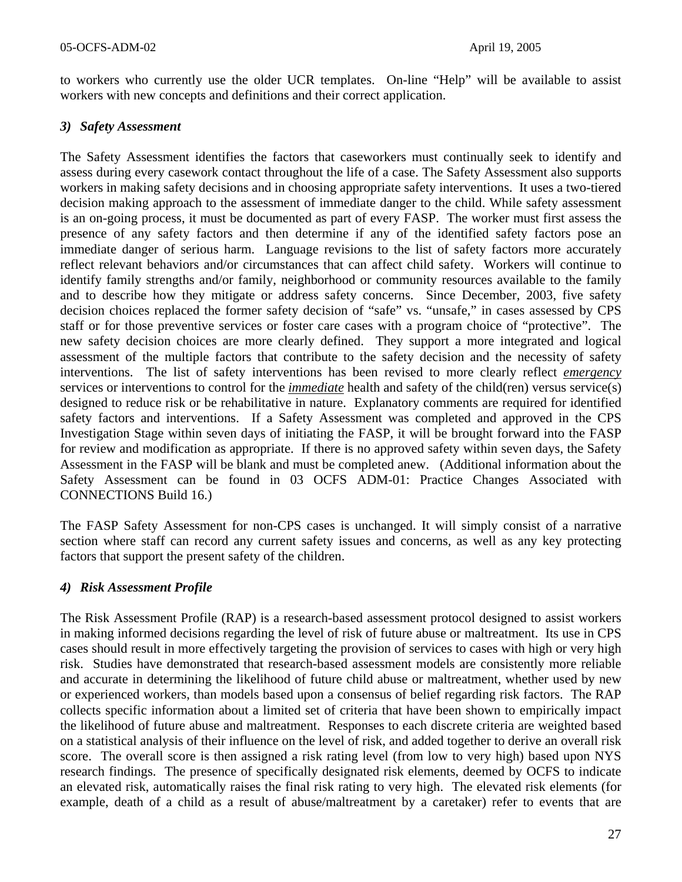to workers who currently use the older UCR templates. On-line "Help" will be available to assist workers with new concepts and definitions and their correct application.

## *3) Safety Assessment*

The Safety Assessment identifies the factors that caseworkers must continually seek to identify and assess during every casework contact throughout the life of a case. The Safety Assessment also supports workers in making safety decisions and in choosing appropriate safety interventions. It uses a two-tiered decision making approach to the assessment of immediate danger to the child. While safety assessment is an on-going process, it must be documented as part of every FASP. The worker must first assess the presence of any safety factors and then determine if any of the identified safety factors pose an immediate danger of serious harm. Language revisions to the list of safety factors more accurately reflect relevant behaviors and/or circumstances that can affect child safety. Workers will continue to identify family strengths and/or family, neighborhood or community resources available to the family and to describe how they mitigate or address safety concerns. Since December, 2003, five safety decision choices replaced the former safety decision of "safe" vs. "unsafe," in cases assessed by CPS staff or for those preventive services or foster care cases with a program choice of "protective". The new safety decision choices are more clearly defined. They support a more integrated and logical assessment of the multiple factors that contribute to the safety decision and the necessity of safety interventions. The list of safety interventions has been revised to more clearly reflect *emergency* services or interventions to control for the *immediate* health and safety of the child(ren) versus service(s) designed to reduce risk or be rehabilitative in nature. Explanatory comments are required for identified safety factors and interventions. If a Safety Assessment was completed and approved in the CPS Investigation Stage within seven days of initiating the FASP, it will be brought forward into the FASP for review and modification as appropriate. If there is no approved safety within seven days, the Safety Assessment in the FASP will be blank and must be completed anew. (Additional information about the Safety Assessment can be found in 03 OCFS ADM-01: Practice Changes Associated with CONNECTIONS Build 16.)

The FASP Safety Assessment for non-CPS cases is unchanged. It will simply consist of a narrative section where staff can record any current safety issues and concerns, as well as any key protecting factors that support the present safety of the children.

## *4) Risk Assessment Profile*

The Risk Assessment Profile (RAP) is a research-based assessment protocol designed to assist workers in making informed decisions regarding the level of risk of future abuse or maltreatment. Its use in CPS cases should result in more effectively targeting the provision of services to cases with high or very high risk. Studies have demonstrated that research-based assessment models are consistently more reliable and accurate in determining the likelihood of future child abuse or maltreatment, whether used by new or experienced workers, than models based upon a consensus of belief regarding risk factors. The RAP collects specific information about a limited set of criteria that have been shown to empirically impact the likelihood of future abuse and maltreatment. Responses to each discrete criteria are weighted based on a statistical analysis of their influence on the level of risk, and added together to derive an overall risk score. The overall score is then assigned a risk rating level (from low to very high) based upon NYS research findings. The presence of specifically designated risk elements, deemed by OCFS to indicate an elevated risk, automatically raises the final risk rating to very high. The elevated risk elements (for example, death of a child as a result of abuse/maltreatment by a caretaker) refer to events that are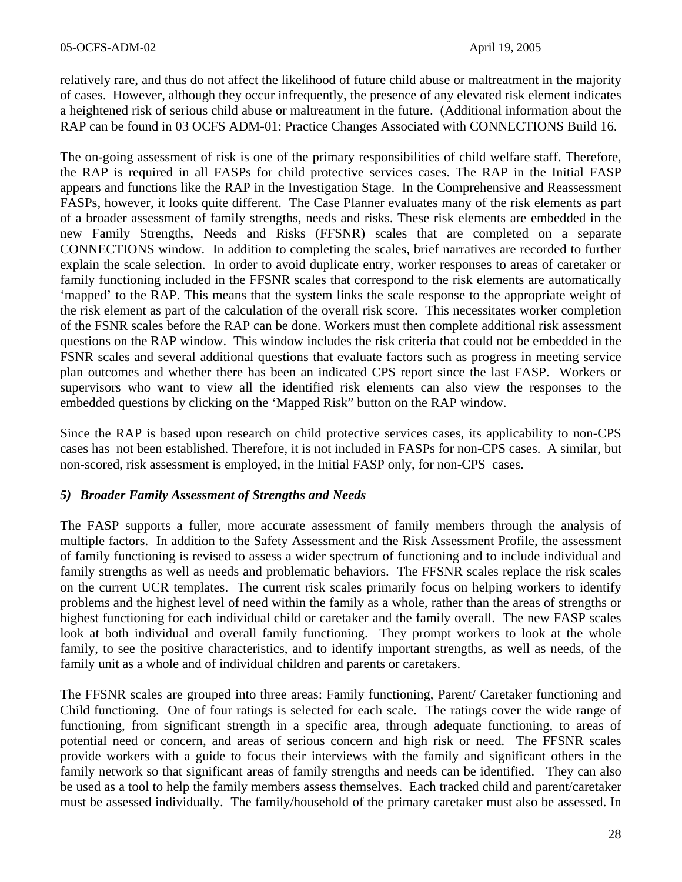relatively rare, and thus do not affect the likelihood of future child abuse or maltreatment in the majority of cases. However, although they occur infrequently, the presence of any elevated risk element indicates a heightened risk of serious child abuse or maltreatment in the future. (Additional information about the RAP can be found in 03 OCFS ADM-01: Practice Changes Associated with CONNECTIONS Build 16.

The on-going assessment of risk is one of the primary responsibilities of child welfare staff. Therefore, the RAP is required in all FASPs for child protective services cases. The RAP in the Initial FASP appears and functions like the RAP in the Investigation Stage. In the Comprehensive and Reassessment FASPs, however, it looks quite different. The Case Planner evaluates many of the risk elements as part of a broader assessment of family strengths, needs and risks. These risk elements are embedded in the new Family Strengths, Needs and Risks (FFSNR) scales that are completed on a separate CONNECTIONS window. In addition to completing the scales, brief narratives are recorded to further explain the scale selection. In order to avoid duplicate entry, worker responses to areas of caretaker or family functioning included in the FFSNR scales that correspond to the risk elements are automatically 'mapped' to the RAP. This means that the system links the scale response to the appropriate weight of the risk element as part of the calculation of the overall risk score. This necessitates worker completion of the FSNR scales before the RAP can be done. Workers must then complete additional risk assessment questions on the RAP window. This window includes the risk criteria that could not be embedded in the FSNR scales and several additional questions that evaluate factors such as progress in meeting service plan outcomes and whether there has been an indicated CPS report since the last FASP. Workers or supervisors who want to view all the identified risk elements can also view the responses to the embedded questions by clicking on the 'Mapped Risk" button on the RAP window.

Since the RAP is based upon research on child protective services cases, its applicability to non-CPS cases has not been established. Therefore, it is not included in FASPs for non-CPS cases. A similar, but non-scored, risk assessment is employed, in the Initial FASP only, for non-CPS cases.

#### *5) Broader Family Assessment of Strengths and Needs*

The FASP supports a fuller, more accurate assessment of family members through the analysis of multiple factors. In addition to the Safety Assessment and the Risk Assessment Profile, the assessment of family functioning is revised to assess a wider spectrum of functioning and to include individual and family strengths as well as needs and problematic behaviors. The FFSNR scales replace the risk scales on the current UCR templates. The current risk scales primarily focus on helping workers to identify problems and the highest level of need within the family as a whole, rather than the areas of strengths or highest functioning for each individual child or caretaker and the family overall. The new FASP scales look at both individual and overall family functioning. They prompt workers to look at the whole family, to see the positive characteristics, and to identify important strengths, as well as needs, of the family unit as a whole and of individual children and parents or caretakers.

The FFSNR scales are grouped into three areas: Family functioning, Parent/ Caretaker functioning and Child functioning. One of four ratings is selected for each scale. The ratings cover the wide range of functioning, from significant strength in a specific area, through adequate functioning, to areas of potential need or concern, and areas of serious concern and high risk or need. The FFSNR scales provide workers with a guide to focus their interviews with the family and significant others in the family network so that significant areas of family strengths and needs can be identified. They can also be used as a tool to help the family members assess themselves. Each tracked child and parent/caretaker must be assessed individually. The family/household of the primary caretaker must also be assessed. In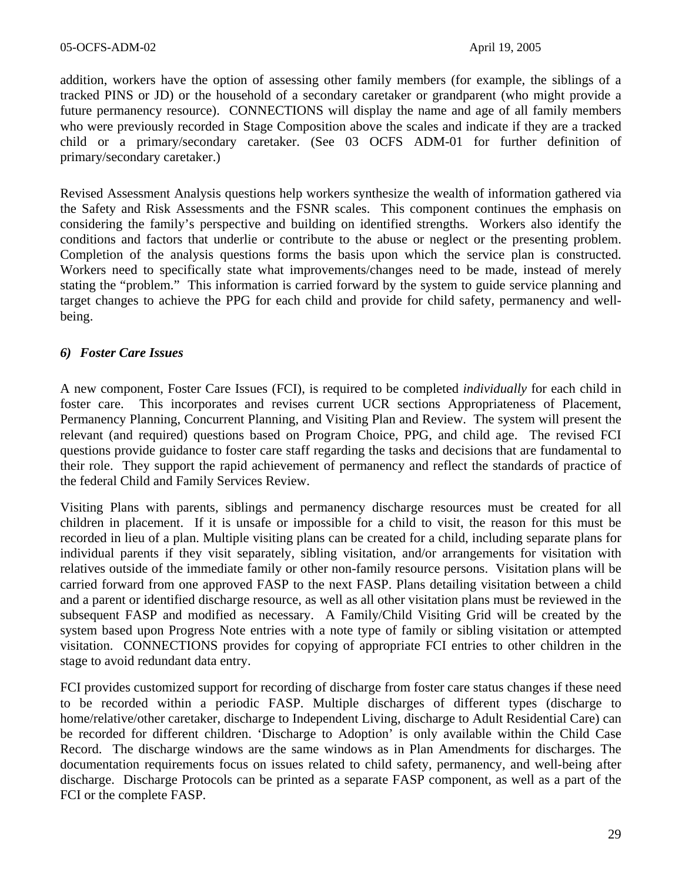addition, workers have the option of assessing other family members (for example, the siblings of a tracked PINS or JD) or the household of a secondary caretaker or grandparent (who might provide a future permanency resource). CONNECTIONS will display the name and age of all family members who were previously recorded in Stage Composition above the scales and indicate if they are a tracked child or a primary/secondary caretaker. (See 03 OCFS ADM-01 for further definition of primary/secondary caretaker.)

Revised Assessment Analysis questions help workers synthesize the wealth of information gathered via the Safety and Risk Assessments and the FSNR scales. This component continues the emphasis on considering the family's perspective and building on identified strengths. Workers also identify the conditions and factors that underlie or contribute to the abuse or neglect or the presenting problem. Completion of the analysis questions forms the basis upon which the service plan is constructed. Workers need to specifically state what improvements/changes need to be made, instead of merely stating the "problem." This information is carried forward by the system to guide service planning and target changes to achieve the PPG for each child and provide for child safety, permanency and wellbeing.

### *6) Foster Care Issues*

A new component, Foster Care Issues (FCI), is required to be completed *individually* for each child in foster care. This incorporates and revises current UCR sections Appropriateness of Placement, Permanency Planning, Concurrent Planning, and Visiting Plan and Review. The system will present the relevant (and required) questions based on Program Choice, PPG, and child age. The revised FCI questions provide guidance to foster care staff regarding the tasks and decisions that are fundamental to their role. They support the rapid achievement of permanency and reflect the standards of practice of the federal Child and Family Services Review.

Visiting Plans with parents, siblings and permanency discharge resources must be created for all children in placement. If it is unsafe or impossible for a child to visit, the reason for this must be recorded in lieu of a plan. Multiple visiting plans can be created for a child, including separate plans for individual parents if they visit separately, sibling visitation, and/or arrangements for visitation with relatives outside of the immediate family or other non-family resource persons. Visitation plans will be carried forward from one approved FASP to the next FASP. Plans detailing visitation between a child and a parent or identified discharge resource, as well as all other visitation plans must be reviewed in the subsequent FASP and modified as necessary. A Family/Child Visiting Grid will be created by the system based upon Progress Note entries with a note type of family or sibling visitation or attempted visitation. CONNECTIONS provides for copying of appropriate FCI entries to other children in the stage to avoid redundant data entry.

FCI provides customized support for recording of discharge from foster care status changes if these need to be recorded within a periodic FASP. Multiple discharges of different types (discharge to home/relative/other caretaker, discharge to Independent Living, discharge to Adult Residential Care) can be recorded for different children. 'Discharge to Adoption' is only available within the Child Case Record. The discharge windows are the same windows as in Plan Amendments for discharges. The documentation requirements focus on issues related to child safety, permanency, and well-being after discharge. Discharge Protocols can be printed as a separate FASP component, as well as a part of the FCI or the complete FASP.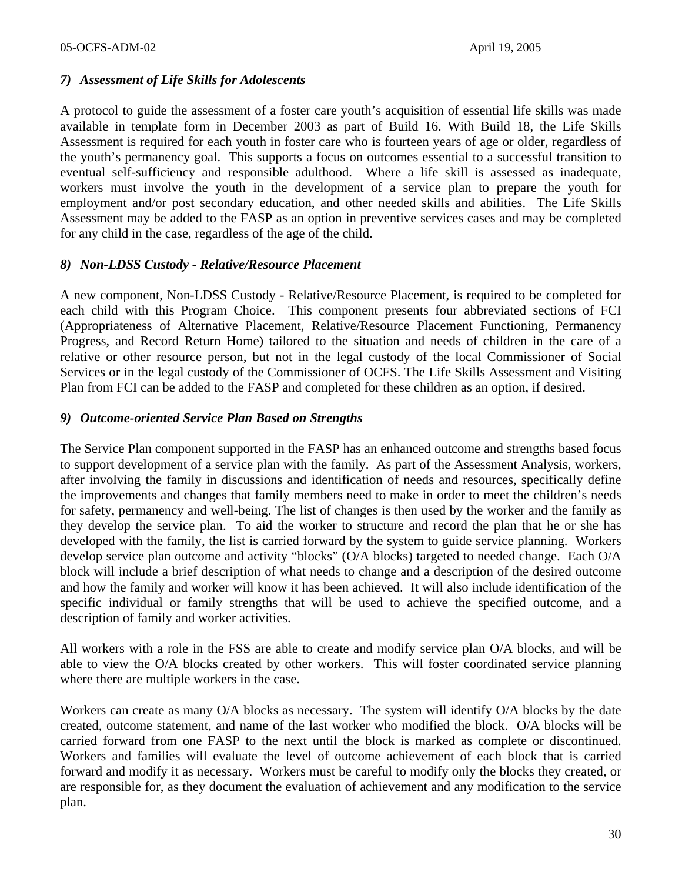#### *7) Assessment of Life Skills for Adolescents*

A protocol to guide the assessment of a foster care youth's acquisition of essential life skills was made available in template form in December 2003 as part of Build 16. With Build 18, the Life Skills Assessment is required for each youth in foster care who is fourteen years of age or older, regardless of the youth's permanency goal. This supports a focus on outcomes essential to a successful transition to eventual self-sufficiency and responsible adulthood. Where a life skill is assessed as inadequate, workers must involve the youth in the development of a service plan to prepare the youth for employment and/or post secondary education, and other needed skills and abilities. The Life Skills Assessment may be added to the FASP as an option in preventive services cases and may be completed for any child in the case, regardless of the age of the child.

#### *8) Non-LDSS Custody - Relative/Resource Placement*

A new component, Non-LDSS Custody - Relative/Resource Placement, is required to be completed for each child with this Program Choice. This component presents four abbreviated sections of FCI (Appropriateness of Alternative Placement, Relative/Resource Placement Functioning, Permanency Progress, and Record Return Home) tailored to the situation and needs of children in the care of a relative or other resource person, but not in the legal custody of the local Commissioner of Social Services or in the legal custody of the Commissioner of OCFS. The Life Skills Assessment and Visiting Plan from FCI can be added to the FASP and completed for these children as an option, if desired.

#### *9) Outcome-oriented Service Plan Based on Strengths*

The Service Plan component supported in the FASP has an enhanced outcome and strengths based focus to support development of a service plan with the family. As part of the Assessment Analysis, workers, after involving the family in discussions and identification of needs and resources, specifically define the improvements and changes that family members need to make in order to meet the children's needs for safety, permanency and well-being. The list of changes is then used by the worker and the family as they develop the service plan. To aid the worker to structure and record the plan that he or she has developed with the family, the list is carried forward by the system to guide service planning. Workers develop service plan outcome and activity "blocks" (O/A blocks) targeted to needed change. Each O/A block will include a brief description of what needs to change and a description of the desired outcome and how the family and worker will know it has been achieved. It will also include identification of the specific individual or family strengths that will be used to achieve the specified outcome, and a description of family and worker activities.

All workers with a role in the FSS are able to create and modify service plan O/A blocks, and will be able to view the O/A blocks created by other workers. This will foster coordinated service planning where there are multiple workers in the case.

Workers can create as many O/A blocks as necessary. The system will identify O/A blocks by the date created, outcome statement, and name of the last worker who modified the block. O/A blocks will be carried forward from one FASP to the next until the block is marked as complete or discontinued. Workers and families will evaluate the level of outcome achievement of each block that is carried forward and modify it as necessary. Workers must be careful to modify only the blocks they created, or are responsible for, as they document the evaluation of achievement and any modification to the service plan.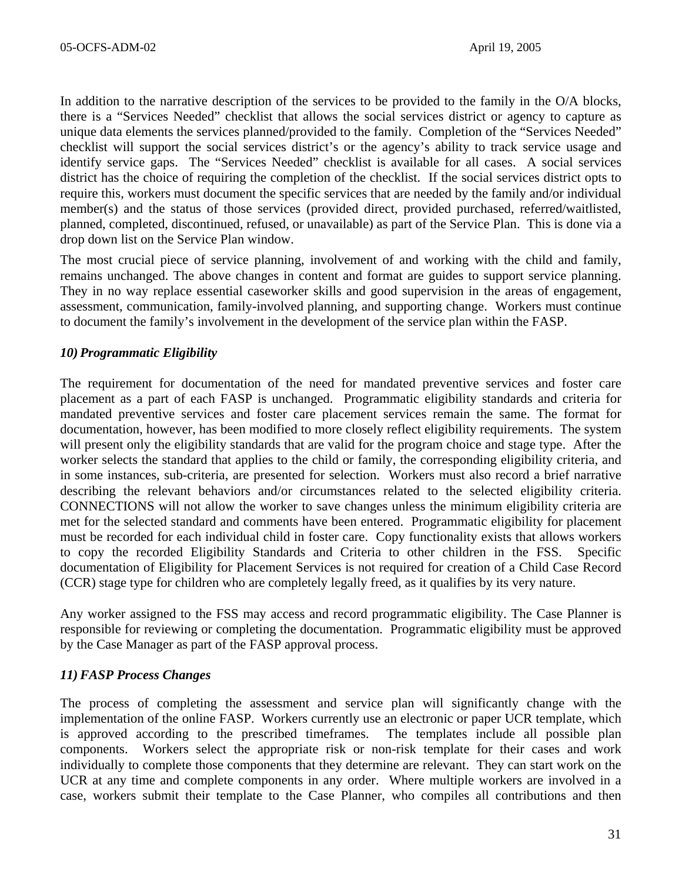In addition to the narrative description of the services to be provided to the family in the O/A blocks, there is a "Services Needed" checklist that allows the social services district or agency to capture as unique data elements the services planned/provided to the family. Completion of the "Services Needed" checklist will support the social services district's or the agency's ability to track service usage and identify service gaps. The "Services Needed" checklist is available for all cases. A social services district has the choice of requiring the completion of the checklist. If the social services district opts to require this, workers must document the specific services that are needed by the family and/or individual member(s) and the status of those services (provided direct, provided purchased, referred/waitlisted, planned, completed, discontinued, refused, or unavailable) as part of the Service Plan. This is done via a drop down list on the Service Plan window.

The most crucial piece of service planning, involvement of and working with the child and family, remains unchanged. The above changes in content and format are guides to support service planning. They in no way replace essential caseworker skills and good supervision in the areas of engagement, assessment, communication, family-involved planning, and supporting change. Workers must continue to document the family's involvement in the development of the service plan within the FASP.

### *10) Programmatic Eligibility*

The requirement for documentation of the need for mandated preventive services and foster care placement as a part of each FASP is unchanged. Programmatic eligibility standards and criteria for mandated preventive services and foster care placement services remain the same. The format for documentation, however, has been modified to more closely reflect eligibility requirements. The system will present only the eligibility standards that are valid for the program choice and stage type. After the worker selects the standard that applies to the child or family, the corresponding eligibility criteria, and in some instances, sub-criteria, are presented for selection. Workers must also record a brief narrative describing the relevant behaviors and/or circumstances related to the selected eligibility criteria. CONNECTIONS will not allow the worker to save changes unless the minimum eligibility criteria are met for the selected standard and comments have been entered. Programmatic eligibility for placement must be recorded for each individual child in foster care. Copy functionality exists that allows workers to copy the recorded Eligibility Standards and Criteria to other children in the FSS. Specific documentation of Eligibility for Placement Services is not required for creation of a Child Case Record (CCR) stage type for children who are completely legally freed, as it qualifies by its very nature.

Any worker assigned to the FSS may access and record programmatic eligibility. The Case Planner is responsible for reviewing or completing the documentation. Programmatic eligibility must be approved by the Case Manager as part of the FASP approval process.

#### *11) FASP Process Changes*

The process of completing the assessment and service plan will significantly change with the implementation of the online FASP. Workers currently use an electronic or paper UCR template, which is approved according to the prescribed timeframes. The templates include all possible plan components. Workers select the appropriate risk or non-risk template for their cases and work individually to complete those components that they determine are relevant. They can start work on the UCR at any time and complete components in any order. Where multiple workers are involved in a case, workers submit their template to the Case Planner, who compiles all contributions and then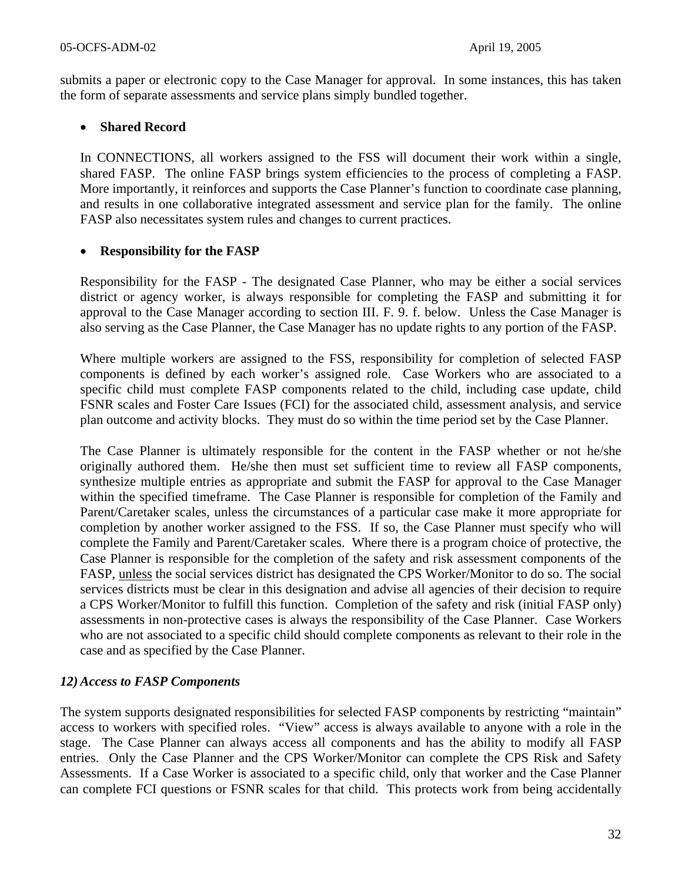submits a paper or electronic copy to the Case Manager for approval. In some instances, this has taken the form of separate assessments and service plans simply bundled together.

### • **Shared Record**

In CONNECTIONS, all workers assigned to the FSS will document their work within a single, shared FASP. The online FASP brings system efficiencies to the process of completing a FASP. More importantly, it reinforces and supports the Case Planner's function to coordinate case planning, and results in one collaborative integrated assessment and service plan for the family. The online FASP also necessitates system rules and changes to current practices.

### • **Responsibility for the FASP**

Responsibility for the FASP - The designated Case Planner, who may be either a social services district or agency worker, is always responsible for completing the FASP and submitting it for approval to the Case Manager according to section III. F. 9. f. below. Unless the Case Manager is also serving as the Case Planner, the Case Manager has no update rights to any portion of the FASP.

Where multiple workers are assigned to the FSS, responsibility for completion of selected FASP components is defined by each worker's assigned role. Case Workers who are associated to a specific child must complete FASP components related to the child, including case update, child FSNR scales and Foster Care Issues (FCI) for the associated child, assessment analysis, and service plan outcome and activity blocks. They must do so within the time period set by the Case Planner.

The Case Planner is ultimately responsible for the content in the FASP whether or not he/she originally authored them. He/she then must set sufficient time to review all FASP components, synthesize multiple entries as appropriate and submit the FASP for approval to the Case Manager within the specified timeframe. The Case Planner is responsible for completion of the Family and Parent/Caretaker scales, unless the circumstances of a particular case make it more appropriate for completion by another worker assigned to the FSS. If so, the Case Planner must specify who will complete the Family and Parent/Caretaker scales. Where there is a program choice of protective, the Case Planner is responsible for the completion of the safety and risk assessment components of the FASP, unless the social services district has designated the CPS Worker/Monitor to do so. The social services districts must be clear in this designation and advise all agencies of their decision to require a CPS Worker/Monitor to fulfill this function. Completion of the safety and risk (initial FASP only) assessments in non-protective cases is always the responsibility of the Case Planner. Case Workers who are not associated to a specific child should complete components as relevant to their role in the case and as specified by the Case Planner.

# *12) Access to FASP Components*

The system supports designated responsibilities for selected FASP components by restricting "maintain" access to workers with specified roles. "View" access is always available to anyone with a role in the stage. The Case Planner can always access all components and has the ability to modify all FASP entries. Only the Case Planner and the CPS Worker/Monitor can complete the CPS Risk and Safety Assessments. If a Case Worker is associated to a specific child, only that worker and the Case Planner can complete FCI questions or FSNR scales for that child. This protects work from being accidentally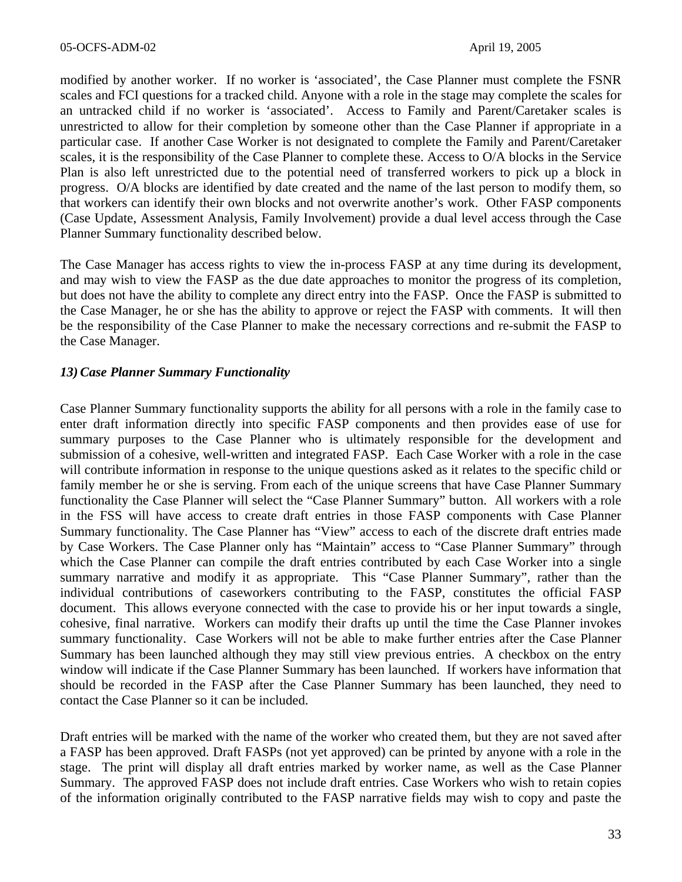modified by another worker. If no worker is 'associated', the Case Planner must complete the FSNR scales and FCI questions for a tracked child. Anyone with a role in the stage may complete the scales for an untracked child if no worker is 'associated'. Access to Family and Parent/Caretaker scales is unrestricted to allow for their completion by someone other than the Case Planner if appropriate in a particular case. If another Case Worker is not designated to complete the Family and Parent/Caretaker scales, it is the responsibility of the Case Planner to complete these. Access to O/A blocks in the Service Plan is also left unrestricted due to the potential need of transferred workers to pick up a block in progress. O/A blocks are identified by date created and the name of the last person to modify them, so that workers can identify their own blocks and not overwrite another's work. Other FASP components (Case Update, Assessment Analysis, Family Involvement) provide a dual level access through the Case Planner Summary functionality described below.

The Case Manager has access rights to view the in-process FASP at any time during its development, and may wish to view the FASP as the due date approaches to monitor the progress of its completion, but does not have the ability to complete any direct entry into the FASP. Once the FASP is submitted to the Case Manager, he or she has the ability to approve or reject the FASP with comments. It will then be the responsibility of the Case Planner to make the necessary corrections and re-submit the FASP to the Case Manager.

### *13) Case Planner Summary Functionality*

Case Planner Summary functionality supports the ability for all persons with a role in the family case to enter draft information directly into specific FASP components and then provides ease of use for summary purposes to the Case Planner who is ultimately responsible for the development and submission of a cohesive, well-written and integrated FASP. Each Case Worker with a role in the case will contribute information in response to the unique questions asked as it relates to the specific child or family member he or she is serving. From each of the unique screens that have Case Planner Summary functionality the Case Planner will select the "Case Planner Summary" button. All workers with a role in the FSS will have access to create draft entries in those FASP components with Case Planner Summary functionality. The Case Planner has "View" access to each of the discrete draft entries made by Case Workers. The Case Planner only has "Maintain" access to "Case Planner Summary" through which the Case Planner can compile the draft entries contributed by each Case Worker into a single summary narrative and modify it as appropriate. This "Case Planner Summary", rather than the individual contributions of caseworkers contributing to the FASP, constitutes the official FASP document. This allows everyone connected with the case to provide his or her input towards a single, cohesive, final narrative. Workers can modify their drafts up until the time the Case Planner invokes summary functionality. Case Workers will not be able to make further entries after the Case Planner Summary has been launched although they may still view previous entries. A checkbox on the entry window will indicate if the Case Planner Summary has been launched. If workers have information that should be recorded in the FASP after the Case Planner Summary has been launched, they need to contact the Case Planner so it can be included.

Draft entries will be marked with the name of the worker who created them, but they are not saved after a FASP has been approved. Draft FASPs (not yet approved) can be printed by anyone with a role in the stage. The print will display all draft entries marked by worker name, as well as the Case Planner Summary. The approved FASP does not include draft entries. Case Workers who wish to retain copies of the information originally contributed to the FASP narrative fields may wish to copy and paste the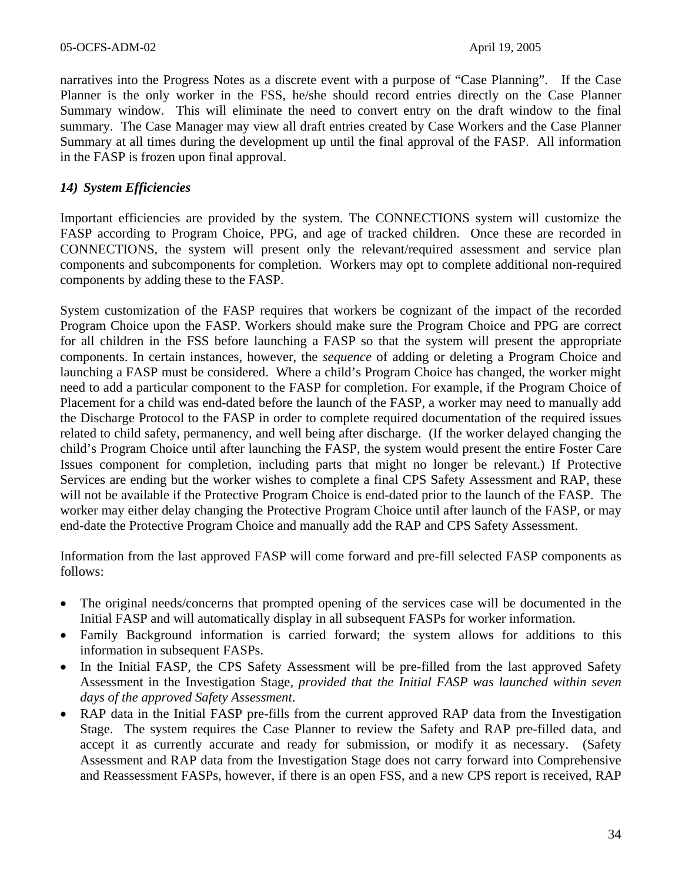narratives into the Progress Notes as a discrete event with a purpose of "Case Planning". If the Case Planner is the only worker in the FSS, he/she should record entries directly on the Case Planner Summary window. This will eliminate the need to convert entry on the draft window to the final summary. The Case Manager may view all draft entries created by Case Workers and the Case Planner Summary at all times during the development up until the final approval of the FASP. All information in the FASP is frozen upon final approval.

### *14) System Efficiencies*

Important efficiencies are provided by the system. The CONNECTIONS system will customize the FASP according to Program Choice, PPG, and age of tracked children. Once these are recorded in CONNECTIONS, the system will present only the relevant/required assessment and service plan components and subcomponents for completion. Workers may opt to complete additional non-required components by adding these to the FASP.

System customization of the FASP requires that workers be cognizant of the impact of the recorded Program Choice upon the FASP. Workers should make sure the Program Choice and PPG are correct for all children in the FSS before launching a FASP so that the system will present the appropriate components. In certain instances, however, the *sequence* of adding or deleting a Program Choice and launching a FASP must be considered. Where a child's Program Choice has changed, the worker might need to add a particular component to the FASP for completion. For example, if the Program Choice of Placement for a child was end-dated before the launch of the FASP, a worker may need to manually add the Discharge Protocol to the FASP in order to complete required documentation of the required issues related to child safety, permanency, and well being after discharge. (If the worker delayed changing the child's Program Choice until after launching the FASP, the system would present the entire Foster Care Issues component for completion, including parts that might no longer be relevant.) If Protective Services are ending but the worker wishes to complete a final CPS Safety Assessment and RAP, these will not be available if the Protective Program Choice is end-dated prior to the launch of the FASP. The worker may either delay changing the Protective Program Choice until after launch of the FASP, or may end-date the Protective Program Choice and manually add the RAP and CPS Safety Assessment.

Information from the last approved FASP will come forward and pre-fill selected FASP components as follows:

- The original needs/concerns that prompted opening of the services case will be documented in the Initial FASP and will automatically display in all subsequent FASPs for worker information.
- Family Background information is carried forward; the system allows for additions to this information in subsequent FASPs.
- In the Initial FASP, the CPS Safety Assessment will be pre-filled from the last approved Safety Assessment in the Investigation Stage, *provided that the Initial FASP was launched within seven days of the approved Safety Assessment*.
- RAP data in the Initial FASP pre-fills from the current approved RAP data from the Investigation Stage. The system requires the Case Planner to review the Safety and RAP pre-filled data, and accept it as currently accurate and ready for submission, or modify it as necessary. (Safety Assessment and RAP data from the Investigation Stage does not carry forward into Comprehensive and Reassessment FASPs, however, if there is an open FSS, and a new CPS report is received, RAP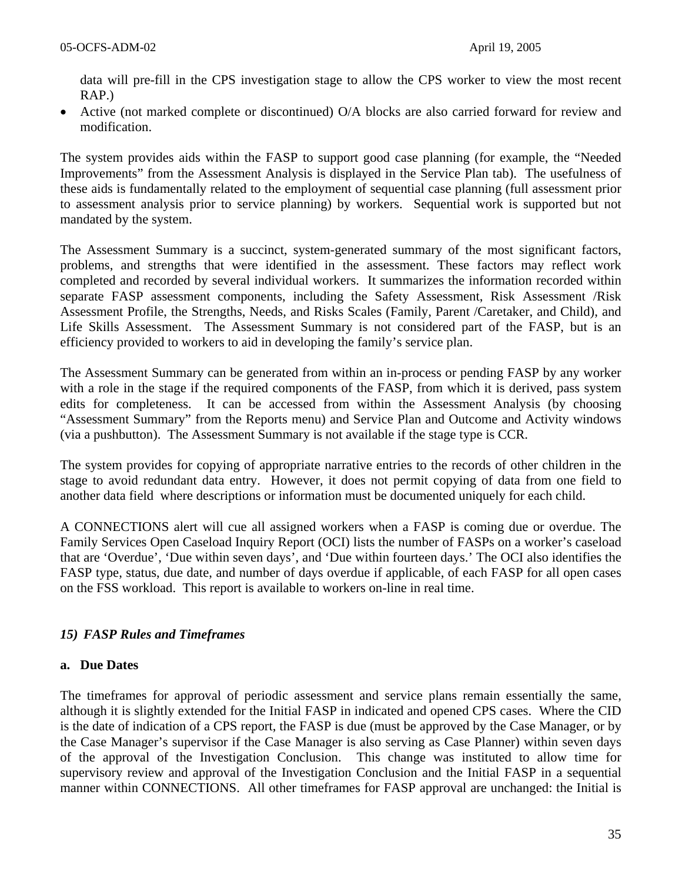data will pre-fill in the CPS investigation stage to allow the CPS worker to view the most recent RAP.)

• Active (not marked complete or discontinued) O/A blocks are also carried forward for review and modification.

The system provides aids within the FASP to support good case planning (for example, the "Needed Improvements" from the Assessment Analysis is displayed in the Service Plan tab). The usefulness of these aids is fundamentally related to the employment of sequential case planning (full assessment prior to assessment analysis prior to service planning) by workers. Sequential work is supported but not mandated by the system.

The Assessment Summary is a succinct, system-generated summary of the most significant factors, problems, and strengths that were identified in the assessment. These factors may reflect work completed and recorded by several individual workers. It summarizes the information recorded within separate FASP assessment components, including the Safety Assessment, Risk Assessment /Risk Assessment Profile, the Strengths, Needs, and Risks Scales (Family, Parent /Caretaker, and Child), and Life Skills Assessment. The Assessment Summary is not considered part of the FASP, but is an efficiency provided to workers to aid in developing the family's service plan.

The Assessment Summary can be generated from within an in-process or pending FASP by any worker with a role in the stage if the required components of the FASP, from which it is derived, pass system edits for completeness. It can be accessed from within the Assessment Analysis (by choosing "Assessment Summary" from the Reports menu) and Service Plan and Outcome and Activity windows (via a pushbutton). The Assessment Summary is not available if the stage type is CCR.

The system provides for copying of appropriate narrative entries to the records of other children in the stage to avoid redundant data entry. However, it does not permit copying of data from one field to another data field where descriptions or information must be documented uniquely for each child.

A CONNECTIONS alert will cue all assigned workers when a FASP is coming due or overdue. The Family Services Open Caseload Inquiry Report (OCI) lists the number of FASPs on a worker's caseload that are 'Overdue', 'Due within seven days', and 'Due within fourteen days.' The OCI also identifies the FASP type, status, due date, and number of days overdue if applicable, of each FASP for all open cases on the FSS workload. This report is available to workers on-line in real time.

# *15) FASP Rules and Timeframes*

#### **a. Due Dates**

The timeframes for approval of periodic assessment and service plans remain essentially the same, although it is slightly extended for the Initial FASP in indicated and opened CPS cases. Where the CID is the date of indication of a CPS report, the FASP is due (must be approved by the Case Manager, or by the Case Manager's supervisor if the Case Manager is also serving as Case Planner) within seven days of the approval of the Investigation Conclusion. This change was instituted to allow time for supervisory review and approval of the Investigation Conclusion and the Initial FASP in a sequential manner within CONNECTIONS. All other timeframes for FASP approval are unchanged: the Initial is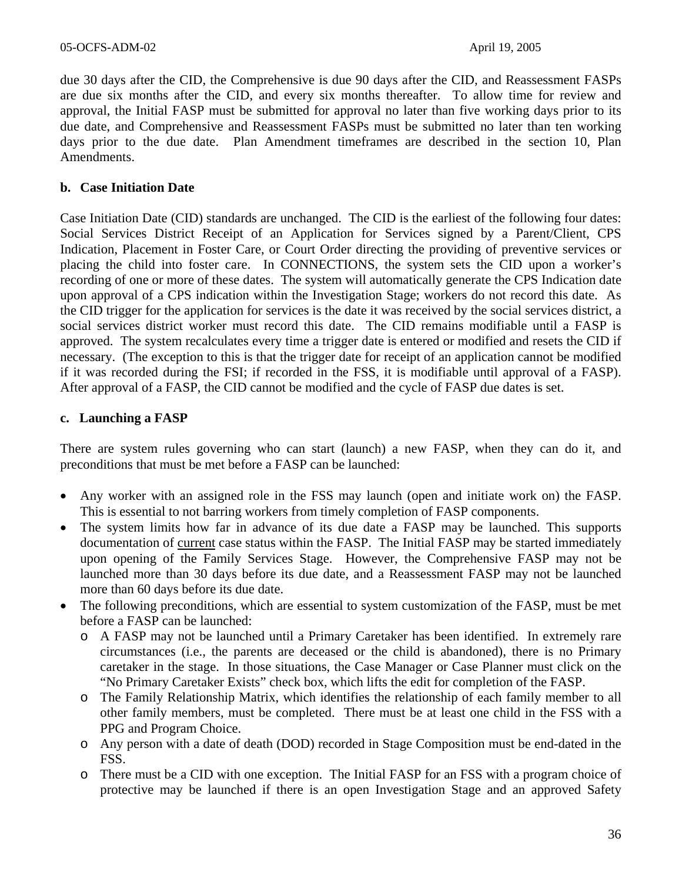due 30 days after the CID, the Comprehensive is due 90 days after the CID, and Reassessment FASPs are due six months after the CID, and every six months thereafter. To allow time for review and approval, the Initial FASP must be submitted for approval no later than five working days prior to its due date, and Comprehensive and Reassessment FASPs must be submitted no later than ten working days prior to the due date. Plan Amendment timeframes are described in the section 10, Plan Amendments.

### **b. Case Initiation Date**

Case Initiation Date (CID) standards are unchanged. The CID is the earliest of the following four dates: Social Services District Receipt of an Application for Services signed by a Parent/Client, CPS Indication, Placement in Foster Care, or Court Order directing the providing of preventive services or placing the child into foster care. In CONNECTIONS, the system sets the CID upon a worker's recording of one or more of these dates. The system will automatically generate the CPS Indication date upon approval of a CPS indication within the Investigation Stage; workers do not record this date. As the CID trigger for the application for services is the date it was received by the social services district, a social services district worker must record this date. The CID remains modifiable until a FASP is approved. The system recalculates every time a trigger date is entered or modified and resets the CID if necessary. (The exception to this is that the trigger date for receipt of an application cannot be modified if it was recorded during the FSI; if recorded in the FSS, it is modifiable until approval of a FASP). After approval of a FASP, the CID cannot be modified and the cycle of FASP due dates is set.

#### **c. Launching a FASP**

There are system rules governing who can start (launch) a new FASP, when they can do it, and preconditions that must be met before a FASP can be launched:

- Any worker with an assigned role in the FSS may launch (open and initiate work on) the FASP. This is essential to not barring workers from timely completion of FASP components.
- The system limits how far in advance of its due date a FASP may be launched. This supports documentation of current case status within the FASP. The Initial FASP may be started immediately upon opening of the Family Services Stage. However, the Comprehensive FASP may not be launched more than 30 days before its due date, and a Reassessment FASP may not be launched more than 60 days before its due date.
- The following preconditions, which are essential to system customization of the FASP, must be met before a FASP can be launched:
	- o A FASP may not be launched until a Primary Caretaker has been identified. In extremely rare circumstances (i.e., the parents are deceased or the child is abandoned), there is no Primary caretaker in the stage. In those situations, the Case Manager or Case Planner must click on the "No Primary Caretaker Exists" check box, which lifts the edit for completion of the FASP.
	- o The Family Relationship Matrix, which identifies the relationship of each family member to all other family members, must be completed. There must be at least one child in the FSS with a PPG and Program Choice.
	- o Any person with a date of death (DOD) recorded in Stage Composition must be end-dated in the FSS.
	- o There must be a CID with one exception. The Initial FASP for an FSS with a program choice of protective may be launched if there is an open Investigation Stage and an approved Safety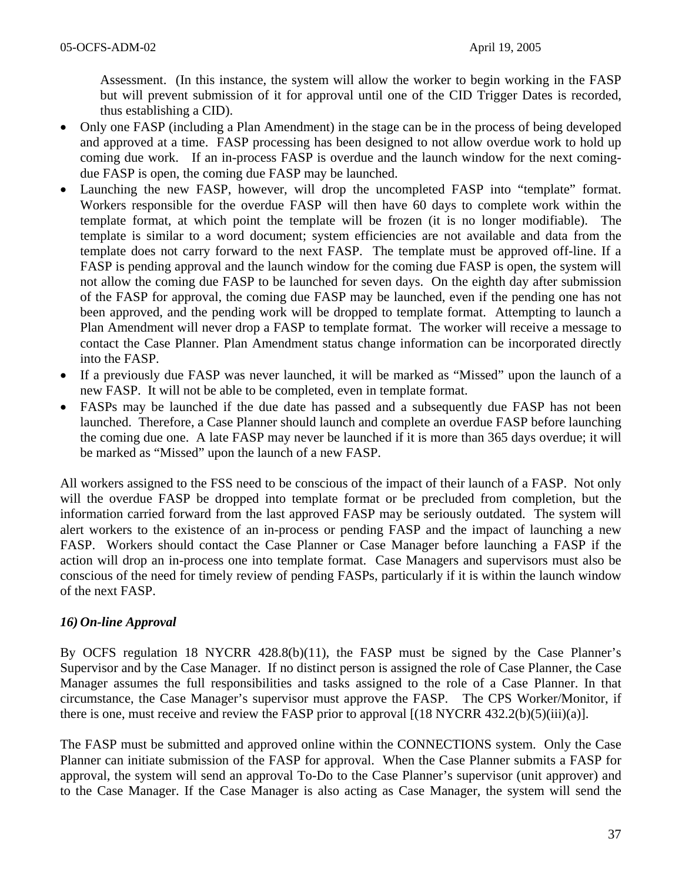Assessment. (In this instance, the system will allow the worker to begin working in the FASP but will prevent submission of it for approval until one of the CID Trigger Dates is recorded, thus establishing a CID).

- Only one FASP (including a Plan Amendment) in the stage can be in the process of being developed and approved at a time. FASP processing has been designed to not allow overdue work to hold up coming due work. If an in-process FASP is overdue and the launch window for the next comingdue FASP is open, the coming due FASP may be launched.
- Launching the new FASP, however, will drop the uncompleted FASP into "template" format. Workers responsible for the overdue FASP will then have 60 days to complete work within the template format, at which point the template will be frozen (it is no longer modifiable). The template is similar to a word document; system efficiencies are not available and data from the template does not carry forward to the next FASP. The template must be approved off-line. If a FASP is pending approval and the launch window for the coming due FASP is open, the system will not allow the coming due FASP to be launched for seven days. On the eighth day after submission of the FASP for approval, the coming due FASP may be launched, even if the pending one has not been approved, and the pending work will be dropped to template format. Attempting to launch a Plan Amendment will never drop a FASP to template format. The worker will receive a message to contact the Case Planner. Plan Amendment status change information can be incorporated directly into the FASP.
- If a previously due FASP was never launched, it will be marked as "Missed" upon the launch of a new FASP. It will not be able to be completed, even in template format.
- FASPs may be launched if the due date has passed and a subsequently due FASP has not been launched. Therefore, a Case Planner should launch and complete an overdue FASP before launching the coming due one. A late FASP may never be launched if it is more than 365 days overdue; it will be marked as "Missed" upon the launch of a new FASP.

All workers assigned to the FSS need to be conscious of the impact of their launch of a FASP. Not only will the overdue FASP be dropped into template format or be precluded from completion, but the information carried forward from the last approved FASP may be seriously outdated. The system will alert workers to the existence of an in-process or pending FASP and the impact of launching a new FASP. Workers should contact the Case Planner or Case Manager before launching a FASP if the action will drop an in-process one into template format. Case Managers and supervisors must also be conscious of the need for timely review of pending FASPs, particularly if it is within the launch window of the next FASP.

# *16) On-line Approval*

By OCFS regulation 18 NYCRR 428.8(b)(11), the FASP must be signed by the Case Planner's Supervisor and by the Case Manager. If no distinct person is assigned the role of Case Planner, the Case Manager assumes the full responsibilities and tasks assigned to the role of a Case Planner. In that circumstance, the Case Manager's supervisor must approve the FASP. The CPS Worker/Monitor, if there is one, must receive and review the FASP prior to approval  $[(18 \text{ NYCRR } 432.2(b)(5)(iii)(a)].$ 

The FASP must be submitted and approved online within the CONNECTIONS system. Only the Case Planner can initiate submission of the FASP for approval. When the Case Planner submits a FASP for approval, the system will send an approval To-Do to the Case Planner's supervisor (unit approver) and to the Case Manager. If the Case Manager is also acting as Case Manager, the system will send the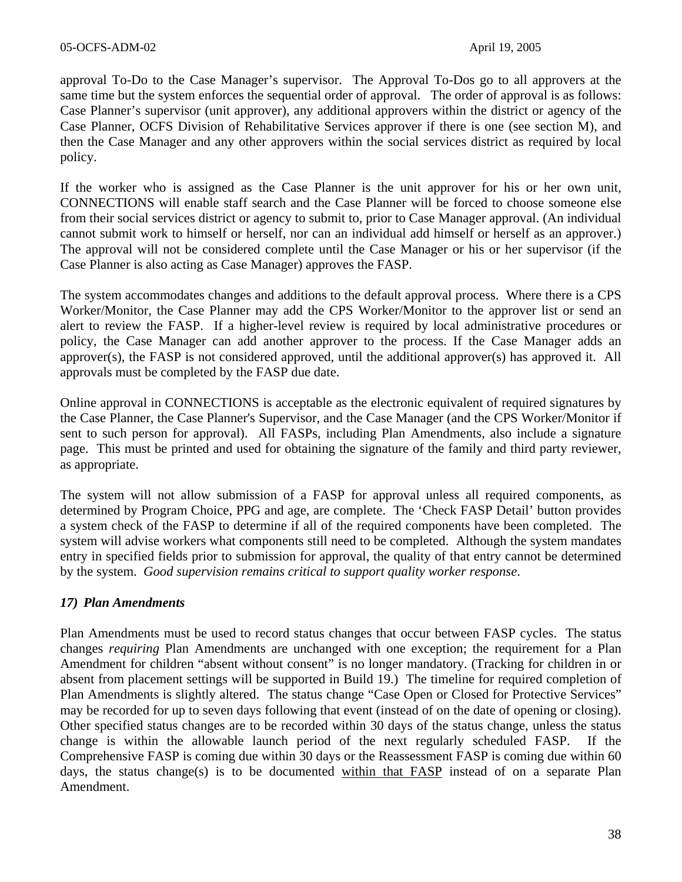approval To-Do to the Case Manager's supervisor. The Approval To-Dos go to all approvers at the same time but the system enforces the sequential order of approval. The order of approval is as follows: Case Planner's supervisor (unit approver), any additional approvers within the district or agency of the Case Planner, OCFS Division of Rehabilitative Services approver if there is one (see section M), and then the Case Manager and any other approvers within the social services district as required by local policy.

If the worker who is assigned as the Case Planner is the unit approver for his or her own unit, CONNECTIONS will enable staff search and the Case Planner will be forced to choose someone else from their social services district or agency to submit to, prior to Case Manager approval. (An individual cannot submit work to himself or herself, nor can an individual add himself or herself as an approver.) The approval will not be considered complete until the Case Manager or his or her supervisor (if the Case Planner is also acting as Case Manager) approves the FASP.

The system accommodates changes and additions to the default approval process. Where there is a CPS Worker/Monitor, the Case Planner may add the CPS Worker/Monitor to the approver list or send an alert to review the FASP. If a higher-level review is required by local administrative procedures or policy, the Case Manager can add another approver to the process. If the Case Manager adds an approver(s), the FASP is not considered approved, until the additional approver(s) has approved it. All approvals must be completed by the FASP due date.

Online approval in CONNECTIONS is acceptable as the electronic equivalent of required signatures by the Case Planner, the Case Planner's Supervisor, and the Case Manager (and the CPS Worker/Monitor if sent to such person for approval). All FASPs, including Plan Amendments, also include a signature page. This must be printed and used for obtaining the signature of the family and third party reviewer, as appropriate.

The system will not allow submission of a FASP for approval unless all required components, as determined by Program Choice, PPG and age, are complete. The 'Check FASP Detail' button provides a system check of the FASP to determine if all of the required components have been completed. The system will advise workers what components still need to be completed. Although the system mandates entry in specified fields prior to submission for approval, the quality of that entry cannot be determined by the system. *Good supervision remains critical to support quality worker response*.

# *17) Plan Amendments*

Plan Amendments must be used to record status changes that occur between FASP cycles. The status changes *requiring* Plan Amendments are unchanged with one exception; the requirement for a Plan Amendment for children "absent without consent" is no longer mandatory. (Tracking for children in or absent from placement settings will be supported in Build 19.) The timeline for required completion of Plan Amendments is slightly altered. The status change "Case Open or Closed for Protective Services" may be recorded for up to seven days following that event (instead of on the date of opening or closing). Other specified status changes are to be recorded within 30 days of the status change, unless the status change is within the allowable launch period of the next regularly scheduled FASP. If the Comprehensive FASP is coming due within 30 days or the Reassessment FASP is coming due within 60 days, the status change(s) is to be documented within that  $FASP$  instead of on a separate Plan Amendment.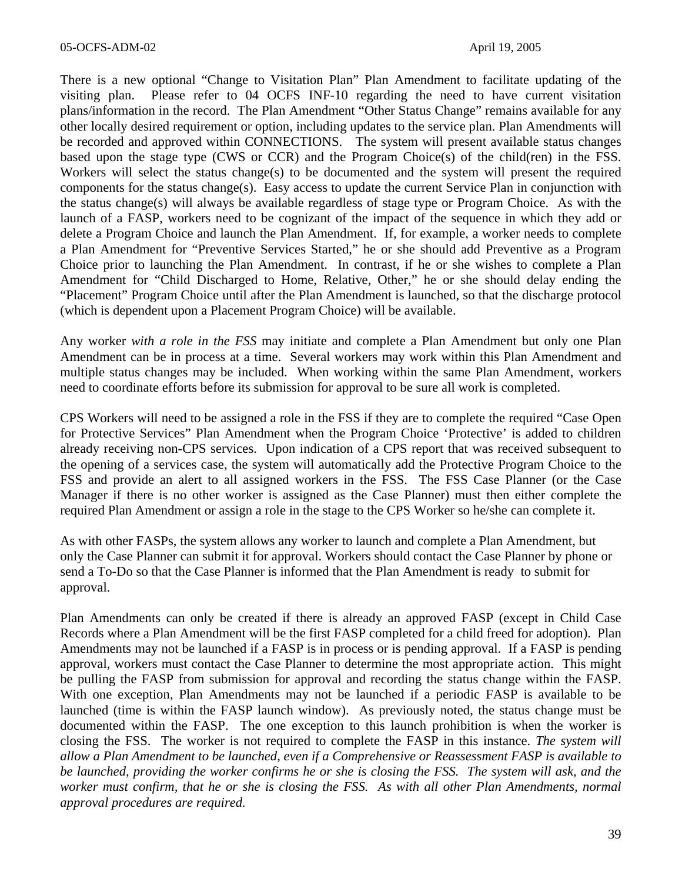There is a new optional "Change to Visitation Plan" Plan Amendment to facilitate updating of the visiting plan. Please refer to 04 OCFS INF-10 regarding the need to have current visitation plans/information in the record. The Plan Amendment "Other Status Change" remains available for any other locally desired requirement or option, including updates to the service plan. Plan Amendments will be recorded and approved within CONNECTIONS. The system will present available status changes based upon the stage type (CWS or CCR) and the Program Choice(s) of the child(ren) in the FSS. Workers will select the status change(s) to be documented and the system will present the required components for the status change(s). Easy access to update the current Service Plan in conjunction with the status change(s) will always be available regardless of stage type or Program Choice. As with the launch of a FASP, workers need to be cognizant of the impact of the sequence in which they add or delete a Program Choice and launch the Plan Amendment. If, for example, a worker needs to complete a Plan Amendment for "Preventive Services Started," he or she should add Preventive as a Program Choice prior to launching the Plan Amendment. In contrast, if he or she wishes to complete a Plan Amendment for "Child Discharged to Home, Relative, Other," he or she should delay ending the "Placement" Program Choice until after the Plan Amendment is launched, so that the discharge protocol (which is dependent upon a Placement Program Choice) will be available.

Any worker *with a role in the FSS* may initiate and complete a Plan Amendment but only one Plan Amendment can be in process at a time. Several workers may work within this Plan Amendment and multiple status changes may be included. When working within the same Plan Amendment, workers need to coordinate efforts before its submission for approval to be sure all work is completed.

CPS Workers will need to be assigned a role in the FSS if they are to complete the required "Case Open for Protective Services" Plan Amendment when the Program Choice 'Protective' is added to children already receiving non-CPS services. Upon indication of a CPS report that was received subsequent to the opening of a services case, the system will automatically add the Protective Program Choice to the FSS and provide an alert to all assigned workers in the FSS. The FSS Case Planner (or the Case Manager if there is no other worker is assigned as the Case Planner) must then either complete the required Plan Amendment or assign a role in the stage to the CPS Worker so he/she can complete it.

As with other FASPs, the system allows any worker to launch and complete a Plan Amendment, but only the Case Planner can submit it for approval. Workers should contact the Case Planner by phone or send a To-Do so that the Case Planner is informed that the Plan Amendment is ready to submit for approval.

Plan Amendments can only be created if there is already an approved FASP (except in Child Case Records where a Plan Amendment will be the first FASP completed for a child freed for adoption). Plan Amendments may not be launched if a FASP is in process or is pending approval. If a FASP is pending approval, workers must contact the Case Planner to determine the most appropriate action. This might be pulling the FASP from submission for approval and recording the status change within the FASP. With one exception, Plan Amendments may not be launched if a periodic FASP is available to be launched (time is within the FASP launch window). As previously noted, the status change must be documented within the FASP. The one exception to this launch prohibition is when the worker is closing the FSS. The worker is not required to complete the FASP in this instance. *The system will allow a Plan Amendment to be launched, even if a Comprehensive or Reassessment FASP is available to be launched, providing the worker confirms he or she is closing the FSS. The system will ask, and the worker must confirm, that he or she is closing the FSS. As with all other Plan Amendments, normal approval procedures are required.*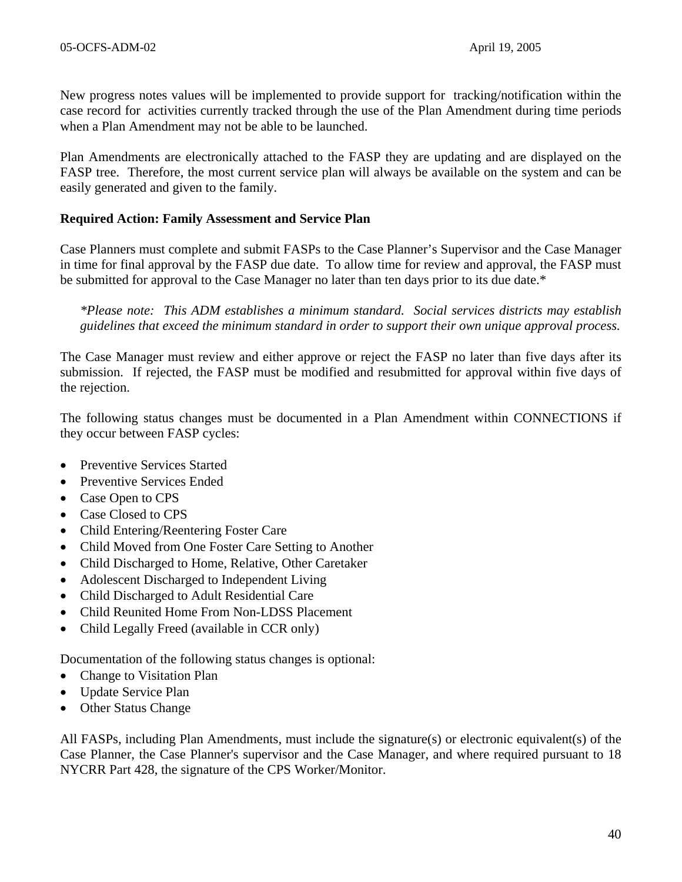New progress notes values will be implemented to provide support for tracking/notification within the case record for activities currently tracked through the use of the Plan Amendment during time periods when a Plan Amendment may not be able to be launched.

Plan Amendments are electronically attached to the FASP they are updating and are displayed on the FASP tree. Therefore, the most current service plan will always be available on the system and can be easily generated and given to the family.

#### **Required Action: Family Assessment and Service Plan**

Case Planners must complete and submit FASPs to the Case Planner's Supervisor and the Case Manager in time for final approval by the FASP due date. To allow time for review and approval, the FASP must be submitted for approval to the Case Manager no later than ten days prior to its due date.\*

*\*Please note: This ADM establishes a minimum standard. Social services districts may establish guidelines that exceed the minimum standard in order to support their own unique approval process.* 

The Case Manager must review and either approve or reject the FASP no later than five days after its submission. If rejected, the FASP must be modified and resubmitted for approval within five days of the rejection.

The following status changes must be documented in a Plan Amendment within CONNECTIONS if they occur between FASP cycles:

- Preventive Services Started
- Preventive Services Ended
- Case Open to CPS
- Case Closed to CPS
- Child Entering/Reentering Foster Care
- Child Moved from One Foster Care Setting to Another
- Child Discharged to Home, Relative, Other Caretaker
- Adolescent Discharged to Independent Living
- Child Discharged to Adult Residential Care
- Child Reunited Home From Non-LDSS Placement
- Child Legally Freed (available in CCR only)

Documentation of the following status changes is optional:

- Change to Visitation Plan
- Update Service Plan
- **Other Status Change**

All FASPs, including Plan Amendments, must include the signature(s) or electronic equivalent(s) of the Case Planner, the Case Planner's supervisor and the Case Manager, and where required pursuant to 18 NYCRR Part 428, the signature of the CPS Worker/Monitor.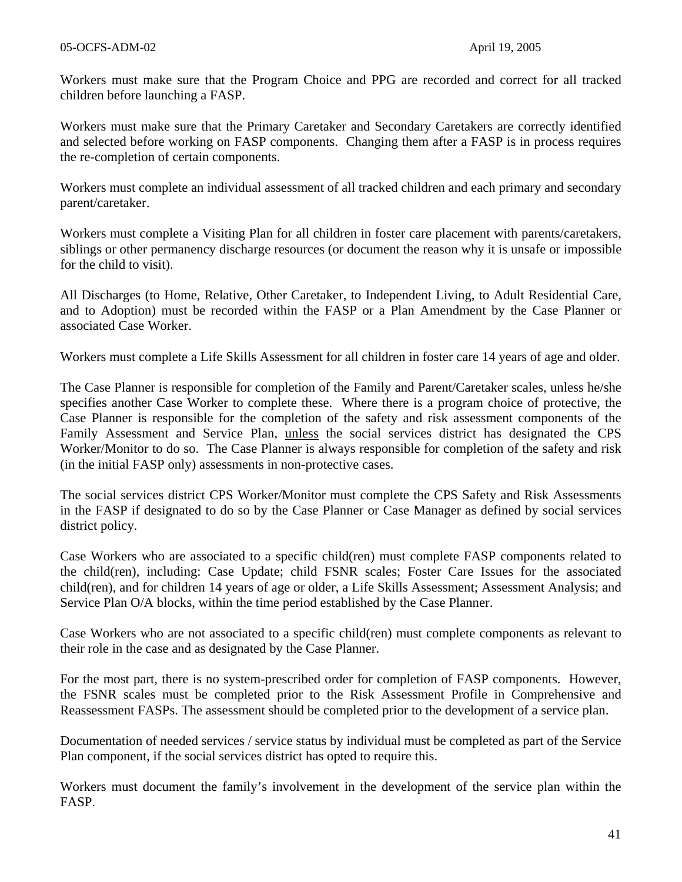Workers must make sure that the Program Choice and PPG are recorded and correct for all tracked children before launching a FASP.

Workers must make sure that the Primary Caretaker and Secondary Caretakers are correctly identified and selected before working on FASP components. Changing them after a FASP is in process requires the re-completion of certain components.

Workers must complete an individual assessment of all tracked children and each primary and secondary parent/caretaker.

Workers must complete a Visiting Plan for all children in foster care placement with parents/caretakers, siblings or other permanency discharge resources (or document the reason why it is unsafe or impossible for the child to visit).

All Discharges (to Home, Relative, Other Caretaker, to Independent Living, to Adult Residential Care, and to Adoption) must be recorded within the FASP or a Plan Amendment by the Case Planner or associated Case Worker.

Workers must complete a Life Skills Assessment for all children in foster care 14 years of age and older.

The Case Planner is responsible for completion of the Family and Parent/Caretaker scales, unless he/she specifies another Case Worker to complete these. Where there is a program choice of protective, the Case Planner is responsible for the completion of the safety and risk assessment components of the Family Assessment and Service Plan, unless the social services district has designated the CPS Worker/Monitor to do so. The Case Planner is always responsible for completion of the safety and risk (in the initial FASP only) assessments in non-protective cases.

The social services district CPS Worker/Monitor must complete the CPS Safety and Risk Assessments in the FASP if designated to do so by the Case Planner or Case Manager as defined by social services district policy.

Case Workers who are associated to a specific child(ren) must complete FASP components related to the child(ren), including: Case Update; child FSNR scales; Foster Care Issues for the associated child(ren), and for children 14 years of age or older, a Life Skills Assessment; Assessment Analysis; and Service Plan O/A blocks, within the time period established by the Case Planner.

Case Workers who are not associated to a specific child(ren) must complete components as relevant to their role in the case and as designated by the Case Planner.

For the most part, there is no system-prescribed order for completion of FASP components. However, the FSNR scales must be completed prior to the Risk Assessment Profile in Comprehensive and Reassessment FASPs. The assessment should be completed prior to the development of a service plan.

Documentation of needed services / service status by individual must be completed as part of the Service Plan component, if the social services district has opted to require this.

Workers must document the family's involvement in the development of the service plan within the FASP.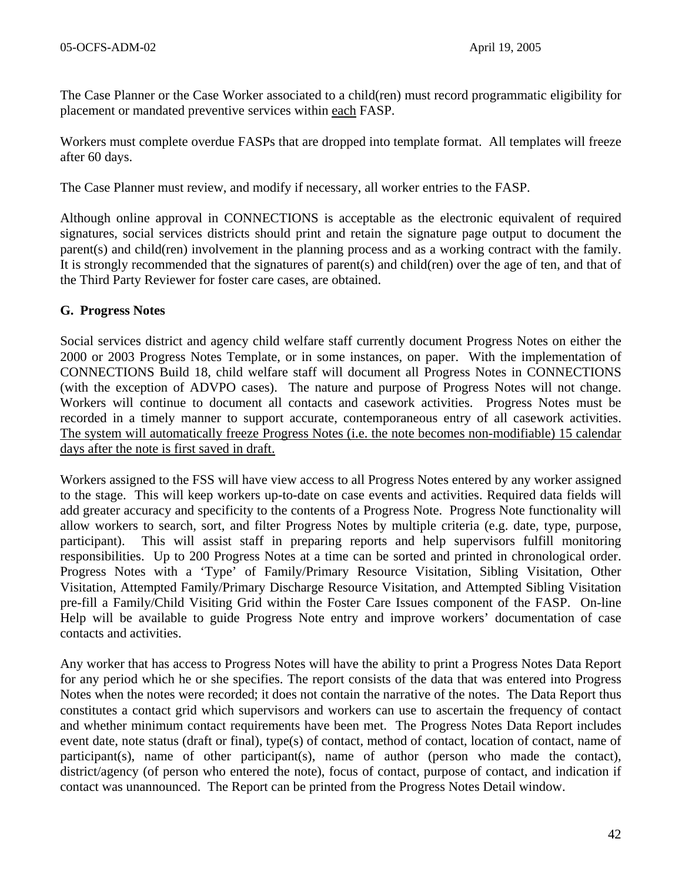The Case Planner or the Case Worker associated to a child(ren) must record programmatic eligibility for placement or mandated preventive services within each FASP.

Workers must complete overdue FASPs that are dropped into template format. All templates will freeze after 60 days.

The Case Planner must review, and modify if necessary, all worker entries to the FASP.

Although online approval in CONNECTIONS is acceptable as the electronic equivalent of required signatures, social services districts should print and retain the signature page output to document the parent(s) and child(ren) involvement in the planning process and as a working contract with the family. It is strongly recommended that the signatures of parent(s) and child(ren) over the age of ten, and that of the Third Party Reviewer for foster care cases, are obtained.

### **G. Progress Notes**

Social services district and agency child welfare staff currently document Progress Notes on either the 2000 or 2003 Progress Notes Template, or in some instances, on paper. With the implementation of CONNECTIONS Build 18, child welfare staff will document all Progress Notes in CONNECTIONS (with the exception of ADVPO cases). The nature and purpose of Progress Notes will not change. Workers will continue to document all contacts and casework activities. Progress Notes must be recorded in a timely manner to support accurate, contemporaneous entry of all casework activities. The system will automatically freeze Progress Notes (i.e. the note becomes non-modifiable) 15 calendar days after the note is first saved in draft.

Workers assigned to the FSS will have view access to all Progress Notes entered by any worker assigned to the stage. This will keep workers up-to-date on case events and activities. Required data fields will add greater accuracy and specificity to the contents of a Progress Note. Progress Note functionality will allow workers to search, sort, and filter Progress Notes by multiple criteria (e.g. date, type, purpose, participant). This will assist staff in preparing reports and help supervisors fulfill monitoring responsibilities. Up to 200 Progress Notes at a time can be sorted and printed in chronological order. Progress Notes with a 'Type' of Family/Primary Resource Visitation, Sibling Visitation, Other Visitation, Attempted Family/Primary Discharge Resource Visitation, and Attempted Sibling Visitation pre-fill a Family/Child Visiting Grid within the Foster Care Issues component of the FASP. On-line Help will be available to guide Progress Note entry and improve workers' documentation of case contacts and activities.

Any worker that has access to Progress Notes will have the ability to print a Progress Notes Data Report for any period which he or she specifies. The report consists of the data that was entered into Progress Notes when the notes were recorded; it does not contain the narrative of the notes. The Data Report thus constitutes a contact grid which supervisors and workers can use to ascertain the frequency of contact and whether minimum contact requirements have been met. The Progress Notes Data Report includes event date, note status (draft or final), type(s) of contact, method of contact, location of contact, name of participant(s), name of other participant(s), name of author (person who made the contact), district/agency (of person who entered the note), focus of contact, purpose of contact, and indication if contact was unannounced. The Report can be printed from the Progress Notes Detail window.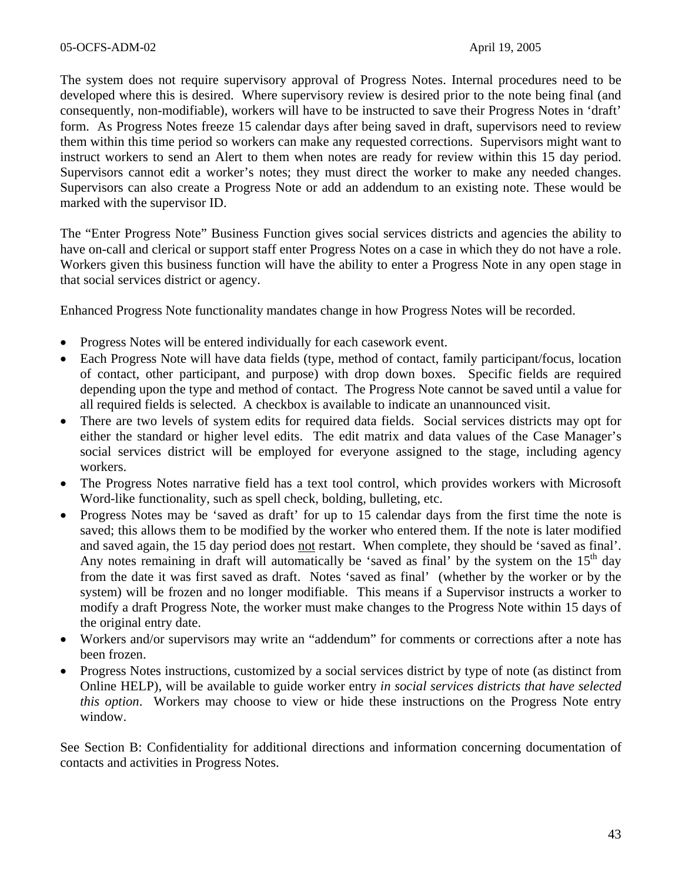The system does not require supervisory approval of Progress Notes. Internal procedures need to be developed where this is desired. Where supervisory review is desired prior to the note being final (and consequently, non-modifiable), workers will have to be instructed to save their Progress Notes in 'draft' form. As Progress Notes freeze 15 calendar days after being saved in draft, supervisors need to review them within this time period so workers can make any requested corrections. Supervisors might want to instruct workers to send an Alert to them when notes are ready for review within this 15 day period. Supervisors cannot edit a worker's notes; they must direct the worker to make any needed changes. Supervisors can also create a Progress Note or add an addendum to an existing note. These would be marked with the supervisor ID.

The "Enter Progress Note" Business Function gives social services districts and agencies the ability to have on-call and clerical or support staff enter Progress Notes on a case in which they do not have a role. Workers given this business function will have the ability to enter a Progress Note in any open stage in that social services district or agency.

Enhanced Progress Note functionality mandates change in how Progress Notes will be recorded.

- Progress Notes will be entered individually for each casework event.
- Each Progress Note will have data fields (type, method of contact, family participant/focus, location of contact, other participant, and purpose) with drop down boxes. Specific fields are required depending upon the type and method of contact. The Progress Note cannot be saved until a value for all required fields is selected. A checkbox is available to indicate an unannounced visit.
- There are two levels of system edits for required data fields. Social services districts may opt for either the standard or higher level edits. The edit matrix and data values of the Case Manager's social services district will be employed for everyone assigned to the stage, including agency workers.
- The Progress Notes narrative field has a text tool control, which provides workers with Microsoft Word-like functionality, such as spell check, bolding, bulleting, etc.
- Progress Notes may be 'saved as draft' for up to 15 calendar days from the first time the note is saved; this allows them to be modified by the worker who entered them. If the note is later modified and saved again, the 15 day period does not restart. When complete, they should be 'saved as final'. Any notes remaining in draft will automatically be 'saved as final' by the system on the  $15<sup>th</sup>$  day from the date it was first saved as draft. Notes 'saved as final' (whether by the worker or by the system) will be frozen and no longer modifiable. This means if a Supervisor instructs a worker to modify a draft Progress Note, the worker must make changes to the Progress Note within 15 days of the original entry date.
- Workers and/or supervisors may write an "addendum" for comments or corrections after a note has been frozen.
- Progress Notes instructions, customized by a social services district by type of note (as distinct from Online HELP), will be available to guide worker entry *in social services districts that have selected this option*. Workers may choose to view or hide these instructions on the Progress Note entry window.

See Section B: Confidentiality for additional directions and information concerning documentation of contacts and activities in Progress Notes.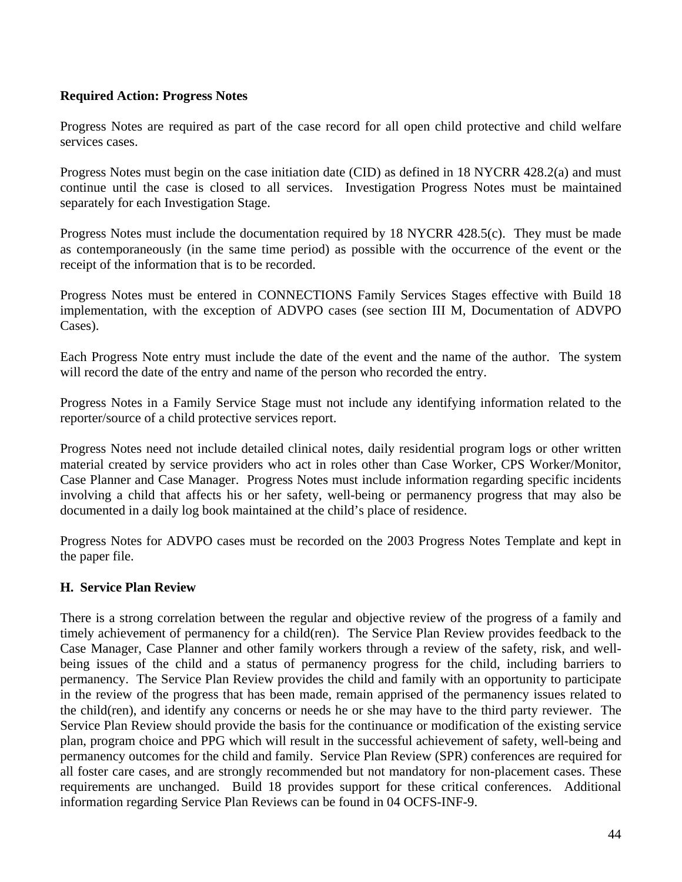# **Required Action: Progress Notes**

Progress Notes are required as part of the case record for all open child protective and child welfare services cases.

Progress Notes must begin on the case initiation date (CID) as defined in 18 NYCRR 428.2(a) and must continue until the case is closed to all services. Investigation Progress Notes must be maintained separately for each Investigation Stage.

Progress Notes must include the documentation required by 18 NYCRR 428.5(c). They must be made as contemporaneously (in the same time period) as possible with the occurrence of the event or the receipt of the information that is to be recorded.

Progress Notes must be entered in CONNECTIONS Family Services Stages effective with Build 18 implementation, with the exception of ADVPO cases (see section III M, Documentation of ADVPO Cases).

Each Progress Note entry must include the date of the event and the name of the author. The system will record the date of the entry and name of the person who recorded the entry.

Progress Notes in a Family Service Stage must not include any identifying information related to the reporter/source of a child protective services report.

Progress Notes need not include detailed clinical notes, daily residential program logs or other written material created by service providers who act in roles other than Case Worker, CPS Worker/Monitor, Case Planner and Case Manager. Progress Notes must include information regarding specific incidents involving a child that affects his or her safety, well-being or permanency progress that may also be documented in a daily log book maintained at the child's place of residence.

Progress Notes for ADVPO cases must be recorded on the 2003 Progress Notes Template and kept in the paper file.

# **H. Service Plan Review**

There is a strong correlation between the regular and objective review of the progress of a family and timely achievement of permanency for a child(ren). The Service Plan Review provides feedback to the Case Manager, Case Planner and other family workers through a review of the safety, risk, and wellbeing issues of the child and a status of permanency progress for the child, including barriers to permanency. The Service Plan Review provides the child and family with an opportunity to participate in the review of the progress that has been made, remain apprised of the permanency issues related to the child(ren), and identify any concerns or needs he or she may have to the third party reviewer. The Service Plan Review should provide the basis for the continuance or modification of the existing service plan, program choice and PPG which will result in the successful achievement of safety, well-being and permanency outcomes for the child and family. Service Plan Review (SPR) conferences are required for all foster care cases, and are strongly recommended but not mandatory for non-placement cases. These requirements are unchanged. Build 18 provides support for these critical conferences. Additional information regarding Service Plan Reviews can be found in 04 OCFS-INF-9.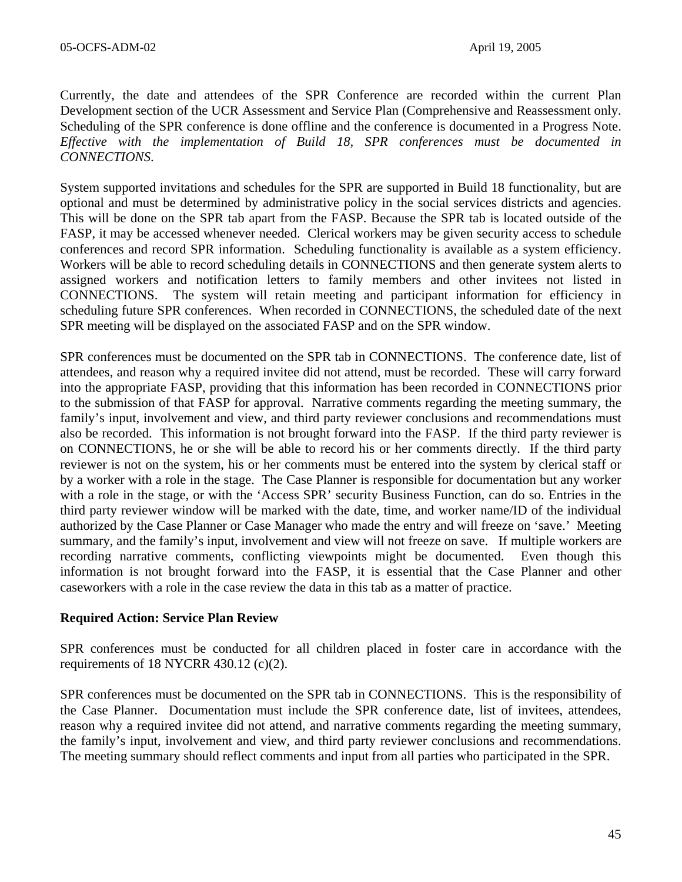Currently, the date and attendees of the SPR Conference are recorded within the current Plan Development section of the UCR Assessment and Service Plan (Comprehensive and Reassessment only. Scheduling of the SPR conference is done offline and the conference is documented in a Progress Note. *Effective with the implementation of Build 18, SPR conferences must be documented in CONNECTIONS*.

System supported invitations and schedules for the SPR are supported in Build 18 functionality, but are optional and must be determined by administrative policy in the social services districts and agencies. This will be done on the SPR tab apart from the FASP. Because the SPR tab is located outside of the FASP, it may be accessed whenever needed. Clerical workers may be given security access to schedule conferences and record SPR information. Scheduling functionality is available as a system efficiency. Workers will be able to record scheduling details in CONNECTIONS and then generate system alerts to assigned workers and notification letters to family members and other invitees not listed in CONNECTIONS. The system will retain meeting and participant information for efficiency in scheduling future SPR conferences. When recorded in CONNECTIONS, the scheduled date of the next SPR meeting will be displayed on the associated FASP and on the SPR window.

SPR conferences must be documented on the SPR tab in CONNECTIONS. The conference date, list of attendees, and reason why a required invitee did not attend, must be recorded. These will carry forward into the appropriate FASP, providing that this information has been recorded in CONNECTIONS prior to the submission of that FASP for approval. Narrative comments regarding the meeting summary, the family's input, involvement and view, and third party reviewer conclusions and recommendations must also be recorded. This information is not brought forward into the FASP. If the third party reviewer is on CONNECTIONS, he or she will be able to record his or her comments directly. If the third party reviewer is not on the system, his or her comments must be entered into the system by clerical staff or by a worker with a role in the stage. The Case Planner is responsible for documentation but any worker with a role in the stage, or with the 'Access SPR' security Business Function, can do so. Entries in the third party reviewer window will be marked with the date, time, and worker name/ID of the individual authorized by the Case Planner or Case Manager who made the entry and will freeze on 'save.' Meeting summary, and the family's input, involvement and view will not freeze on save. If multiple workers are recording narrative comments, conflicting viewpoints might be documented. Even though this information is not brought forward into the FASP, it is essential that the Case Planner and other caseworkers with a role in the case review the data in this tab as a matter of practice.

#### **Required Action: Service Plan Review**

SPR conferences must be conducted for all children placed in foster care in accordance with the requirements of 18 NYCRR 430.12 (c)(2).

SPR conferences must be documented on the SPR tab in CONNECTIONS. This is the responsibility of the Case Planner. Documentation must include the SPR conference date, list of invitees, attendees, reason why a required invitee did not attend, and narrative comments regarding the meeting summary, the family's input, involvement and view, and third party reviewer conclusions and recommendations. The meeting summary should reflect comments and input from all parties who participated in the SPR.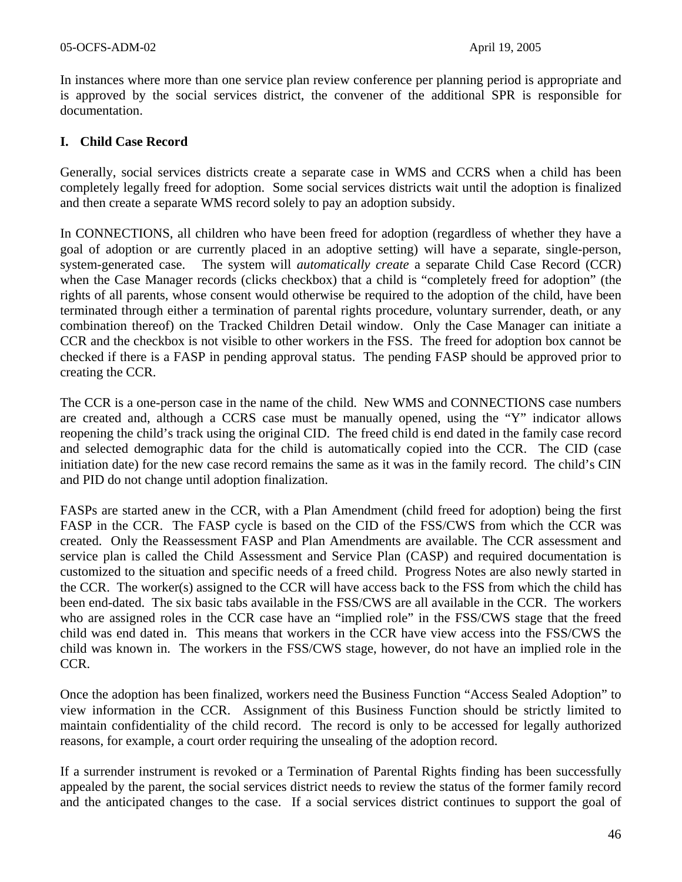In instances where more than one service plan review conference per planning period is appropriate and is approved by the social services district, the convener of the additional SPR is responsible for documentation.

### **I. Child Case Record**

Generally, social services districts create a separate case in WMS and CCRS when a child has been completely legally freed for adoption. Some social services districts wait until the adoption is finalized and then create a separate WMS record solely to pay an adoption subsidy.

In CONNECTIONS, all children who have been freed for adoption (regardless of whether they have a goal of adoption or are currently placed in an adoptive setting) will have a separate, single-person, system-generated case. The system will *automatically create* a separate Child Case Record (CCR) when the Case Manager records (clicks checkbox) that a child is "completely freed for adoption" (the rights of all parents, whose consent would otherwise be required to the adoption of the child, have been terminated through either a termination of parental rights procedure, voluntary surrender, death, or any combination thereof) on the Tracked Children Detail window. Only the Case Manager can initiate a CCR and the checkbox is not visible to other workers in the FSS. The freed for adoption box cannot be checked if there is a FASP in pending approval status. The pending FASP should be approved prior to creating the CCR.

The CCR is a one-person case in the name of the child. New WMS and CONNECTIONS case numbers are created and, although a CCRS case must be manually opened, using the "Y" indicator allows reopening the child's track using the original CID. The freed child is end dated in the family case record and selected demographic data for the child is automatically copied into the CCR. The CID (case initiation date) for the new case record remains the same as it was in the family record. The child's CIN and PID do not change until adoption finalization.

FASPs are started anew in the CCR, with a Plan Amendment (child freed for adoption) being the first FASP in the CCR. The FASP cycle is based on the CID of the FSS/CWS from which the CCR was created. Only the Reassessment FASP and Plan Amendments are available. The CCR assessment and service plan is called the Child Assessment and Service Plan (CASP) and required documentation is customized to the situation and specific needs of a freed child. Progress Notes are also newly started in the CCR. The worker(s) assigned to the CCR will have access back to the FSS from which the child has been end-dated. The six basic tabs available in the FSS/CWS are all available in the CCR. The workers who are assigned roles in the CCR case have an "implied role" in the FSS/CWS stage that the freed child was end dated in. This means that workers in the CCR have view access into the FSS/CWS the child was known in. The workers in the FSS/CWS stage, however, do not have an implied role in the CCR.

Once the adoption has been finalized, workers need the Business Function "Access Sealed Adoption" to view information in the CCR. Assignment of this Business Function should be strictly limited to maintain confidentiality of the child record. The record is only to be accessed for legally authorized reasons, for example, a court order requiring the unsealing of the adoption record.

If a surrender instrument is revoked or a Termination of Parental Rights finding has been successfully appealed by the parent, the social services district needs to review the status of the former family record and the anticipated changes to the case. If a social services district continues to support the goal of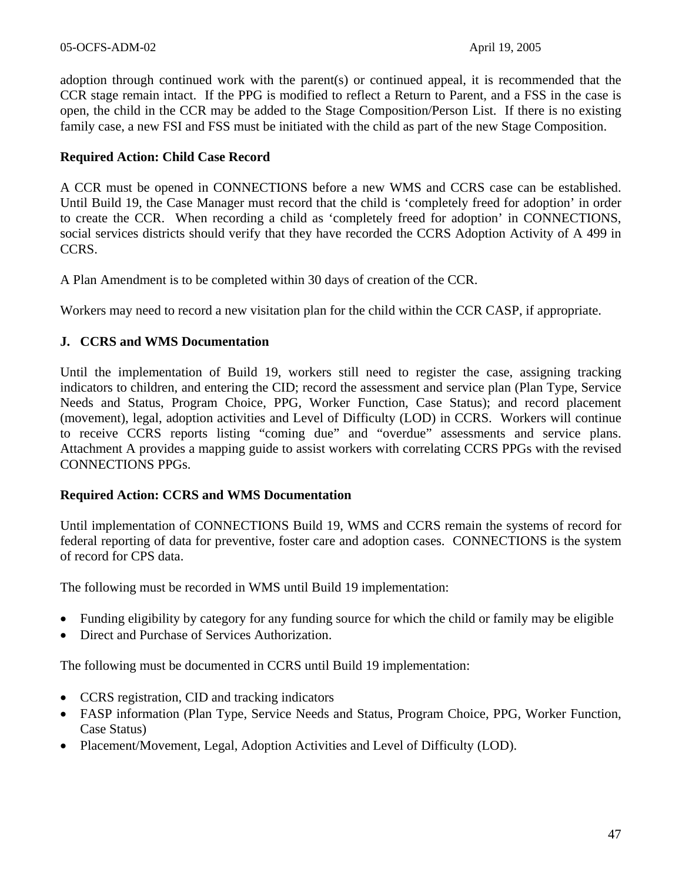adoption through continued work with the parent(s) or continued appeal, it is recommended that the CCR stage remain intact. If the PPG is modified to reflect a Return to Parent, and a FSS in the case is open, the child in the CCR may be added to the Stage Composition/Person List. If there is no existing family case, a new FSI and FSS must be initiated with the child as part of the new Stage Composition.

### **Required Action: Child Case Record**

A CCR must be opened in CONNECTIONS before a new WMS and CCRS case can be established. Until Build 19, the Case Manager must record that the child is 'completely freed for adoption' in order to create the CCR. When recording a child as 'completely freed for adoption' in CONNECTIONS, social services districts should verify that they have recorded the CCRS Adoption Activity of A 499 in CCRS.

A Plan Amendment is to be completed within 30 days of creation of the CCR.

Workers may need to record a new visitation plan for the child within the CCR CASP, if appropriate.

### **J. CCRS and WMS Documentation**

Until the implementation of Build 19, workers still need to register the case, assigning tracking indicators to children, and entering the CID; record the assessment and service plan (Plan Type, Service Needs and Status, Program Choice, PPG, Worker Function, Case Status); and record placement (movement), legal, adoption activities and Level of Difficulty (LOD) in CCRS. Workers will continue to receive CCRS reports listing "coming due" and "overdue" assessments and service plans. Attachment A provides a mapping guide to assist workers with correlating CCRS PPGs with the revised CONNECTIONS PPGs.

#### **Required Action: CCRS and WMS Documentation**

Until implementation of CONNECTIONS Build 19, WMS and CCRS remain the systems of record for federal reporting of data for preventive, foster care and adoption cases. CONNECTIONS is the system of record for CPS data.

The following must be recorded in WMS until Build 19 implementation:

- Funding eligibility by category for any funding source for which the child or family may be eligible
- Direct and Purchase of Services Authorization.

The following must be documented in CCRS until Build 19 implementation:

- CCRS registration, CID and tracking indicators
- FASP information (Plan Type, Service Needs and Status, Program Choice, PPG, Worker Function, Case Status)
- Placement/Movement, Legal, Adoption Activities and Level of Difficulty (LOD).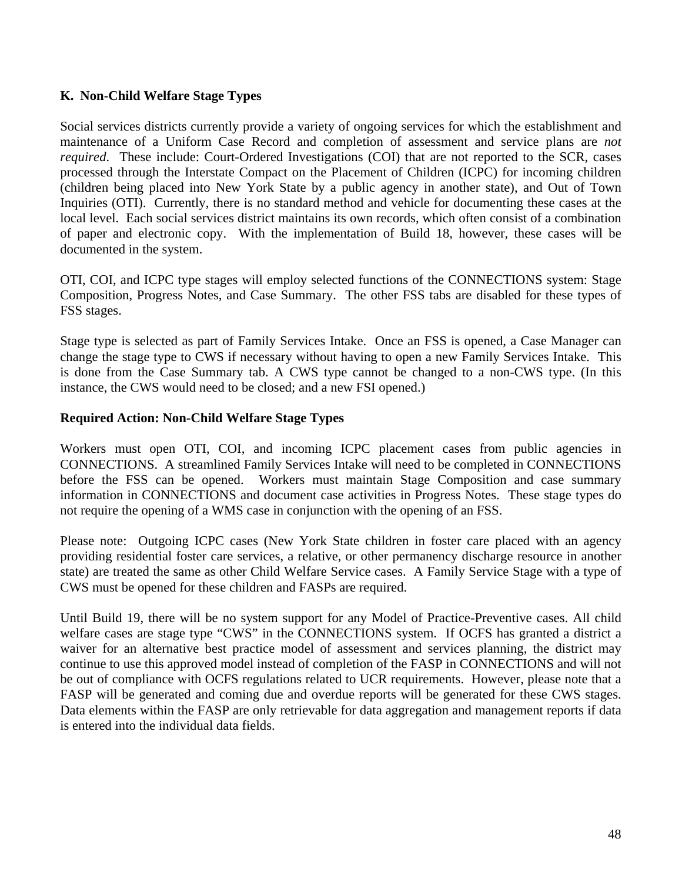# **K. Non-Child Welfare Stage Types**

Social services districts currently provide a variety of ongoing services for which the establishment and maintenance of a Uniform Case Record and completion of assessment and service plans are *not required*. These include: Court-Ordered Investigations (COI) that are not reported to the SCR, cases processed through the Interstate Compact on the Placement of Children (ICPC) for incoming children (children being placed into New York State by a public agency in another state), and Out of Town Inquiries (OTI). Currently, there is no standard method and vehicle for documenting these cases at the local level. Each social services district maintains its own records, which often consist of a combination of paper and electronic copy. With the implementation of Build 18, however, these cases will be documented in the system.

OTI, COI, and ICPC type stages will employ selected functions of the CONNECTIONS system: Stage Composition, Progress Notes, and Case Summary. The other FSS tabs are disabled for these types of FSS stages.

Stage type is selected as part of Family Services Intake. Once an FSS is opened, a Case Manager can change the stage type to CWS if necessary without having to open a new Family Services Intake. This is done from the Case Summary tab. A CWS type cannot be changed to a non-CWS type. (In this instance, the CWS would need to be closed; and a new FSI opened.)

### **Required Action: Non-Child Welfare Stage Types**

Workers must open OTI, COI, and incoming ICPC placement cases from public agencies in CONNECTIONS. A streamlined Family Services Intake will need to be completed in CONNECTIONS before the FSS can be opened. Workers must maintain Stage Composition and case summary information in CONNECTIONS and document case activities in Progress Notes. These stage types do not require the opening of a WMS case in conjunction with the opening of an FSS.

Please note: Outgoing ICPC cases (New York State children in foster care placed with an agency providing residential foster care services, a relative, or other permanency discharge resource in another state) are treated the same as other Child Welfare Service cases. A Family Service Stage with a type of CWS must be opened for these children and FASPs are required.

Until Build 19, there will be no system support for any Model of Practice-Preventive cases. All child welfare cases are stage type "CWS" in the CONNECTIONS system. If OCFS has granted a district a waiver for an alternative best practice model of assessment and services planning, the district may continue to use this approved model instead of completion of the FASP in CONNECTIONS and will not be out of compliance with OCFS regulations related to UCR requirements. However, please note that a FASP will be generated and coming due and overdue reports will be generated for these CWS stages. Data elements within the FASP are only retrievable for data aggregation and management reports if data is entered into the individual data fields.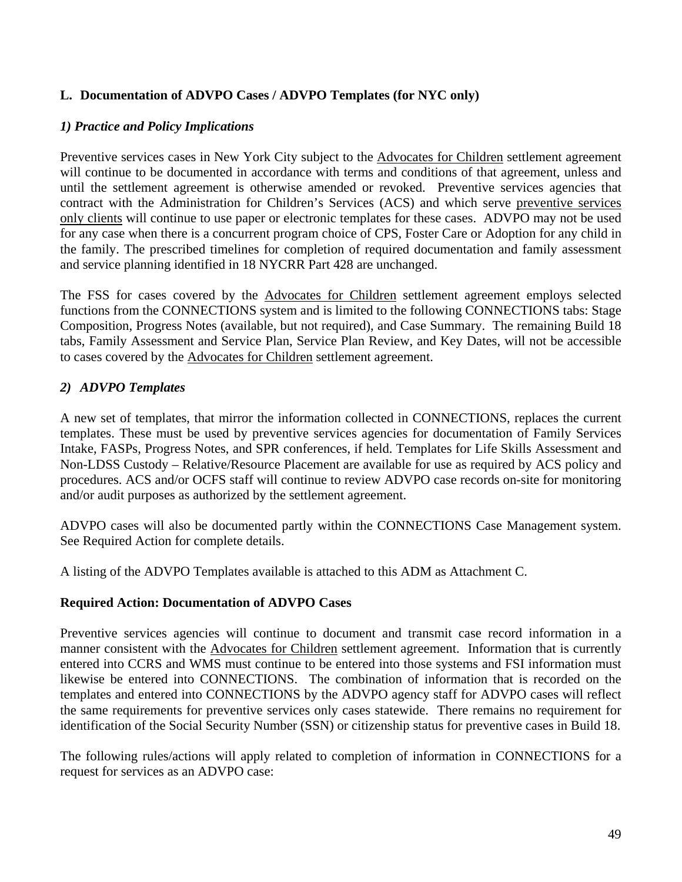# **L. Documentation of ADVPO Cases / ADVPO Templates (for NYC only)**

### *1) Practice and Policy Implications*

Preventive services cases in New York City subject to the Advocates for Children settlement agreement will continue to be documented in accordance with terms and conditions of that agreement, unless and until the settlement agreement is otherwise amended or revoked. Preventive services agencies that contract with the Administration for Children's Services (ACS) and which serve preventive services only clients will continue to use paper or electronic templates for these cases. ADVPO may not be used for any case when there is a concurrent program choice of CPS, Foster Care or Adoption for any child in the family. The prescribed timelines for completion of required documentation and family assessment and service planning identified in 18 NYCRR Part 428 are unchanged.

The FSS for cases covered by the Advocates for Children settlement agreement employs selected functions from the CONNECTIONS system and is limited to the following CONNECTIONS tabs: Stage Composition, Progress Notes (available, but not required), and Case Summary. The remaining Build 18 tabs, Family Assessment and Service Plan, Service Plan Review, and Key Dates, will not be accessible to cases covered by the Advocates for Children settlement agreement.

### *2) ADVPO Templates*

A new set of templates, that mirror the information collected in CONNECTIONS, replaces the current templates. These must be used by preventive services agencies for documentation of Family Services Intake, FASPs, Progress Notes, and SPR conferences, if held. Templates for Life Skills Assessment and Non-LDSS Custody – Relative/Resource Placement are available for use as required by ACS policy and procedures. ACS and/or OCFS staff will continue to review ADVPO case records on-site for monitoring and/or audit purposes as authorized by the settlement agreement.

ADVPO cases will also be documented partly within the CONNECTIONS Case Management system. See Required Action for complete details.

A listing of the ADVPO Templates available is attached to this ADM as Attachment C.

#### **Required Action: Documentation of ADVPO Cases**

Preventive services agencies will continue to document and transmit case record information in a manner consistent with the Advocates for Children settlement agreement. Information that is currently entered into CCRS and WMS must continue to be entered into those systems and FSI information must likewise be entered into CONNECTIONS. The combination of information that is recorded on the templates and entered into CONNECTIONS by the ADVPO agency staff for ADVPO cases will reflect the same requirements for preventive services only cases statewide. There remains no requirement for identification of the Social Security Number (SSN) or citizenship status for preventive cases in Build 18.

The following rules/actions will apply related to completion of information in CONNECTIONS for a request for services as an ADVPO case: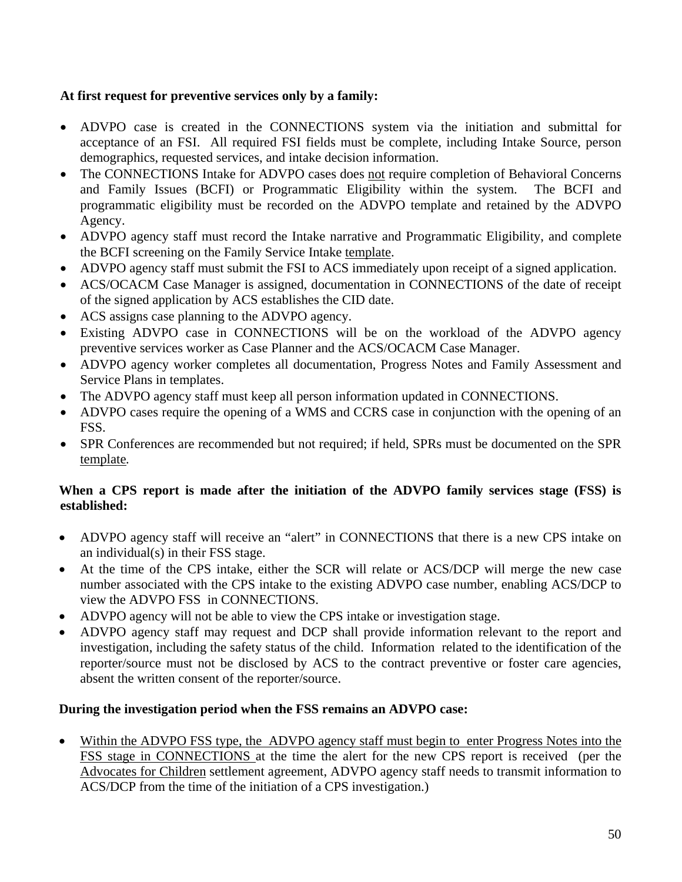# **At first request for preventive services only by a family:**

- ADVPO case is created in the CONNECTIONS system via the initiation and submittal for acceptance of an FSI. All required FSI fields must be complete, including Intake Source, person demographics, requested services, and intake decision information.
- The CONNECTIONS Intake for ADVPO cases does not require completion of Behavioral Concerns and Family Issues (BCFI) or Programmatic Eligibility within the system. The BCFI and programmatic eligibility must be recorded on the ADVPO template and retained by the ADVPO Agency.
- ADVPO agency staff must record the Intake narrative and Programmatic Eligibility, and complete the BCFI screening on the Family Service Intake template.
- ADVPO agency staff must submit the FSI to ACS immediately upon receipt of a signed application.
- ACS/OCACM Case Manager is assigned, documentation in CONNECTIONS of the date of receipt of the signed application by ACS establishes the CID date.
- ACS assigns case planning to the ADVPO agency.
- Existing ADVPO case in CONNECTIONS will be on the workload of the ADVPO agency preventive services worker as Case Planner and the ACS/OCACM Case Manager.
- ADVPO agency worker completes all documentation, Progress Notes and Family Assessment and Service Plans in templates.
- The ADVPO agency staff must keep all person information updated in CONNECTIONS.
- ADVPO cases require the opening of a WMS and CCRS case in conjunction with the opening of an FSS.
- SPR Conferences are recommended but not required; if held, SPRs must be documented on the SPR template*.*

# **When a CPS report is made after the initiation of the ADVPO family services stage (FSS) is established:**

- ADVPO agency staff will receive an "alert" in CONNECTIONS that there is a new CPS intake on an individual(s) in their FSS stage.
- At the time of the CPS intake, either the SCR will relate or ACS/DCP will merge the new case number associated with the CPS intake to the existing ADVPO case number, enabling ACS/DCP to view the ADVPO FSS in CONNECTIONS.
- ADVPO agency will not be able to view the CPS intake or investigation stage.
- ADVPO agency staff may request and DCP shall provide information relevant to the report and investigation, including the safety status of the child. Information related to the identification of the reporter/source must not be disclosed by ACS to the contract preventive or foster care agencies, absent the written consent of the reporter/source.

# **During the investigation period when the FSS remains an ADVPO case:**

• Within the ADVPO FSS type, the ADVPO agency staff must begin to enter Progress Notes into the FSS stage in CONNECTIONS at the time the alert for the new CPS report is received (per the Advocates for Children settlement agreement, ADVPO agency staff needs to transmit information to ACS/DCP from the time of the initiation of a CPS investigation.)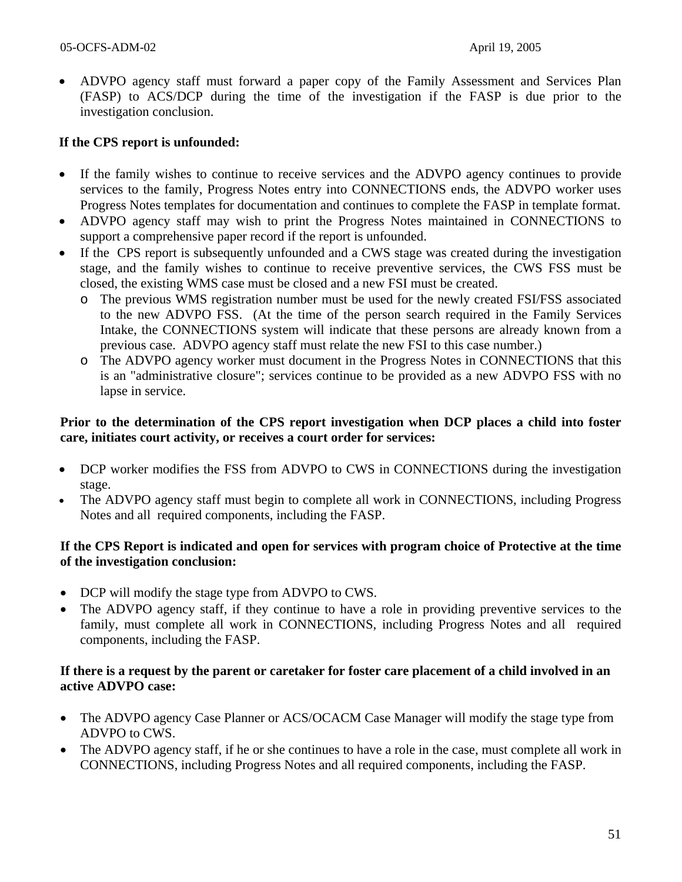• ADVPO agency staff must forward a paper copy of the Family Assessment and Services Plan (FASP) to ACS/DCP during the time of the investigation if the FASP is due prior to the investigation conclusion.

### **If the CPS report is unfounded:**

- If the family wishes to continue to receive services and the ADVPO agency continues to provide services to the family, Progress Notes entry into CONNECTIONS ends, the ADVPO worker uses Progress Notes templates for documentation and continues to complete the FASP in template format.
- ADVPO agency staff may wish to print the Progress Notes maintained in CONNECTIONS to support a comprehensive paper record if the report is unfounded.
- If the CPS report is subsequently unfounded and a CWS stage was created during the investigation stage, and the family wishes to continue to receive preventive services, the CWS FSS must be closed, the existing WMS case must be closed and a new FSI must be created.
	- o The previous WMS registration number must be used for the newly created FSI/FSS associated to the new ADVPO FSS. (At the time of the person search required in the Family Services Intake, the CONNECTIONS system will indicate that these persons are already known from a previous case. ADVPO agency staff must relate the new FSI to this case number.)
	- o The ADVPO agency worker must document in the Progress Notes in CONNECTIONS that this is an "administrative closure"; services continue to be provided as a new ADVPO FSS with no lapse in service.

#### **Prior to the determination of the CPS report investigation when DCP places a child into foster care, initiates court activity, or receives a court order for services:**

- DCP worker modifies the FSS from ADVPO to CWS in CONNECTIONS during the investigation stage.
- The ADVPO agency staff must begin to complete all work in CONNECTIONS, including Progress Notes and all required components, including the FASP.

### **If the CPS Report is indicated and open for services with program choice of Protective at the time of the investigation conclusion:**

- DCP will modify the stage type from ADVPO to CWS.
- The ADVPO agency staff, if they continue to have a role in providing preventive services to the family, must complete all work in CONNECTIONS, including Progress Notes and all required components, including the FASP.

### **If there is a request by the parent or caretaker for foster care placement of a child involved in an active ADVPO case:**

- The ADVPO agency Case Planner or ACS/OCACM Case Manager will modify the stage type from ADVPO to CWS.
- The ADVPO agency staff, if he or she continues to have a role in the case, must complete all work in CONNECTIONS, including Progress Notes and all required components, including the FASP.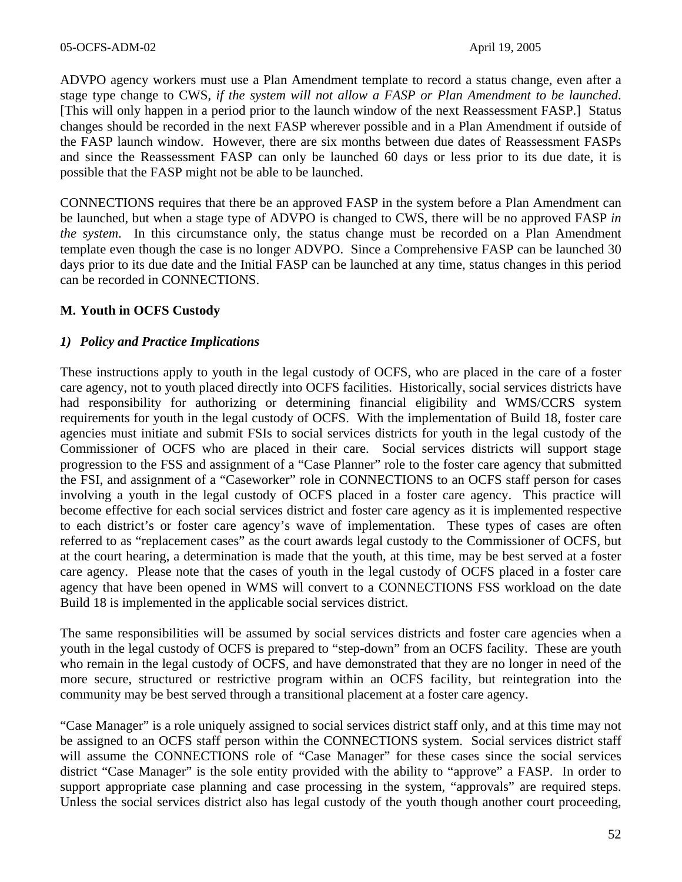ADVPO agency workers must use a Plan Amendment template to record a status change, even after a stage type change to CWS, *if the system will not allow a FASP or Plan Amendment to be launched*. [This will only happen in a period prior to the launch window of the next Reassessment FASP.] Status changes should be recorded in the next FASP wherever possible and in a Plan Amendment if outside of the FASP launch window. However, there are six months between due dates of Reassessment FASPs and since the Reassessment FASP can only be launched 60 days or less prior to its due date, it is possible that the FASP might not be able to be launched.

CONNECTIONS requires that there be an approved FASP in the system before a Plan Amendment can be launched, but when a stage type of ADVPO is changed to CWS, there will be no approved FASP *in the system*. In this circumstance only, the status change must be recorded on a Plan Amendment template even though the case is no longer ADVPO. Since a Comprehensive FASP can be launched 30 days prior to its due date and the Initial FASP can be launched at any time, status changes in this period can be recorded in CONNECTIONS.

### **M. Youth in OCFS Custody**

#### *1) Policy and Practice Implications*

These instructions apply to youth in the legal custody of OCFS, who are placed in the care of a foster care agency, not to youth placed directly into OCFS facilities. Historically, social services districts have had responsibility for authorizing or determining financial eligibility and WMS/CCRS system requirements for youth in the legal custody of OCFS. With the implementation of Build 18, foster care agencies must initiate and submit FSIs to social services districts for youth in the legal custody of the Commissioner of OCFS who are placed in their care. Social services districts will support stage progression to the FSS and assignment of a "Case Planner" role to the foster care agency that submitted the FSI, and assignment of a "Caseworker" role in CONNECTIONS to an OCFS staff person for cases involving a youth in the legal custody of OCFS placed in a foster care agency. This practice will become effective for each social services district and foster care agency as it is implemented respective to each district's or foster care agency's wave of implementation. These types of cases are often referred to as "replacement cases" as the court awards legal custody to the Commissioner of OCFS, but at the court hearing, a determination is made that the youth, at this time, may be best served at a foster care agency. Please note that the cases of youth in the legal custody of OCFS placed in a foster care agency that have been opened in WMS will convert to a CONNECTIONS FSS workload on the date Build 18 is implemented in the applicable social services district.

The same responsibilities will be assumed by social services districts and foster care agencies when a youth in the legal custody of OCFS is prepared to "step-down" from an OCFS facility. These are youth who remain in the legal custody of OCFS, and have demonstrated that they are no longer in need of the more secure, structured or restrictive program within an OCFS facility, but reintegration into the community may be best served through a transitional placement at a foster care agency.

"Case Manager" is a role uniquely assigned to social services district staff only, and at this time may not be assigned to an OCFS staff person within the CONNECTIONS system. Social services district staff will assume the CONNECTIONS role of "Case Manager" for these cases since the social services district "Case Manager" is the sole entity provided with the ability to "approve" a FASP. In order to support appropriate case planning and case processing in the system, "approvals" are required steps. Unless the social services district also has legal custody of the youth though another court proceeding,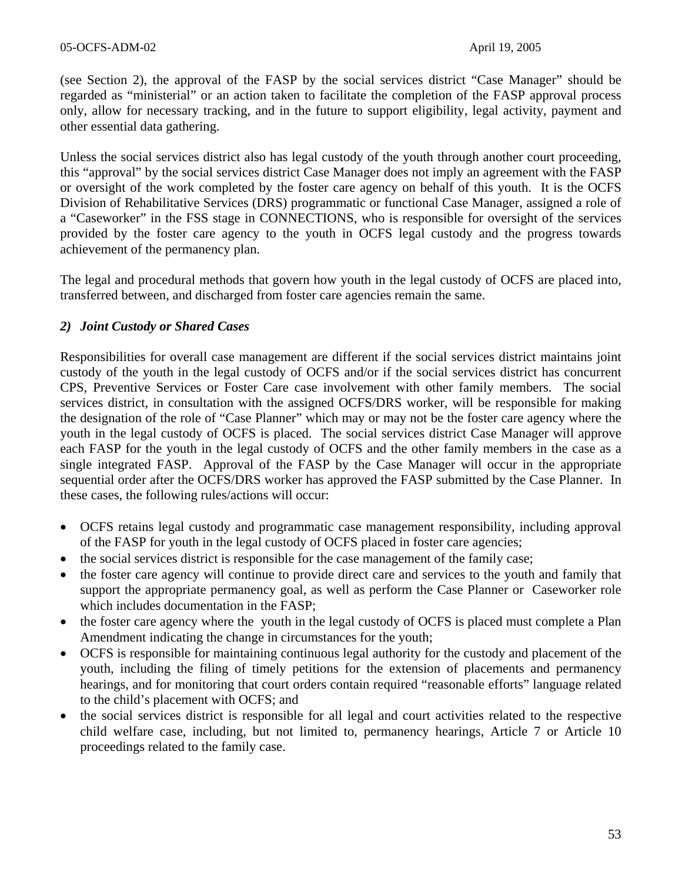(see Section 2), the approval of the FASP by the social services district "Case Manager" should be regarded as "ministerial" or an action taken to facilitate the completion of the FASP approval process only, allow for necessary tracking, and in the future to support eligibility, legal activity, payment and other essential data gathering.

Unless the social services district also has legal custody of the youth through another court proceeding, this "approval" by the social services district Case Manager does not imply an agreement with the FASP or oversight of the work completed by the foster care agency on behalf of this youth. It is the OCFS Division of Rehabilitative Services (DRS) programmatic or functional Case Manager, assigned a role of a "Caseworker" in the FSS stage in CONNECTIONS, who is responsible for oversight of the services provided by the foster care agency to the youth in OCFS legal custody and the progress towards achievement of the permanency plan.

The legal and procedural methods that govern how youth in the legal custody of OCFS are placed into, transferred between, and discharged from foster care agencies remain the same.

# *2) Joint Custody or Shared Cases*

Responsibilities for overall case management are different if the social services district maintains joint custody of the youth in the legal custody of OCFS and/or if the social services district has concurrent CPS, Preventive Services or Foster Care case involvement with other family members. The social services district, in consultation with the assigned OCFS/DRS worker, will be responsible for making the designation of the role of "Case Planner" which may or may not be the foster care agency where the youth in the legal custody of OCFS is placed. The social services district Case Manager will approve each FASP for the youth in the legal custody of OCFS and the other family members in the case as a single integrated FASP. Approval of the FASP by the Case Manager will occur in the appropriate sequential order after the OCFS/DRS worker has approved the FASP submitted by the Case Planner. In these cases, the following rules/actions will occur:

- OCFS retains legal custody and programmatic case management responsibility, including approval of the FASP for youth in the legal custody of OCFS placed in foster care agencies;
- the social services district is responsible for the case management of the family case;
- the foster care agency will continue to provide direct care and services to the youth and family that support the appropriate permanency goal, as well as perform the Case Planner or Caseworker role which includes documentation in the FASP;
- the foster care agency where the youth in the legal custody of OCFS is placed must complete a Plan Amendment indicating the change in circumstances for the youth;
- OCFS is responsible for maintaining continuous legal authority for the custody and placement of the youth, including the filing of timely petitions for the extension of placements and permanency hearings, and for monitoring that court orders contain required "reasonable efforts" language related to the child's placement with OCFS; and
- the social services district is responsible for all legal and court activities related to the respective child welfare case, including, but not limited to, permanency hearings, Article 7 or Article 10 proceedings related to the family case.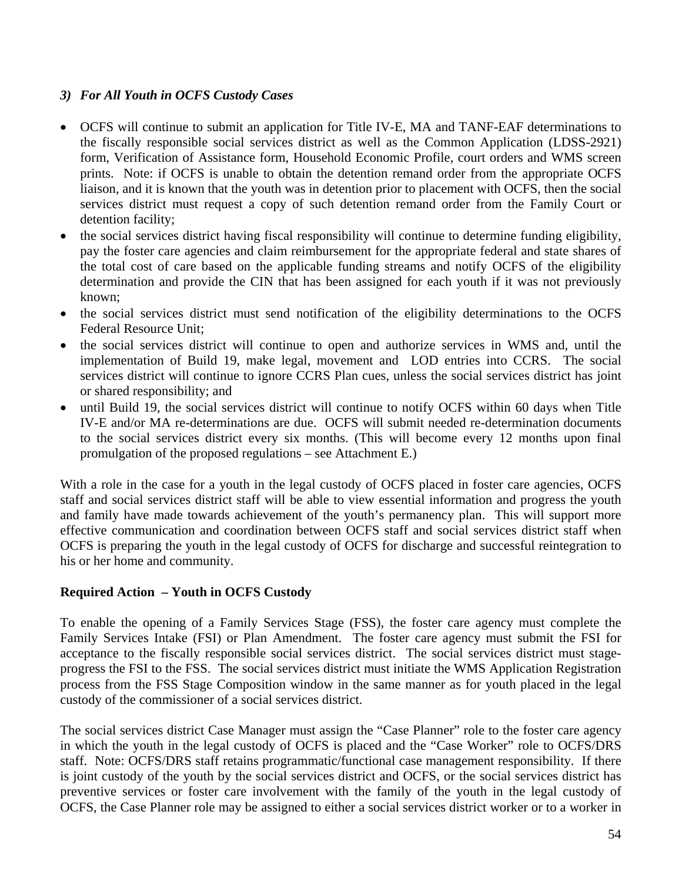# *3) For All Youth in OCFS Custody Cases*

- OCFS will continue to submit an application for Title IV-E, MA and TANF-EAF determinations to the fiscally responsible social services district as well as the Common Application (LDSS-2921) form, Verification of Assistance form, Household Economic Profile, court orders and WMS screen prints. Note: if OCFS is unable to obtain the detention remand order from the appropriate OCFS liaison, and it is known that the youth was in detention prior to placement with OCFS, then the social services district must request a copy of such detention remand order from the Family Court or detention facility;
- the social services district having fiscal responsibility will continue to determine funding eligibility, pay the foster care agencies and claim reimbursement for the appropriate federal and state shares of the total cost of care based on the applicable funding streams and notify OCFS of the eligibility determination and provide the CIN that has been assigned for each youth if it was not previously known;
- the social services district must send notification of the eligibility determinations to the OCFS Federal Resource Unit;
- the social services district will continue to open and authorize services in WMS and, until the implementation of Build 19, make legal, movement and LOD entries into CCRS. The social services district will continue to ignore CCRS Plan cues, unless the social services district has joint or shared responsibility; and
- until Build 19, the social services district will continue to notify OCFS within 60 days when Title IV-E and/or MA re-determinations are due. OCFS will submit needed re-determination documents to the social services district every six months. (This will become every 12 months upon final promulgation of the proposed regulations – see Attachment E.)

With a role in the case for a youth in the legal custody of OCFS placed in foster care agencies, OCFS staff and social services district staff will be able to view essential information and progress the youth and family have made towards achievement of the youth's permanency plan. This will support more effective communication and coordination between OCFS staff and social services district staff when OCFS is preparing the youth in the legal custody of OCFS for discharge and successful reintegration to his or her home and community.

# **Required Action – Youth in OCFS Custody**

To enable the opening of a Family Services Stage (FSS), the foster care agency must complete the Family Services Intake (FSI) or Plan Amendment. The foster care agency must submit the FSI for acceptance to the fiscally responsible social services district. The social services district must stageprogress the FSI to the FSS. The social services district must initiate the WMS Application Registration process from the FSS Stage Composition window in the same manner as for youth placed in the legal custody of the commissioner of a social services district.

The social services district Case Manager must assign the "Case Planner" role to the foster care agency in which the youth in the legal custody of OCFS is placed and the "Case Worker" role to OCFS/DRS staff. Note: OCFS/DRS staff retains programmatic/functional case management responsibility. If there is joint custody of the youth by the social services district and OCFS, or the social services district has preventive services or foster care involvement with the family of the youth in the legal custody of OCFS, the Case Planner role may be assigned to either a social services district worker or to a worker in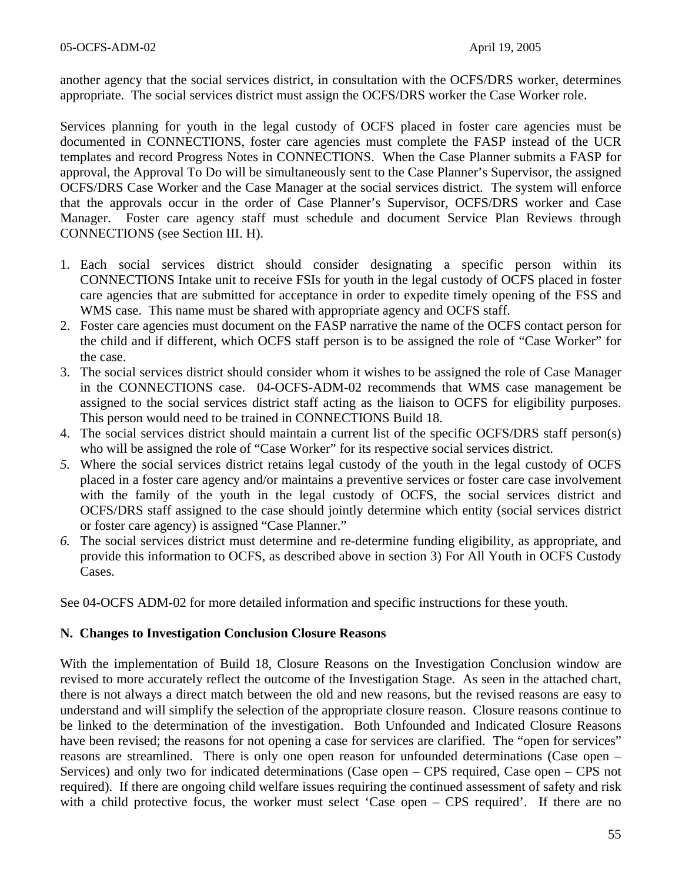another agency that the social services district, in consultation with the OCFS/DRS worker, determines appropriate. The social services district must assign the OCFS/DRS worker the Case Worker role.

Services planning for youth in the legal custody of OCFS placed in foster care agencies must be documented in CONNECTIONS, foster care agencies must complete the FASP instead of the UCR templates and record Progress Notes in CONNECTIONS. When the Case Planner submits a FASP for approval, the Approval To Do will be simultaneously sent to the Case Planner's Supervisor, the assigned OCFS/DRS Case Worker and the Case Manager at the social services district. The system will enforce that the approvals occur in the order of Case Planner's Supervisor, OCFS/DRS worker and Case Manager. Foster care agency staff must schedule and document Service Plan Reviews through CONNECTIONS (see Section III. H).

- 1. Each social services district should consider designating a specific person within its CONNECTIONS Intake unit to receive FSIs for youth in the legal custody of OCFS placed in foster care agencies that are submitted for acceptance in order to expedite timely opening of the FSS and WMS case. This name must be shared with appropriate agency and OCFS staff.
- 2. Foster care agencies must document on the FASP narrative the name of the OCFS contact person for the child and if different, which OCFS staff person is to be assigned the role of "Case Worker" for the case.
- 3. The social services district should consider whom it wishes to be assigned the role of Case Manager in the CONNECTIONS case. 04-OCFS-ADM-02 recommends that WMS case management be assigned to the social services district staff acting as the liaison to OCFS for eligibility purposes. This person would need to be trained in CONNECTIONS Build 18.
- 4. The social services district should maintain a current list of the specific OCFS/DRS staff person(s) who will be assigned the role of "Case Worker" for its respective social services district.
- *5.* Where the social services district retains legal custody of the youth in the legal custody of OCFS placed in a foster care agency and/or maintains a preventive services or foster care case involvement with the family of the youth in the legal custody of OCFS, the social services district and OCFS/DRS staff assigned to the case should jointly determine which entity (social services district or foster care agency) is assigned "Case Planner."
- *6.* The social services district must determine and re-determine funding eligibility, as appropriate, and provide this information to OCFS, as described above in section 3) For All Youth in OCFS Custody Cases.

See 04-OCFS ADM-02 for more detailed information and specific instructions for these youth.

#### **N. Changes to Investigation Conclusion Closure Reasons**

With the implementation of Build 18, Closure Reasons on the Investigation Conclusion window are revised to more accurately reflect the outcome of the Investigation Stage. As seen in the attached chart, there is not always a direct match between the old and new reasons, but the revised reasons are easy to understand and will simplify the selection of the appropriate closure reason. Closure reasons continue to be linked to the determination of the investigation. Both Unfounded and Indicated Closure Reasons have been revised; the reasons for not opening a case for services are clarified. The "open for services" reasons are streamlined. There is only one open reason for unfounded determinations (Case open – Services) and only two for indicated determinations (Case open – CPS required, Case open – CPS not required). If there are ongoing child welfare issues requiring the continued assessment of safety and risk with a child protective focus, the worker must select 'Case open – CPS required'. If there are no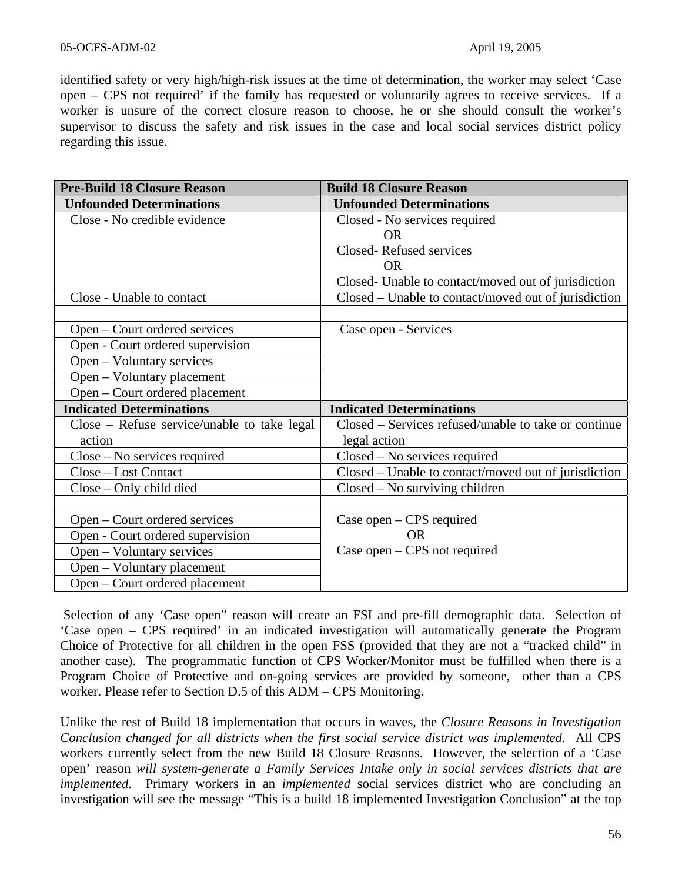identified safety or very high/high-risk issues at the time of determination, the worker may select 'Case open – CPS not required' if the family has requested or voluntarily agrees to receive services. If a worker is unsure of the correct closure reason to choose, he or she should consult the worker's supervisor to discuss the safety and risk issues in the case and local social services district policy regarding this issue.

| <b>Pre-Build 18 Closure Reason</b>          | <b>Build 18 Closure Reason</b>                       |
|---------------------------------------------|------------------------------------------------------|
| <b>Unfounded Determinations</b>             | <b>Unfounded Determinations</b>                      |
| Close - No credible evidence                | Closed - No services required                        |
|                                             | OR.                                                  |
|                                             | Closed-Refused services                              |
|                                             | <b>OR</b>                                            |
|                                             | Closed- Unable to contact/moved out of jurisdiction  |
| Close - Unable to contact                   | Closed – Unable to contact/moved out of jurisdiction |
|                                             |                                                      |
| Open – Court ordered services               | Case open - Services                                 |
| Open - Court ordered supervision            |                                                      |
| Open – Voluntary services                   |                                                      |
| Open – Voluntary placement                  |                                                      |
| Open – Court ordered placement              |                                                      |
| <b>Indicated Determinations</b>             | <b>Indicated Determinations</b>                      |
| Close – Refuse service/unable to take legal | Closed – Services refused/unable to take or continue |
| action                                      | legal action                                         |
| $Close - No$ services required              | Closed – No services required                        |
| Close – Lost Contact                        | Closed – Unable to contact/moved out of jurisdiction |
| Close – Only child died                     | $Closed - No$ surviving children                     |
|                                             |                                                      |
| Open – Court ordered services               | Case open – CPS required                             |
| Open - Court ordered supervision            | <b>OR</b>                                            |
| Open – Voluntary services                   | Case open $-$ CPS not required                       |
|                                             |                                                      |
| Open – Voluntary placement                  |                                                      |

Selection of any 'Case open" reason will create an FSI and pre-fill demographic data. Selection of 'Case open – CPS required' in an indicated investigation will automatically generate the Program Choice of Protective for all children in the open FSS (provided that they are not a "tracked child" in another case). The programmatic function of CPS Worker/Monitor must be fulfilled when there is a Program Choice of Protective and on-going services are provided by someone, other than a CPS worker. Please refer to Section D.5 of this ADM – CPS Monitoring.

Unlike the rest of Build 18 implementation that occurs in waves, the *Closure Reasons in Investigation Conclusion changed for all districts when the first social service district was implemented.* All CPS workers currently select from the new Build 18 Closure Reasons. However, the selection of a 'Case open' reason *will system-generate a Family Services Intake only in social services districts that are implemented*. Primary workers in an *implemented* social services district who are concluding an investigation will see the message "This is a build 18 implemented Investigation Conclusion" at the top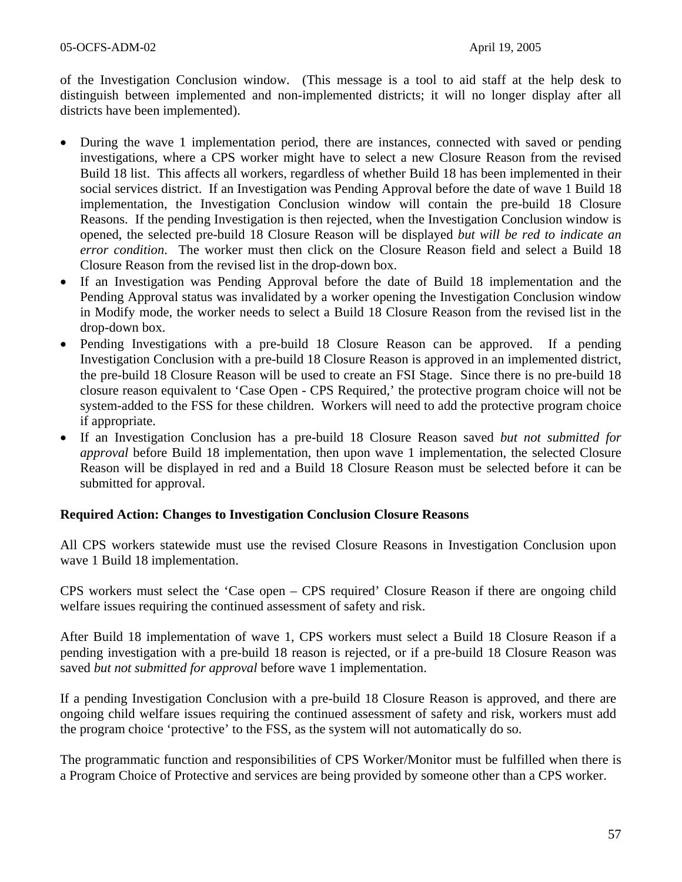of the Investigation Conclusion window. (This message is a tool to aid staff at the help desk to distinguish between implemented and non-implemented districts; it will no longer display after all districts have been implemented).

- During the wave 1 implementation period, there are instances, connected with saved or pending investigations, where a CPS worker might have to select a new Closure Reason from the revised Build 18 list. This affects all workers, regardless of whether Build 18 has been implemented in their social services district. If an Investigation was Pending Approval before the date of wave 1 Build 18 implementation, the Investigation Conclusion window will contain the pre-build 18 Closure Reasons. If the pending Investigation is then rejected, when the Investigation Conclusion window is opened, the selected pre-build 18 Closure Reason will be displayed *but will be red to indicate an error condition*. The worker must then click on the Closure Reason field and select a Build 18 Closure Reason from the revised list in the drop-down box.
- If an Investigation was Pending Approval before the date of Build 18 implementation and the Pending Approval status was invalidated by a worker opening the Investigation Conclusion window in Modify mode, the worker needs to select a Build 18 Closure Reason from the revised list in the drop-down box.
- Pending Investigations with a pre-build 18 Closure Reason can be approved. If a pending Investigation Conclusion with a pre-build 18 Closure Reason is approved in an implemented district, the pre-build 18 Closure Reason will be used to create an FSI Stage. Since there is no pre-build 18 closure reason equivalent to 'Case Open - CPS Required,' the protective program choice will not be system-added to the FSS for these children. Workers will need to add the protective program choice if appropriate.
- If an Investigation Conclusion has a pre-build 18 Closure Reason saved *but not submitted for approval* before Build 18 implementation, then upon wave 1 implementation, the selected Closure Reason will be displayed in red and a Build 18 Closure Reason must be selected before it can be submitted for approval.

# **Required Action: Changes to Investigation Conclusion Closure Reasons**

All CPS workers statewide must use the revised Closure Reasons in Investigation Conclusion upon wave 1 Build 18 implementation.

CPS workers must select the 'Case open – CPS required' Closure Reason if there are ongoing child welfare issues requiring the continued assessment of safety and risk.

After Build 18 implementation of wave 1, CPS workers must select a Build 18 Closure Reason if a pending investigation with a pre-build 18 reason is rejected, or if a pre-build 18 Closure Reason was saved *but not submitted for approval* before wave 1 implementation.

If a pending Investigation Conclusion with a pre-build 18 Closure Reason is approved, and there are ongoing child welfare issues requiring the continued assessment of safety and risk, workers must add the program choice 'protective' to the FSS, as the system will not automatically do so.

The programmatic function and responsibilities of CPS Worker/Monitor must be fulfilled when there is a Program Choice of Protective and services are being provided by someone other than a CPS worker.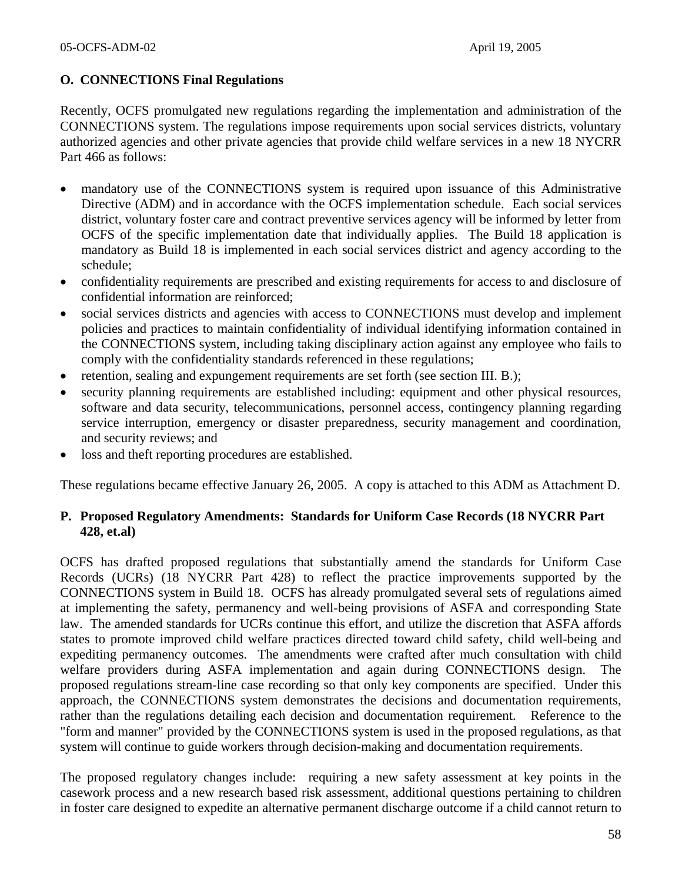# **O. CONNECTIONS Final Regulations**

Recently, OCFS promulgated new regulations regarding the implementation and administration of the CONNECTIONS system. The regulations impose requirements upon social services districts, voluntary authorized agencies and other private agencies that provide child welfare services in a new 18 NYCRR Part 466 as follows:

- mandatory use of the CONNECTIONS system is required upon issuance of this Administrative Directive (ADM) and in accordance with the OCFS implementation schedule. Each social services district, voluntary foster care and contract preventive services agency will be informed by letter from OCFS of the specific implementation date that individually applies. The Build 18 application is mandatory as Build 18 is implemented in each social services district and agency according to the schedule;
- confidentiality requirements are prescribed and existing requirements for access to and disclosure of confidential information are reinforced;
- social services districts and agencies with access to CONNECTIONS must develop and implement policies and practices to maintain confidentiality of individual identifying information contained in the CONNECTIONS system, including taking disciplinary action against any employee who fails to comply with the confidentiality standards referenced in these regulations;
- retention, sealing and expungement requirements are set forth (see section III. B.);
- security planning requirements are established including: equipment and other physical resources, software and data security, telecommunications, personnel access, contingency planning regarding service interruption, emergency or disaster preparedness, security management and coordination, and security reviews; and
- loss and theft reporting procedures are established.

These regulations became effective January 26, 2005. A copy is attached to this ADM as Attachment D.

# **P. Proposed Regulatory Amendments: Standards for Uniform Case Records (18 NYCRR Part 428, et.al)**

OCFS has drafted proposed regulations that substantially amend the standards for Uniform Case Records (UCRs) (18 NYCRR Part 428) to reflect the practice improvements supported by the CONNECTIONS system in Build 18. OCFS has already promulgated several sets of regulations aimed at implementing the safety, permanency and well-being provisions of ASFA and corresponding State law. The amended standards for UCRs continue this effort, and utilize the discretion that ASFA affords states to promote improved child welfare practices directed toward child safety, child well-being and expediting permanency outcomes. The amendments were crafted after much consultation with child welfare providers during ASFA implementation and again during CONNECTIONS design. The proposed regulations stream-line case recording so that only key components are specified. Under this approach, the CONNECTIONS system demonstrates the decisions and documentation requirements, rather than the regulations detailing each decision and documentation requirement. Reference to the "form and manner" provided by the CONNECTIONS system is used in the proposed regulations, as that system will continue to guide workers through decision-making and documentation requirements.

The proposed regulatory changes include: requiring a new safety assessment at key points in the casework process and a new research based risk assessment, additional questions pertaining to children in foster care designed to expedite an alternative permanent discharge outcome if a child cannot return to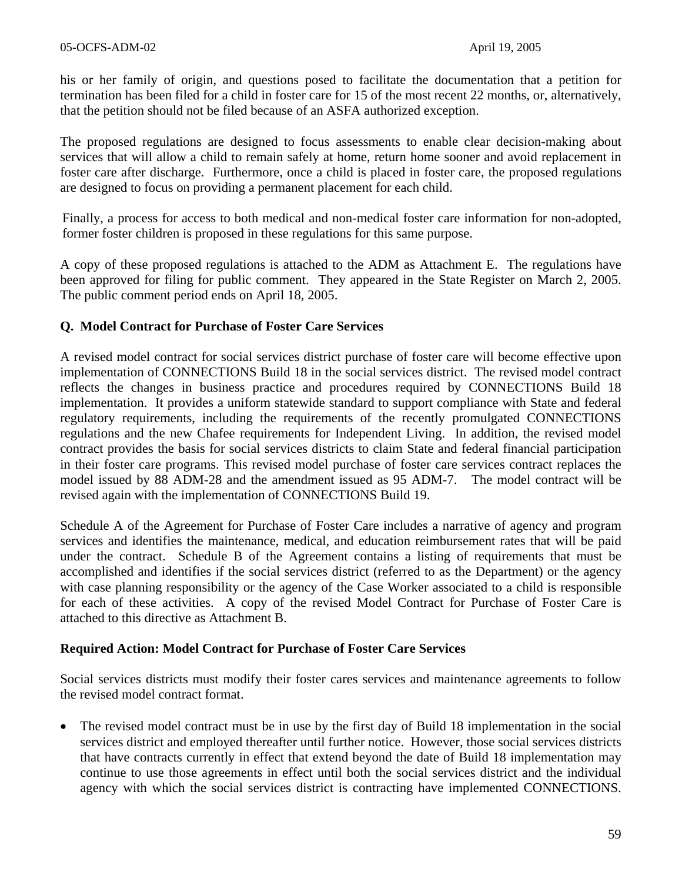his or her family of origin, and questions posed to facilitate the documentation that a petition for termination has been filed for a child in foster care for 15 of the most recent 22 months, or, alternatively, that the petition should not be filed because of an ASFA authorized exception.

The proposed regulations are designed to focus assessments to enable clear decision-making about services that will allow a child to remain safely at home, return home sooner and avoid replacement in foster care after discharge. Furthermore, once a child is placed in foster care, the proposed regulations are designed to focus on providing a permanent placement for each child.

Finally, a process for access to both medical and non-medical foster care information for non-adopted, former foster children is proposed in these regulations for this same purpose.

A copy of these proposed regulations is attached to the ADM as Attachment E. The regulations have been approved for filing for public comment. They appeared in the State Register on March 2, 2005. The public comment period ends on April 18, 2005.

### **Q. Model Contract for Purchase of Foster Care Services**

A revised model contract for social services district purchase of foster care will become effective upon implementation of CONNECTIONS Build 18 in the social services district. The revised model contract reflects the changes in business practice and procedures required by CONNECTIONS Build 18 implementation. It provides a uniform statewide standard to support compliance with State and federal regulatory requirements, including the requirements of the recently promulgated CONNECTIONS regulations and the new Chafee requirements for Independent Living. In addition, the revised model contract provides the basis for social services districts to claim State and federal financial participation in their foster care programs. This revised model purchase of foster care services contract replaces the model issued by 88 ADM-28 and the amendment issued as 95 ADM-7. The model contract will be revised again with the implementation of CONNECTIONS Build 19.

Schedule A of the Agreement for Purchase of Foster Care includes a narrative of agency and program services and identifies the maintenance, medical, and education reimbursement rates that will be paid under the contract. Schedule B of the Agreement contains a listing of requirements that must be accomplished and identifies if the social services district (referred to as the Department) or the agency with case planning responsibility or the agency of the Case Worker associated to a child is responsible for each of these activities. A copy of the revised Model Contract for Purchase of Foster Care is attached to this directive as Attachment B.

#### **Required Action: Model Contract for Purchase of Foster Care Services**

Social services districts must modify their foster cares services and maintenance agreements to follow the revised model contract format.

• The revised model contract must be in use by the first day of Build 18 implementation in the social services district and employed thereafter until further notice. However, those social services districts that have contracts currently in effect that extend beyond the date of Build 18 implementation may continue to use those agreements in effect until both the social services district and the individual agency with which the social services district is contracting have implemented CONNECTIONS.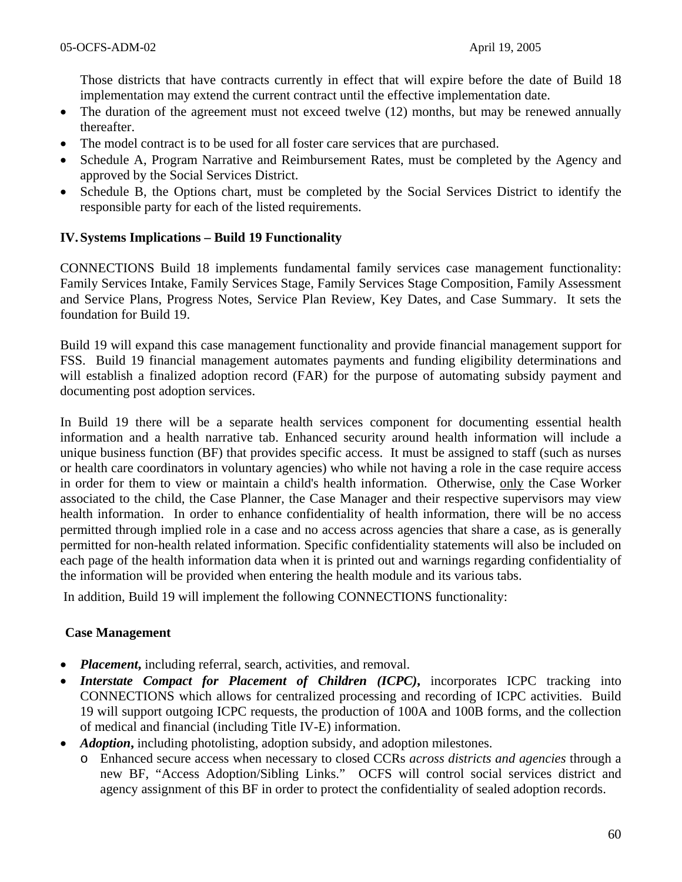Those districts that have contracts currently in effect that will expire before the date of Build 18 implementation may extend the current contract until the effective implementation date.

- The duration of the agreement must not exceed twelve (12) months, but may be renewed annually thereafter.
- The model contract is to be used for all foster care services that are purchased.
- Schedule A, Program Narrative and Reimbursement Rates, must be completed by the Agency and approved by the Social Services District.
- Schedule B, the Options chart, must be completed by the Social Services District to identify the responsible party for each of the listed requirements.

# **IV. Systems Implications – Build 19 Functionality**

CONNECTIONS Build 18 implements fundamental family services case management functionality: Family Services Intake, Family Services Stage, Family Services Stage Composition, Family Assessment and Service Plans, Progress Notes, Service Plan Review, Key Dates, and Case Summary. It sets the foundation for Build 19.

Build 19 will expand this case management functionality and provide financial management support for FSS. Build 19 financial management automates payments and funding eligibility determinations and will establish a finalized adoption record (FAR) for the purpose of automating subsidy payment and documenting post adoption services.

In Build 19 there will be a separate health services component for documenting essential health information and a health narrative tab. Enhanced security around health information will include a unique business function (BF) that provides specific access. It must be assigned to staff (such as nurses or health care coordinators in voluntary agencies) who while not having a role in the case require access in order for them to view or maintain a child's health information. Otherwise, only the Case Worker associated to the child, the Case Planner, the Case Manager and their respective supervisors may view health information. In order to enhance confidentiality of health information, there will be no access permitted through implied role in a case and no access across agencies that share a case, as is generally permitted for non-health related information. Specific confidentiality statements will also be included on each page of the health information data when it is printed out and warnings regarding confidentiality of the information will be provided when entering the health module and its various tabs.

In addition, Build 19 will implement the following CONNECTIONS functionality:

#### **Case Management**

- *Placement*, including referral, search, activities, and removal.
- *Interstate Compact for Placement of Children (ICPC)***, incorporates ICPC tracking into** CONNECTIONS which allows for centralized processing and recording of ICPC activities. Build 19 will support outgoing ICPC requests, the production of 100A and 100B forms, and the collection of medical and financial (including Title IV-E) information.
- *Adoption*, including photolisting, adoption subsidy, and adoption milestones.
	- o Enhanced secure access when necessary to closed CCRs *across districts and agencies* through a new BF, "Access Adoption/Sibling Links." OCFS will control social services district and agency assignment of this BF in order to protect the confidentiality of sealed adoption records.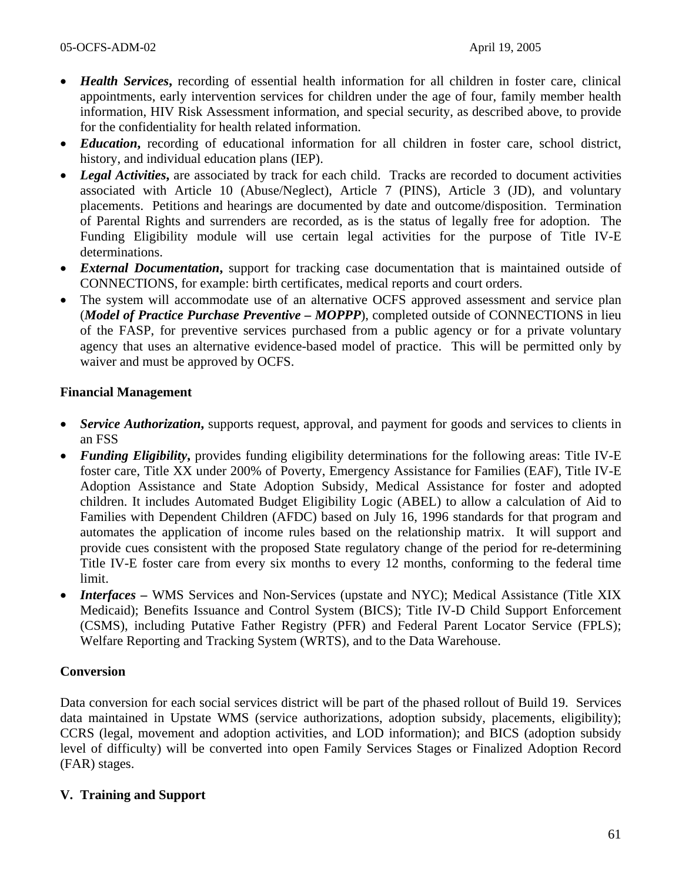- *Health Services***,** recording of essential health information for all children in foster care, clinical appointments, early intervention services for children under the age of four, family member health information, HIV Risk Assessment information, and special security, as described above, to provide for the confidentiality for health related information.
- *Education*, recording of educational information for all children in foster care, school district, history, and individual education plans (IEP).
- *Legal Activities*, are associated by track for each child. Tracks are recorded to document activities associated with Article 10 (Abuse/Neglect), Article 7 (PINS), Article 3 (JD), and voluntary placements. Petitions and hearings are documented by date and outcome/disposition. Termination of Parental Rights and surrenders are recorded, as is the status of legally free for adoption. The Funding Eligibility module will use certain legal activities for the purpose of Title IV-E determinations.
- *External Documentation***,** support for tracking case documentation that is maintained outside of CONNECTIONS, for example: birth certificates, medical reports and court orders.
- The system will accommodate use of an alternative OCFS approved assessment and service plan (*Model of Practice Purchase Preventive – MOPPP*), completed outside of CONNECTIONS in lieu of the FASP, for preventive services purchased from a public agency or for a private voluntary agency that uses an alternative evidence-based model of practice. This will be permitted only by waiver and must be approved by OCFS.

# **Financial Management**

- *Service Authorization*, supports request, approval, and payment for goods and services to clients in an FSS
- *Funding Eligibility*, provides funding eligibility determinations for the following areas: Title IV-E foster care, Title XX under 200% of Poverty, Emergency Assistance for Families (EAF), Title IV-E Adoption Assistance and State Adoption Subsidy, Medical Assistance for foster and adopted children. It includes Automated Budget Eligibility Logic (ABEL) to allow a calculation of Aid to Families with Dependent Children (AFDC) based on July 16, 1996 standards for that program and automates the application of income rules based on the relationship matrix. It will support and provide cues consistent with the proposed State regulatory change of the period for re-determining Title IV-E foster care from every six months to every 12 months, conforming to the federal time limit.
- *Interfaces* WMS Services and Non-Services (upstate and NYC); Medical Assistance (Title XIX) Medicaid); Benefits Issuance and Control System (BICS); Title IV-D Child Support Enforcement (CSMS), including Putative Father Registry (PFR) and Federal Parent Locator Service (FPLS); Welfare Reporting and Tracking System (WRTS), and to the Data Warehouse.

# **Conversion**

Data conversion for each social services district will be part of the phased rollout of Build 19. Services data maintained in Upstate WMS (service authorizations, adoption subsidy, placements, eligibility); CCRS (legal, movement and adoption activities, and LOD information); and BICS (adoption subsidy level of difficulty) will be converted into open Family Services Stages or Finalized Adoption Record (FAR) stages.

# **V. Training and Support**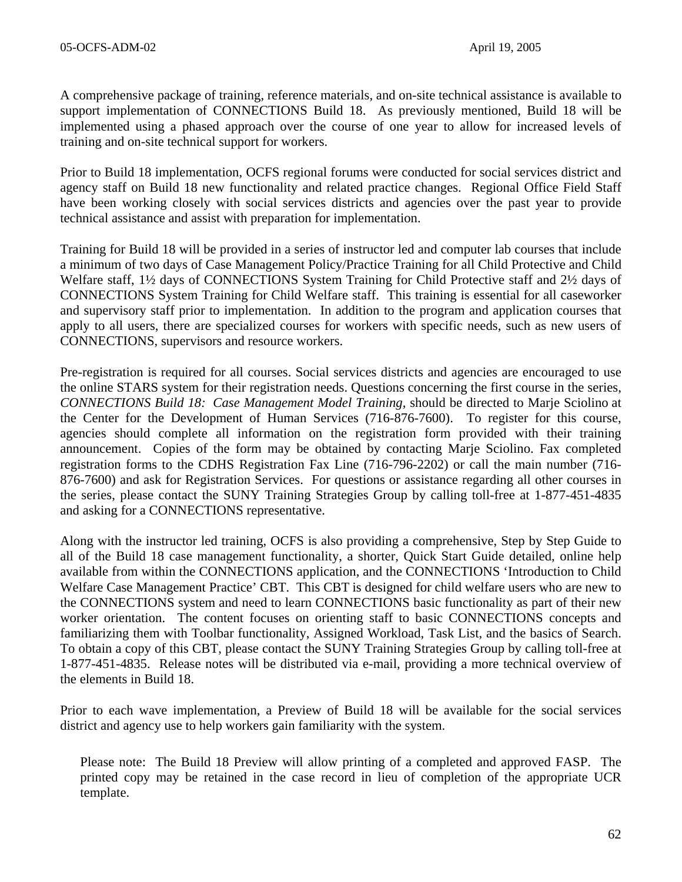A comprehensive package of training, reference materials, and on-site technical assistance is available to support implementation of CONNECTIONS Build 18. As previously mentioned, Build 18 will be implemented using a phased approach over the course of one year to allow for increased levels of training and on-site technical support for workers.

Prior to Build 18 implementation, OCFS regional forums were conducted for social services district and agency staff on Build 18 new functionality and related practice changes. Regional Office Field Staff have been working closely with social services districts and agencies over the past year to provide technical assistance and assist with preparation for implementation.

Training for Build 18 will be provided in a series of instructor led and computer lab courses that include a minimum of two days of Case Management Policy/Practice Training for all Child Protective and Child Welfare staff, 1½ days of CONNECTIONS System Training for Child Protective staff and 2½ days of CONNECTIONS System Training for Child Welfare staff. This training is essential for all caseworker and supervisory staff prior to implementation. In addition to the program and application courses that apply to all users, there are specialized courses for workers with specific needs, such as new users of CONNECTIONS, supervisors and resource workers.

Pre-registration is required for all courses. Social services districts and agencies are encouraged to use the online STARS system for their registration needs. Questions concerning the first course in the series, *CONNECTIONS Build 18: Case Management Model Training,* should be directed to Marje Sciolino at the Center for the Development of Human Services (716-876-7600). To register for this course, agencies should complete all information on the registration form provided with their training announcement. Copies of the form may be obtained by contacting Marje Sciolino. Fax completed registration forms to the CDHS Registration Fax Line (716-796-2202) or call the main number (716- 876-7600) and ask for Registration Services. For questions or assistance regarding all other courses in the series, please contact the SUNY Training Strategies Group by calling toll-free at 1-877-451-4835 and asking for a CONNECTIONS representative.

Along with the instructor led training, OCFS is also providing a comprehensive, Step by Step Guide to all of the Build 18 case management functionality, a shorter, Quick Start Guide detailed, online help available from within the CONNECTIONS application, and the CONNECTIONS 'Introduction to Child Welfare Case Management Practice' CBT. This CBT is designed for child welfare users who are new to the CONNECTIONS system and need to learn CONNECTIONS basic functionality as part of their new worker orientation. The content focuses on orienting staff to basic CONNECTIONS concepts and familiarizing them with Toolbar functionality, Assigned Workload, Task List, and the basics of Search. To obtain a copy of this CBT, please contact the SUNY Training Strategies Group by calling toll-free at 1-877-451-4835. Release notes will be distributed via e-mail, providing a more technical overview of the elements in Build 18.

Prior to each wave implementation, a Preview of Build 18 will be available for the social services district and agency use to help workers gain familiarity with the system.

Please note: The Build 18 Preview will allow printing of a completed and approved FASP. The printed copy may be retained in the case record in lieu of completion of the appropriate UCR template.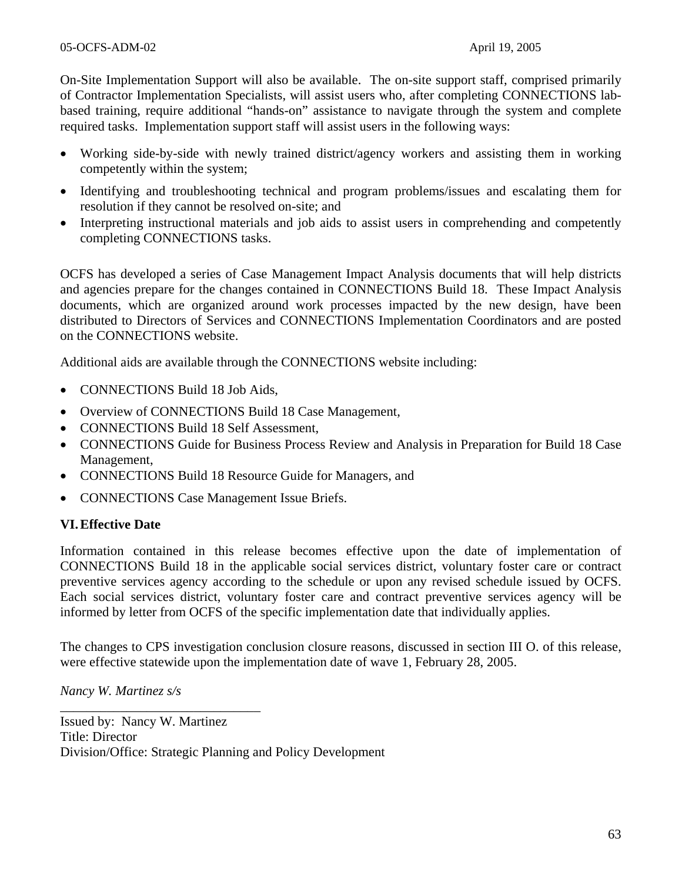On-Site Implementation Support will also be available. The on-site support staff, comprised primarily of Contractor Implementation Specialists, will assist users who, after completing CONNECTIONS labbased training, require additional "hands-on" assistance to navigate through the system and complete required tasks. Implementation support staff will assist users in the following ways:

- Working side-by-side with newly trained district/agency workers and assisting them in working competently within the system;
- Identifying and troubleshooting technical and program problems/issues and escalating them for resolution if they cannot be resolved on-site; and
- Interpreting instructional materials and job aids to assist users in comprehending and competently completing CONNECTIONS tasks.

OCFS has developed a series of Case Management Impact Analysis documents that will help districts and agencies prepare for the changes contained in CONNECTIONS Build 18. These Impact Analysis documents, which are organized around work processes impacted by the new design, have been distributed to Directors of Services and CONNECTIONS Implementation Coordinators and are posted on the CONNECTIONS website.

Additional aids are available through the CONNECTIONS website including:

- CONNECTIONS Build 18 Job Aids,
- Overview of CONNECTIONS Build 18 Case Management,
- CONNECTIONS Build 18 Self Assessment,
- CONNECTIONS Guide for Business Process Review and Analysis in Preparation for Build 18 Case Management,
- CONNECTIONS Build 18 Resource Guide for Managers, and
- CONNECTIONS Case Management Issue Briefs.

#### **VI. Effective Date**

Information contained in this release becomes effective upon the date of implementation of CONNECTIONS Build 18 in the applicable social services district, voluntary foster care or contract preventive services agency according to the schedule or upon any revised schedule issued by OCFS. Each social services district, voluntary foster care and contract preventive services agency will be informed by letter from OCFS of the specific implementation date that individually applies.

The changes to CPS investigation conclusion closure reasons, discussed in section III O. of this release, were effective statewide upon the implementation date of wave 1, February 28, 2005.

*Nancy W. Martinez s/s* 

\_\_\_\_\_\_\_\_\_\_\_\_\_\_\_\_\_\_\_\_\_\_\_\_\_\_\_\_\_\_

Issued by: Nancy W. Martinez Title: Director Division/Office: Strategic Planning and Policy Development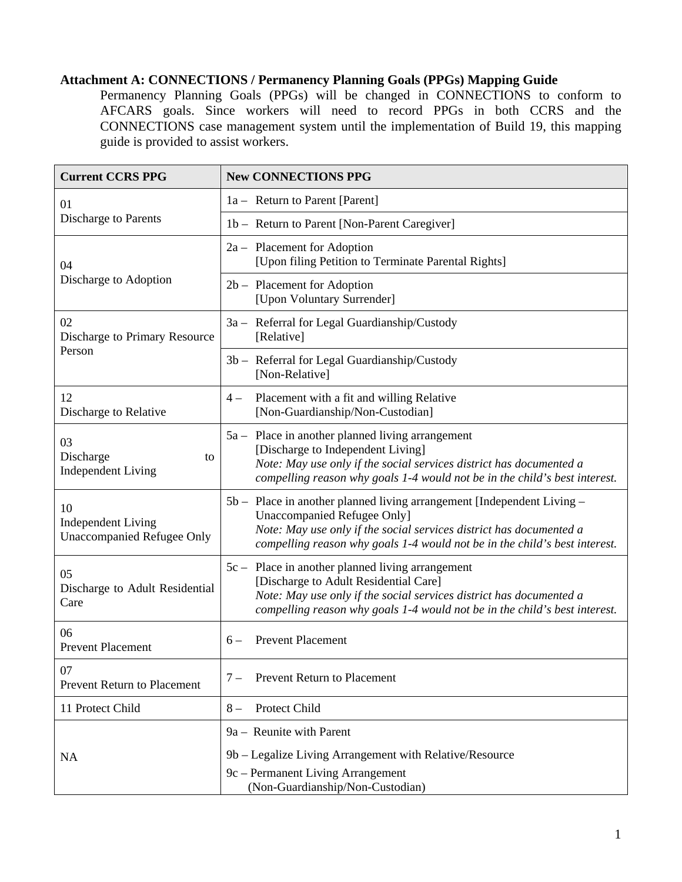# **Attachment A: CONNECTIONS / Permanency Planning Goals (PPGs) Mapping Guide**

Permanency Planning Goals (PPGs) will be changed in CONNECTIONS to conform to AFCARS goals. Since workers will need to record PPGs in both CCRS and the CONNECTIONS case management system until the implementation of Build 19, this mapping guide is provided to assist workers.

| <b>Current CCRS PPG</b>                                              | <b>New CONNECTIONS PPG</b>                                                                                                                                                                                                                                        |
|----------------------------------------------------------------------|-------------------------------------------------------------------------------------------------------------------------------------------------------------------------------------------------------------------------------------------------------------------|
| 01<br>Discharge to Parents                                           | 1a – Return to Parent [Parent]                                                                                                                                                                                                                                    |
|                                                                      | 1b - Return to Parent [Non-Parent Caregiver]                                                                                                                                                                                                                      |
| 04<br>Discharge to Adoption                                          | $2a -$ Placement for Adoption<br>[Upon filing Petition to Terminate Parental Rights]                                                                                                                                                                              |
|                                                                      | $2b$ – Placement for Adoption<br>[Upon Voluntary Surrender]                                                                                                                                                                                                       |
| 02<br>Discharge to Primary Resource<br>Person                        | 3a - Referral for Legal Guardianship/Custody<br>[Relative]                                                                                                                                                                                                        |
|                                                                      | 3b - Referral for Legal Guardianship/Custody<br>[Non-Relative]                                                                                                                                                                                                    |
| 12<br>Discharge to Relative                                          | Placement with a fit and willing Relative<br>$4-$<br>[Non-Guardianship/Non-Custodian]                                                                                                                                                                             |
| 03<br>Discharge<br>to<br><b>Independent Living</b>                   | 5a – Place in another planned living arrangement<br>[Discharge to Independent Living]<br>Note: May use only if the social services district has documented a<br>compelling reason why goals 1-4 would not be in the child's best interest.                        |
| 10<br><b>Independent Living</b><br><b>Unaccompanied Refugee Only</b> | 5b - Place in another planned living arrangement [Independent Living -<br><b>Unaccompanied Refugee Only]</b><br>Note: May use only if the social services district has documented a<br>compelling reason why goals 1-4 would not be in the child's best interest. |
| 05<br>Discharge to Adult Residential<br>Care                         | 5c – Place in another planned living arrangement<br>[Discharge to Adult Residential Care]<br>Note: May use only if the social services district has documented a<br>compelling reason why goals 1-4 would not be in the child's best interest.                    |
| 06<br><b>Prevent Placement</b>                                       | <b>Prevent Placement</b><br>$6-$                                                                                                                                                                                                                                  |
| 07<br><b>Prevent Return to Placement</b>                             | $7 -$<br>Prevent Return to Placement                                                                                                                                                                                                                              |
| 11 Protect Child                                                     | Protect Child<br>$8-$                                                                                                                                                                                                                                             |
|                                                                      | 9a – Reunite with Parent                                                                                                                                                                                                                                          |
| <b>NA</b>                                                            | 9b – Legalize Living Arrangement with Relative/Resource<br>9c - Permanent Living Arrangement<br>(Non-Guardianship/Non-Custodian)                                                                                                                                  |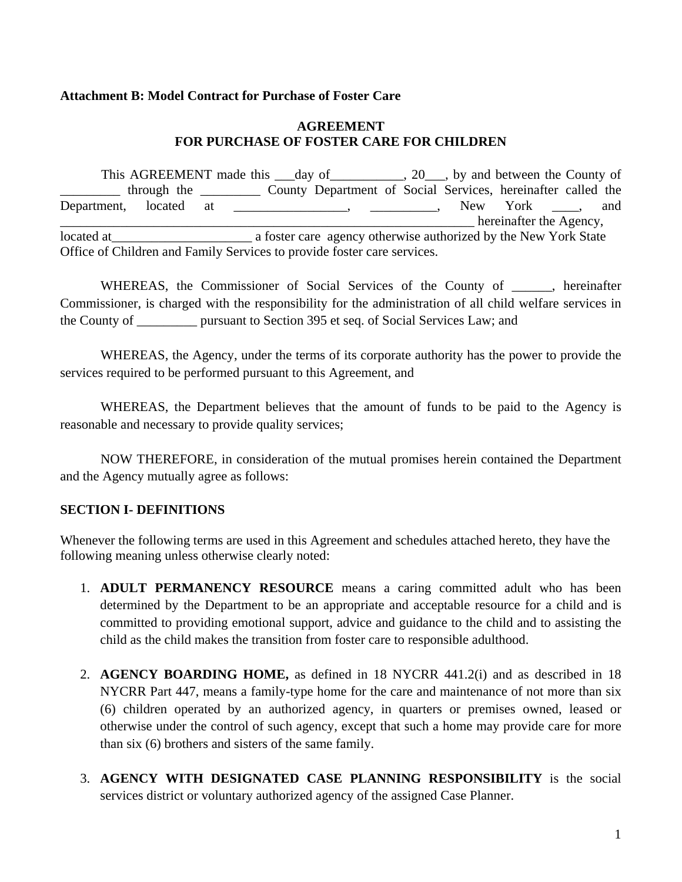#### **Attachment B: Model Contract for Purchase of Foster Care**

#### **AGREEMENT FOR PURCHASE OF FOSTER CARE FOR CHILDREN**

This AGREEMENT made this day of the County of the County of \_\_\_\_\_\_\_\_\_ through the \_\_\_\_\_\_\_\_\_ County Department of Social Services, hereinafter called the Department, located at \_\_\_\_\_\_\_\_\_\_\_\_\_\_\_, \_\_\_\_\_\_\_\_\_, New York \_\_\_\_, and hereinafter the Agency, located at a structure a foster care agency otherwise authorized by the New York State Office of Children and Family Services to provide foster care services.

WHEREAS, the Commissioner of Social Services of the County of \_\_\_\_\_\_, hereinafter Commissioner, is charged with the responsibility for the administration of all child welfare services in the County of \_\_\_\_\_\_\_\_\_ pursuant to Section 395 et seq. of Social Services Law; and

WHEREAS, the Agency, under the terms of its corporate authority has the power to provide the services required to be performed pursuant to this Agreement, and

WHEREAS, the Department believes that the amount of funds to be paid to the Agency is reasonable and necessary to provide quality services;

NOW THEREFORE, in consideration of the mutual promises herein contained the Department and the Agency mutually agree as follows:

# **SECTION I- DEFINITIONS**

Whenever the following terms are used in this Agreement and schedules attached hereto, they have the following meaning unless otherwise clearly noted:

- 1. **ADULT PERMANENCY RESOURCE** means a caring committed adult who has been determined by the Department to be an appropriate and acceptable resource for a child and is committed to providing emotional support, advice and guidance to the child and to assisting the child as the child makes the transition from foster care to responsible adulthood.
- 2. **AGENCY BOARDING HOME,** as defined in 18 NYCRR 441.2(i) and as described in 18 NYCRR Part 447, means a family-type home for the care and maintenance of not more than six (6) children operated by an authorized agency, in quarters or premises owned, leased or otherwise under the control of such agency, except that such a home may provide care for more than six (6) brothers and sisters of the same family.
- 3. **AGENCY WITH DESIGNATED CASE PLANNING RESPONSIBILITY** is the social services district or voluntary authorized agency of the assigned Case Planner.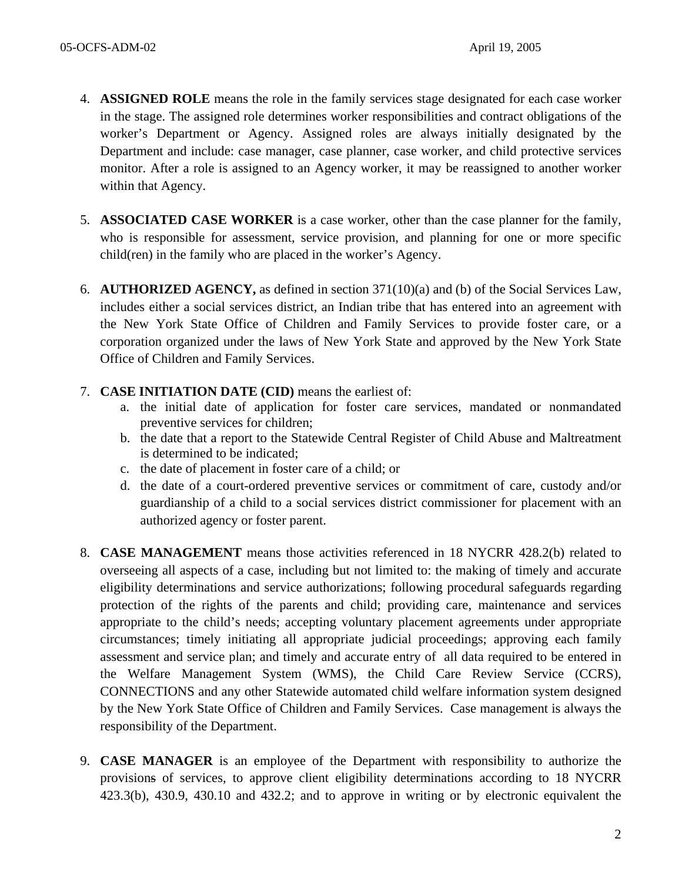- 4. **ASSIGNED ROLE** means the role in the family services stage designated for each case worker in the stage. The assigned role determines worker responsibilities and contract obligations of the worker's Department or Agency. Assigned roles are always initially designated by the Department and include: case manager, case planner, case worker, and child protective services monitor. After a role is assigned to an Agency worker, it may be reassigned to another worker within that Agency.
- 5. **ASSOCIATED CASE WORKER** is a case worker, other than the case planner for the family, who is responsible for assessment, service provision, and planning for one or more specific child(ren) in the family who are placed in the worker's Agency.
- 6. **AUTHORIZED AGENCY,** as defined in section 371(10)(a) and (b) of the Social Services Law, includes either a social services district, an Indian tribe that has entered into an agreement with the New York State Office of Children and Family Services to provide foster care, or a corporation organized under the laws of New York State and approved by the New York State Office of Children and Family Services.
- 7. **CASE INITIATION DATE (CID)** means the earliest of:
	- a. the initial date of application for foster care services, mandated or nonmandated preventive services for children;
	- b. the date that a report to the Statewide Central Register of Child Abuse and Maltreatment is determined to be indicated;
	- c. the date of placement in foster care of a child; or
	- d. the date of a court-ordered preventive services or commitment of care, custody and/or guardianship of a child to a social services district commissioner for placement with an authorized agency or foster parent.
- 8. **CASE MANAGEMENT** means those activities referenced in 18 NYCRR 428.2(b) related to overseeing all aspects of a case, including but not limited to: the making of timely and accurate eligibility determinations and service authorizations; following procedural safeguards regarding protection of the rights of the parents and child; providing care, maintenance and services appropriate to the child's needs; accepting voluntary placement agreements under appropriate circumstances; timely initiating all appropriate judicial proceedings; approving each family assessment and service plan; and timely and accurate entry of all data required to be entered in the Welfare Management System (WMS), the Child Care Review Service (CCRS), CONNECTIONS and any other Statewide automated child welfare information system designed by the New York State Office of Children and Family Services. Case management is always the responsibility of the Department.
- 9. **CASE MANAGER** is an employee of the Department with responsibility to authorize the provisions of services, to approve client eligibility determinations according to 18 NYCRR 423.3(b), 430.9, 430.10 and 432.2; and to approve in writing or by electronic equivalent the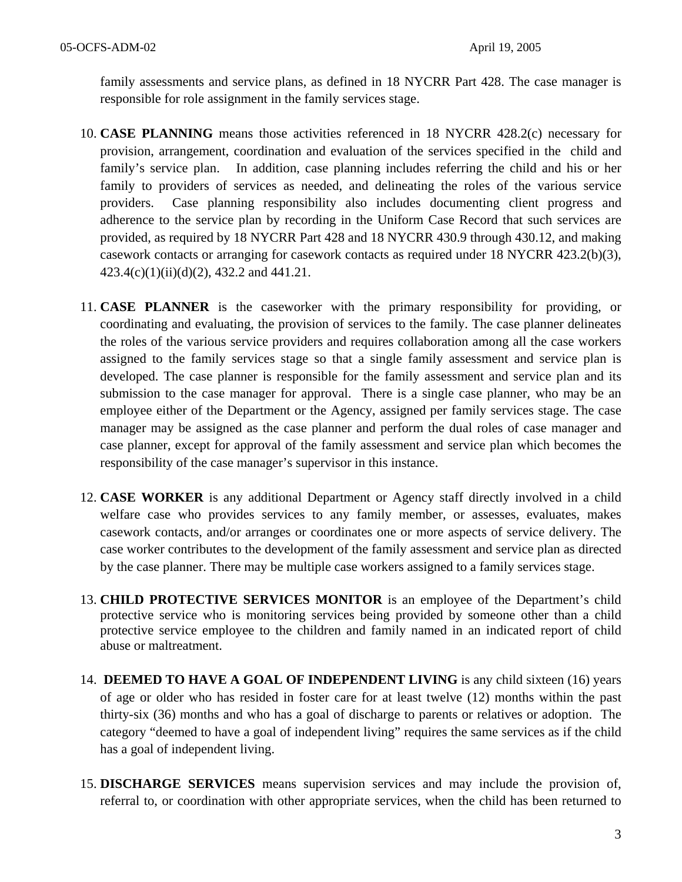family assessments and service plans, as defined in 18 NYCRR Part 428. The case manager is responsible for role assignment in the family services stage.

- 10. **CASE PLANNING** means those activities referenced in 18 NYCRR 428.2(c) necessary for provision, arrangement, coordination and evaluation of the services specified in the child and family's service plan. In addition, case planning includes referring the child and his or her family to providers of services as needed, and delineating the roles of the various service providers. Case planning responsibility also includes documenting client progress and adherence to the service plan by recording in the Uniform Case Record that such services are provided, as required by 18 NYCRR Part 428 and 18 NYCRR 430.9 through 430.12, and making casework contacts or arranging for casework contacts as required under 18 NYCRR 423.2(b)(3), 423.4(c)(1)(ii)(d)(2), 432.2 and 441.21.
- 11. **CASE PLANNER** is the caseworker with the primary responsibility for providing, or coordinating and evaluating, the provision of services to the family. The case planner delineates the roles of the various service providers and requires collaboration among all the case workers assigned to the family services stage so that a single family assessment and service plan is developed. The case planner is responsible for the family assessment and service plan and its submission to the case manager for approval. There is a single case planner, who may be an employee either of the Department or the Agency, assigned per family services stage. The case manager may be assigned as the case planner and perform the dual roles of case manager and case planner, except for approval of the family assessment and service plan which becomes the responsibility of the case manager's supervisor in this instance.
- 12. **CASE WORKER** is any additional Department or Agency staff directly involved in a child welfare case who provides services to any family member, or assesses, evaluates, makes casework contacts, and/or arranges or coordinates one or more aspects of service delivery. The case worker contributes to the development of the family assessment and service plan as directed by the case planner. There may be multiple case workers assigned to a family services stage.
- 13. **CHILD PROTECTIVE SERVICES MONITOR** is an employee of the Department's child protective service who is monitoring services being provided by someone other than a child protective service employee to the children and family named in an indicated report of child abuse or maltreatment.
- 14. **DEEMED TO HAVE A GOAL OF INDEPENDENT LIVING** is any child sixteen (16) years of age or older who has resided in foster care for at least twelve (12) months within the past thirty-six (36) months and who has a goal of discharge to parents or relatives or adoption. The category "deemed to have a goal of independent living" requires the same services as if the child has a goal of independent living.
- 15. **DISCHARGE SERVICES** means supervision services and may include the provision of, referral to, or coordination with other appropriate services, when the child has been returned to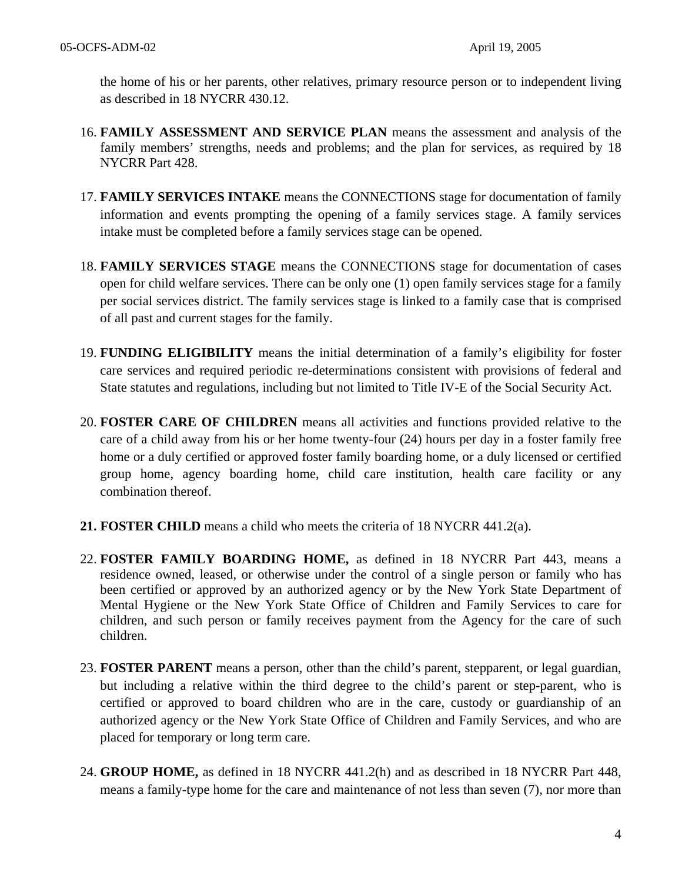the home of his or her parents, other relatives, primary resource person or to independent living as described in 18 NYCRR 430.12.

- 16. **FAMILY ASSESSMENT AND SERVICE PLAN** means the assessment and analysis of the family members' strengths, needs and problems; and the plan for services, as required by 18 NYCRR Part 428.
- 17. **FAMILY SERVICES INTAKE** means the CONNECTIONS stage for documentation of family information and events prompting the opening of a family services stage. A family services intake must be completed before a family services stage can be opened.
- 18. **FAMILY SERVICES STAGE** means the CONNECTIONS stage for documentation of cases open for child welfare services. There can be only one (1) open family services stage for a family per social services district. The family services stage is linked to a family case that is comprised of all past and current stages for the family.
- 19. **FUNDING ELIGIBILITY** means the initial determination of a family's eligibility for foster care services and required periodic re-determinations consistent with provisions of federal and State statutes and regulations, including but not limited to Title IV-E of the Social Security Act.
- 20. **FOSTER CARE OF CHILDREN** means all activities and functions provided relative to the care of a child away from his or her home twenty-four (24) hours per day in a foster family free home or a duly certified or approved foster family boarding home, or a duly licensed or certified group home, agency boarding home, child care institution, health care facility or any combination thereof.
- **21. FOSTER CHILD** means a child who meets the criteria of 18 NYCRR 441.2(a).
- 22. **FOSTER FAMILY BOARDING HOME,** as defined in 18 NYCRR Part 443, means a residence owned, leased, or otherwise under the control of a single person or family who has been certified or approved by an authorized agency or by the New York State Department of Mental Hygiene or the New York State Office of Children and Family Services to care for children, and such person or family receives payment from the Agency for the care of such children.
- 23. **FOSTER PARENT** means a person, other than the child's parent, stepparent, or legal guardian, but including a relative within the third degree to the child's parent or step-parent, who is certified or approved to board children who are in the care, custody or guardianship of an authorized agency or the New York State Office of Children and Family Services, and who are placed for temporary or long term care.
- 24. **GROUP HOME,** as defined in 18 NYCRR 441.2(h) and as described in 18 NYCRR Part 448, means a family-type home for the care and maintenance of not less than seven (7), nor more than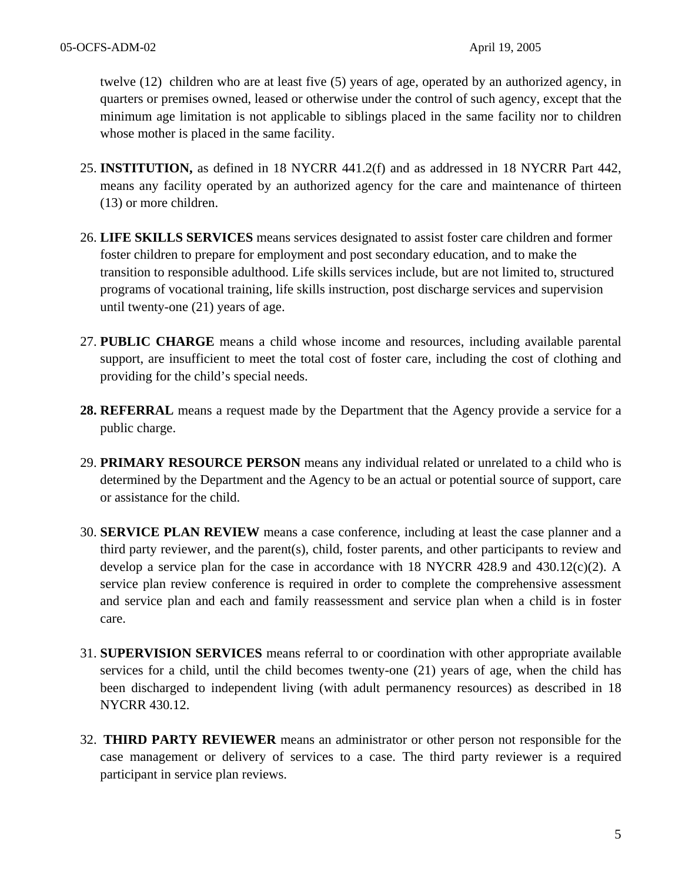twelve (12) children who are at least five (5) years of age, operated by an authorized agency, in quarters or premises owned, leased or otherwise under the control of such agency, except that the minimum age limitation is not applicable to siblings placed in the same facility nor to children whose mother is placed in the same facility.

- 25. **INSTITUTION,** as defined in 18 NYCRR 441.2(f) and as addressed in 18 NYCRR Part 442, means any facility operated by an authorized agency for the care and maintenance of thirteen (13) or more children.
- 26. **LIFE SKILLS SERVICES** means services designated to assist foster care children and former foster children to prepare for employment and post secondary education, and to make the transition to responsible adulthood. Life skills services include, but are not limited to, structured programs of vocational training, life skills instruction, post discharge services and supervision until twenty-one (21) years of age.
- 27. **PUBLIC CHARGE** means a child whose income and resources, including available parental support, are insufficient to meet the total cost of foster care, including the cost of clothing and providing for the child's special needs.
- **28. REFERRAL** means a request made by the Department that the Agency provide a service for a public charge.
- 29. **PRIMARY RESOURCE PERSON** means any individual related or unrelated to a child who is determined by the Department and the Agency to be an actual or potential source of support, care or assistance for the child.
- 30. **SERVICE PLAN REVIEW** means a case conference, including at least the case planner and a third party reviewer, and the parent(s), child, foster parents, and other participants to review and develop a service plan for the case in accordance with 18 NYCRR 428.9 and 430.12(c)(2). A service plan review conference is required in order to complete the comprehensive assessment and service plan and each and family reassessment and service plan when a child is in foster care.
- 31. **SUPERVISION SERVICES** means referral to or coordination with other appropriate available services for a child, until the child becomes twenty-one (21) years of age, when the child has been discharged to independent living (with adult permanency resources) as described in 18 NYCRR 430.12.
- 32. **THIRD PARTY REVIEWER** means an administrator or other person not responsible for the case management or delivery of services to a case. The third party reviewer is a required participant in service plan reviews.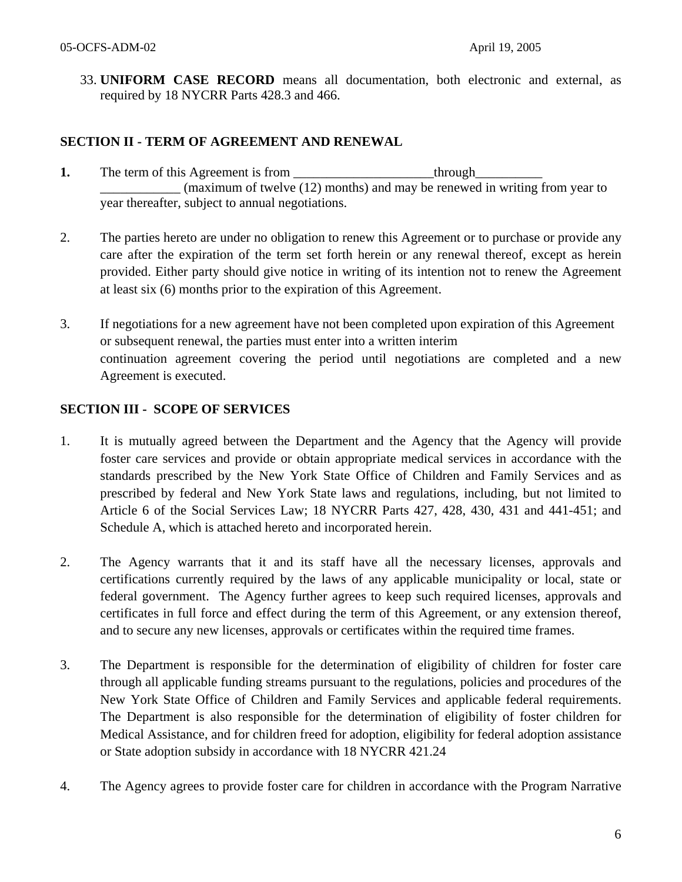33. **UNIFORM CASE RECORD** means all documentation, both electronic and external, as required by 18 NYCRR Parts 428.3 and 466.

## **SECTION II - TERM OF AGREEMENT AND RENEWAL**

- **1.** The term of this Agreement is from through  $(\text{maximum of twelve } (12) \text{ months})$  and may be renewed in writing from year to year thereafter, subject to annual negotiations.
- 2. The parties hereto are under no obligation to renew this Agreement or to purchase or provide any care after the expiration of the term set forth herein or any renewal thereof, except as herein provided. Either party should give notice in writing of its intention not to renew the Agreement at least six (6) months prior to the expiration of this Agreement.
- 3. If negotiations for a new agreement have not been completed upon expiration of this Agreement or subsequent renewal, the parties must enter into a written interim continuation agreement covering the period until negotiations are completed and a new Agreement is executed.

#### **SECTION III - SCOPE OF SERVICES**

- 1. It is mutually agreed between the Department and the Agency that the Agency will provide foster care services and provide or obtain appropriate medical services in accordance with the standards prescribed by the New York State Office of Children and Family Services and as prescribed by federal and New York State laws and regulations, including, but not limited to Article 6 of the Social Services Law; 18 NYCRR Parts 427, 428, 430, 431 and 441-451; and Schedule A, which is attached hereto and incorporated herein.
- 2. The Agency warrants that it and its staff have all the necessary licenses, approvals and certifications currently required by the laws of any applicable municipality or local, state or federal government. The Agency further agrees to keep such required licenses, approvals and certificates in full force and effect during the term of this Agreement, or any extension thereof, and to secure any new licenses, approvals or certificates within the required time frames.
- 3. The Department is responsible for the determination of eligibility of children for foster care through all applicable funding streams pursuant to the regulations, policies and procedures of the New York State Office of Children and Family Services and applicable federal requirements. The Department is also responsible for the determination of eligibility of foster children for Medical Assistance, and for children freed for adoption, eligibility for federal adoption assistance or State adoption subsidy in accordance with 18 NYCRR 421.24
- 4. The Agency agrees to provide foster care for children in accordance with the Program Narrative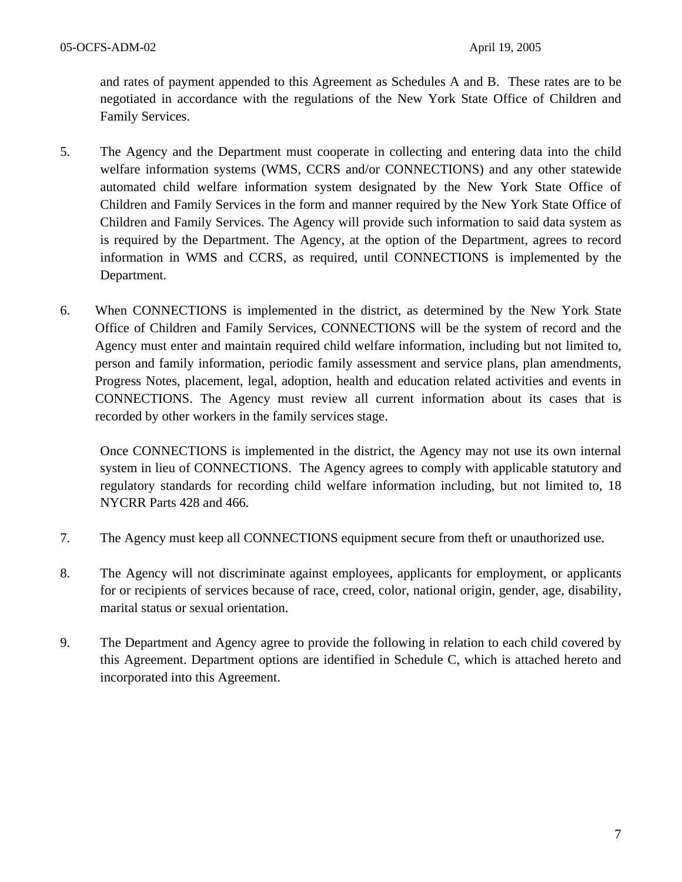and rates of payment appended to this Agreement as Schedules A and B. These rates are to be negotiated in accordance with the regulations of the New York State Office of Children and Family Services.

- 5. The Agency and the Department must cooperate in collecting and entering data into the child welfare information systems (WMS, CCRS and/or CONNECTIONS) and any other statewide automated child welfare information system designated by the New York State Office of Children and Family Services in the form and manner required by the New York State Office of Children and Family Services. The Agency will provide such information to said data system as is required by the Department. The Agency, at the option of the Department, agrees to record information in WMS and CCRS, as required, until CONNECTIONS is implemented by the Department.
- 6. When CONNECTIONS is implemented in the district, as determined by the New York State Office of Children and Family Services, CONNECTIONS will be the system of record and the Agency must enter and maintain required child welfare information, including but not limited to, person and family information, periodic family assessment and service plans, plan amendments, Progress Notes, placement, legal, adoption, health and education related activities and events in CONNECTIONS. The Agency must review all current information about its cases that is recorded by other workers in the family services stage.

Once CONNECTIONS is implemented in the district, the Agency may not use its own internal system in lieu of CONNECTIONS. The Agency agrees to comply with applicable statutory and regulatory standards for recording child welfare information including, but not limited to, 18 NYCRR Parts 428 and 466.

- 7. The Agency must keep all CONNECTIONS equipment secure from theft or unauthorized use.
- 8. The Agency will not discriminate against employees, applicants for employment, or applicants for or recipients of services because of race, creed, color, national origin, gender, age, disability, marital status or sexual orientation.
- 9. The Department and Agency agree to provide the following in relation to each child covered by this Agreement. Department options are identified in Schedule C, which is attached hereto and incorporated into this Agreement.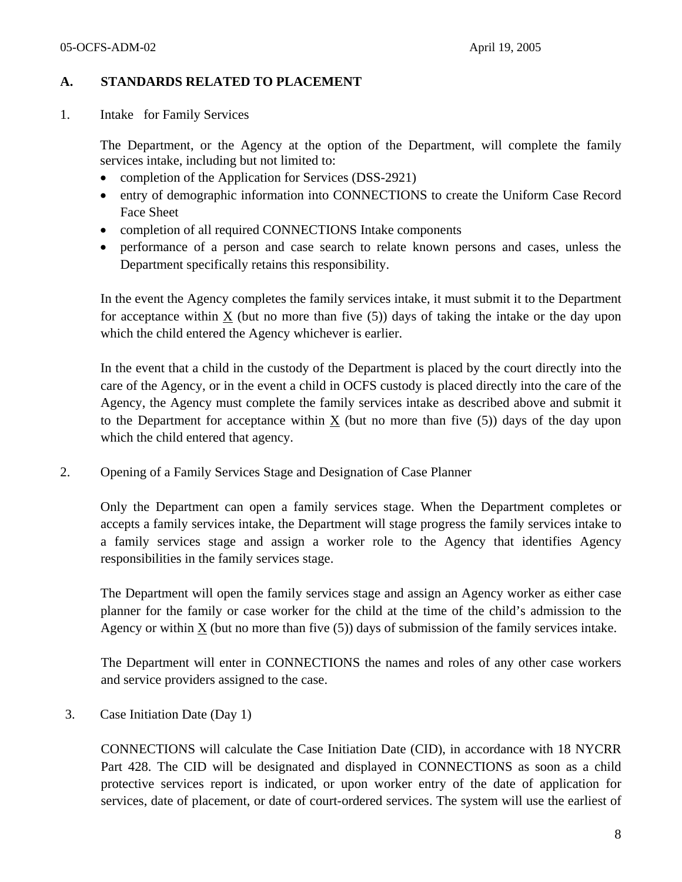#### **A. STANDARDS RELATED TO PLACEMENT**

1. Intake for Family Services

The Department, or the Agency at the option of the Department, will complete the family services intake, including but not limited to:

- completion of the Application for Services (DSS-2921)
- entry of demographic information into CONNECTIONS to create the Uniform Case Record Face Sheet
- completion of all required CONNECTIONS Intake components
- performance of a person and case search to relate known persons and cases, unless the Department specifically retains this responsibility.

In the event the Agency completes the family services intake, it must submit it to the Department for acceptance within  $\underline{X}$  (but no more than five (5)) days of taking the intake or the day upon which the child entered the Agency whichever is earlier.

In the event that a child in the custody of the Department is placed by the court directly into the care of the Agency, or in the event a child in OCFS custody is placed directly into the care of the Agency, the Agency must complete the family services intake as described above and submit it to the Department for acceptance within  $X$  (but no more than five  $(5)$ ) days of the day upon which the child entered that agency.

2. Opening of a Family Services Stage and Designation of Case Planner

Only the Department can open a family services stage. When the Department completes or accepts a family services intake, the Department will stage progress the family services intake to a family services stage and assign a worker role to the Agency that identifies Agency responsibilities in the family services stage.

The Department will open the family services stage and assign an Agency worker as either case planner for the family or case worker for the child at the time of the child's admission to the Agency or within  $X$  (but no more than five  $(5)$ ) days of submission of the family services intake.

The Department will enter in CONNECTIONS the names and roles of any other case workers and service providers assigned to the case.

3. Case Initiation Date (Day 1)

CONNECTIONS will calculate the Case Initiation Date (CID), in accordance with 18 NYCRR Part 428. The CID will be designated and displayed in CONNECTIONS as soon as a child protective services report is indicated, or upon worker entry of the date of application for services, date of placement, or date of court-ordered services. The system will use the earliest of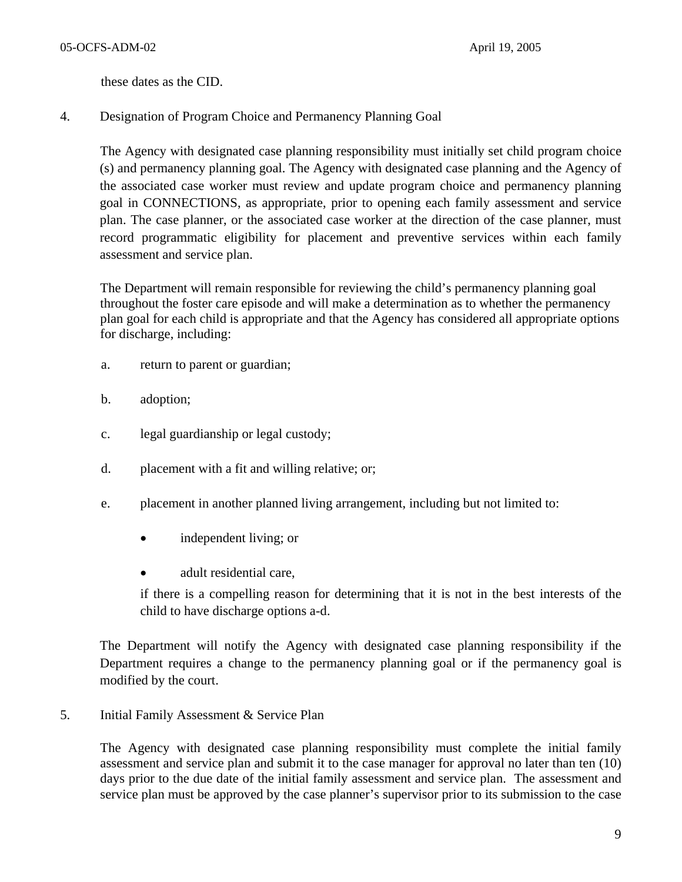these dates as the CID.

4. Designation of Program Choice and Permanency Planning Goal

The Agency with designated case planning responsibility must initially set child program choice (s) and permanency planning goal. The Agency with designated case planning and the Agency of the associated case worker must review and update program choice and permanency planning goal in CONNECTIONS, as appropriate, prior to opening each family assessment and service plan. The case planner, or the associated case worker at the direction of the case planner, must record programmatic eligibility for placement and preventive services within each family assessment and service plan.

The Department will remain responsible for reviewing the child's permanency planning goal throughout the foster care episode and will make a determination as to whether the permanency plan goal for each child is appropriate and that the Agency has considered all appropriate options for discharge, including:

- a. return to parent or guardian;
- b. adoption;
- c. legal guardianship or legal custody;
- d. placement with a fit and willing relative; or;
- e. placement in another planned living arrangement, including but not limited to:
	- independent living; or
	- adult residential care.

if there is a compelling reason for determining that it is not in the best interests of the child to have discharge options a-d.

The Department will notify the Agency with designated case planning responsibility if the Department requires a change to the permanency planning goal or if the permanency goal is modified by the court.

5. Initial Family Assessment & Service Plan

The Agency with designated case planning responsibility must complete the initial family assessment and service plan and submit it to the case manager for approval no later than ten (10) days prior to the due date of the initial family assessment and service plan. The assessment and service plan must be approved by the case planner's supervisor prior to its submission to the case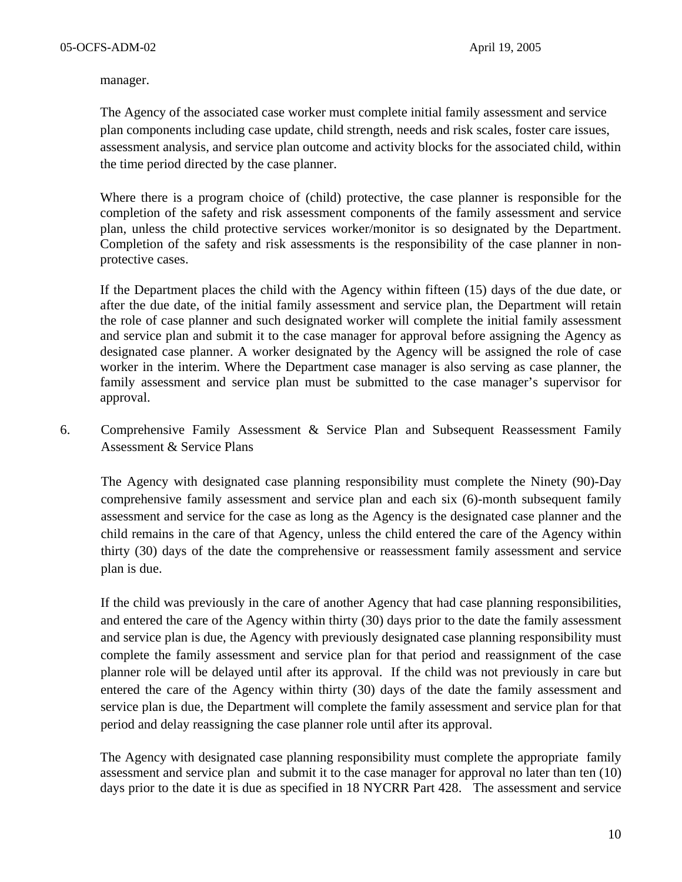manager.

The Agency of the associated case worker must complete initial family assessment and service plan components including case update, child strength, needs and risk scales, foster care issues, assessment analysis, and service plan outcome and activity blocks for the associated child, within the time period directed by the case planner.

Where there is a program choice of (child) protective, the case planner is responsible for the completion of the safety and risk assessment components of the family assessment and service plan, unless the child protective services worker/monitor is so designated by the Department. Completion of the safety and risk assessments is the responsibility of the case planner in nonprotective cases.

If the Department places the child with the Agency within fifteen (15) days of the due date, or after the due date, of the initial family assessment and service plan, the Department will retain the role of case planner and such designated worker will complete the initial family assessment and service plan and submit it to the case manager for approval before assigning the Agency as designated case planner. A worker designated by the Agency will be assigned the role of case worker in the interim. Where the Department case manager is also serving as case planner, the family assessment and service plan must be submitted to the case manager's supervisor for approval.

6. Comprehensive Family Assessment & Service Plan and Subsequent Reassessment Family Assessment & Service Plans

The Agency with designated case planning responsibility must complete the Ninety (90)-Day comprehensive family assessment and service plan and each six (6)-month subsequent family assessment and service for the case as long as the Agency is the designated case planner and the child remains in the care of that Agency, unless the child entered the care of the Agency within thirty (30) days of the date the comprehensive or reassessment family assessment and service plan is due.

If the child was previously in the care of another Agency that had case planning responsibilities, and entered the care of the Agency within thirty (30) days prior to the date the family assessment and service plan is due, the Agency with previously designated case planning responsibility must complete the family assessment and service plan for that period and reassignment of the case planner role will be delayed until after its approval. If the child was not previously in care but entered the care of the Agency within thirty (30) days of the date the family assessment and service plan is due, the Department will complete the family assessment and service plan for that period and delay reassigning the case planner role until after its approval.

The Agency with designated case planning responsibility must complete the appropriate family assessment and service plan and submit it to the case manager for approval no later than ten (10) days prior to the date it is due as specified in 18 NYCRR Part 428. The assessment and service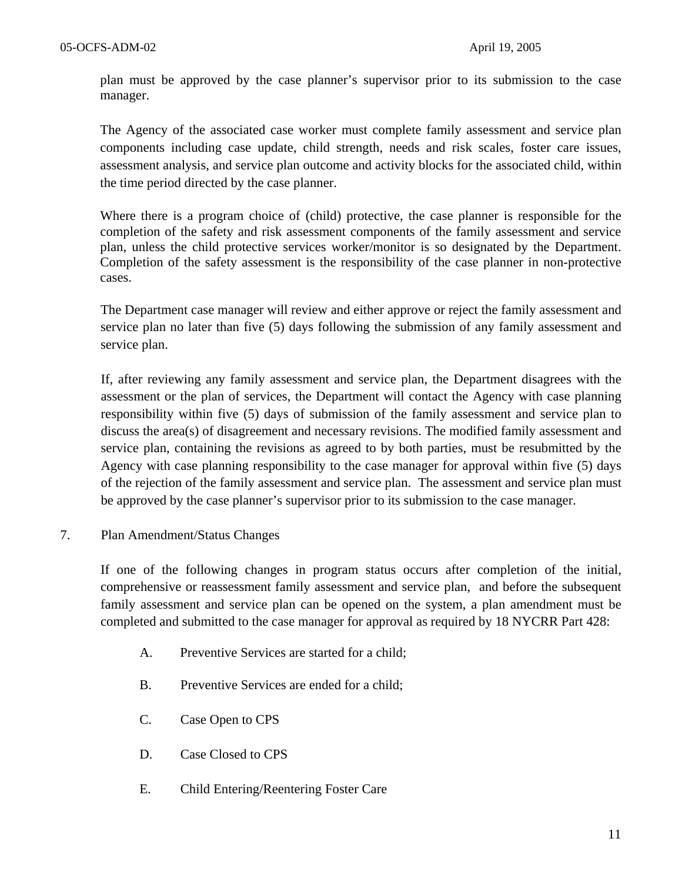plan must be approved by the case planner's supervisor prior to its submission to the case manager.

The Agency of the associated case worker must complete family assessment and service plan components including case update, child strength, needs and risk scales, foster care issues, assessment analysis, and service plan outcome and activity blocks for the associated child, within the time period directed by the case planner.

Where there is a program choice of (child) protective, the case planner is responsible for the completion of the safety and risk assessment components of the family assessment and service plan, unless the child protective services worker/monitor is so designated by the Department. Completion of the safety assessment is the responsibility of the case planner in non-protective cases.

The Department case manager will review and either approve or reject the family assessment and service plan no later than five (5) days following the submission of any family assessment and service plan.

If, after reviewing any family assessment and service plan, the Department disagrees with the assessment or the plan of services, the Department will contact the Agency with case planning responsibility within five (5) days of submission of the family assessment and service plan to discuss the area(s) of disagreement and necessary revisions. The modified family assessment and service plan, containing the revisions as agreed to by both parties, must be resubmitted by the Agency with case planning responsibility to the case manager for approval within five (5) days of the rejection of the family assessment and service plan. The assessment and service plan must be approved by the case planner's supervisor prior to its submission to the case manager.

7. Plan Amendment/Status Changes

If one of the following changes in program status occurs after completion of the initial, comprehensive or reassessment family assessment and service plan, and before the subsequent family assessment and service plan can be opened on the system, a plan amendment must be completed and submitted to the case manager for approval as required by 18 NYCRR Part 428:

- A. Preventive Services are started for a child;
- B. Preventive Services are ended for a child;
- C. Case Open to CPS
- D. Case Closed to CPS
- E. Child Entering/Reentering Foster Care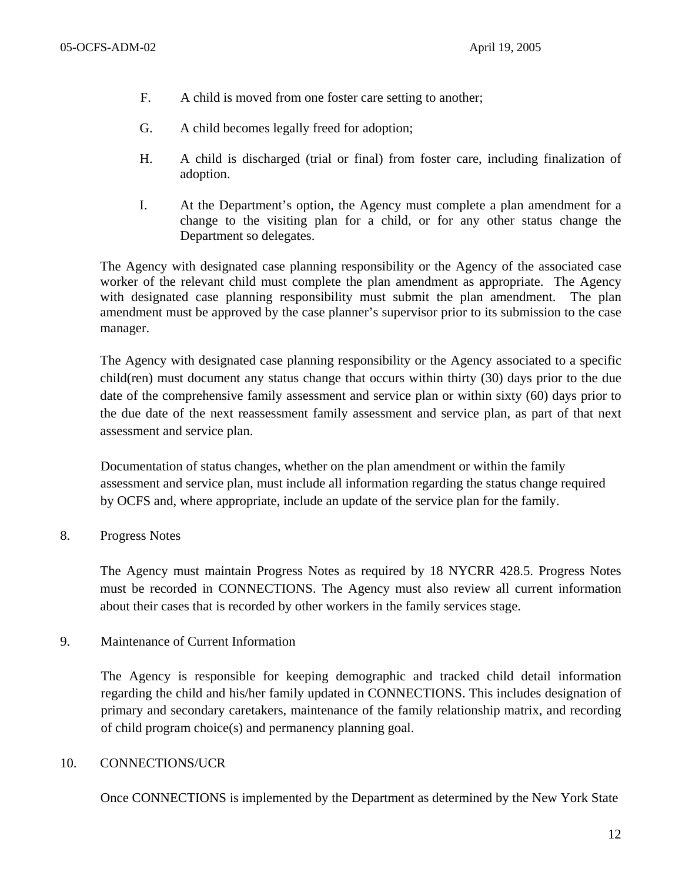- F. A child is moved from one foster care setting to another;
- G. A child becomes legally freed for adoption;
- H. A child is discharged (trial or final) from foster care, including finalization of adoption.
- I. At the Department's option, the Agency must complete a plan amendment for a change to the visiting plan for a child, or for any other status change the Department so delegates.

The Agency with designated case planning responsibility or the Agency of the associated case worker of the relevant child must complete the plan amendment as appropriate. The Agency with designated case planning responsibility must submit the plan amendment. The plan amendment must be approved by the case planner's supervisor prior to its submission to the case manager.

The Agency with designated case planning responsibility or the Agency associated to a specific child(ren) must document any status change that occurs within thirty (30) days prior to the due date of the comprehensive family assessment and service plan or within sixty (60) days prior to the due date of the next reassessment family assessment and service plan, as part of that next assessment and service plan.

Documentation of status changes, whether on the plan amendment or within the family assessment and service plan, must include all information regarding the status change required by OCFS and, where appropriate, include an update of the service plan for the family.

8. Progress Notes

The Agency must maintain Progress Notes as required by 18 NYCRR 428.5. Progress Notes must be recorded in CONNECTIONS. The Agency must also review all current information about their cases that is recorded by other workers in the family services stage.

9. Maintenance of Current Information

The Agency is responsible for keeping demographic and tracked child detail information regarding the child and his/her family updated in CONNECTIONS. This includes designation of primary and secondary caretakers, maintenance of the family relationship matrix, and recording of child program choice(s) and permanency planning goal.

#### 10. CONNECTIONS/UCR

Once CONNECTIONS is implemented by the Department as determined by the New York State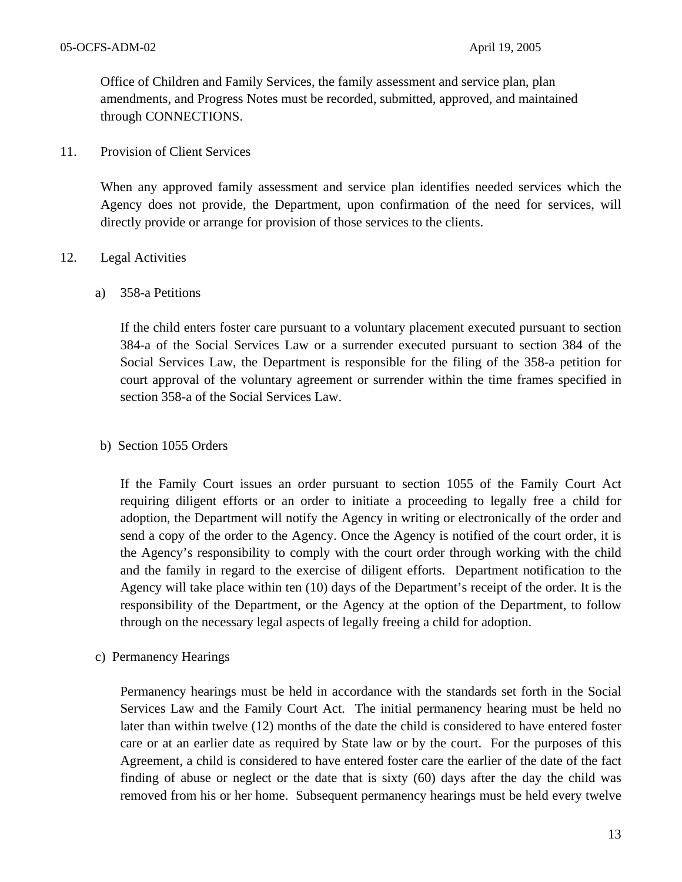Office of Children and Family Services, the family assessment and service plan, plan amendments, and Progress Notes must be recorded, submitted, approved, and maintained through CONNECTIONS.

11. Provision of Client Services

When any approved family assessment and service plan identifies needed services which the Agency does not provide, the Department, upon confirmation of the need for services, will directly provide or arrange for provision of those services to the clients.

#### 12. Legal Activities

a) 358-a Petitions

If the child enters foster care pursuant to a voluntary placement executed pursuant to section 384-a of the Social Services Law or a surrender executed pursuant to section 384 of the Social Services Law, the Department is responsible for the filing of the 358-a petition for court approval of the voluntary agreement or surrender within the time frames specified in section 358-a of the Social Services Law.

#### b) Section 1055 Orders

If the Family Court issues an order pursuant to section 1055 of the Family Court Act requiring diligent efforts or an order to initiate a proceeding to legally free a child for adoption, the Department will notify the Agency in writing or electronically of the order and send a copy of the order to the Agency. Once the Agency is notified of the court order, it is the Agency's responsibility to comply with the court order through working with the child and the family in regard to the exercise of diligent efforts. Department notification to the Agency will take place within ten (10) days of the Department's receipt of the order. It is the responsibility of the Department, or the Agency at the option of the Department, to follow through on the necessary legal aspects of legally freeing a child for adoption.

c) Permanency Hearings

Permanency hearings must be held in accordance with the standards set forth in the Social Services Law and the Family Court Act. The initial permanency hearing must be held no later than within twelve (12) months of the date the child is considered to have entered foster care or at an earlier date as required by State law or by the court. For the purposes of this Agreement, a child is considered to have entered foster care the earlier of the date of the fact finding of abuse or neglect or the date that is sixty (60) days after the day the child was removed from his or her home. Subsequent permanency hearings must be held every twelve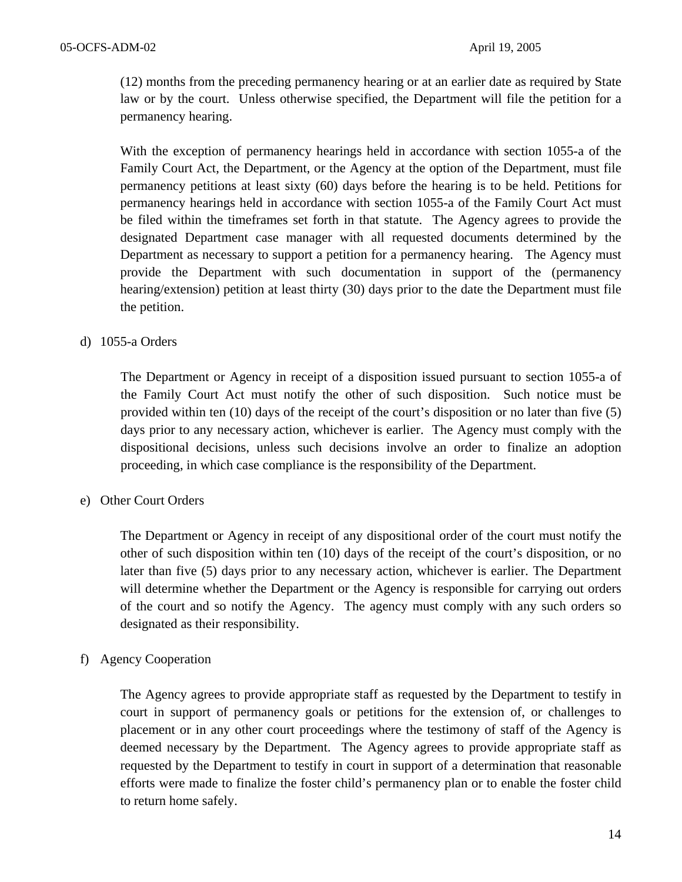(12) months from the preceding permanency hearing or at an earlier date as required by State law or by the court. Unless otherwise specified, the Department will file the petition for a permanency hearing.

With the exception of permanency hearings held in accordance with section 1055-a of the Family Court Act, the Department, or the Agency at the option of the Department, must file permanency petitions at least sixty (60) days before the hearing is to be held. Petitions for permanency hearings held in accordance with section 1055-a of the Family Court Act must be filed within the timeframes set forth in that statute. The Agency agrees to provide the designated Department case manager with all requested documents determined by the Department as necessary to support a petition for a permanency hearing. The Agency must provide the Department with such documentation in support of the (permanency hearing/extension) petition at least thirty (30) days prior to the date the Department must file the petition.

#### d) 1055-a Orders

The Department or Agency in receipt of a disposition issued pursuant to section 1055-a of the Family Court Act must notify the other of such disposition. Such notice must be provided within ten (10) days of the receipt of the court's disposition or no later than five (5) days prior to any necessary action, whichever is earlier. The Agency must comply with the dispositional decisions, unless such decisions involve an order to finalize an adoption proceeding, in which case compliance is the responsibility of the Department.

#### e) Other Court Orders

The Department or Agency in receipt of any dispositional order of the court must notify the other of such disposition within ten (10) days of the receipt of the court's disposition, or no later than five (5) days prior to any necessary action, whichever is earlier. The Department will determine whether the Department or the Agency is responsible for carrying out orders of the court and so notify the Agency. The agency must comply with any such orders so designated as their responsibility.

#### f) Agency Cooperation

The Agency agrees to provide appropriate staff as requested by the Department to testify in court in support of permanency goals or petitions for the extension of, or challenges to placement or in any other court proceedings where the testimony of staff of the Agency is deemed necessary by the Department. The Agency agrees to provide appropriate staff as requested by the Department to testify in court in support of a determination that reasonable efforts were made to finalize the foster child's permanency plan or to enable the foster child to return home safely.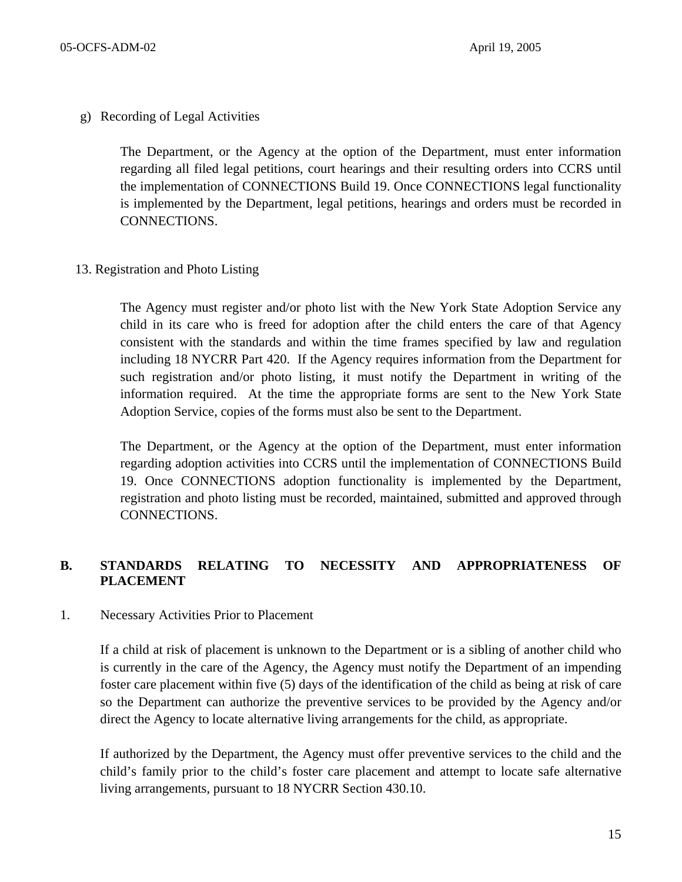g) Recording of Legal Activities

The Department, or the Agency at the option of the Department, must enter information regarding all filed legal petitions, court hearings and their resulting orders into CCRS until the implementation of CONNECTIONS Build 19. Once CONNECTIONS legal functionality is implemented by the Department, legal petitions, hearings and orders must be recorded in CONNECTIONS.

13. Registration and Photo Listing

The Agency must register and/or photo list with the New York State Adoption Service any child in its care who is freed for adoption after the child enters the care of that Agency consistent with the standards and within the time frames specified by law and regulation including 18 NYCRR Part 420. If the Agency requires information from the Department for such registration and/or photo listing, it must notify the Department in writing of the information required. At the time the appropriate forms are sent to the New York State Adoption Service, copies of the forms must also be sent to the Department.

The Department, or the Agency at the option of the Department, must enter information regarding adoption activities into CCRS until the implementation of CONNECTIONS Build 19. Once CONNECTIONS adoption functionality is implemented by the Department, registration and photo listing must be recorded, maintained, submitted and approved through CONNECTIONS.

# **B. STANDARDS RELATING TO NECESSITY AND APPROPRIATENESS OF PLACEMENT**

#### 1. Necessary Activities Prior to Placement

If a child at risk of placement is unknown to the Department or is a sibling of another child who is currently in the care of the Agency, the Agency must notify the Department of an impending foster care placement within five (5) days of the identification of the child as being at risk of care so the Department can authorize the preventive services to be provided by the Agency and/or direct the Agency to locate alternative living arrangements for the child, as appropriate.

If authorized by the Department, the Agency must offer preventive services to the child and the child's family prior to the child's foster care placement and attempt to locate safe alternative living arrangements, pursuant to 18 NYCRR Section 430.10.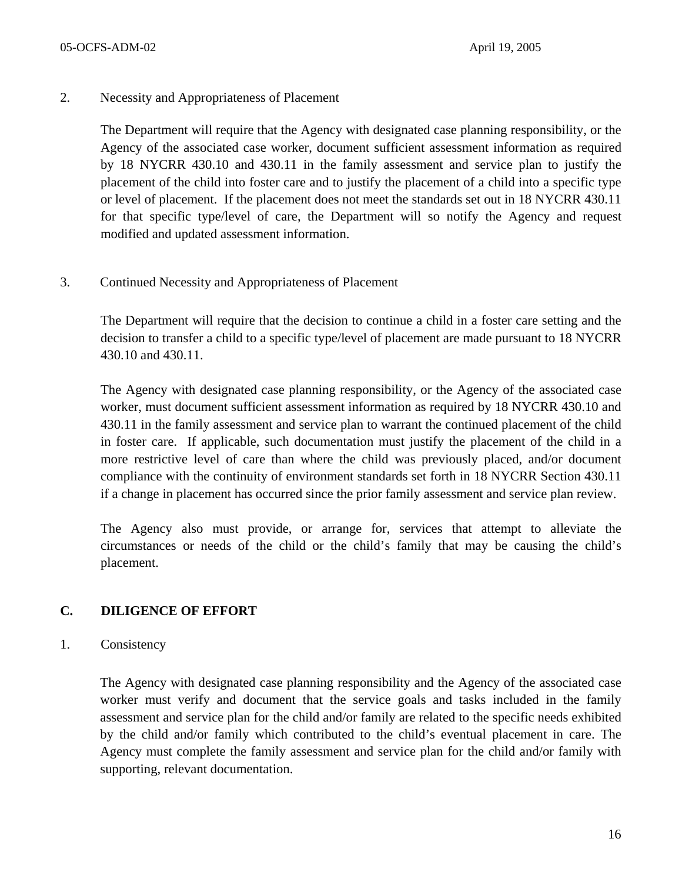2. Necessity and Appropriateness of Placement

The Department will require that the Agency with designated case planning responsibility, or the Agency of the associated case worker, document sufficient assessment information as required by 18 NYCRR 430.10 and 430.11 in the family assessment and service plan to justify the placement of the child into foster care and to justify the placement of a child into a specific type or level of placement. If the placement does not meet the standards set out in 18 NYCRR 430.11 for that specific type/level of care, the Department will so notify the Agency and request modified and updated assessment information.

3. Continued Necessity and Appropriateness of Placement

The Department will require that the decision to continue a child in a foster care setting and the decision to transfer a child to a specific type/level of placement are made pursuant to 18 NYCRR 430.10 and 430.11.

The Agency with designated case planning responsibility, or the Agency of the associated case worker, must document sufficient assessment information as required by 18 NYCRR 430.10 and 430.11 in the family assessment and service plan to warrant the continued placement of the child in foster care. If applicable, such documentation must justify the placement of the child in a more restrictive level of care than where the child was previously placed, and/or document compliance with the continuity of environment standards set forth in 18 NYCRR Section 430.11 if a change in placement has occurred since the prior family assessment and service plan review.

The Agency also must provide, or arrange for, services that attempt to alleviate the circumstances or needs of the child or the child's family that may be causing the child's placement.

# **C. DILIGENCE OF EFFORT**

1. Consistency

The Agency with designated case planning responsibility and the Agency of the associated case worker must verify and document that the service goals and tasks included in the family assessment and service plan for the child and/or family are related to the specific needs exhibited by the child and/or family which contributed to the child's eventual placement in care. The Agency must complete the family assessment and service plan for the child and/or family with supporting, relevant documentation.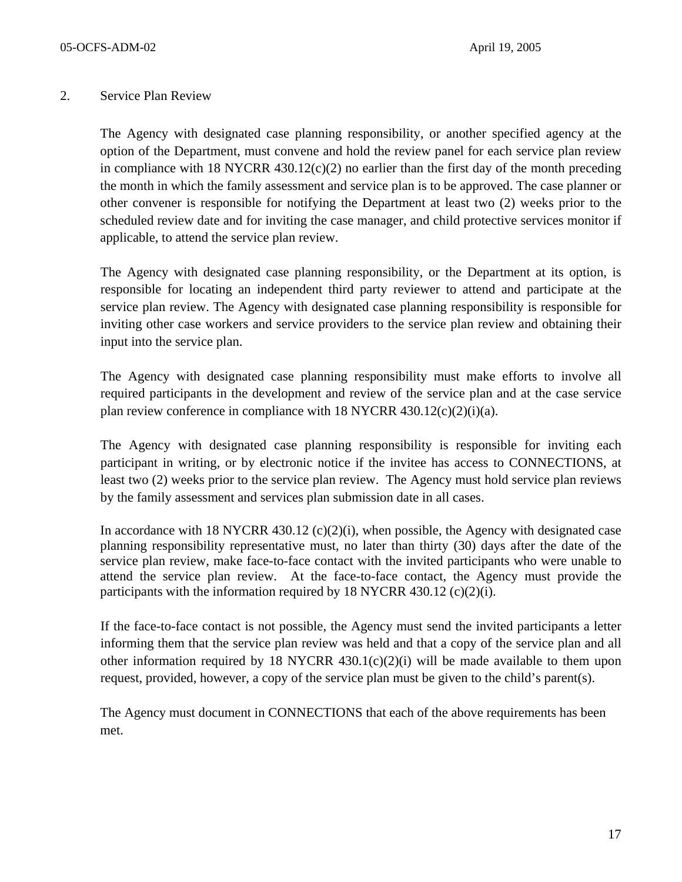#### 2. Service Plan Review

The Agency with designated case planning responsibility, or another specified agency at the option of the Department, must convene and hold the review panel for each service plan review in compliance with 18 NYCRR  $430.12(c)(2)$  no earlier than the first day of the month preceding the month in which the family assessment and service plan is to be approved. The case planner or other convener is responsible for notifying the Department at least two (2) weeks prior to the scheduled review date and for inviting the case manager, and child protective services monitor if applicable, to attend the service plan review.

The Agency with designated case planning responsibility, or the Department at its option, is responsible for locating an independent third party reviewer to attend and participate at the service plan review. The Agency with designated case planning responsibility is responsible for inviting other case workers and service providers to the service plan review and obtaining their input into the service plan.

The Agency with designated case planning responsibility must make efforts to involve all required participants in the development and review of the service plan and at the case service plan review conference in compliance with  $18$  NYCRR  $430.12(c)(2)(i)(a)$ .

The Agency with designated case planning responsibility is responsible for inviting each participant in writing, or by electronic notice if the invitee has access to CONNECTIONS, at least two (2) weeks prior to the service plan review. The Agency must hold service plan reviews by the family assessment and services plan submission date in all cases.

In accordance with 18 NYCRR 430.12 (c)(2)(i), when possible, the Agency with designated case planning responsibility representative must, no later than thirty (30) days after the date of the service plan review, make face-to-face contact with the invited participants who were unable to attend the service plan review. At the face-to-face contact, the Agency must provide the participants with the information required by 18 NYCRR 430.12  $(c)(2)(i)$ .

If the face-to-face contact is not possible, the Agency must send the invited participants a letter informing them that the service plan review was held and that a copy of the service plan and all other information required by 18 NYCRR  $430.1(c)(2)(i)$  will be made available to them upon request, provided, however, a copy of the service plan must be given to the child's parent(s).

The Agency must document in CONNECTIONS that each of the above requirements has been met.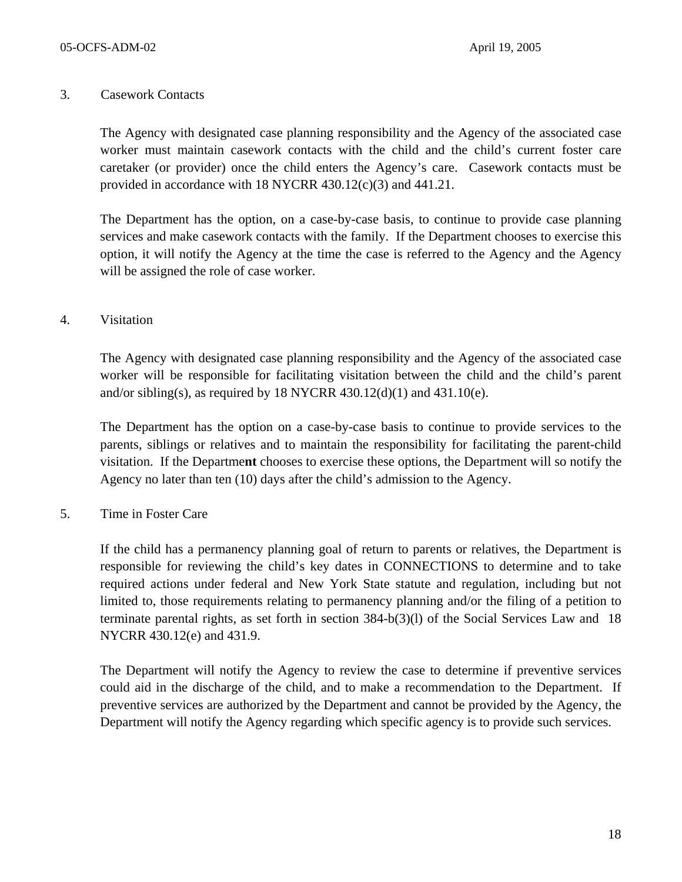#### 3. Casework Contacts

The Agency with designated case planning responsibility and the Agency of the associated case worker must maintain casework contacts with the child and the child's current foster care caretaker (or provider) once the child enters the Agency's care. Casework contacts must be provided in accordance with 18 NYCRR 430.12(c)(3) and 441.21.

The Department has the option, on a case-by-case basis, to continue to provide case planning services and make casework contacts with the family. If the Department chooses to exercise this option, it will notify the Agency at the time the case is referred to the Agency and the Agency will be assigned the role of case worker.

#### 4. Visitation

The Agency with designated case planning responsibility and the Agency of the associated case worker will be responsible for facilitating visitation between the child and the child's parent and/or sibling(s), as required by 18 NYCRR 430.12(d)(1) and 431.10(e).

The Department has the option on a case-by-case basis to continue to provide services to the parents, siblings or relatives and to maintain the responsibility for facilitating the parent-child visitation. If the Departme**nt** chooses to exercise these options, the Department will so notify the Agency no later than ten (10) days after the child's admission to the Agency.

#### 5. Time in Foster Care

If the child has a permanency planning goal of return to parents or relatives, the Department is responsible for reviewing the child's key dates in CONNECTIONS to determine and to take required actions under federal and New York State statute and regulation, including but not limited to, those requirements relating to permanency planning and/or the filing of a petition to terminate parental rights, as set forth in section 384-b(3)(l) of the Social Services Law and 18 NYCRR 430.12(e) and 431.9.

The Department will notify the Agency to review the case to determine if preventive services could aid in the discharge of the child, and to make a recommendation to the Department. If preventive services are authorized by the Department and cannot be provided by the Agency, the Department will notify the Agency regarding which specific agency is to provide such services.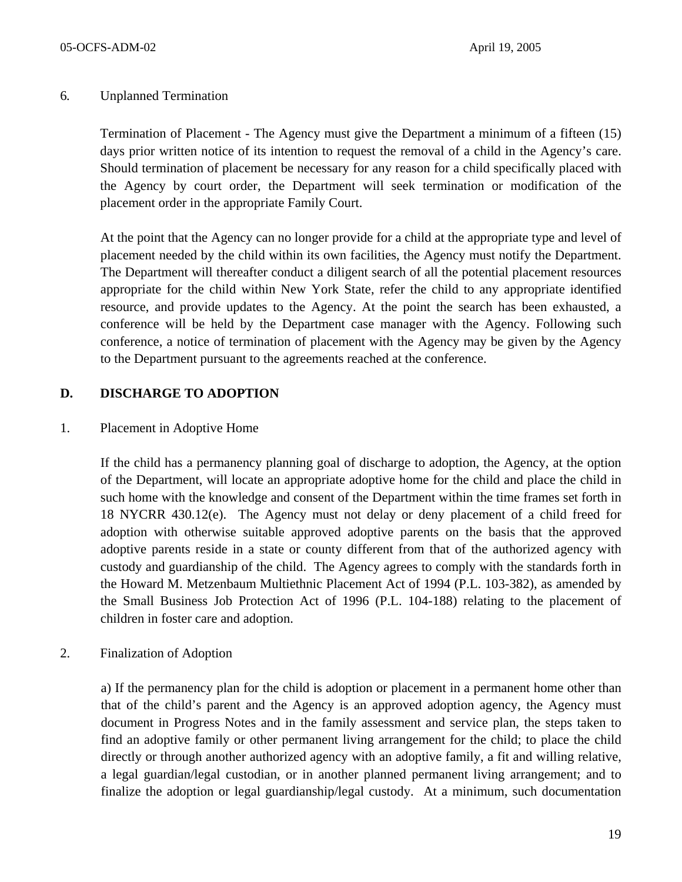#### 6*.* Unplanned Termination

Termination of Placement - The Agency must give the Department a minimum of a fifteen (15) days prior written notice of its intention to request the removal of a child in the Agency's care. Should termination of placement be necessary for any reason for a child specifically placed with the Agency by court order, the Department will seek termination or modification of the placement order in the appropriate Family Court.

At the point that the Agency can no longer provide for a child at the appropriate type and level of placement needed by the child within its own facilities, the Agency must notify the Department. The Department will thereafter conduct a diligent search of all the potential placement resources appropriate for the child within New York State, refer the child to any appropriate identified resource, and provide updates to the Agency. At the point the search has been exhausted, a conference will be held by the Department case manager with the Agency. Following such conference, a notice of termination of placement with the Agency may be given by the Agency to the Department pursuant to the agreements reached at the conference.

## **D. DISCHARGE TO ADOPTION**

#### 1. Placement in Adoptive Home

If the child has a permanency planning goal of discharge to adoption, the Agency, at the option of the Department, will locate an appropriate adoptive home for the child and place the child in such home with the knowledge and consent of the Department within the time frames set forth in 18 NYCRR 430.12(e). The Agency must not delay or deny placement of a child freed for adoption with otherwise suitable approved adoptive parents on the basis that the approved adoptive parents reside in a state or county different from that of the authorized agency with custody and guardianship of the child. The Agency agrees to comply with the standards forth in the Howard M. Metzenbaum Multiethnic Placement Act of 1994 (P.L. 103-382), as amended by the Small Business Job Protection Act of 1996 (P.L. 104-188) relating to the placement of children in foster care and adoption.

2. Finalization of Adoption

a) If the permanency plan for the child is adoption or placement in a permanent home other than that of the child's parent and the Agency is an approved adoption agency, the Agency must document in Progress Notes and in the family assessment and service plan, the steps taken to find an adoptive family or other permanent living arrangement for the child; to place the child directly or through another authorized agency with an adoptive family, a fit and willing relative, a legal guardian/legal custodian, or in another planned permanent living arrangement; and to finalize the adoption or legal guardianship/legal custody. At a minimum, such documentation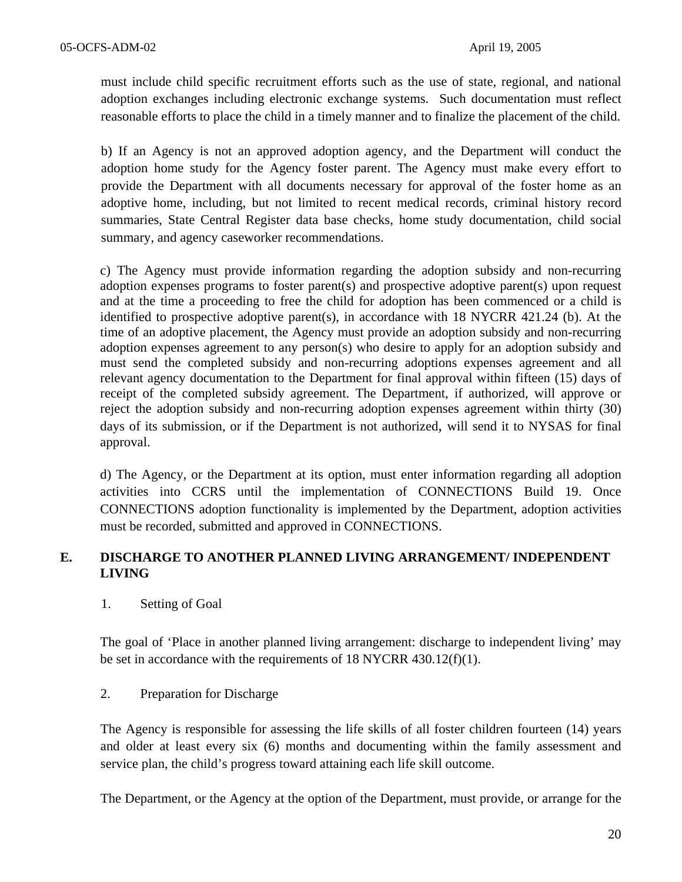must include child specific recruitment efforts such as the use of state, regional, and national adoption exchanges including electronic exchange systems. Such documentation must reflect reasonable efforts to place the child in a timely manner and to finalize the placement of the child.

b) If an Agency is not an approved adoption agency, and the Department will conduct the adoption home study for the Agency foster parent. The Agency must make every effort to provide the Department with all documents necessary for approval of the foster home as an adoptive home, including, but not limited to recent medical records, criminal history record summaries, State Central Register data base checks, home study documentation, child social summary, and agency caseworker recommendations.

c) The Agency must provide information regarding the adoption subsidy and non-recurring adoption expenses programs to foster parent(s) and prospective adoptive parent(s) upon request and at the time a proceeding to free the child for adoption has been commenced or a child is identified to prospective adoptive parent(s), in accordance with 18 NYCRR 421.24 (b). At the time of an adoptive placement, the Agency must provide an adoption subsidy and non-recurring adoption expenses agreement to any person(s) who desire to apply for an adoption subsidy and must send the completed subsidy and non-recurring adoptions expenses agreement and all relevant agency documentation to the Department for final approval within fifteen (15) days of receipt of the completed subsidy agreement. The Department, if authorized, will approve or reject the adoption subsidy and non-recurring adoption expenses agreement within thirty (30) days of its submission, or if the Department is not authorized, will send it to NYSAS for final approval.

d) The Agency, or the Department at its option, must enter information regarding all adoption activities into CCRS until the implementation of CONNECTIONS Build 19. Once CONNECTIONS adoption functionality is implemented by the Department, adoption activities must be recorded, submitted and approved in CONNECTIONS.

## **E. DISCHARGE TO ANOTHER PLANNED LIVING ARRANGEMENT/ INDEPENDENT LIVING**

1. Setting of Goal

The goal of 'Place in another planned living arrangement: discharge to independent living' may be set in accordance with the requirements of 18 NYCRR 430.12(f)(1).

## 2. Preparation for Discharge

The Agency is responsible for assessing the life skills of all foster children fourteen (14) years and older at least every six (6) months and documenting within the family assessment and service plan, the child's progress toward attaining each life skill outcome.

The Department, or the Agency at the option of the Department, must provide, or arrange for the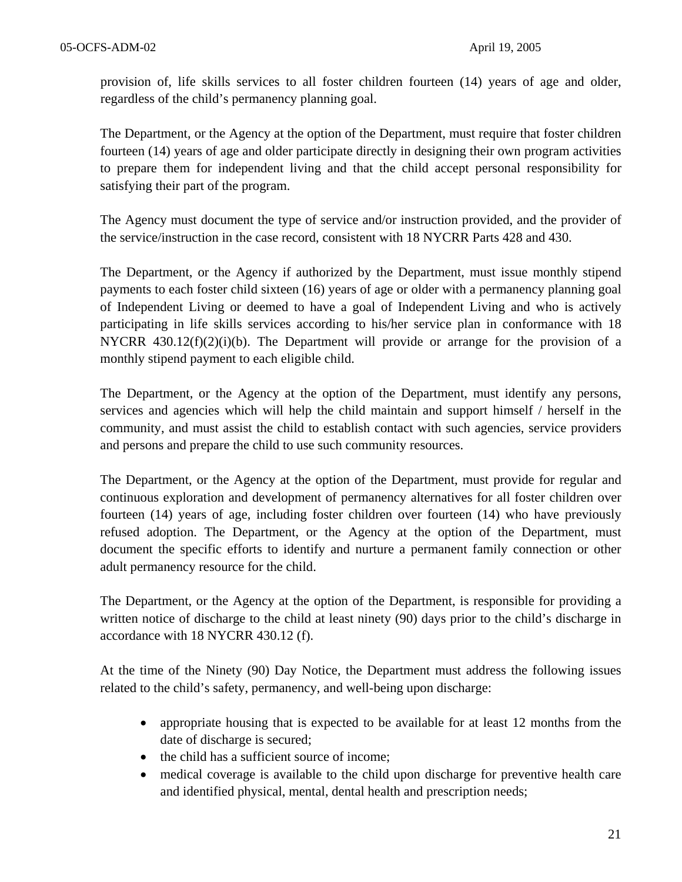provision of, life skills services to all foster children fourteen (14) years of age and older, regardless of the child's permanency planning goal.

The Department, or the Agency at the option of the Department, must require that foster children fourteen (14) years of age and older participate directly in designing their own program activities to prepare them for independent living and that the child accept personal responsibility for satisfying their part of the program.

The Agency must document the type of service and/or instruction provided, and the provider of the service/instruction in the case record, consistent with 18 NYCRR Parts 428 and 430.

The Department, or the Agency if authorized by the Department, must issue monthly stipend payments to each foster child sixteen (16) years of age or older with a permanency planning goal of Independent Living or deemed to have a goal of Independent Living and who is actively participating in life skills services according to his/her service plan in conformance with 18 NYCRR  $430.12(f)(2)(i)(b)$ . The Department will provide or arrange for the provision of a monthly stipend payment to each eligible child.

The Department, or the Agency at the option of the Department, must identify any persons, services and agencies which will help the child maintain and support himself / herself in the community, and must assist the child to establish contact with such agencies, service providers and persons and prepare the child to use such community resources.

The Department, or the Agency at the option of the Department, must provide for regular and continuous exploration and development of permanency alternatives for all foster children over fourteen (14) years of age, including foster children over fourteen (14) who have previously refused adoption. The Department, or the Agency at the option of the Department, must document the specific efforts to identify and nurture a permanent family connection or other adult permanency resource for the child.

The Department, or the Agency at the option of the Department, is responsible for providing a written notice of discharge to the child at least ninety (90) days prior to the child's discharge in accordance with 18 NYCRR 430.12 (f).

At the time of the Ninety (90) Day Notice, the Department must address the following issues related to the child's safety, permanency, and well-being upon discharge:

- appropriate housing that is expected to be available for at least 12 months from the date of discharge is secured;
- the child has a sufficient source of income;
- medical coverage is available to the child upon discharge for preventive health care and identified physical, mental, dental health and prescription needs;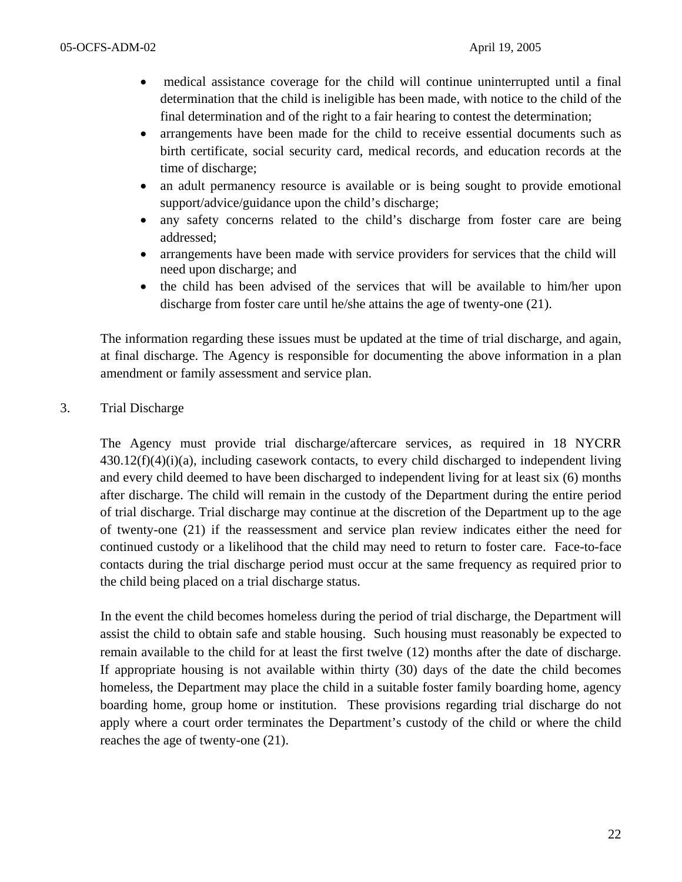- medical assistance coverage for the child will continue uninterrupted until a final determination that the child is ineligible has been made, with notice to the child of the final determination and of the right to a fair hearing to contest the determination;
- arrangements have been made for the child to receive essential documents such as birth certificate, social security card, medical records, and education records at the time of discharge;
- an adult permanency resource is available or is being sought to provide emotional support/advice/guidance upon the child's discharge;
- any safety concerns related to the child's discharge from foster care are being addressed;
- arrangements have been made with service providers for services that the child will need upon discharge; and
- the child has been advised of the services that will be available to him/her upon discharge from foster care until he/she attains the age of twenty-one (21).

The information regarding these issues must be updated at the time of trial discharge, and again, at final discharge. The Agency is responsible for documenting the above information in a plan amendment or family assessment and service plan.

## 3. Trial Discharge

The Agency must provide trial discharge/aftercare services, as required in 18 NYCRR  $430.12(f)(4)(i)$ (a), including casework contacts, to every child discharged to independent living and every child deemed to have been discharged to independent living for at least six (6) months after discharge. The child will remain in the custody of the Department during the entire period of trial discharge. Trial discharge may continue at the discretion of the Department up to the age of twenty-one (21) if the reassessment and service plan review indicates either the need for continued custody or a likelihood that the child may need to return to foster care. Face-to-face contacts during the trial discharge period must occur at the same frequency as required prior to the child being placed on a trial discharge status.

In the event the child becomes homeless during the period of trial discharge, the Department will assist the child to obtain safe and stable housing. Such housing must reasonably be expected to remain available to the child for at least the first twelve (12) months after the date of discharge. If appropriate housing is not available within thirty (30) days of the date the child becomes homeless, the Department may place the child in a suitable foster family boarding home, agency boarding home, group home or institution. These provisions regarding trial discharge do not apply where a court order terminates the Department's custody of the child or where the child reaches the age of twenty-one (21).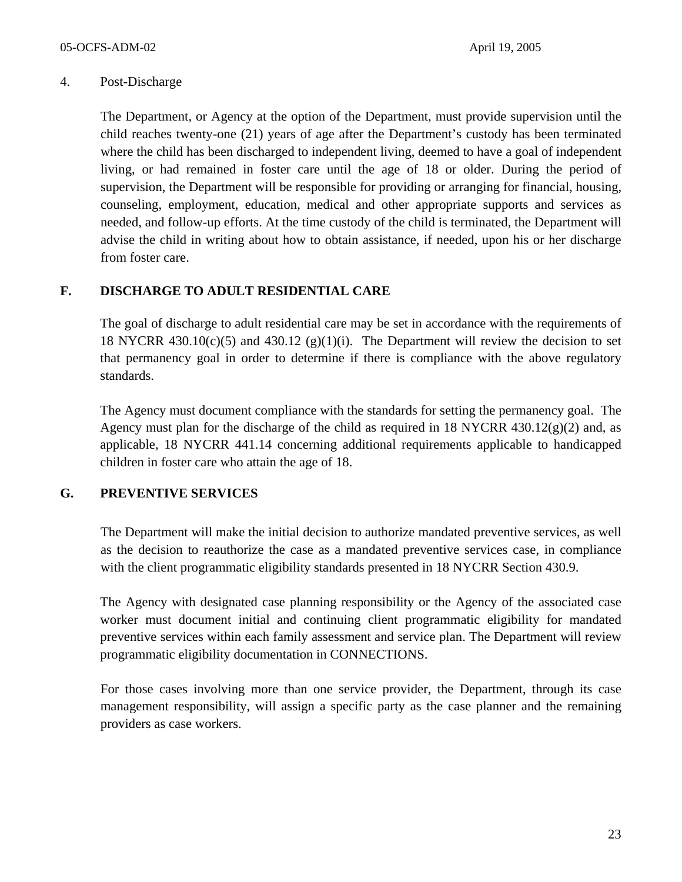#### 4. Post-Discharge

The Department, or Agency at the option of the Department, must provide supervision until the child reaches twenty-one (21) years of age after the Department's custody has been terminated where the child has been discharged to independent living, deemed to have a goal of independent living, or had remained in foster care until the age of 18 or older. During the period of supervision, the Department will be responsible for providing or arranging for financial, housing, counseling, employment, education, medical and other appropriate supports and services as needed, and follow-up efforts. At the time custody of the child is terminated, the Department will advise the child in writing about how to obtain assistance, if needed, upon his or her discharge from foster care.

## **F. DISCHARGE TO ADULT RESIDENTIAL CARE**

The goal of discharge to adult residential care may be set in accordance with the requirements of 18 NYCRR 430.10(c)(5) and 430.12 (g)(1)(i). The Department will review the decision to set that permanency goal in order to determine if there is compliance with the above regulatory standards.

The Agency must document compliance with the standards for setting the permanency goal. The Agency must plan for the discharge of the child as required in 18 NYCRR 430.12 $(g)(2)$  and, as applicable, 18 NYCRR 441.14 concerning additional requirements applicable to handicapped children in foster care who attain the age of 18.

## **G. PREVENTIVE SERVICES**

The Department will make the initial decision to authorize mandated preventive services, as well as the decision to reauthorize the case as a mandated preventive services case, in compliance with the client programmatic eligibility standards presented in 18 NYCRR Section 430.9.

The Agency with designated case planning responsibility or the Agency of the associated case worker must document initial and continuing client programmatic eligibility for mandated preventive services within each family assessment and service plan. The Department will review programmatic eligibility documentation in CONNECTIONS.

For those cases involving more than one service provider, the Department, through its case management responsibility, will assign a specific party as the case planner and the remaining providers as case workers.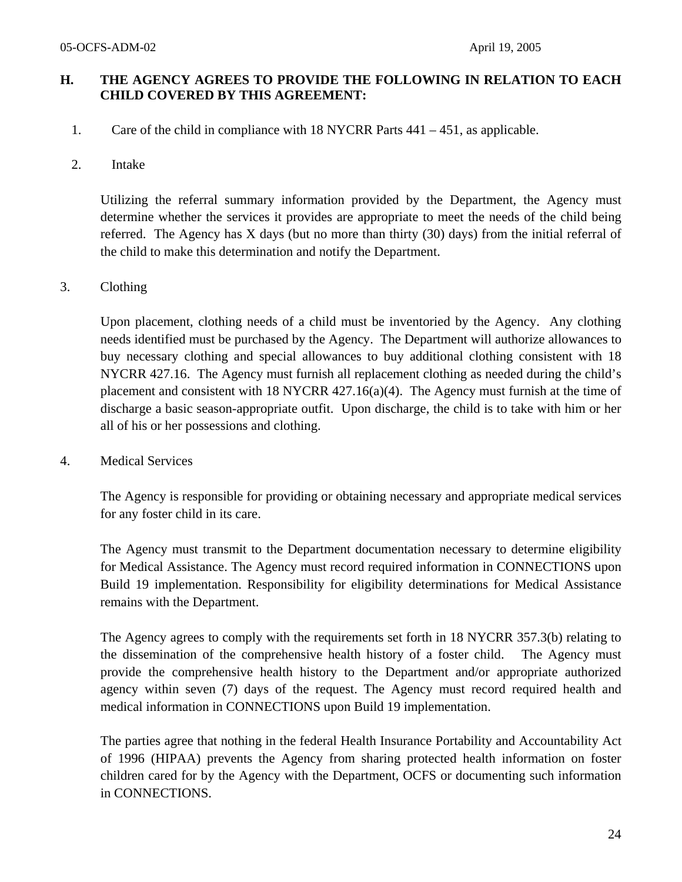## **H. THE AGENCY AGREES TO PROVIDE THE FOLLOWING IN RELATION TO EACH CHILD COVERED BY THIS AGREEMENT:**

1. Care of the child in compliance with 18 NYCRR Parts 441 – 451, as applicable.

#### 2. Intake

Utilizing the referral summary information provided by the Department, the Agency must determine whether the services it provides are appropriate to meet the needs of the child being referred. The Agency has X days (but no more than thirty (30) days) from the initial referral of the child to make this determination and notify the Department.

#### 3. Clothing

Upon placement, clothing needs of a child must be inventoried by the Agency. Any clothing needs identified must be purchased by the Agency. The Department will authorize allowances to buy necessary clothing and special allowances to buy additional clothing consistent with 18 NYCRR 427.16. The Agency must furnish all replacement clothing as needed during the child's placement and consistent with 18 NYCRR 427.16(a)(4). The Agency must furnish at the time of discharge a basic season-appropriate outfit. Upon discharge, the child is to take with him or her all of his or her possessions and clothing.

4. Medical Services

The Agency is responsible for providing or obtaining necessary and appropriate medical services for any foster child in its care.

The Agency must transmit to the Department documentation necessary to determine eligibility for Medical Assistance. The Agency must record required information in CONNECTIONS upon Build 19 implementation. Responsibility for eligibility determinations for Medical Assistance remains with the Department.

The Agency agrees to comply with the requirements set forth in 18 NYCRR 357.3(b) relating to the dissemination of the comprehensive health history of a foster child. The Agency must provide the comprehensive health history to the Department and/or appropriate authorized agency within seven (7) days of the request. The Agency must record required health and medical information in CONNECTIONS upon Build 19 implementation.

The parties agree that nothing in the federal Health Insurance Portability and Accountability Act of 1996 (HIPAA) prevents the Agency from sharing protected health information on foster children cared for by the Agency with the Department, OCFS or documenting such information in CONNECTIONS.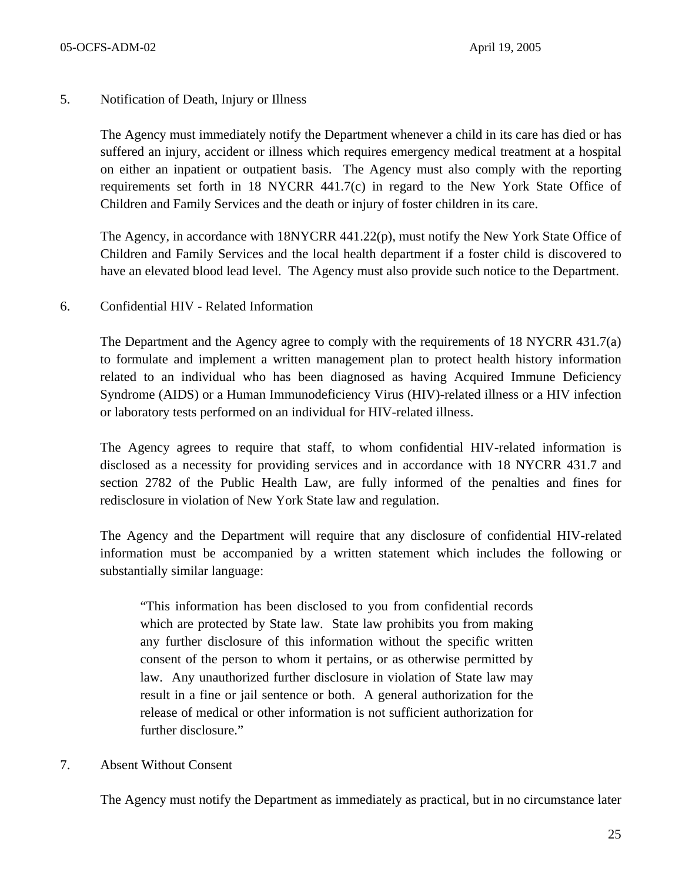#### 5. Notification of Death, Injury or Illness

The Agency must immediately notify the Department whenever a child in its care has died or has suffered an injury, accident or illness which requires emergency medical treatment at a hospital on either an inpatient or outpatient basis. The Agency must also comply with the reporting requirements set forth in 18 NYCRR 441.7(c) in regard to the New York State Office of Children and Family Services and the death or injury of foster children in its care.

The Agency, in accordance with 18NYCRR 441.22(p), must notify the New York State Office of Children and Family Services and the local health department if a foster child is discovered to have an elevated blood lead level. The Agency must also provide such notice to the Department.

#### 6. Confidential HIV - Related Information

The Department and the Agency agree to comply with the requirements of 18 NYCRR 431.7(a) to formulate and implement a written management plan to protect health history information related to an individual who has been diagnosed as having Acquired Immune Deficiency Syndrome (AIDS) or a Human Immunodeficiency Virus (HIV)-related illness or a HIV infection or laboratory tests performed on an individual for HIV-related illness.

The Agency agrees to require that staff, to whom confidential HIV-related information is disclosed as a necessity for providing services and in accordance with 18 NYCRR 431.7 and section 2782 of the Public Health Law, are fully informed of the penalties and fines for redisclosure in violation of New York State law and regulation.

The Agency and the Department will require that any disclosure of confidential HIV-related information must be accompanied by a written statement which includes the following or substantially similar language:

"This information has been disclosed to you from confidential records which are protected by State law. State law prohibits you from making any further disclosure of this information without the specific written consent of the person to whom it pertains, or as otherwise permitted by law. Any unauthorized further disclosure in violation of State law may result in a fine or jail sentence or both. A general authorization for the release of medical or other information is not sufficient authorization for further disclosure."

## 7. Absent Without Consent

The Agency must notify the Department as immediately as practical, but in no circumstance later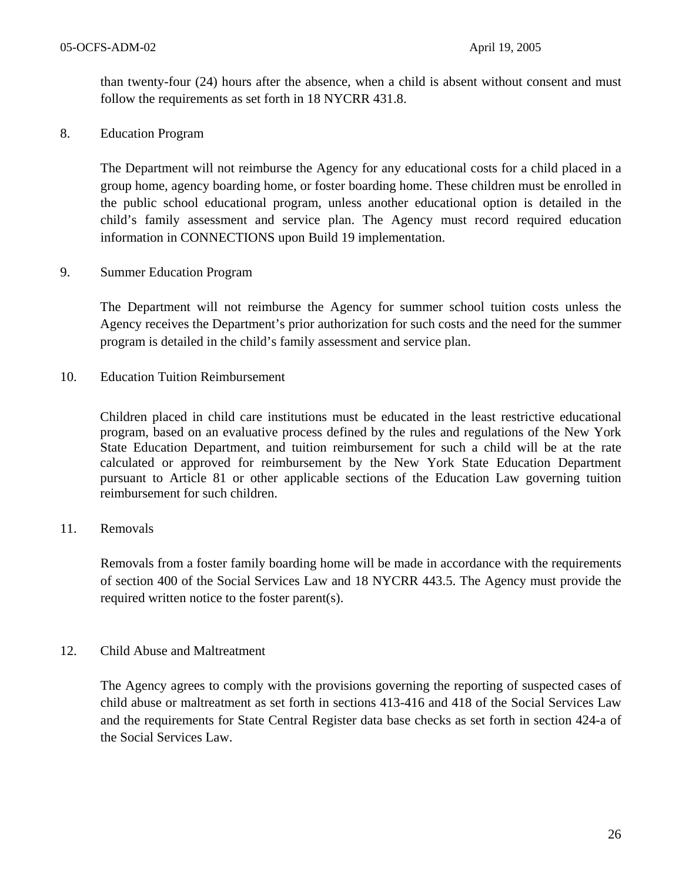than twenty-four (24) hours after the absence, when a child is absent without consent and must follow the requirements as set forth in 18 NYCRR 431.8.

8. Education Program

The Department will not reimburse the Agency for any educational costs for a child placed in a group home, agency boarding home, or foster boarding home. These children must be enrolled in the public school educational program, unless another educational option is detailed in the child's family assessment and service plan. The Agency must record required education information in CONNECTIONS upon Build 19 implementation.

9. Summer Education Program

The Department will not reimburse the Agency for summer school tuition costs unless the Agency receives the Department's prior authorization for such costs and the need for the summer program is detailed in the child's family assessment and service plan.

10. Education Tuition Reimbursement

Children placed in child care institutions must be educated in the least restrictive educational program, based on an evaluative process defined by the rules and regulations of the New York State Education Department, and tuition reimbursement for such a child will be at the rate calculated or approved for reimbursement by the New York State Education Department pursuant to Article 81 or other applicable sections of the Education Law governing tuition reimbursement for such children.

#### 11. Removals

Removals from a foster family boarding home will be made in accordance with the requirements of section 400 of the Social Services Law and 18 NYCRR 443.5. The Agency must provide the required written notice to the foster parent(s).

#### 12. Child Abuse and Maltreatment

The Agency agrees to comply with the provisions governing the reporting of suspected cases of child abuse or maltreatment as set forth in sections 413-416 and 418 of the Social Services Law and the requirements for State Central Register data base checks as set forth in section 424-a of the Social Services Law.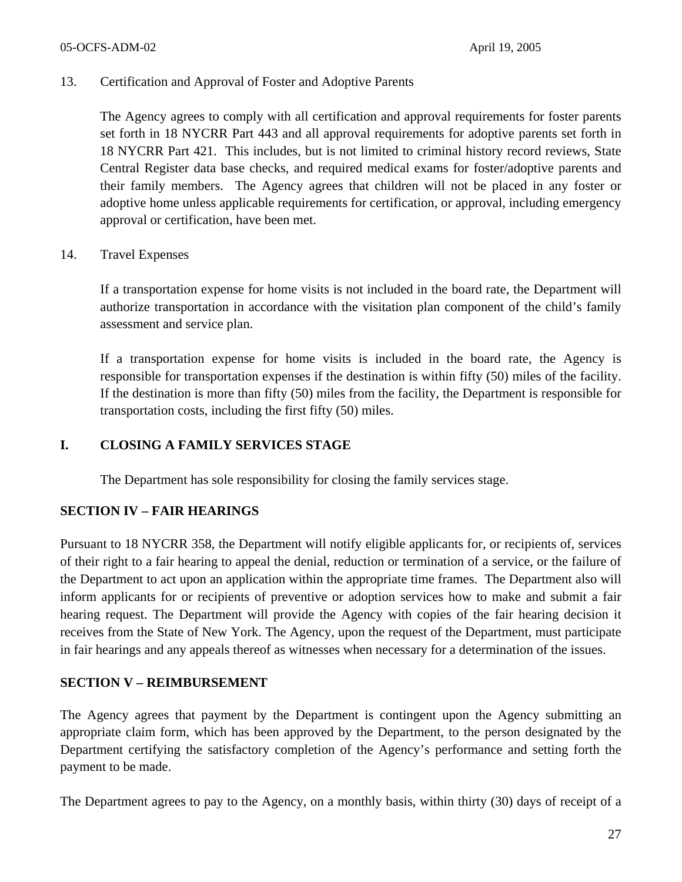#### 05-OCFS-ADM-02 April 19, 2005

#### 13. Certification and Approval of Foster and Adoptive Parents

The Agency agrees to comply with all certification and approval requirements for foster parents set forth in 18 NYCRR Part 443 and all approval requirements for adoptive parents set forth in 18 NYCRR Part 421. This includes, but is not limited to criminal history record reviews, State Central Register data base checks, and required medical exams for foster/adoptive parents and their family members. The Agency agrees that children will not be placed in any foster or adoptive home unless applicable requirements for certification, or approval, including emergency approval or certification, have been met.

#### 14. Travel Expenses

If a transportation expense for home visits is not included in the board rate, the Department will authorize transportation in accordance with the visitation plan component of the child's family assessment and service plan.

If a transportation expense for home visits is included in the board rate, the Agency is responsible for transportation expenses if the destination is within fifty (50) miles of the facility. If the destination is more than fifty (50) miles from the facility, the Department is responsible for transportation costs, including the first fifty (50) miles.

## **I. CLOSING A FAMILY SERVICES STAGE**

The Department has sole responsibility for closing the family services stage.

## **SECTION IV – FAIR HEARINGS**

Pursuant to 18 NYCRR 358, the Department will notify eligible applicants for, or recipients of, services of their right to a fair hearing to appeal the denial, reduction or termination of a service, or the failure of the Department to act upon an application within the appropriate time frames. The Department also will inform applicants for or recipients of preventive or adoption services how to make and submit a fair hearing request. The Department will provide the Agency with copies of the fair hearing decision it receives from the State of New York. The Agency, upon the request of the Department, must participate in fair hearings and any appeals thereof as witnesses when necessary for a determination of the issues.

## **SECTION V – REIMBURSEMENT**

The Agency agrees that payment by the Department is contingent upon the Agency submitting an appropriate claim form, which has been approved by the Department, to the person designated by the Department certifying the satisfactory completion of the Agency's performance and setting forth the payment to be made.

The Department agrees to pay to the Agency, on a monthly basis, within thirty (30) days of receipt of a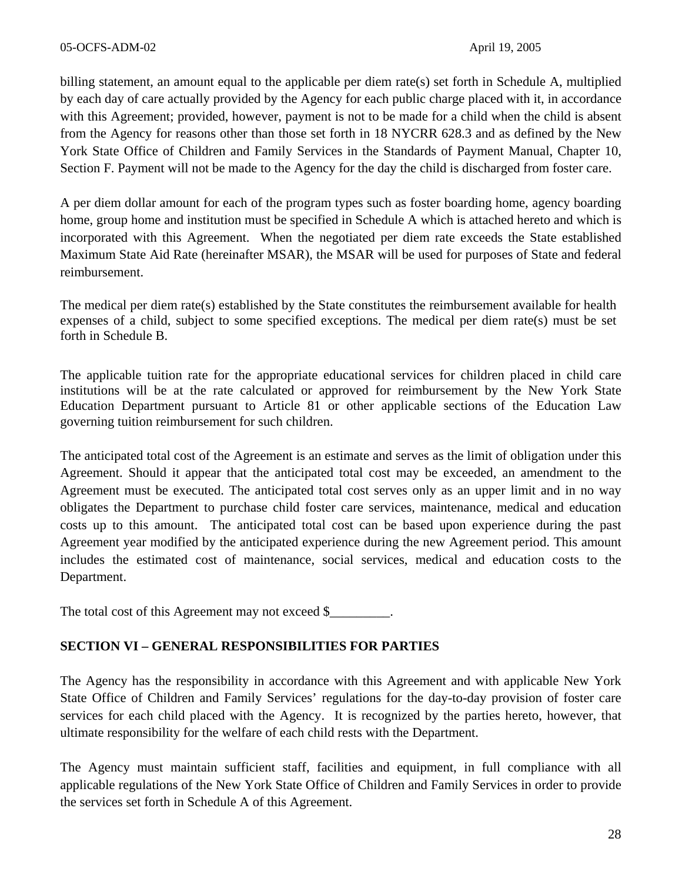billing statement, an amount equal to the applicable per diem rate(s) set forth in Schedule A, multiplied by each day of care actually provided by the Agency for each public charge placed with it, in accordance with this Agreement; provided, however, payment is not to be made for a child when the child is absent from the Agency for reasons other than those set forth in 18 NYCRR 628.3 and as defined by the New York State Office of Children and Family Services in the Standards of Payment Manual, Chapter 10, Section F. Payment will not be made to the Agency for the day the child is discharged from foster care.

A per diem dollar amount for each of the program types such as foster boarding home, agency boarding home, group home and institution must be specified in Schedule A which is attached hereto and which is incorporated with this Agreement. When the negotiated per diem rate exceeds the State established Maximum State Aid Rate (hereinafter MSAR), the MSAR will be used for purposes of State and federal reimbursement.

The medical per diem rate(s) established by the State constitutes the reimbursement available for health expenses of a child, subject to some specified exceptions. The medical per diem rate(s) must be set forth in Schedule B.

The applicable tuition rate for the appropriate educational services for children placed in child care institutions will be at the rate calculated or approved for reimbursement by the New York State Education Department pursuant to Article 81 or other applicable sections of the Education Law governing tuition reimbursement for such children.

The anticipated total cost of the Agreement is an estimate and serves as the limit of obligation under this Agreement. Should it appear that the anticipated total cost may be exceeded, an amendment to the Agreement must be executed. The anticipated total cost serves only as an upper limit and in no way obligates the Department to purchase child foster care services, maintenance, medical and education costs up to this amount. The anticipated total cost can be based upon experience during the past Agreement year modified by the anticipated experience during the new Agreement period. This amount includes the estimated cost of maintenance, social services, medical and education costs to the Department.

The total cost of this Agreement may not exceed \$

## **SECTION VI – GENERAL RESPONSIBILITIES FOR PARTIES**

The Agency has the responsibility in accordance with this Agreement and with applicable New York State Office of Children and Family Services' regulations for the day-to-day provision of foster care services for each child placed with the Agency. It is recognized by the parties hereto, however, that ultimate responsibility for the welfare of each child rests with the Department.

The Agency must maintain sufficient staff, facilities and equipment, in full compliance with all applicable regulations of the New York State Office of Children and Family Services in order to provide the services set forth in Schedule A of this Agreement.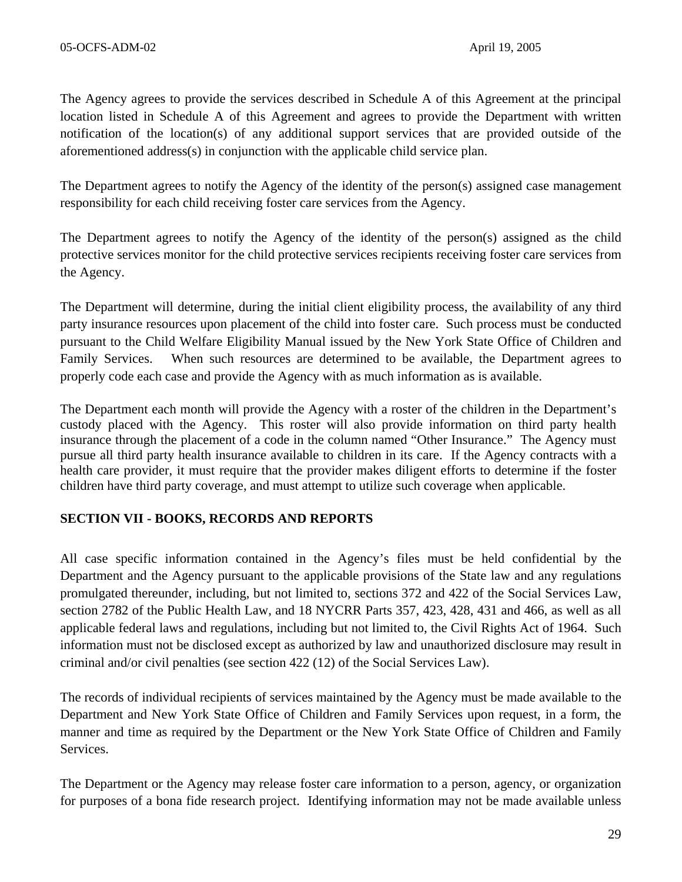The Agency agrees to provide the services described in Schedule A of this Agreement at the principal location listed in Schedule A of this Agreement and agrees to provide the Department with written notification of the location(s) of any additional support services that are provided outside of the aforementioned address(s) in conjunction with the applicable child service plan.

The Department agrees to notify the Agency of the identity of the person(s) assigned case management responsibility for each child receiving foster care services from the Agency.

The Department agrees to notify the Agency of the identity of the person(s) assigned as the child protective services monitor for the child protective services recipients receiving foster care services from the Agency.

The Department will determine, during the initial client eligibility process, the availability of any third party insurance resources upon placement of the child into foster care. Such process must be conducted pursuant to the Child Welfare Eligibility Manual issued by the New York State Office of Children and Family Services. When such resources are determined to be available, the Department agrees to properly code each case and provide the Agency with as much information as is available.

The Department each month will provide the Agency with a roster of the children in the Department's custody placed with the Agency. This roster will also provide information on third party health insurance through the placement of a code in the column named "Other Insurance." The Agency must pursue all third party health insurance available to children in its care. If the Agency contracts with a health care provider, it must require that the provider makes diligent efforts to determine if the foster children have third party coverage, and must attempt to utilize such coverage when applicable.

## **SECTION VII - BOOKS, RECORDS AND REPORTS**

All case specific information contained in the Agency's files must be held confidential by the Department and the Agency pursuant to the applicable provisions of the State law and any regulations promulgated thereunder, including, but not limited to, sections 372 and 422 of the Social Services Law, section 2782 of the Public Health Law, and 18 NYCRR Parts 357, 423, 428, 431 and 466, as well as all applicable federal laws and regulations, including but not limited to, the Civil Rights Act of 1964. Such information must not be disclosed except as authorized by law and unauthorized disclosure may result in criminal and/or civil penalties (see section 422 (12) of the Social Services Law).

The records of individual recipients of services maintained by the Agency must be made available to the Department and New York State Office of Children and Family Services upon request, in a form, the manner and time as required by the Department or the New York State Office of Children and Family Services.

The Department or the Agency may release foster care information to a person, agency, or organization for purposes of a bona fide research project. Identifying information may not be made available unless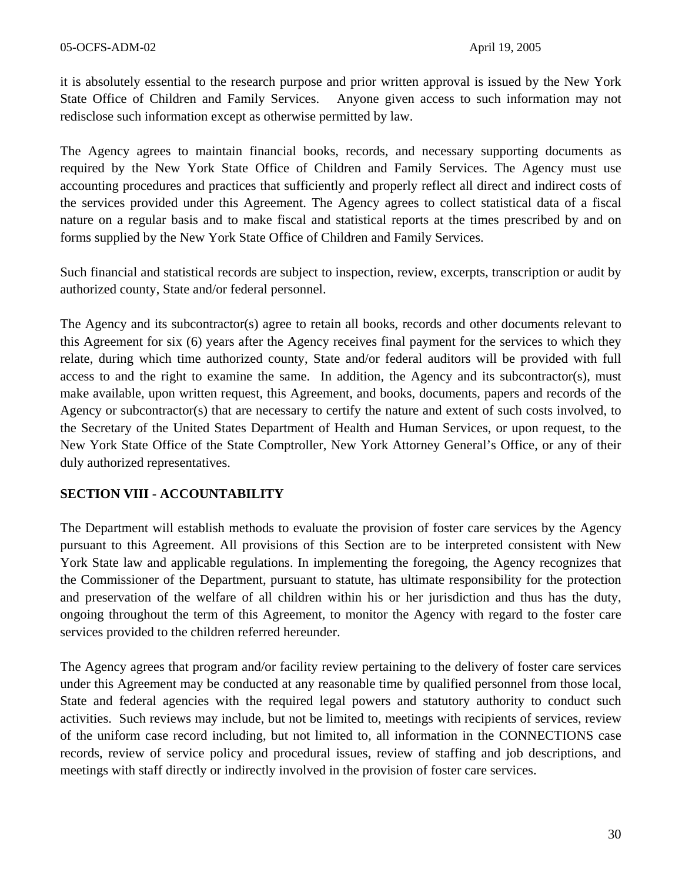it is absolutely essential to the research purpose and prior written approval is issued by the New York State Office of Children and Family Services. Anyone given access to such information may not redisclose such information except as otherwise permitted by law.

The Agency agrees to maintain financial books, records, and necessary supporting documents as required by the New York State Office of Children and Family Services. The Agency must use accounting procedures and practices that sufficiently and properly reflect all direct and indirect costs of the services provided under this Agreement. The Agency agrees to collect statistical data of a fiscal nature on a regular basis and to make fiscal and statistical reports at the times prescribed by and on forms supplied by the New York State Office of Children and Family Services.

Such financial and statistical records are subject to inspection, review, excerpts, transcription or audit by authorized county, State and/or federal personnel.

The Agency and its subcontractor(s) agree to retain all books, records and other documents relevant to this Agreement for six (6) years after the Agency receives final payment for the services to which they relate, during which time authorized county, State and/or federal auditors will be provided with full access to and the right to examine the same. In addition, the Agency and its subcontractor(s), must make available, upon written request, this Agreement, and books, documents, papers and records of the Agency or subcontractor(s) that are necessary to certify the nature and extent of such costs involved, to the Secretary of the United States Department of Health and Human Services, or upon request, to the New York State Office of the State Comptroller, New York Attorney General's Office, or any of their duly authorized representatives.

## **SECTION VIII - ACCOUNTABILITY**

The Department will establish methods to evaluate the provision of foster care services by the Agency pursuant to this Agreement. All provisions of this Section are to be interpreted consistent with New York State law and applicable regulations. In implementing the foregoing, the Agency recognizes that the Commissioner of the Department, pursuant to statute, has ultimate responsibility for the protection and preservation of the welfare of all children within his or her jurisdiction and thus has the duty, ongoing throughout the term of this Agreement, to monitor the Agency with regard to the foster care services provided to the children referred hereunder.

The Agency agrees that program and/or facility review pertaining to the delivery of foster care services under this Agreement may be conducted at any reasonable time by qualified personnel from those local, State and federal agencies with the required legal powers and statutory authority to conduct such activities. Such reviews may include, but not be limited to, meetings with recipients of services, review of the uniform case record including, but not limited to, all information in the CONNECTIONS case records, review of service policy and procedural issues, review of staffing and job descriptions, and meetings with staff directly or indirectly involved in the provision of foster care services.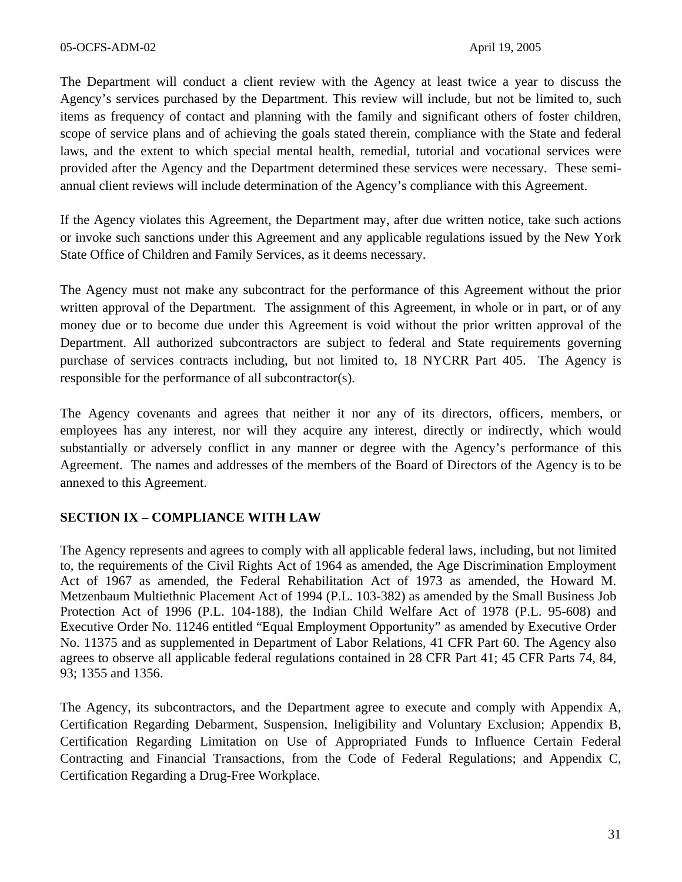The Department will conduct a client review with the Agency at least twice a year to discuss the Agency's services purchased by the Department. This review will include, but not be limited to, such items as frequency of contact and planning with the family and significant others of foster children, scope of service plans and of achieving the goals stated therein, compliance with the State and federal laws, and the extent to which special mental health, remedial, tutorial and vocational services were provided after the Agency and the Department determined these services were necessary. These semiannual client reviews will include determination of the Agency's compliance with this Agreement.

If the Agency violates this Agreement, the Department may, after due written notice, take such actions or invoke such sanctions under this Agreement and any applicable regulations issued by the New York State Office of Children and Family Services, as it deems necessary.

The Agency must not make any subcontract for the performance of this Agreement without the prior written approval of the Department. The assignment of this Agreement, in whole or in part, or of any money due or to become due under this Agreement is void without the prior written approval of the Department. All authorized subcontractors are subject to federal and State requirements governing purchase of services contracts including, but not limited to, 18 NYCRR Part 405. The Agency is responsible for the performance of all subcontractor(s).

The Agency covenants and agrees that neither it nor any of its directors, officers, members, or employees has any interest, nor will they acquire any interest, directly or indirectly, which would substantially or adversely conflict in any manner or degree with the Agency's performance of this Agreement. The names and addresses of the members of the Board of Directors of the Agency is to be annexed to this Agreement.

## **SECTION IX – COMPLIANCE WITH LAW**

The Agency represents and agrees to comply with all applicable federal laws, including, but not limited to, the requirements of the Civil Rights Act of 1964 as amended, the Age Discrimination Employment Act of 1967 as amended, the Federal Rehabilitation Act of 1973 as amended, the Howard M. Metzenbaum Multiethnic Placement Act of 1994 (P.L. 103-382) as amended by the Small Business Job Protection Act of 1996 (P.L. 104-188), the Indian Child Welfare Act of 1978 (P.L. 95-608) and Executive Order No. 11246 entitled "Equal Employment Opportunity" as amended by Executive Order No. 11375 and as supplemented in Department of Labor Relations, 41 CFR Part 60. The Agency also agrees to observe all applicable federal regulations contained in 28 CFR Part 41; 45 CFR Parts 74, 84, 93; 1355 and 1356.

The Agency, its subcontractors, and the Department agree to execute and comply with Appendix A, Certification Regarding Debarment, Suspension, Ineligibility and Voluntary Exclusion; Appendix B, Certification Regarding Limitation on Use of Appropriated Funds to Influence Certain Federal Contracting and Financial Transactions, from the Code of Federal Regulations; and Appendix C, Certification Regarding a Drug-Free Workplace.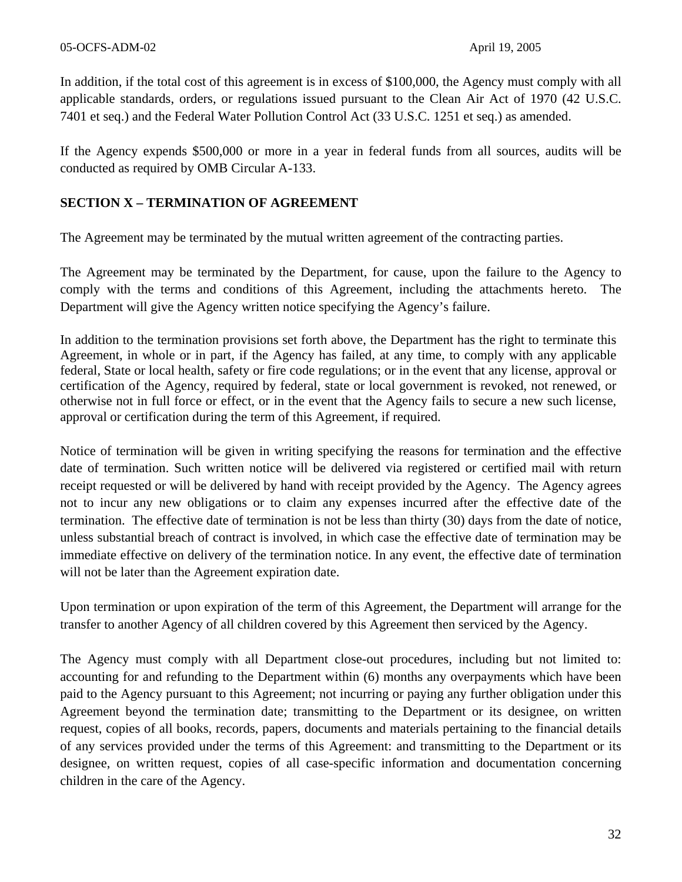In addition, if the total cost of this agreement is in excess of \$100,000, the Agency must comply with all applicable standards, orders, or regulations issued pursuant to the Clean Air Act of 1970 (42 U.S.C. 7401 et seq.) and the Federal Water Pollution Control Act (33 U.S.C. 1251 et seq.) as amended.

If the Agency expends \$500,000 or more in a year in federal funds from all sources, audits will be conducted as required by OMB Circular A-133.

# **SECTION X – TERMINATION OF AGREEMENT**

The Agreement may be terminated by the mutual written agreement of the contracting parties.

The Agreement may be terminated by the Department, for cause, upon the failure to the Agency to comply with the terms and conditions of this Agreement, including the attachments hereto. The Department will give the Agency written notice specifying the Agency's failure.

In addition to the termination provisions set forth above, the Department has the right to terminate this Agreement, in whole or in part, if the Agency has failed, at any time, to comply with any applicable federal, State or local health, safety or fire code regulations; or in the event that any license, approval or certification of the Agency, required by federal, state or local government is revoked, not renewed, or otherwise not in full force or effect, or in the event that the Agency fails to secure a new such license, approval or certification during the term of this Agreement, if required.

Notice of termination will be given in writing specifying the reasons for termination and the effective date of termination. Such written notice will be delivered via registered or certified mail with return receipt requested or will be delivered by hand with receipt provided by the Agency. The Agency agrees not to incur any new obligations or to claim any expenses incurred after the effective date of the termination. The effective date of termination is not be less than thirty (30) days from the date of notice, unless substantial breach of contract is involved, in which case the effective date of termination may be immediate effective on delivery of the termination notice. In any event, the effective date of termination will not be later than the Agreement expiration date.

Upon termination or upon expiration of the term of this Agreement, the Department will arrange for the transfer to another Agency of all children covered by this Agreement then serviced by the Agency.

The Agency must comply with all Department close-out procedures, including but not limited to: accounting for and refunding to the Department within (6) months any overpayments which have been paid to the Agency pursuant to this Agreement; not incurring or paying any further obligation under this Agreement beyond the termination date; transmitting to the Department or its designee, on written request, copies of all books, records, papers, documents and materials pertaining to the financial details of any services provided under the terms of this Agreement: and transmitting to the Department or its designee, on written request, copies of all case-specific information and documentation concerning children in the care of the Agency.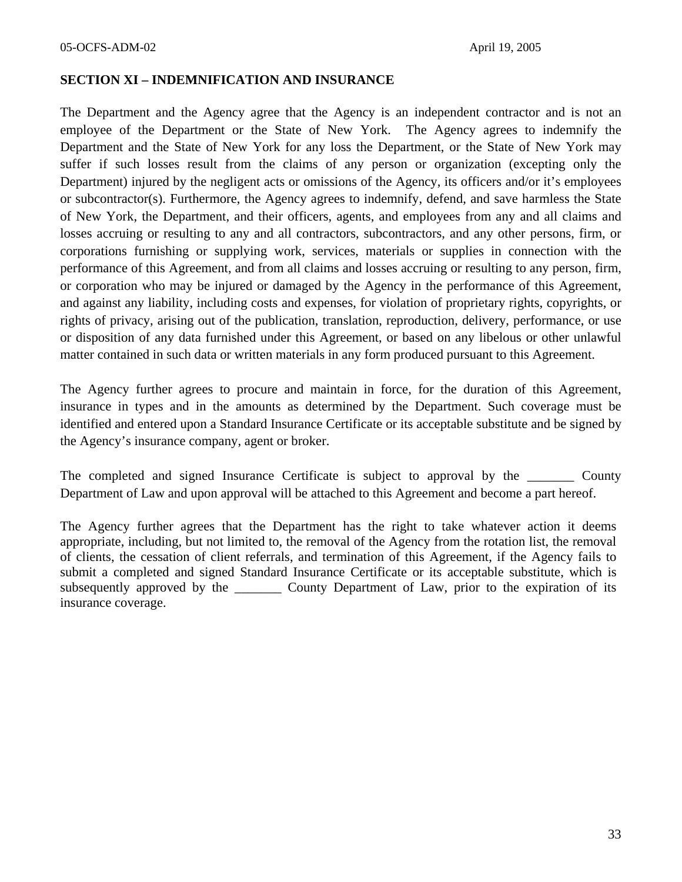#### **SECTION XI – INDEMNIFICATION AND INSURANCE**

The Department and the Agency agree that the Agency is an independent contractor and is not an employee of the Department or the State of New York. The Agency agrees to indemnify the Department and the State of New York for any loss the Department, or the State of New York may suffer if such losses result from the claims of any person or organization (excepting only the Department) injured by the negligent acts or omissions of the Agency, its officers and/or it's employees or subcontractor(s). Furthermore, the Agency agrees to indemnify, defend, and save harmless the State of New York, the Department, and their officers, agents, and employees from any and all claims and losses accruing or resulting to any and all contractors, subcontractors, and any other persons, firm, or corporations furnishing or supplying work, services, materials or supplies in connection with the performance of this Agreement, and from all claims and losses accruing or resulting to any person, firm, or corporation who may be injured or damaged by the Agency in the performance of this Agreement, and against any liability, including costs and expenses, for violation of proprietary rights, copyrights, or rights of privacy, arising out of the publication, translation, reproduction, delivery, performance, or use or disposition of any data furnished under this Agreement, or based on any libelous or other unlawful matter contained in such data or written materials in any form produced pursuant to this Agreement.

The Agency further agrees to procure and maintain in force, for the duration of this Agreement, insurance in types and in the amounts as determined by the Department. Such coverage must be identified and entered upon a Standard Insurance Certificate or its acceptable substitute and be signed by the Agency's insurance company, agent or broker.

The completed and signed Insurance Certificate is subject to approval by the \_\_\_\_\_\_\_\_ County Department of Law and upon approval will be attached to this Agreement and become a part hereof.

The Agency further agrees that the Department has the right to take whatever action it deems appropriate, including, but not limited to, the removal of the Agency from the rotation list, the removal of clients, the cessation of client referrals, and termination of this Agreement, if the Agency fails to submit a completed and signed Standard Insurance Certificate or its acceptable substitute, which is subsequently approved by the \_\_\_\_\_\_\_\_ County Department of Law, prior to the expiration of its insurance coverage.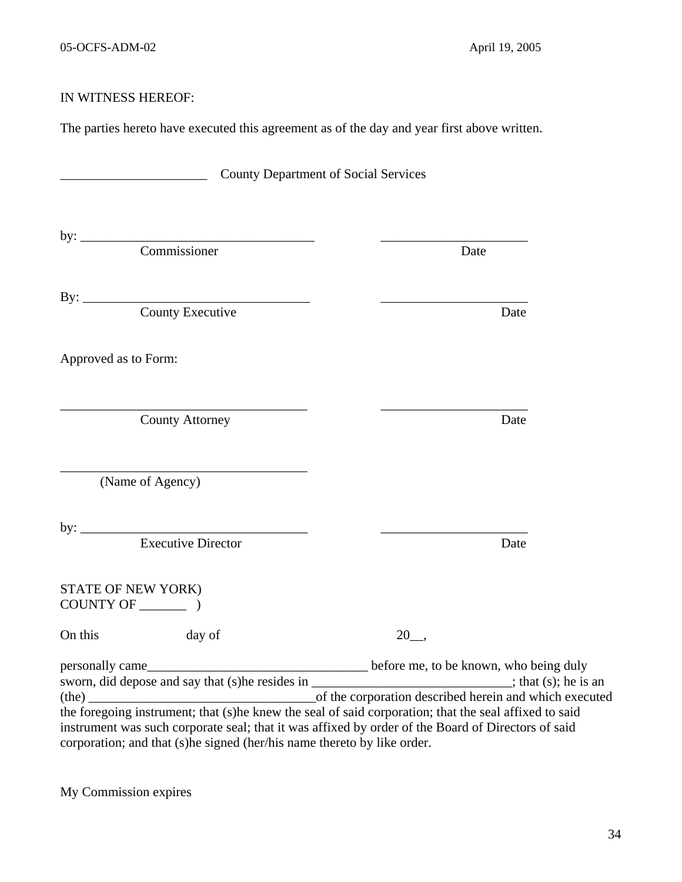# IN WITNESS HEREOF:

The parties hereto have executed this agreement as of the day and year first above written.

| <b>County Department of Social Services</b>                                                                                                                                                                                                                                                                                                     |                                                                                                  |
|-------------------------------------------------------------------------------------------------------------------------------------------------------------------------------------------------------------------------------------------------------------------------------------------------------------------------------------------------|--------------------------------------------------------------------------------------------------|
| by: <u>Commissioner</u>                                                                                                                                                                                                                                                                                                                         | Date                                                                                             |
| By: County Executive                                                                                                                                                                                                                                                                                                                            | Date                                                                                             |
| Approved as to Form:                                                                                                                                                                                                                                                                                                                            |                                                                                                  |
| <b>County Attorney</b>                                                                                                                                                                                                                                                                                                                          | Date                                                                                             |
| (Name of Agency)                                                                                                                                                                                                                                                                                                                                |                                                                                                  |
| by: $\qquad \qquad$<br><b>Executive Director</b>                                                                                                                                                                                                                                                                                                | Date                                                                                             |
| STATE OF NEW YORK)<br>COUNTY OF $\_\_\_\_\_\$ )                                                                                                                                                                                                                                                                                                 |                                                                                                  |
| On this<br>day of                                                                                                                                                                                                                                                                                                                               | 20,                                                                                              |
| personally came_<br>sworn, did depose and say that (s) he resides in ______________________________; that (s); he is an<br>(the)<br>the foregoing instrument; that (s)he knew the seal of said corporation; that the seal affixed to said<br>instrument was such corporate seal; that it was affixed by order of the Board of Directors of said | before me, to be known, who being duly<br>of the corporation described herein and which executed |
| corporation; and that (s)he signed (her/his name thereto by like order.                                                                                                                                                                                                                                                                         |                                                                                                  |

My Commission expires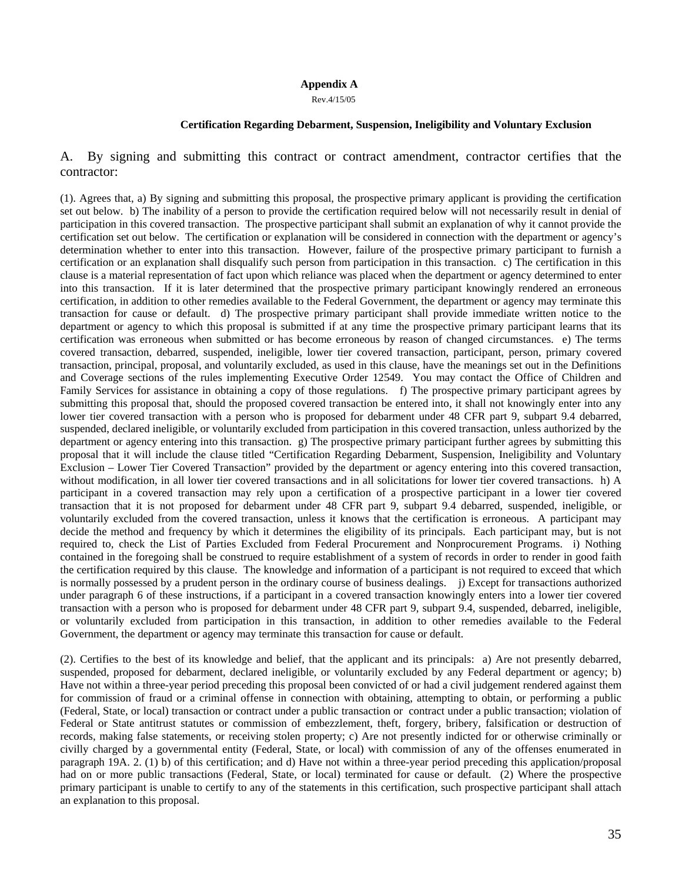#### **Appendix A**

Rev.4/15/05

#### **Certification Regarding Debarment, Suspension, Ineligibility and Voluntary Exclusion**

A. By signing and submitting this contract or contract amendment, contractor certifies that the contractor:

(1). Agrees that, a) By signing and submitting this proposal, the prospective primary applicant is providing the certification set out below. b) The inability of a person to provide the certification required below will not necessarily result in denial of participation in this covered transaction. The prospective participant shall submit an explanation of why it cannot provide the certification set out below. The certification or explanation will be considered in connection with the department or agency's determination whether to enter into this transaction. However, failure of the prospective primary participant to furnish a certification or an explanation shall disqualify such person from participation in this transaction. c) The certification in this clause is a material representation of fact upon which reliance was placed when the department or agency determined to enter into this transaction. If it is later determined that the prospective primary participant knowingly rendered an erroneous certification, in addition to other remedies available to the Federal Government, the department or agency may terminate this transaction for cause or default. d) The prospective primary participant shall provide immediate written notice to the department or agency to which this proposal is submitted if at any time the prospective primary participant learns that its certification was erroneous when submitted or has become erroneous by reason of changed circumstances. e) The terms covered transaction, debarred, suspended, ineligible, lower tier covered transaction, participant, person, primary covered transaction, principal, proposal, and voluntarily excluded, as used in this clause, have the meanings set out in the Definitions and Coverage sections of the rules implementing Executive Order 12549. You may contact the Office of Children and Family Services for assistance in obtaining a copy of those regulations. f) The prospective primary participant agrees by submitting this proposal that, should the proposed covered transaction be entered into, it shall not knowingly enter into any lower tier covered transaction with a person who is proposed for debarment under 48 CFR part 9, subpart 9.4 debarred, suspended, declared ineligible, or voluntarily excluded from participation in this covered transaction, unless authorized by the department or agency entering into this transaction. g) The prospective primary participant further agrees by submitting this proposal that it will include the clause titled "Certification Regarding Debarment, Suspension, Ineligibility and Voluntary Exclusion – Lower Tier Covered Transaction" provided by the department or agency entering into this covered transaction, without modification, in all lower tier covered transactions and in all solicitations for lower tier covered transactions. h) A participant in a covered transaction may rely upon a certification of a prospective participant in a lower tier covered transaction that it is not proposed for debarment under 48 CFR part 9, subpart 9.4 debarred, suspended, ineligible, or voluntarily excluded from the covered transaction, unless it knows that the certification is erroneous. A participant may decide the method and frequency by which it determines the eligibility of its principals. Each participant may, but is not required to, check the List of Parties Excluded from Federal Procurement and Nonprocurement Programs. i) Nothing contained in the foregoing shall be construed to require establishment of a system of records in order to render in good faith the certification required by this clause. The knowledge and information of a participant is not required to exceed that which is normally possessed by a prudent person in the ordinary course of business dealings. j) Except for transactions authorized under paragraph 6 of these instructions, if a participant in a covered transaction knowingly enters into a lower tier covered transaction with a person who is proposed for debarment under 48 CFR part 9, subpart 9.4, suspended, debarred, ineligible, or voluntarily excluded from participation in this transaction, in addition to other remedies available to the Federal Government, the department or agency may terminate this transaction for cause or default.

(2). Certifies to the best of its knowledge and belief, that the applicant and its principals: a) Are not presently debarred, suspended, proposed for debarment, declared ineligible, or voluntarily excluded by any Federal department or agency; b) Have not within a three-year period preceding this proposal been convicted of or had a civil judgement rendered against them for commission of fraud or a criminal offense in connection with obtaining, attempting to obtain, or performing a public (Federal, State, or local) transaction or contract under a public transaction or contract under a public transaction; violation of Federal or State antitrust statutes or commission of embezzlement, theft, forgery, bribery, falsification or destruction of records, making false statements, or receiving stolen property; c) Are not presently indicted for or otherwise criminally or civilly charged by a governmental entity (Federal, State, or local) with commission of any of the offenses enumerated in paragraph 19A. 2. (1) b) of this certification; and d) Have not within a three-year period preceding this application/proposal had on or more public transactions (Federal, State, or local) terminated for cause or default. (2) Where the prospective primary participant is unable to certify to any of the statements in this certification, such prospective participant shall attach an explanation to this proposal.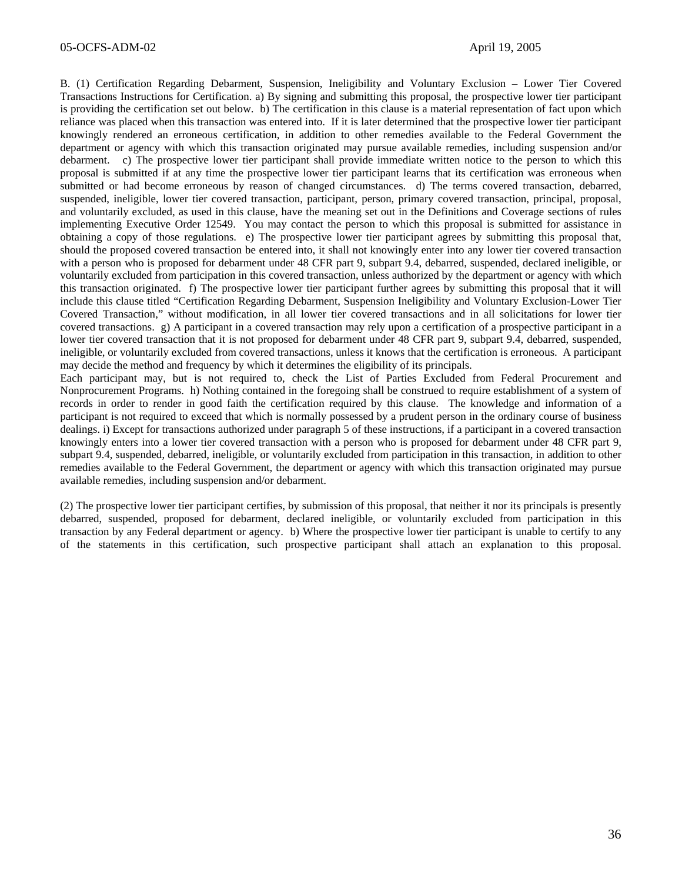B. (1) Certification Regarding Debarment, Suspension, Ineligibility and Voluntary Exclusion – Lower Tier Covered Transactions Instructions for Certification. a) By signing and submitting this proposal, the prospective lower tier participant is providing the certification set out below. b) The certification in this clause is a material representation of fact upon which reliance was placed when this transaction was entered into. If it is later determined that the prospective lower tier participant knowingly rendered an erroneous certification, in addition to other remedies available to the Federal Government the department or agency with which this transaction originated may pursue available remedies, including suspension and/or debarment. c) The prospective lower tier participant shall provide immediate written notice to the person to which this proposal is submitted if at any time the prospective lower tier participant learns that its certification was erroneous when submitted or had become erroneous by reason of changed circumstances. d) The terms covered transaction, debarred, suspended, ineligible, lower tier covered transaction, participant, person, primary covered transaction, principal, proposal, and voluntarily excluded, as used in this clause, have the meaning set out in the Definitions and Coverage sections of rules implementing Executive Order 12549. You may contact the person to which this proposal is submitted for assistance in obtaining a copy of those regulations. e) The prospective lower tier participant agrees by submitting this proposal that, should the proposed covered transaction be entered into, it shall not knowingly enter into any lower tier covered transaction with a person who is proposed for debarment under 48 CFR part 9, subpart 9.4, debarred, suspended, declared ineligible, or voluntarily excluded from participation in this covered transaction, unless authorized by the department or agency with which this transaction originated. f) The prospective lower tier participant further agrees by submitting this proposal that it will include this clause titled "Certification Regarding Debarment, Suspension Ineligibility and Voluntary Exclusion-Lower Tier Covered Transaction," without modification, in all lower tier covered transactions and in all solicitations for lower tier covered transactions. g) A participant in a covered transaction may rely upon a certification of a prospective participant in a lower tier covered transaction that it is not proposed for debarment under 48 CFR part 9, subpart 9.4, debarred, suspended, ineligible, or voluntarily excluded from covered transactions, unless it knows that the certification is erroneous. A participant may decide the method and frequency by which it determines the eligibility of its principals.

Each participant may, but is not required to, check the List of Parties Excluded from Federal Procurement and Nonprocurement Programs. h) Nothing contained in the foregoing shall be construed to require establishment of a system of records in order to render in good faith the certification required by this clause. The knowledge and information of a participant is not required to exceed that which is normally possessed by a prudent person in the ordinary course of business dealings. i) Except for transactions authorized under paragraph 5 of these instructions, if a participant in a covered transaction knowingly enters into a lower tier covered transaction with a person who is proposed for debarment under 48 CFR part 9, subpart 9.4, suspended, debarred, ineligible, or voluntarily excluded from participation in this transaction, in addition to other remedies available to the Federal Government, the department or agency with which this transaction originated may pursue available remedies, including suspension and/or debarment.

(2) The prospective lower tier participant certifies, by submission of this proposal, that neither it nor its principals is presently debarred, suspended, proposed for debarment, declared ineligible, or voluntarily excluded from participation in this transaction by any Federal department or agency. b) Where the prospective lower tier participant is unable to certify to any of the statements in this certification, such prospective participant shall attach an explanation to this proposal.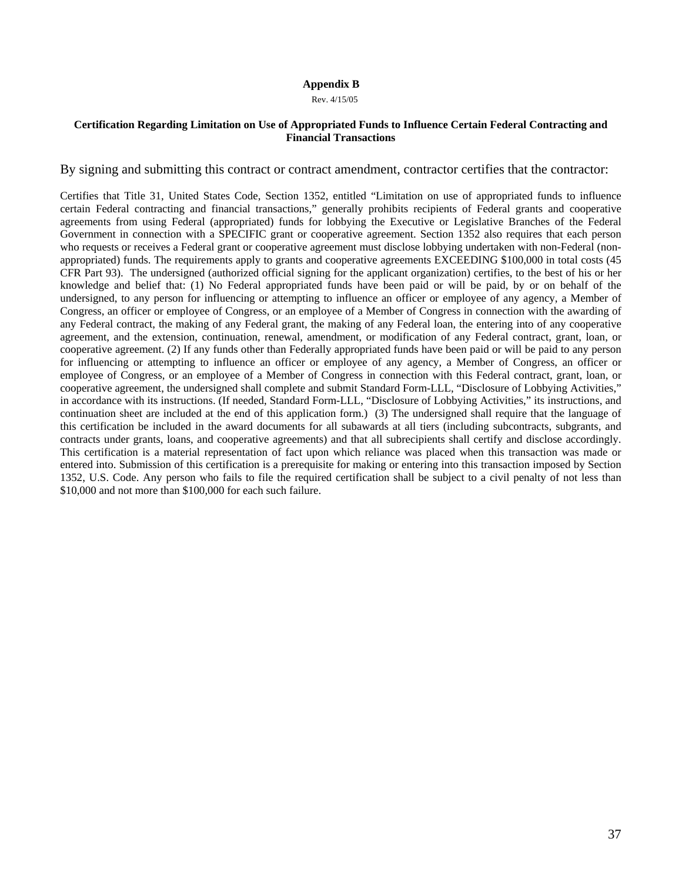#### **Appendix B**

Rev. 4/15/05

#### **Certification Regarding Limitation on Use of Appropriated Funds to Influence Certain Federal Contracting and Financial Transactions**

By signing and submitting this contract or contract amendment, contractor certifies that the contractor:

Certifies that Title 31, United States Code, Section 1352, entitled "Limitation on use of appropriated funds to influence certain Federal contracting and financial transactions," generally prohibits recipients of Federal grants and cooperative agreements from using Federal (appropriated) funds for lobbying the Executive or Legislative Branches of the Federal Government in connection with a SPECIFIC grant or cooperative agreement. Section 1352 also requires that each person who requests or receives a Federal grant or cooperative agreement must disclose lobbying undertaken with non-Federal (nonappropriated) funds. The requirements apply to grants and cooperative agreements EXCEEDING \$100,000 in total costs (45 CFR Part 93). The undersigned (authorized official signing for the applicant organization) certifies, to the best of his or her knowledge and belief that: (1) No Federal appropriated funds have been paid or will be paid, by or on behalf of the undersigned, to any person for influencing or attempting to influence an officer or employee of any agency, a Member of Congress, an officer or employee of Congress, or an employee of a Member of Congress in connection with the awarding of any Federal contract, the making of any Federal grant, the making of any Federal loan, the entering into of any cooperative agreement, and the extension, continuation, renewal, amendment, or modification of any Federal contract, grant, loan, or cooperative agreement. (2) If any funds other than Federally appropriated funds have been paid or will be paid to any person for influencing or attempting to influence an officer or employee of any agency, a Member of Congress, an officer or employee of Congress, or an employee of a Member of Congress in connection with this Federal contract, grant, loan, or cooperative agreement, the undersigned shall complete and submit Standard Form-LLL, "Disclosure of Lobbying Activities," in accordance with its instructions. (If needed, Standard Form-LLL, "Disclosure of Lobbying Activities," its instructions, and continuation sheet are included at the end of this application form.) (3) The undersigned shall require that the language of this certification be included in the award documents for all subawards at all tiers (including subcontracts, subgrants, and contracts under grants, loans, and cooperative agreements) and that all subrecipients shall certify and disclose accordingly. This certification is a material representation of fact upon which reliance was placed when this transaction was made or entered into. Submission of this certification is a prerequisite for making or entering into this transaction imposed by Section 1352, U.S. Code. Any person who fails to file the required certification shall be subject to a civil penalty of not less than \$10,000 and not more than \$100,000 for each such failure.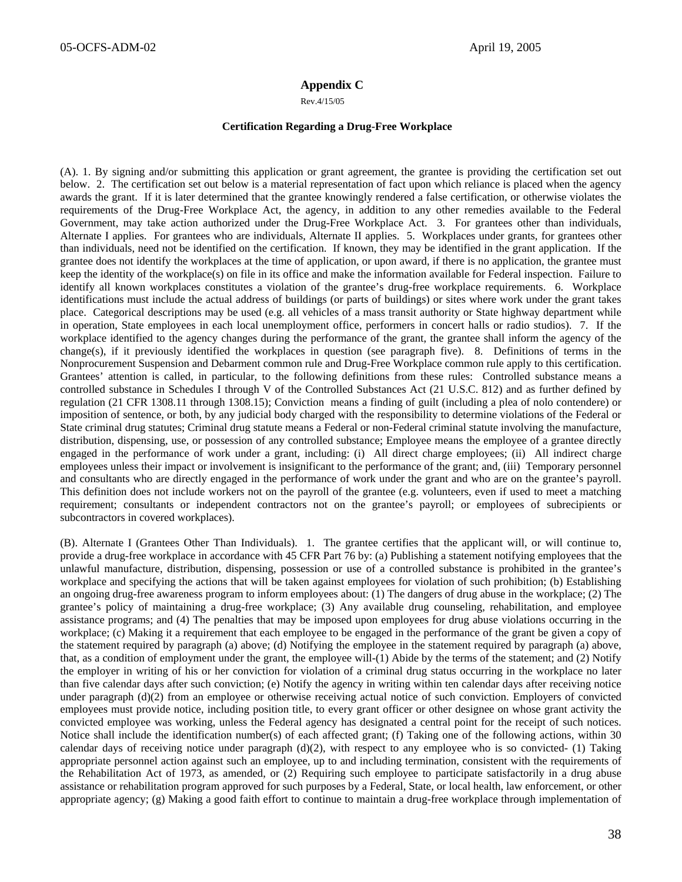#### **Appendix C**

Rev.4/15/05

#### **Certification Regarding a Drug-Free Workplace**

(A). 1. By signing and/or submitting this application or grant agreement, the grantee is providing the certification set out below. 2. The certification set out below is a material representation of fact upon which reliance is placed when the agency awards the grant. If it is later determined that the grantee knowingly rendered a false certification, or otherwise violates the requirements of the Drug-Free Workplace Act, the agency, in addition to any other remedies available to the Federal Government, may take action authorized under the Drug-Free Workplace Act. 3. For grantees other than individuals, Alternate I applies. For grantees who are individuals, Alternate II applies. 5. Workplaces under grants, for grantees other than individuals, need not be identified on the certification. If known, they may be identified in the grant application. If the grantee does not identify the workplaces at the time of application, or upon award, if there is no application, the grantee must keep the identity of the workplace(s) on file in its office and make the information available for Federal inspection. Failure to identify all known workplaces constitutes a violation of the grantee's drug-free workplace requirements. 6. Workplace identifications must include the actual address of buildings (or parts of buildings) or sites where work under the grant takes place. Categorical descriptions may be used (e.g. all vehicles of a mass transit authority or State highway department while in operation, State employees in each local unemployment office, performers in concert halls or radio studios). 7. If the workplace identified to the agency changes during the performance of the grant, the grantee shall inform the agency of the change(s), if it previously identified the workplaces in question (see paragraph five). 8. Definitions of terms in the Nonprocurement Suspension and Debarment common rule and Drug-Free Workplace common rule apply to this certification. Grantees' attention is called, in particular, to the following definitions from these rules: Controlled substance means a controlled substance in Schedules I through V of the Controlled Substances Act (21 U.S.C. 812) and as further defined by regulation (21 CFR 1308.11 through 1308.15); Conviction means a finding of guilt (including a plea of nolo contendere) or imposition of sentence, or both, by any judicial body charged with the responsibility to determine violations of the Federal or State criminal drug statutes; Criminal drug statute means a Federal or non-Federal criminal statute involving the manufacture, distribution, dispensing, use, or possession of any controlled substance; Employee means the employee of a grantee directly engaged in the performance of work under a grant, including: (i) All direct charge employees; (ii) All indirect charge employees unless their impact or involvement is insignificant to the performance of the grant; and, (iii) Temporary personnel and consultants who are directly engaged in the performance of work under the grant and who are on the grantee's payroll. This definition does not include workers not on the payroll of the grantee (e.g. volunteers, even if used to meet a matching requirement; consultants or independent contractors not on the grantee's payroll; or employees of subrecipients or subcontractors in covered workplaces).

(B). Alternate I (Grantees Other Than Individuals). 1. The grantee certifies that the applicant will, or will continue to, provide a drug-free workplace in accordance with 45 CFR Part 76 by: (a) Publishing a statement notifying employees that the unlawful manufacture, distribution, dispensing, possession or use of a controlled substance is prohibited in the grantee's workplace and specifying the actions that will be taken against employees for violation of such prohibition; (b) Establishing an ongoing drug-free awareness program to inform employees about: (1) The dangers of drug abuse in the workplace; (2) The grantee's policy of maintaining a drug-free workplace; (3) Any available drug counseling, rehabilitation, and employee assistance programs; and (4) The penalties that may be imposed upon employees for drug abuse violations occurring in the workplace; (c) Making it a requirement that each employee to be engaged in the performance of the grant be given a copy of the statement required by paragraph (a) above; (d) Notifying the employee in the statement required by paragraph (a) above, that, as a condition of employment under the grant, the employee will-(1) Abide by the terms of the statement; and (2) Notify the employer in writing of his or her conviction for violation of a criminal drug status occurring in the workplace no later than five calendar days after such conviction; (e) Notify the agency in writing within ten calendar days after receiving notice under paragraph (d)(2) from an employee or otherwise receiving actual notice of such conviction. Employers of convicted employees must provide notice, including position title, to every grant officer or other designee on whose grant activity the convicted employee was working, unless the Federal agency has designated a central point for the receipt of such notices. Notice shall include the identification number(s) of each affected grant; (f) Taking one of the following actions, within 30 calendar days of receiving notice under paragraph  $(d)(2)$ , with respect to any employee who is so convicted-  $(1)$  Taking appropriate personnel action against such an employee, up to and including termination, consistent with the requirements of the Rehabilitation Act of 1973, as amended, or (2) Requiring such employee to participate satisfactorily in a drug abuse assistance or rehabilitation program approved for such purposes by a Federal, State, or local health, law enforcement, or other appropriate agency; (g) Making a good faith effort to continue to maintain a drug-free workplace through implementation of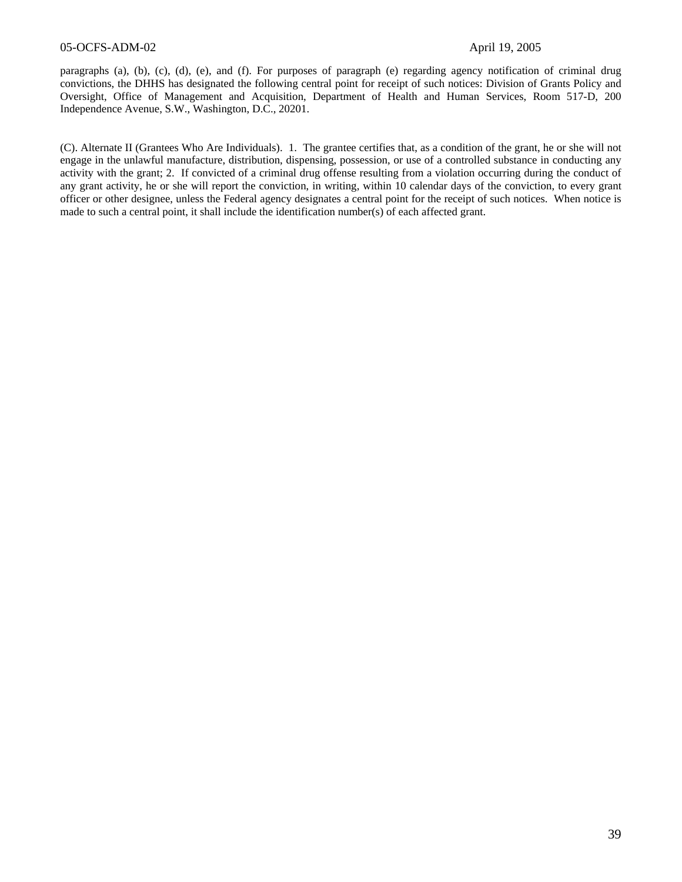#### 05-OCFS-ADM-02 April 19, 2005

paragraphs (a), (b), (c), (d), (e), and (f). For purposes of paragraph (e) regarding agency notification of criminal drug convictions, the DHHS has designated the following central point for receipt of such notices: Division of Grants Policy and Oversight, Office of Management and Acquisition, Department of Health and Human Services, Room 517-D, 200 Independence Avenue, S.W., Washington, D.C., 20201.

(C). Alternate II (Grantees Who Are Individuals). 1. The grantee certifies that, as a condition of the grant, he or she will not engage in the unlawful manufacture, distribution, dispensing, possession, or use of a controlled substance in conducting any activity with the grant; 2. If convicted of a criminal drug offense resulting from a violation occurring during the conduct of any grant activity, he or she will report the conviction, in writing, within 10 calendar days of the conviction, to every grant officer or other designee, unless the Federal agency designates a central point for the receipt of such notices. When notice is made to such a central point, it shall include the identification number(s) of each affected grant.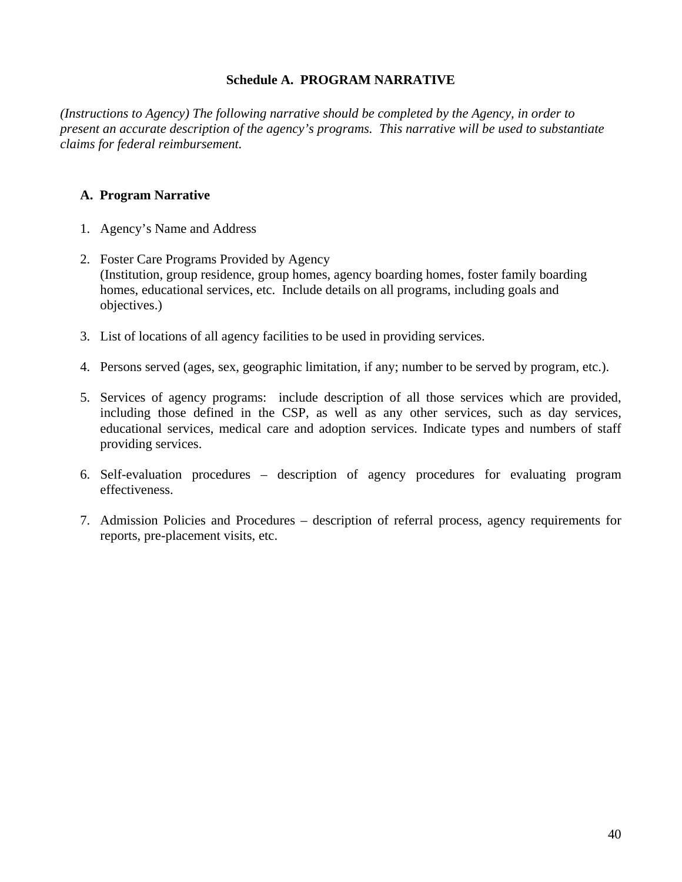# **Schedule A. PROGRAM NARRATIVE**

*(Instructions to Agency) The following narrative should be completed by the Agency, in order to present an accurate description of the agency's programs. This narrative will be used to substantiate claims for federal reimbursement.* 

# **A. Program Narrative**

- 1. Agency's Name and Address
- 2. Foster Care Programs Provided by Agency (Institution, group residence, group homes, agency boarding homes, foster family boarding homes, educational services, etc. Include details on all programs, including goals and objectives.)
- 3. List of locations of all agency facilities to be used in providing services.
- 4. Persons served (ages, sex, geographic limitation, if any; number to be served by program, etc.).
- 5. Services of agency programs: include description of all those services which are provided, including those defined in the CSP, as well as any other services, such as day services, educational services, medical care and adoption services. Indicate types and numbers of staff providing services.
- 6. Self-evaluation procedures description of agency procedures for evaluating program effectiveness.
- 7. Admission Policies and Procedures description of referral process, agency requirements for reports, pre-placement visits, etc.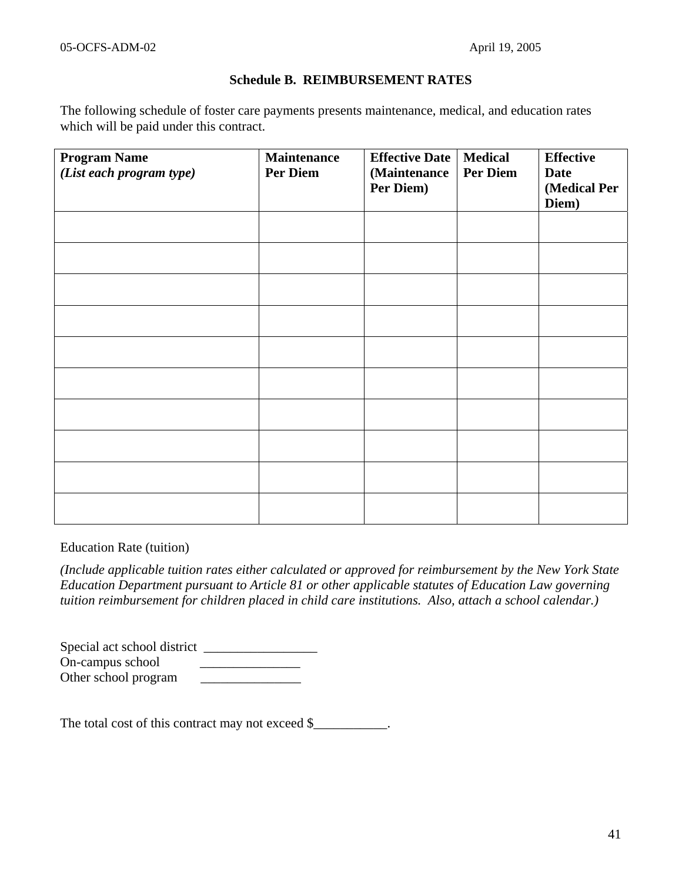### **Schedule B. REIMBURSEMENT RATES**

The following schedule of foster care payments presents maintenance, medical, and education rates which will be paid under this contract.

| <b>Program Name</b>      | <b>Maintenance</b> | <b>Effective Date</b> | <b>Medical</b>  | <b>Effective</b> |
|--------------------------|--------------------|-----------------------|-----------------|------------------|
| (List each program type) | <b>Per Diem</b>    | (Maintenance          | <b>Per Diem</b> | <b>Date</b>      |
|                          |                    | Per Diem)             |                 | (Medical Per     |
|                          |                    |                       |                 | Diem)            |
|                          |                    |                       |                 |                  |
|                          |                    |                       |                 |                  |
|                          |                    |                       |                 |                  |
|                          |                    |                       |                 |                  |
|                          |                    |                       |                 |                  |
|                          |                    |                       |                 |                  |
|                          |                    |                       |                 |                  |
|                          |                    |                       |                 |                  |
|                          |                    |                       |                 |                  |
|                          |                    |                       |                 |                  |
|                          |                    |                       |                 |                  |
|                          |                    |                       |                 |                  |
|                          |                    |                       |                 |                  |
|                          |                    |                       |                 |                  |
|                          |                    |                       |                 |                  |
|                          |                    |                       |                 |                  |
|                          |                    |                       |                 |                  |
|                          |                    |                       |                 |                  |
|                          |                    |                       |                 |                  |
|                          |                    |                       |                 |                  |

Education Rate (tuition)

*(Include applicable tuition rates either calculated or approved for reimbursement by the New York State Education Department pursuant to Article 81 or other applicable statutes of Education Law governing tuition reimbursement for children placed in child care institutions. Also, attach a school calendar.)*

Special act school district \_\_\_\_\_\_\_\_\_\_\_\_\_\_\_\_\_ On-campus school \_\_\_\_\_\_\_\_\_\_\_\_\_\_\_ Other school program \_\_\_\_\_\_\_\_\_\_\_\_\_\_\_

The total cost of this contract may not exceed \$\_\_\_\_\_\_\_\_\_\_.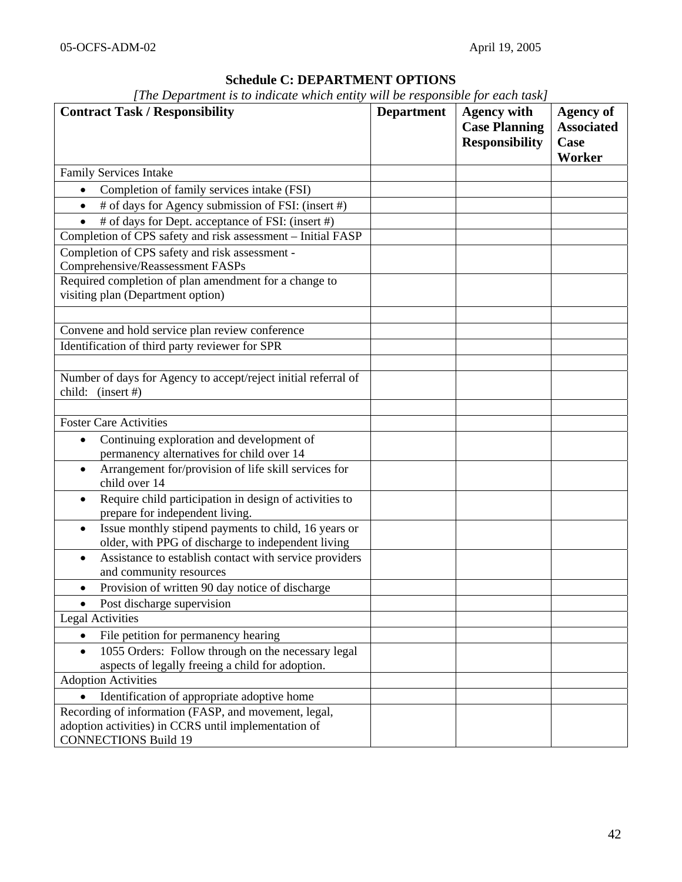# **Schedule C: DEPARTMENT OPTIONS**

| [The Department is to indicate which entity will be responsible for each task] |  |  |
|--------------------------------------------------------------------------------|--|--|
|--------------------------------------------------------------------------------|--|--|

| <b>Contract Task / Responsibility</b>                                                                                   | <b>Department</b> | <b>Agency with</b><br><b>Case Planning</b><br><b>Responsibility</b> | <b>Agency of</b><br><b>Associated</b><br>Case<br><b>Worker</b> |
|-------------------------------------------------------------------------------------------------------------------------|-------------------|---------------------------------------------------------------------|----------------------------------------------------------------|
| <b>Family Services Intake</b>                                                                                           |                   |                                                                     |                                                                |
| Completion of family services intake (FSI)                                                                              |                   |                                                                     |                                                                |
| # of days for Agency submission of FSI: (insert #)<br>$\bullet$                                                         |                   |                                                                     |                                                                |
| # of days for Dept. acceptance of FSI: (insert #)<br>$\bullet$                                                          |                   |                                                                     |                                                                |
| Completion of CPS safety and risk assessment - Initial FASP                                                             |                   |                                                                     |                                                                |
| Completion of CPS safety and risk assessment -                                                                          |                   |                                                                     |                                                                |
| Comprehensive/Reassessment FASPs                                                                                        |                   |                                                                     |                                                                |
| Required completion of plan amendment for a change to                                                                   |                   |                                                                     |                                                                |
| visiting plan (Department option)                                                                                       |                   |                                                                     |                                                                |
|                                                                                                                         |                   |                                                                     |                                                                |
| Convene and hold service plan review conference                                                                         |                   |                                                                     |                                                                |
| Identification of third party reviewer for SPR                                                                          |                   |                                                                     |                                                                |
|                                                                                                                         |                   |                                                                     |                                                                |
| Number of days for Agency to accept/reject initial referral of<br>child: $(inset #)$                                    |                   |                                                                     |                                                                |
|                                                                                                                         |                   |                                                                     |                                                                |
| <b>Foster Care Activities</b>                                                                                           |                   |                                                                     |                                                                |
| Continuing exploration and development of<br>$\bullet$<br>permanency alternatives for child over 14                     |                   |                                                                     |                                                                |
| Arrangement for/provision of life skill services for<br>$\bullet$<br>child over 14                                      |                   |                                                                     |                                                                |
| Require child participation in design of activities to<br>prepare for independent living.                               |                   |                                                                     |                                                                |
| Issue monthly stipend payments to child, 16 years or<br>$\bullet$<br>older, with PPG of discharge to independent living |                   |                                                                     |                                                                |
| Assistance to establish contact with service providers<br>$\bullet$<br>and community resources                          |                   |                                                                     |                                                                |
| Provision of written 90 day notice of discharge<br>$\bullet$                                                            |                   |                                                                     |                                                                |
| Post discharge supervision                                                                                              |                   |                                                                     |                                                                |
| <b>Legal Activities</b>                                                                                                 |                   |                                                                     |                                                                |
| File petition for permanency hearing<br>$\bullet$                                                                       |                   |                                                                     |                                                                |
| 1055 Orders: Follow through on the necessary legal<br>$\bullet$                                                         |                   |                                                                     |                                                                |
| aspects of legally freeing a child for adoption.                                                                        |                   |                                                                     |                                                                |
| <b>Adoption Activities</b>                                                                                              |                   |                                                                     |                                                                |
| Identification of appropriate adoptive home                                                                             |                   |                                                                     |                                                                |
| Recording of information (FASP, and movement, legal,                                                                    |                   |                                                                     |                                                                |
| adoption activities) in CCRS until implementation of<br><b>CONNECTIONS Build 19</b>                                     |                   |                                                                     |                                                                |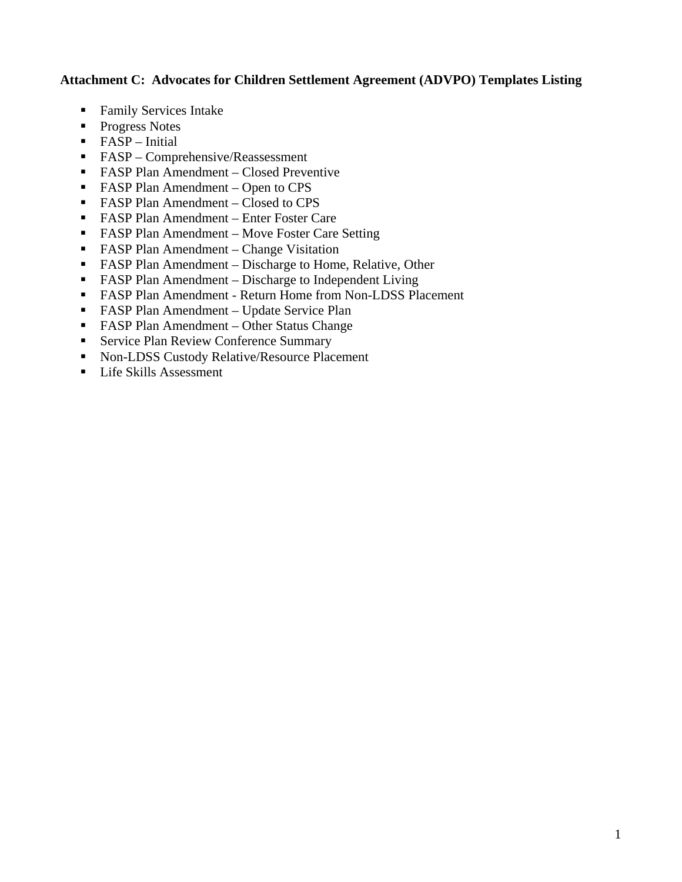# **Attachment C: Advocates for Children Settlement Agreement (ADVPO) Templates Listing**

- Family Services Intake
- Progress Notes
- FASP Initial
- FASP Comprehensive/Reassessment
- FASP Plan Amendment Closed Preventive
- FASP Plan Amendment Open to CPS
- FASP Plan Amendment Closed to CPS
- FASP Plan Amendment Enter Foster Care
- FASP Plan Amendment Move Foster Care Setting
- FASP Plan Amendment Change Visitation
- FASP Plan Amendment Discharge to Home, Relative, Other
- FASP Plan Amendment Discharge to Independent Living
- FASP Plan Amendment Return Home from Non-LDSS Placement
- **FASP Plan Amendment Update Service Plan**
- FASP Plan Amendment Other Status Change
- **Service Plan Review Conference Summary**
- Non-LDSS Custody Relative/Resource Placement
- **Life Skills Assessment**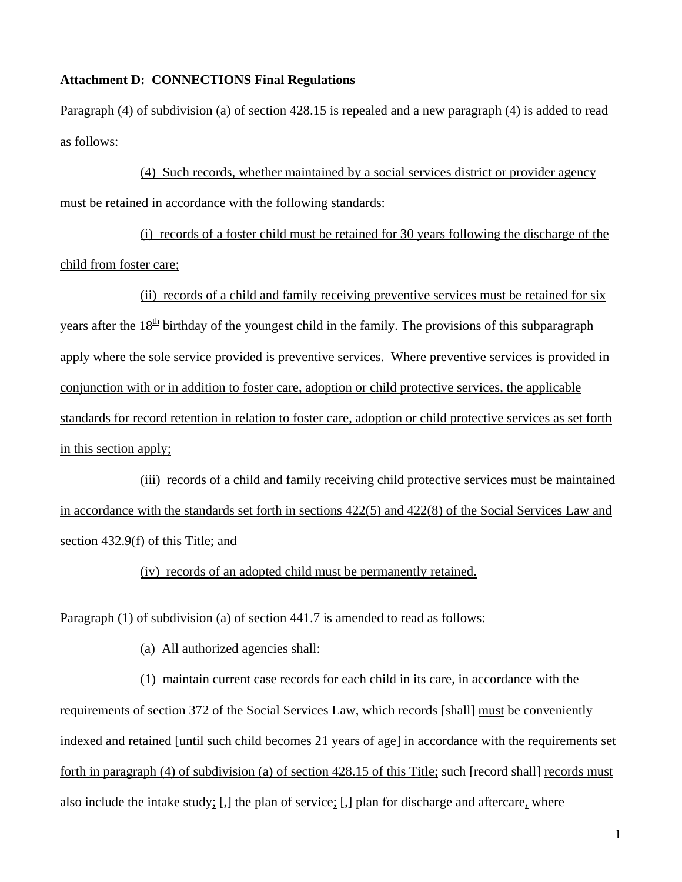### **Attachment D: CONNECTIONS Final Regulations**

Paragraph (4) of subdivision (a) of section 428.15 is repealed and a new paragraph (4) is added to read as follows:

(4) Such records, whether maintained by a social services district or provider agency must be retained in accordance with the following standards:

(i) records of a foster child must be retained for 30 years following the discharge of the child from foster care;

(ii) records of a child and family receiving preventive services must be retained for six years after the  $18<sup>th</sup>$  birthday of the youngest child in the family. The provisions of this subparagraph apply where the sole service provided is preventive services. Where preventive services is provided in conjunction with or in addition to foster care, adoption or child protective services, the applicable standards for record retention in relation to foster care, adoption or child protective services as set forth in this section apply;

(iii) records of a child and family receiving child protective services must be maintained in accordance with the standards set forth in sections 422(5) and 422(8) of the Social Services Law and section 432.9(f) of this Title; and

(iv) records of an adopted child must be permanently retained.

Paragraph (1) of subdivision (a) of section 441.7 is amended to read as follows:

(a) All authorized agencies shall:

(1) maintain current case records for each child in its care, in accordance with the requirements of section 372 of the Social Services Law, which records [shall] must be conveniently indexed and retained [until such child becomes 21 years of age] in accordance with the requirements set forth in paragraph (4) of subdivision (a) of section 428.15 of this Title; such [record shall] records must also include the intake study; [,] the plan of service; [,] plan for discharge and aftercare, where

1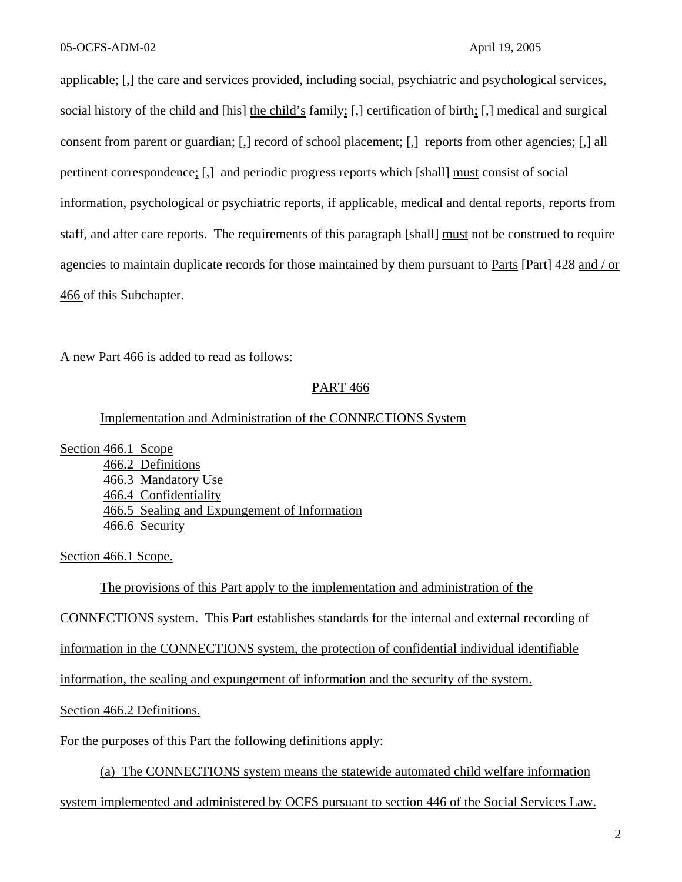applicable; [,] the care and services provided, including social, psychiatric and psychological services, social history of the child and [his] the child's family; [,] certification of birth; [,] medical and surgical consent from parent or guardian; [,] record of school placement; [,] reports from other agencies; [,] all pertinent correspondence; [,] and periodic progress reports which [shall] must consist of social information, psychological or psychiatric reports, if applicable, medical and dental reports, reports from staff, and after care reports. The requirements of this paragraph [shall] must not be construed to require agencies to maintain duplicate records for those maintained by them pursuant to Parts [Part] 428 and / or 466 of this Subchapter.

A new Part 466 is added to read as follows:

### PART 466

### Implementation and Administration of the CONNECTIONS System

Section 466.1 Scope

466.2 Definitions 466.3 Mandatory Use 466.4 Confidentiality 466.5 Sealing and Expungement of Information 466.6 Security

Section 466.1 Scope.

The provisions of this Part apply to the implementation and administration of the

CONNECTIONS system. This Part establishes standards for the internal and external recording of

information in the CONNECTIONS system, the protection of confidential individual identifiable

information, the sealing and expungement of information and the security of the system.

Section 466.2 Definitions.

For the purposes of this Part the following definitions apply:

(a) The CONNECTIONS system means the statewide automated child welfare information system implemented and administered by OCFS pursuant to section 446 of the Social Services Law.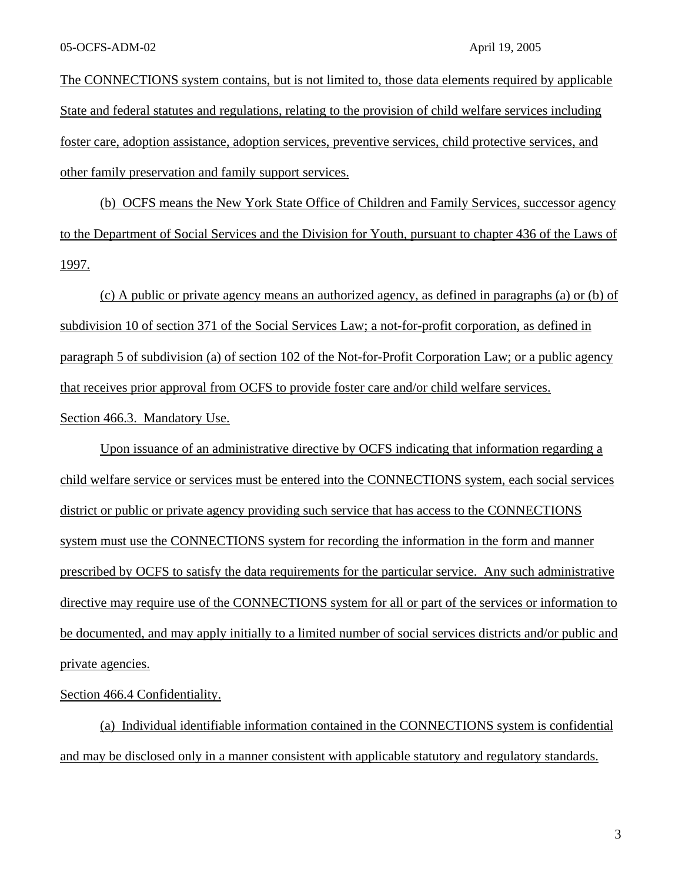The CONNECTIONS system contains, but is not limited to, those data elements required by applicable State and federal statutes and regulations, relating to the provision of child welfare services including foster care, adoption assistance, adoption services, preventive services, child protective services, and other family preservation and family support services.

(b) OCFS means the New York State Office of Children and Family Services, successor agency to the Department of Social Services and the Division for Youth, pursuant to chapter 436 of the Laws of 1997.

(c) A public or private agency means an authorized agency, as defined in paragraphs (a) or (b) of subdivision 10 of section 371 of the Social Services Law; a not-for-profit corporation, as defined in paragraph 5 of subdivision (a) of section 102 of the Not-for-Profit Corporation Law; or a public agency that receives prior approval from OCFS to provide foster care and/or child welfare services. Section 466.3. Mandatory Use.

Upon issuance of an administrative directive by OCFS indicating that information regarding a child welfare service or services must be entered into the CONNECTIONS system, each social services district or public or private agency providing such service that has access to the CONNECTIONS system must use the CONNECTIONS system for recording the information in the form and manner prescribed by OCFS to satisfy the data requirements for the particular service. Any such administrative directive may require use of the CONNECTIONS system for all or part of the services or information to be documented, and may apply initially to a limited number of social services districts and/or public and private agencies.

Section 466.4 Confidentiality.

(a) Individual identifiable information contained in the CONNECTIONS system is confidential and may be disclosed only in a manner consistent with applicable statutory and regulatory standards.

3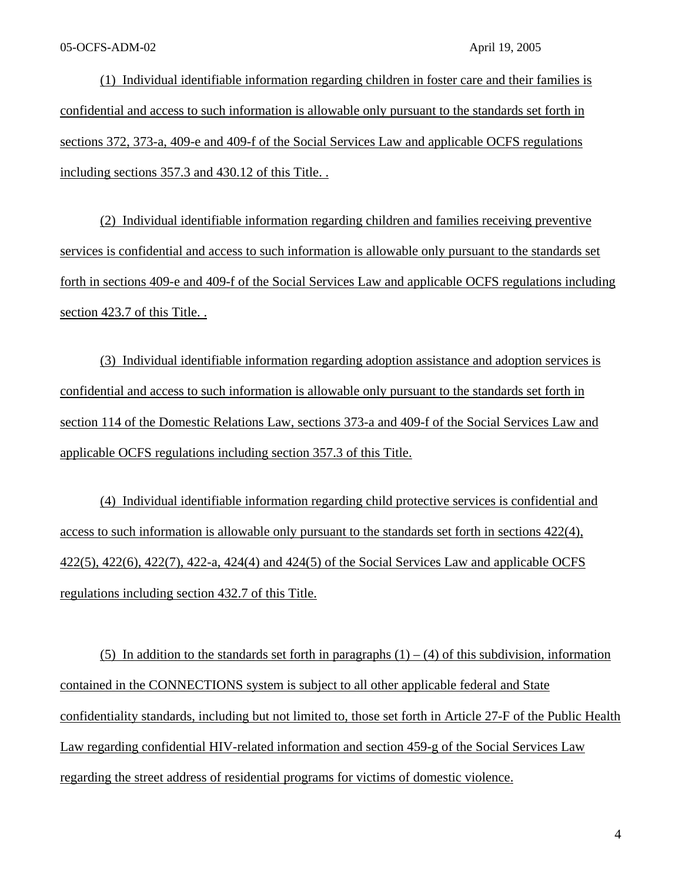(1) Individual identifiable information regarding children in foster care and their families is confidential and access to such information is allowable only pursuant to the standards set forth in sections 372, 373-a, 409-e and 409-f of the Social Services Law and applicable OCFS regulations including sections 357.3 and 430.12 of this Title. .

(2) Individual identifiable information regarding children and families receiving preventive services is confidential and access to such information is allowable only pursuant to the standards set forth in sections 409-e and 409-f of the Social Services Law and applicable OCFS regulations including section 423.7 of this Title. .

(3) Individual identifiable information regarding adoption assistance and adoption services is confidential and access to such information is allowable only pursuant to the standards set forth in section 114 of the Domestic Relations Law, sections 373-a and 409-f of the Social Services Law and applicable OCFS regulations including section 357.3 of this Title.

(4) Individual identifiable information regarding child protective services is confidential and access to such information is allowable only pursuant to the standards set forth in sections 422(4), 422(5), 422(6), 422(7), 422-a, 424(4) and 424(5) of the Social Services Law and applicable OCFS regulations including section 432.7 of this Title.

(5) In addition to the standards set forth in paragraphs  $(1) - (4)$  of this subdivision, information contained in the CONNECTIONS system is subject to all other applicable federal and State confidentiality standards, including but not limited to, those set forth in Article 27-F of the Public Health Law regarding confidential HIV-related information and section 459-g of the Social Services Law regarding the street address of residential programs for victims of domestic violence.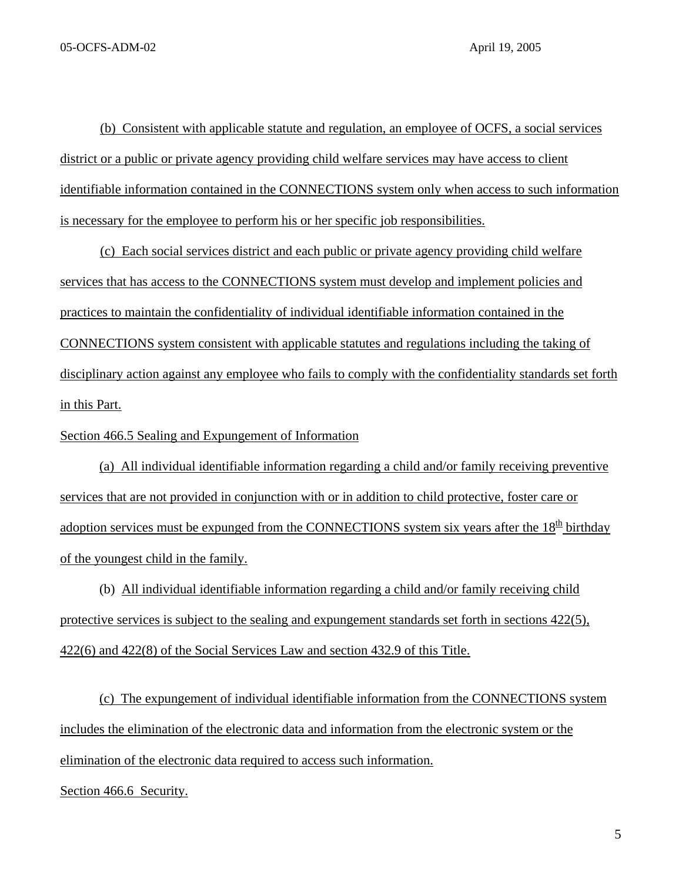(b) Consistent with applicable statute and regulation, an employee of OCFS, a social services district or a public or private agency providing child welfare services may have access to client identifiable information contained in the CONNECTIONS system only when access to such information is necessary for the employee to perform his or her specific job responsibilities.

(c) Each social services district and each public or private agency providing child welfare services that has access to the CONNECTIONS system must develop and implement policies and practices to maintain the confidentiality of individual identifiable information contained in the CONNECTIONS system consistent with applicable statutes and regulations including the taking of disciplinary action against any employee who fails to comply with the confidentiality standards set forth in this Part.

Section 466.5 Sealing and Expungement of Information

(a) All individual identifiable information regarding a child and/or family receiving preventive services that are not provided in conjunction with or in addition to child protective, foster care or adoption services must be expunged from the CONNECTIONS system six years after the  $18<sup>th</sup>$  birthday of the youngest child in the family.

(b) All individual identifiable information regarding a child and/or family receiving child protective services is subject to the sealing and expungement standards set forth in sections 422(5), 422(6) and 422(8) of the Social Services Law and section 432.9 of this Title.

(c) The expungement of individual identifiable information from the CONNECTIONS system includes the elimination of the electronic data and information from the electronic system or the elimination of the electronic data required to access such information.

Section 466.6 Security.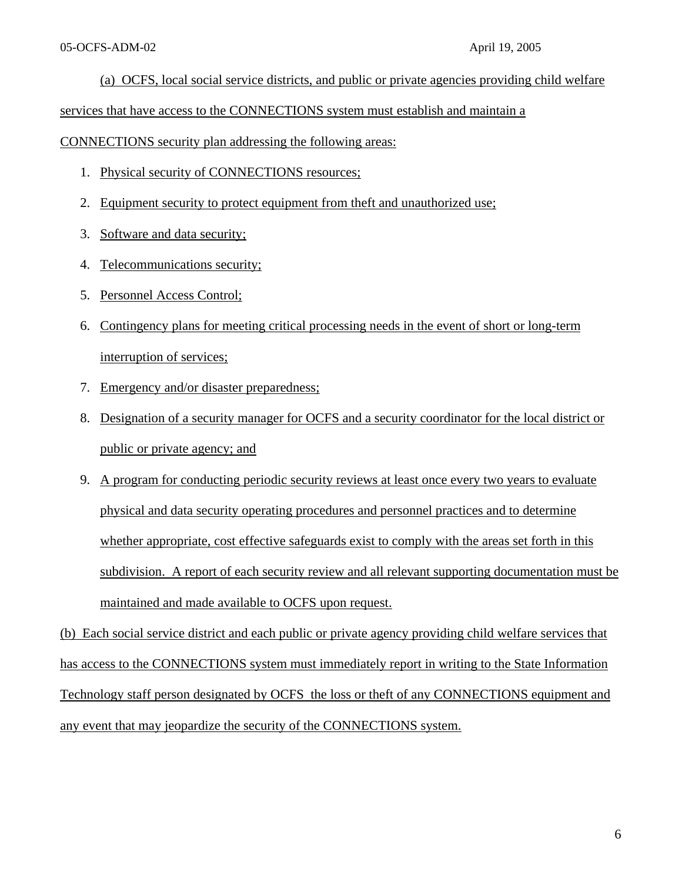# (a) OCFS, local social service districts, and public or private agencies providing child welfare

services that have access to the CONNECTIONS system must establish and maintain a

CONNECTIONS security plan addressing the following areas:

- 1. Physical security of CONNECTIONS resources;
- 2. Equipment security to protect equipment from theft and unauthorized use;
- 3. Software and data security;
- 4. Telecommunications security;
- 5. Personnel Access Control;
- 6. Contingency plans for meeting critical processing needs in the event of short or long-term interruption of services;
- 7. Emergency and/or disaster preparedness;
- 8. Designation of a security manager for OCFS and a security coordinator for the local district or public or private agency; and
- 9. A program for conducting periodic security reviews at least once every two years to evaluate physical and data security operating procedures and personnel practices and to determine whether appropriate, cost effective safeguards exist to comply with the areas set forth in this subdivision. A report of each security review and all relevant supporting documentation must be maintained and made available to OCFS upon request.

(b) Each social service district and each public or private agency providing child welfare services that has access to the CONNECTIONS system must immediately report in writing to the State Information Technology staff person designated by OCFS the loss or theft of any CONNECTIONS equipment and any event that may jeopardize the security of the CONNECTIONS system.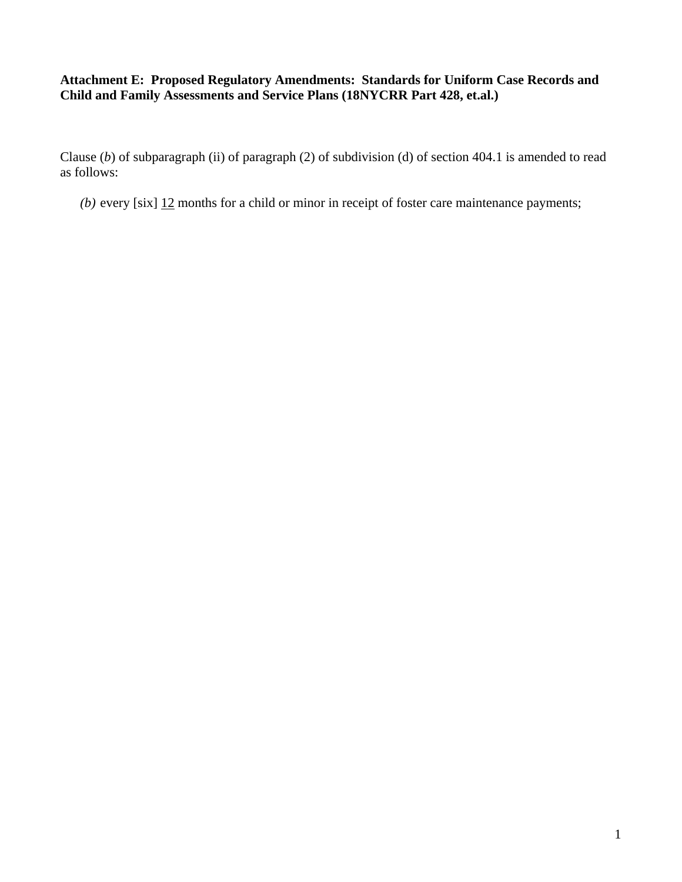# **Attachment E: Proposed Regulatory Amendments: Standards for Uniform Case Records and Child and Family Assessments and Service Plans (18NYCRR Part 428, et.al.)**

Clause (*b*) of subparagraph (ii) of paragraph (2) of subdivision (d) of section 404.1 is amended to read as follows:

*(b)* every [six] 12 months for a child or minor in receipt of foster care maintenance payments;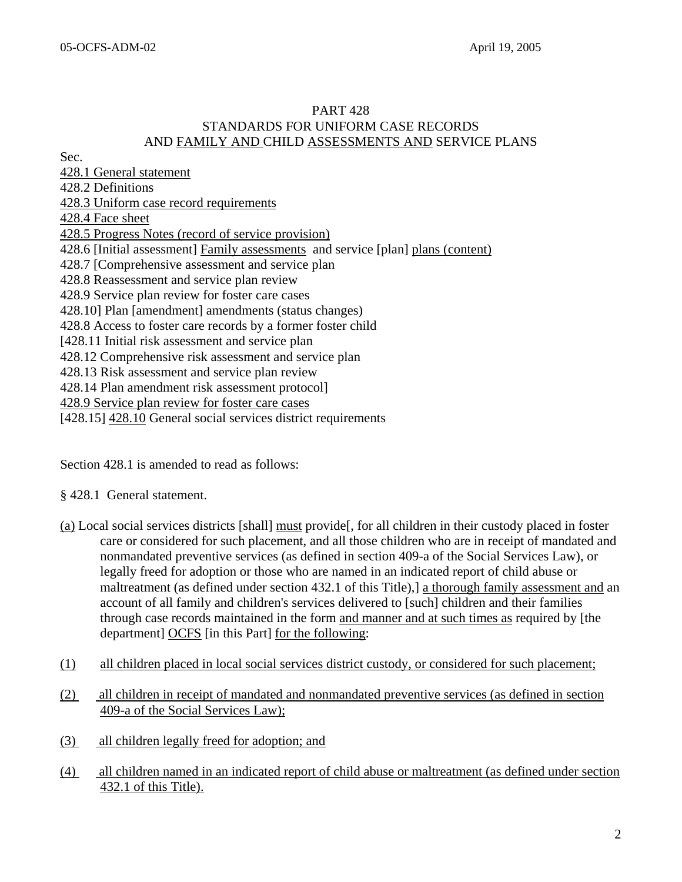# PART 428 STANDARDS FOR UNIFORM CASE RECORDS AND FAMILY AND CHILD ASSESSMENTS AND SERVICE PLANS

Sec.

428.1 General statement 428.2 Definitions 428.3 Uniform case record requirements 428.4 Face sheet 428.5 Progress Notes (record of service provision) 428.6 [Initial assessment] Family assessments and service [plan] plans (content) 428.7 [Comprehensive assessment and service plan 428.8 Reassessment and service plan review 428.9 Service plan review for foster care cases 428.10] Plan [amendment] amendments (status changes) 428.8 Access to foster care records by a former foster child [428.11 Initial risk assessment and service plan 428.12 Comprehensive risk assessment and service plan 428.13 Risk assessment and service plan review 428.14 Plan amendment risk assessment protocol] 428.9 Service plan review for foster care cases [428.15] 428.10 General social services district requirements

Section 428.1 is amended to read as follows:

§ 428.1 General statement.

- (a) Local social services districts [shall] must provide[, for all children in their custody placed in foster care or considered for such placement, and all those children who are in receipt of mandated and nonmandated preventive services (as defined in section 409-a of the Social Services Law), or legally freed for adoption or those who are named in an indicated report of child abuse or maltreatment (as defined under section 432.1 of this Title),] a thorough family assessment and an account of all family and children's services delivered to [such] children and their families through case records maintained in the form and manner and at such times as required by [the department] OCFS [in this Part] for the following:
- (1) all children placed in local social services district custody, or considered for such placement;
- (2) all children in receipt of mandated and nonmandated preventive services (as defined in section 409-a of the Social Services Law);
- (3) all children legally freed for adoption; and
- (4) all children named in an indicated report of child abuse or maltreatment (as defined under section 432.1 of this Title).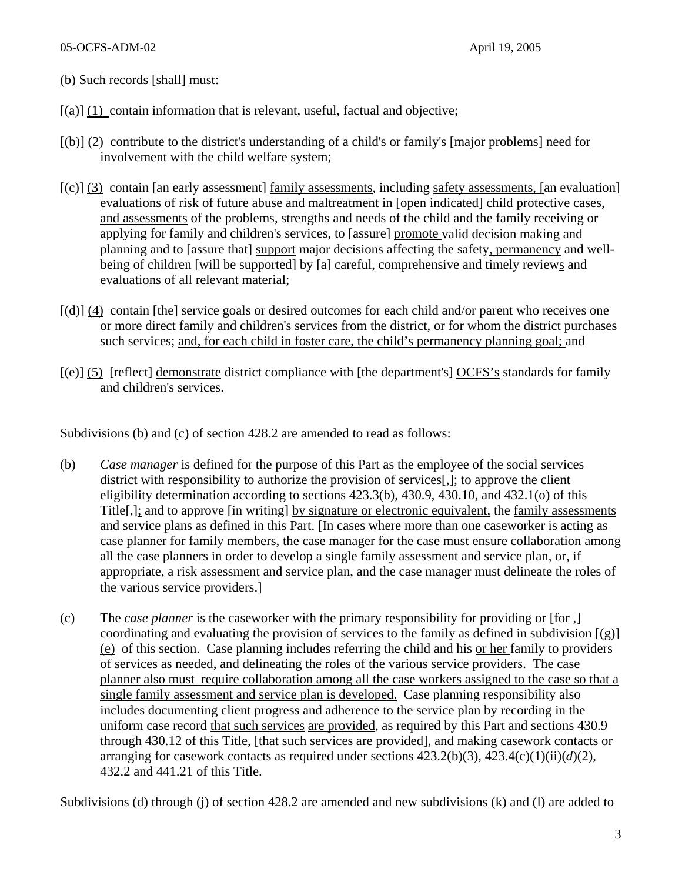(b) Such records [shall] must:

- $[(a)] (1)$  contain information that is relevant, useful, factual and objective;
- [(b)] (2) contribute to the district's understanding of a child's or family's [major problems] need for involvement with the child welfare system;
- $[(c)]$  (3) contain [an early assessment] family assessments, including safety assessments, [an evaluation] evaluations of risk of future abuse and maltreatment in [open indicated] child protective cases, and assessments of the problems, strengths and needs of the child and the family receiving or applying for family and children's services, to [assure] promote valid decision making and planning and to [assure that] support major decisions affecting the safety, permanency and wellbeing of children [will be supported] by [a] careful, comprehensive and timely reviews and evaluations of all relevant material;
- [(d)] (4) contain [the] service goals or desired outcomes for each child and/or parent who receives one or more direct family and children's services from the district, or for whom the district purchases such services; and, for each child in foster care, the child's permanency planning goal; and
- [(e)] (5) [reflect] demonstrate district compliance with [the department's] OCFS's standards for family and children's services.

Subdivisions (b) and (c) of section 428.2 are amended to read as follows:

- (b) *Case manager* is defined for the purpose of this Part as the employee of the social services district with responsibility to authorize the provision of services[,]; to approve the client eligibility determination according to sections  $423.3(b)$ ,  $430.9$ ,  $430.10$ , and  $432.1(c)$  of this Title[,]; and to approve [in writing] by signature or electronic equivalent, the family assessments and service plans as defined in this Part. [In cases where more than one caseworker is acting as case planner for family members, the case manager for the case must ensure collaboration among all the case planners in order to develop a single family assessment and service plan, or, if appropriate, a risk assessment and service plan, and the case manager must delineate the roles of the various service providers.]
- (c) The *case planner* is the caseworker with the primary responsibility for providing or [for ,] coordinating and evaluating the provision of services to the family as defined in subdivision  $[(g)]$ (e) of this section. Case planning includes referring the child and his or her family to providers of services as needed, and delineating the roles of the various service providers. The case planner also must require collaboration among all the case workers assigned to the case so that a single family assessment and service plan is developed. Case planning responsibility also includes documenting client progress and adherence to the service plan by recording in the uniform case record that such services are provided, as required by this Part and sections 430.9 through 430.12 of this Title, [that such services are provided], and making casework contacts or arranging for casework contacts as required under sections 423.2(b)(3), 423.4(c)(1)(ii)(*d*)(2), 432.2 and 441.21 of this Title.

Subdivisions (d) through (j) of section 428.2 are amended and new subdivisions (k) and (l) are added to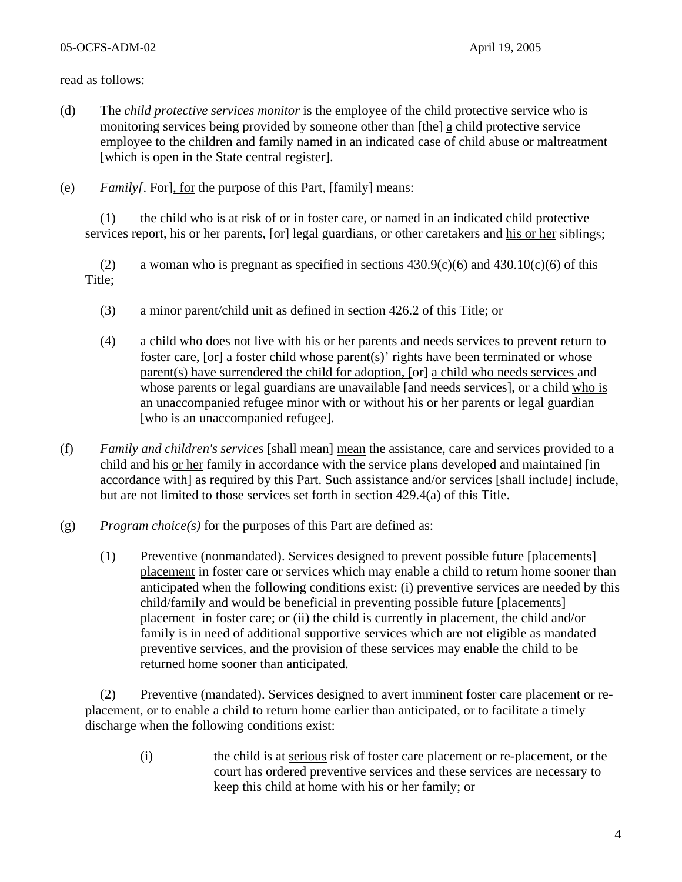### 05-OCFS-ADM-02 April 19, 2005

### read as follows:

- (d) The *child protective services monitor* is the employee of the child protective service who is monitoring services being provided by someone other than [the] a child protective service employee to the children and family named in an indicated case of child abuse or maltreatment [which is open in the State central register].
- (e) *Family[*. For], for the purpose of this Part, [family] means:

(1) the child who is at risk of or in foster care, or named in an indicated child protective services report, his or her parents, [or] legal guardians, or other caretakers and his or her siblings;

(2) a woman who is pregnant as specified in sections  $430.9(c)(6)$  and  $430.10(c)(6)$  of this Title;

- (3) a minor parent/child unit as defined in section 426.2 of this Title; or
- (4) a child who does not live with his or her parents and needs services to prevent return to foster care, [or] a foster child whose parent(s)' rights have been terminated or whose parent(s) have surrendered the child for adoption, [or] a child who needs services and whose parents or legal guardians are unavailable [and needs services], or a child who is an unaccompanied refugee minor with or without his or her parents or legal guardian [who is an unaccompanied refugee].
- (f) *Family and children's services* [shall mean] mean the assistance, care and services provided to a child and his or her family in accordance with the service plans developed and maintained [in accordance with] as required by this Part. Such assistance and/or services [shall include] include, but are not limited to those services set forth in section 429.4(a) of this Title.
- (g) *Program choice(s)* for the purposes of this Part are defined as:
	- (1) Preventive (nonmandated). Services designed to prevent possible future [placements] placement in foster care or services which may enable a child to return home sooner than anticipated when the following conditions exist: (i) preventive services are needed by this child/family and would be beneficial in preventing possible future [placements] placement in foster care; or (ii) the child is currently in placement, the child and/or family is in need of additional supportive services which are not eligible as mandated preventive services, and the provision of these services may enable the child to be returned home sooner than anticipated.

(2) Preventive (mandated). Services designed to avert imminent foster care placement or replacement, or to enable a child to return home earlier than anticipated, or to facilitate a timely discharge when the following conditions exist:

> (i) the child is at serious risk of foster care placement or re-placement, or the court has ordered preventive services and these services are necessary to keep this child at home with his or her family; or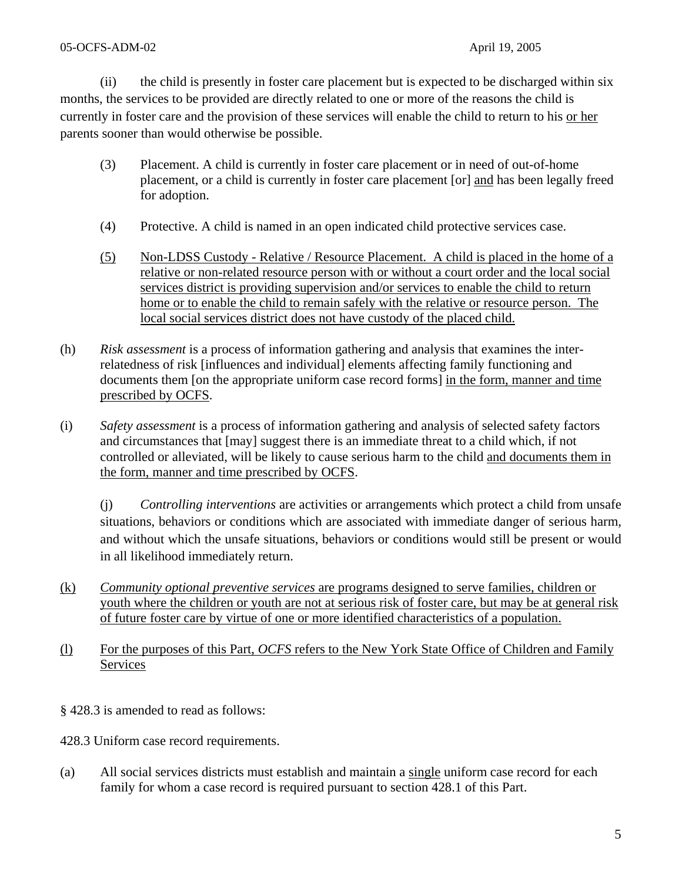### 05-OCFS-ADM-02 April 19, 2005

(ii) the child is presently in foster care placement but is expected to be discharged within six months, the services to be provided are directly related to one or more of the reasons the child is currently in foster care and the provision of these services will enable the child to return to his or her parents sooner than would otherwise be possible.

- (3) Placement. A child is currently in foster care placement or in need of out-of-home placement, or a child is currently in foster care placement [or] and has been legally freed for adoption.
- (4) Protective. A child is named in an open indicated child protective services case.
- (5) Non-LDSS Custody Relative / Resource Placement. A child is placed in the home of a relative or non-related resource person with or without a court order and the local social services district is providing supervision and/or services to enable the child to return home or to enable the child to remain safely with the relative or resource person. The local social services district does not have custody of the placed child.
- (h) *Risk assessment* is a process of information gathering and analysis that examines the interrelatedness of risk [influences and individual] elements affecting family functioning and documents them [on the appropriate uniform case record forms] in the form, manner and time prescribed by OCFS.
- (i) *Safety assessment* is a process of information gathering and analysis of selected safety factors and circumstances that [may] suggest there is an immediate threat to a child which, if not controlled or alleviated, will be likely to cause serious harm to the child and documents them in the form, manner and time prescribed by OCFS.

(j) *Controlling interventions* are activities or arrangements which protect a child from unsafe situations, behaviors or conditions which are associated with immediate danger of serious harm, and without which the unsafe situations, behaviors or conditions would still be present or would in all likelihood immediately return.

- (k) *Community optional preventive services* are programs designed to serve families, children or youth where the children or youth are not at serious risk of foster care, but may be at general risk of future foster care by virtue of one or more identified characteristics of a population.
- (l) For the purposes of this Part, *OCFS* refers to the New York State Office of Children and Family Services
- § 428.3 is amended to read as follows:

428.3 Uniform case record requirements.

(a) All social services districts must establish and maintain a single uniform case record for each family for whom a case record is required pursuant to section 428.1 of this Part.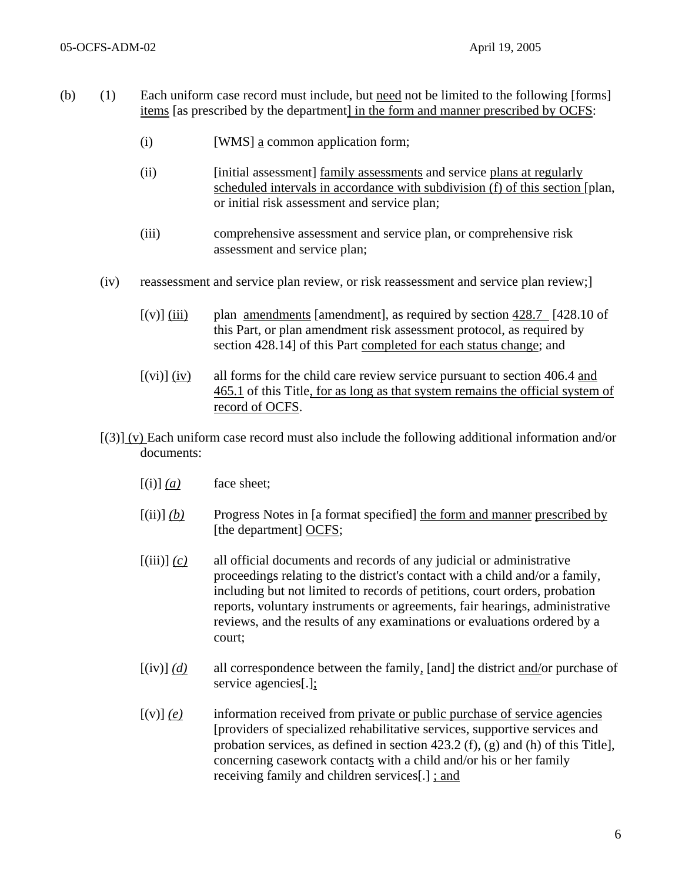- (b) (1) Each uniform case record must include, but need not be limited to the following [forms] items [as prescribed by the department] in the form and manner prescribed by OCFS:
	- (i) [WMS] a common application form;
	- (ii) [initial assessment] family assessments and service plans at regularly scheduled intervals in accordance with subdivision (f) of this section [plan, or initial risk assessment and service plan;
	- (iii) comprehensive assessment and service plan, or comprehensive risk assessment and service plan;
	- (iv) reassessment and service plan review, or risk reassessment and service plan review;]
		- $[(v)]$  (iii) plan <u>amendments</u> [amendment], as required by section  $428.7$  [428.10 of this Part, or plan amendment risk assessment protocol, as required by section 428.14] of this Part completed for each status change; and
		- $[(vi)]$  (iv) all forms for the child care review service pursuant to section 406.4 and 465.1 of this Title, for as long as that system remains the official system of record of OCFS.
	- [(3)] (v) Each uniform case record must also include the following additional information and/or documents:
		- $[(i)] (a)$  face sheet;
		- $[(ii)]$  *(b)* Progress Notes in [a format specified] the form and manner prescribed by [the department] OCFS;
		- [(iii)] *(c)* all official documents and records of any judicial or administrative proceedings relating to the district's contact with a child and/or a family, including but not limited to records of petitions, court orders, probation reports, voluntary instruments or agreements, fair hearings, administrative reviews, and the results of any examinations or evaluations ordered by a court;
		- [(iv)] *(d)* all correspondence between the family, [and] the district and/or purchase of service agencies[.];
		- [(v)] *(e)* information received from private or public purchase of service agencies [providers of specialized rehabilitative services, supportive services and probation services, as defined in section 423.2 (f), (g) and (h) of this Title], concerning casework contacts with a child and/or his or her family receiving family and children services[.] ; and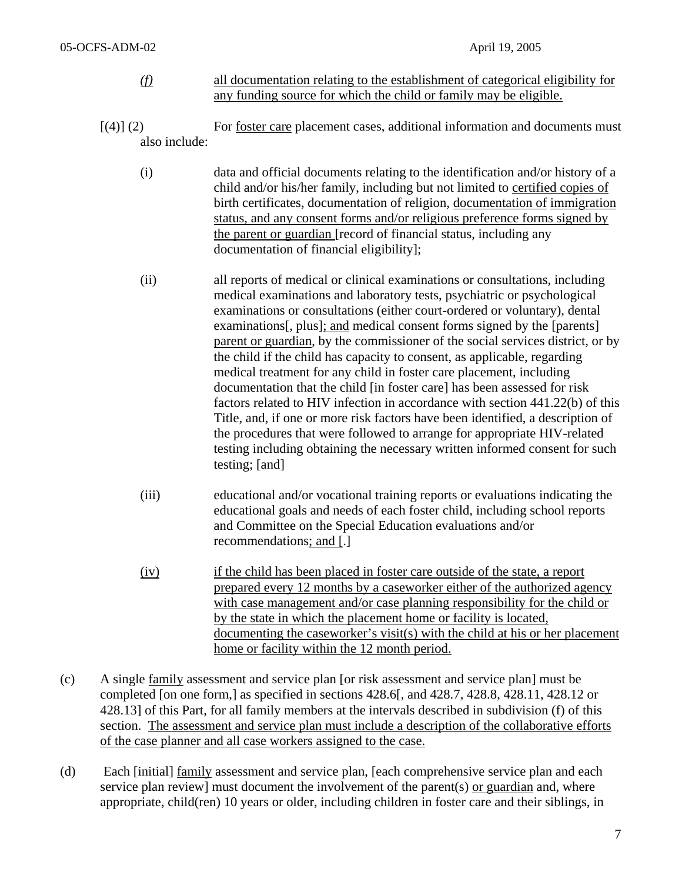- *(f)* all documentation relating to the establishment of categorical eligibility for any funding source for which the child or family may be eligible.
- $[(4)] (2)$  For foster care placement cases, additional information and documents must also include:
	- (i) data and official documents relating to the identification and/or history of a child and/or his/her family, including but not limited to certified copies of birth certificates, documentation of religion, documentation of immigration status, and any consent forms and/or religious preference forms signed by the parent or guardian [record of financial status, including any documentation of financial eligibility];
	- (ii) all reports of medical or clinical examinations or consultations, including medical examinations and laboratory tests, psychiatric or psychological examinations or consultations (either court-ordered or voluntary), dental examinations[, plus]; and medical consent forms signed by the [parents] parent or guardian, by the commissioner of the social services district, or by the child if the child has capacity to consent, as applicable, regarding medical treatment for any child in foster care placement, including documentation that the child [in foster care] has been assessed for risk factors related to HIV infection in accordance with section 441.22(b) of this Title, and, if one or more risk factors have been identified, a description of the procedures that were followed to arrange for appropriate HIV-related testing including obtaining the necessary written informed consent for such testing; [and]
	- (iii) educational and/or vocational training reports or evaluations indicating the educational goals and needs of each foster child, including school reports and Committee on the Special Education evaluations and/or recommendations; and [.]
	- (iv) if the child has been placed in foster care outside of the state, a report prepared every 12 months by a caseworker either of the authorized agency with case management and/or case planning responsibility for the child or by the state in which the placement home or facility is located, documenting the caseworker's visit(s) with the child at his or her placement home or facility within the 12 month period.
- (c) A single family assessment and service plan [or risk assessment and service plan] must be completed [on one form,] as specified in sections 428.6[, and 428.7, 428.8, 428.11, 428.12 or 428.13] of this Part, for all family members at the intervals described in subdivision (f) of this section. The assessment and service plan must include a description of the collaborative efforts of the case planner and all case workers assigned to the case.
- (d) Each [initial] family assessment and service plan, [each comprehensive service plan and each service plan review] must document the involvement of the parent(s) or guardian and, where appropriate, child(ren) 10 years or older, including children in foster care and their siblings, in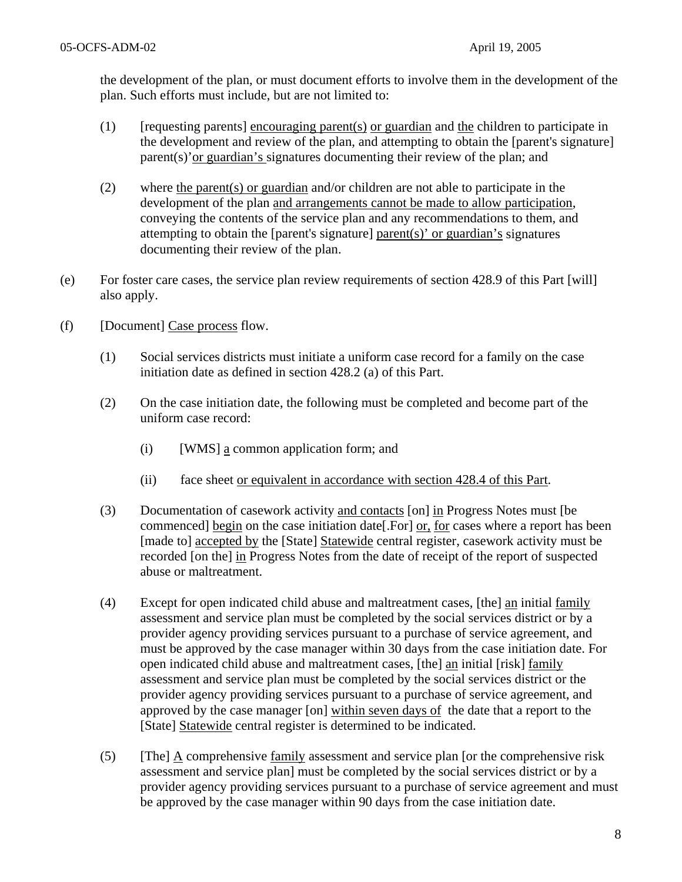the development of the plan, or must document efforts to involve them in the development of the plan. Such efforts must include, but are not limited to:

- $(1)$  [requesting parents] encouraging parent(s) or guardian and the children to participate in the development and review of the plan, and attempting to obtain the [parent's signature] parent(s)'or guardian's signatures documenting their review of the plan; and
- (2) where the parent(s) or guardian and/or children are not able to participate in the development of the plan and arrangements cannot be made to allow participation, conveying the contents of the service plan and any recommendations to them, and attempting to obtain the [parent's signature] parent(s)' or guardian's signatures documenting their review of the plan.
- (e) For foster care cases, the service plan review requirements of section 428.9 of this Part [will] also apply.
- (f) [Document] Case process flow.
	- (1) Social services districts must initiate a uniform case record for a family on the case initiation date as defined in section 428.2 (a) of this Part.
	- (2) On the case initiation date, the following must be completed and become part of the uniform case record:
		- (i) [WMS] a common application form; and
		- (ii) face sheet or equivalent in accordance with section 428.4 of this Part.
	- (3) Documentation of casework activity and contacts [on] in Progress Notes must [be commenced] begin on the case initiation date[.For] or, for cases where a report has been [made to] accepted by the [State] Statewide central register, casework activity must be recorded [on the] in Progress Notes from the date of receipt of the report of suspected abuse or maltreatment.
	- (4) Except for open indicated child abuse and maltreatment cases, [the] an initial family assessment and service plan must be completed by the social services district or by a provider agency providing services pursuant to a purchase of service agreement, and must be approved by the case manager within 30 days from the case initiation date. For open indicated child abuse and maltreatment cases, [the] an initial [risk] family assessment and service plan must be completed by the social services district or the provider agency providing services pursuant to a purchase of service agreement, and approved by the case manager [on] within seven days of the date that a report to the [State] Statewide central register is determined to be indicated.
	- (5) [The]  $\underline{A}$  comprehensive family assessment and service plan [or the comprehensive risk assessment and service plan] must be completed by the social services district or by a provider agency providing services pursuant to a purchase of service agreement and must be approved by the case manager within 90 days from the case initiation date.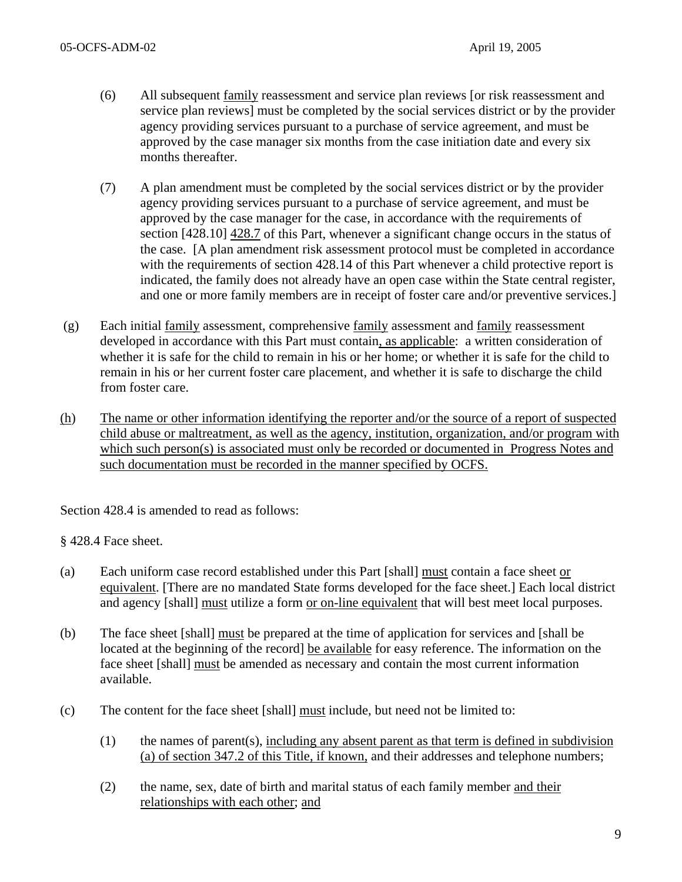- (6) All subsequent family reassessment and service plan reviews [or risk reassessment and service plan reviews] must be completed by the social services district or by the provider agency providing services pursuant to a purchase of service agreement, and must be approved by the case manager six months from the case initiation date and every six months thereafter.
- (7) A plan amendment must be completed by the social services district or by the provider agency providing services pursuant to a purchase of service agreement, and must be approved by the case manager for the case, in accordance with the requirements of section [428.10] 428.7 of this Part, whenever a significant change occurs in the status of the case. [A plan amendment risk assessment protocol must be completed in accordance with the requirements of section 428.14 of this Part whenever a child protective report is indicated, the family does not already have an open case within the State central register, and one or more family members are in receipt of foster care and/or preventive services.]
- (g) Each initial family assessment, comprehensive family assessment and family reassessment developed in accordance with this Part must contain, as applicable: a written consideration of whether it is safe for the child to remain in his or her home; or whether it is safe for the child to remain in his or her current foster care placement, and whether it is safe to discharge the child from foster care.
- (h) The name or other information identifying the reporter and/or the source of a report of suspected child abuse or maltreatment, as well as the agency, institution, organization, and/or program with which such person(s) is associated must only be recorded or documented in Progress Notes and such documentation must be recorded in the manner specified by OCFS.

Section 428.4 is amended to read as follows:

§ 428.4 Face sheet.

- (a) Each uniform case record established under this Part [shall] must contain a face sheet or equivalent. [There are no mandated State forms developed for the face sheet.] Each local district and agency [shall] must utilize a form or on-line equivalent that will best meet local purposes.
- (b) The face sheet [shall] must be prepared at the time of application for services and [shall be located at the beginning of the record] be available for easy reference. The information on the face sheet [shall] must be amended as necessary and contain the most current information available.
- (c) The content for the face sheet [shall] must include, but need not be limited to:
	- (1) the names of parent(s), including any absent parent as that term is defined in subdivision (a) of section 347.2 of this Title, if known, and their addresses and telephone numbers;
	- (2) the name, sex, date of birth and marital status of each family member and their relationships with each other; and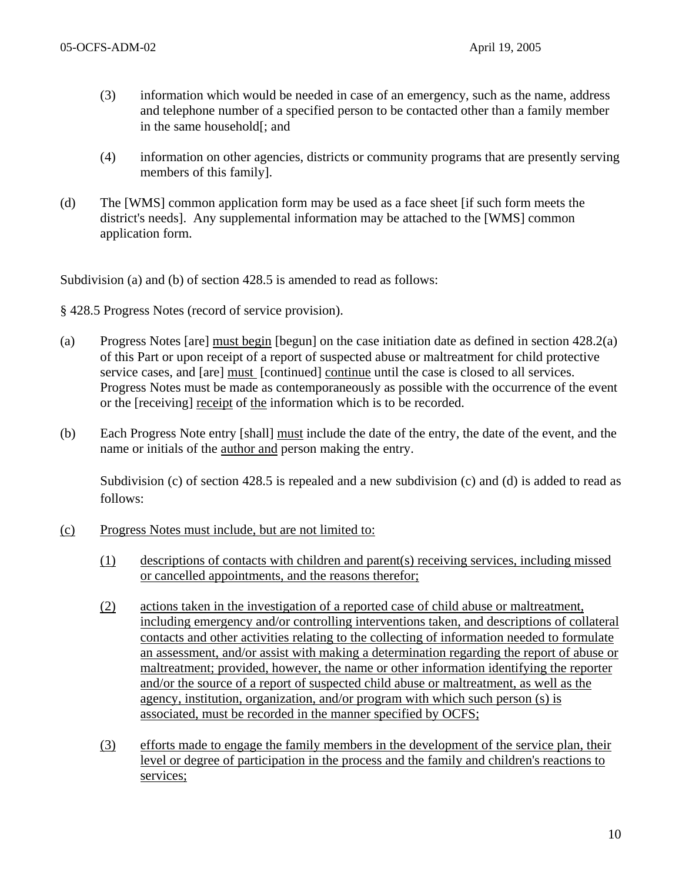- (3) information which would be needed in case of an emergency, such as the name, address and telephone number of a specified person to be contacted other than a family member in the same household[; and
- (4) information on other agencies, districts or community programs that are presently serving members of this family].
- (d) The [WMS] common application form may be used as a face sheet [if such form meets the district's needs]. Any supplemental information may be attached to the [WMS] common application form.

Subdivision (a) and (b) of section 428.5 is amended to read as follows:

§ 428.5 Progress Notes (record of service provision).

- (a) Progress Notes [are] must begin [begun] on the case initiation date as defined in section 428.2(a) of this Part or upon receipt of a report of suspected abuse or maltreatment for child protective service cases, and [are] must [continued] continue until the case is closed to all services. Progress Notes must be made as contemporaneously as possible with the occurrence of the event or the [receiving] receipt of the information which is to be recorded.
- (b) Each Progress Note entry [shall] must include the date of the entry, the date of the event, and the name or initials of the author and person making the entry.

Subdivision (c) of section 428.5 is repealed and a new subdivision (c) and (d) is added to read as follows:

- (c) Progress Notes must include, but are not limited to:
	- (1) descriptions of contacts with children and parent(s) receiving services, including missed or cancelled appointments, and the reasons therefor;
	- (2) actions taken in the investigation of a reported case of child abuse or maltreatment, including emergency and/or controlling interventions taken, and descriptions of collateral contacts and other activities relating to the collecting of information needed to formulate an assessment, and/or assist with making a determination regarding the report of abuse or maltreatment; provided, however, the name or other information identifying the reporter and/or the source of a report of suspected child abuse or maltreatment, as well as the agency, institution, organization, and/or program with which such person (s) is associated, must be recorded in the manner specified by OCFS;
	- (3) efforts made to engage the family members in the development of the service plan, their level or degree of participation in the process and the family and children's reactions to services;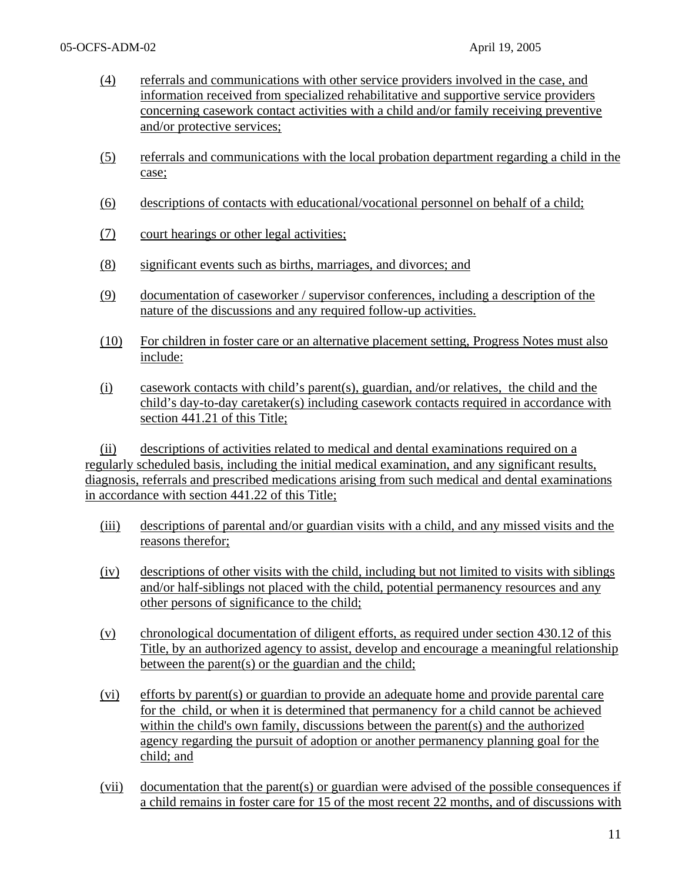- (4) referrals and communications with other service providers involved in the case, and information received from specialized rehabilitative and supportive service providers concerning casework contact activities with a child and/or family receiving preventive and/or protective services;
- (5) referrals and communications with the local probation department regarding a child in the case;
- (6) descriptions of contacts with educational/vocational personnel on behalf of a child;
- (7) court hearings or other legal activities;
- (8) significant events such as births, marriages, and divorces; and
- (9) documentation of caseworker / supervisor conferences, including a description of the nature of the discussions and any required follow-up activities.
- (10) For children in foster care or an alternative placement setting, Progress Notes must also include:
- (i) casework contacts with child's parent(s), guardian, and/or relatives, the child and the child's day-to-day caretaker(s) including casework contacts required in accordance with section 441.21 of this Title;

 (ii) descriptions of activities related to medical and dental examinations required on a regularly scheduled basis, including the initial medical examination, and any significant results, diagnosis, referrals and prescribed medications arising from such medical and dental examinations in accordance with section 441.22 of this Title;

- (iii) descriptions of parental and/or guardian visits with a child, and any missed visits and the reasons therefor;
- (iv) descriptions of other visits with the child, including but not limited to visits with siblings and/or half-siblings not placed with the child, potential permanency resources and any other persons of significance to the child;
- (v) chronological documentation of diligent efforts, as required under section 430.12 of this Title, by an authorized agency to assist, develop and encourage a meaningful relationship between the parent(s) or the guardian and the child;
- (vi) efforts by parent(s) or guardian to provide an adequate home and provide parental care for the child, or when it is determined that permanency for a child cannot be achieved within the child's own family, discussions between the parent(s) and the authorized agency regarding the pursuit of adoption or another permanency planning goal for the child; and
- (vii) documentation that the parent(s) or guardian were advised of the possible consequences if a child remains in foster care for 15 of the most recent 22 months, and of discussions with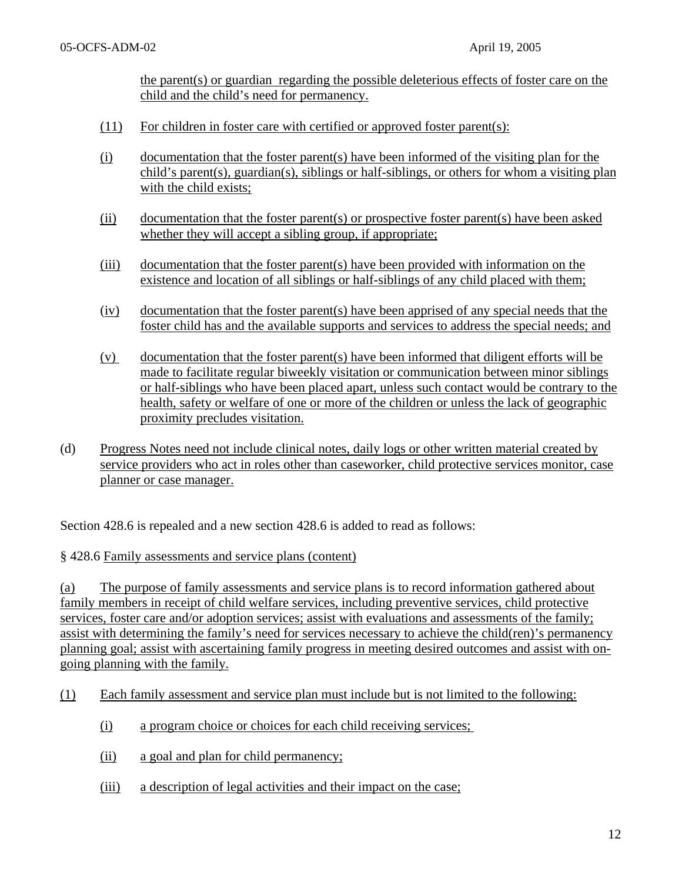the parent(s) or guardian regarding the possible deleterious effects of foster care on the child and the child's need for permanency.

- (11) For children in foster care with certified or approved foster parent(s):
- (i) documentation that the foster parent(s) have been informed of the visiting plan for the child's parent(s), guardian(s), siblings or half-siblings, or others for whom a visiting plan with the child exists;
- (ii) documentation that the foster parent(s) or prospective foster parent(s) have been asked whether they will accept a sibling group, if appropriate;
- (iii) documentation that the foster parent(s) have been provided with information on the existence and location of all siblings or half-siblings of any child placed with them;
- (iv) documentation that the foster parent(s) have been apprised of any special needs that the foster child has and the available supports and services to address the special needs; and
- (v) documentation that the foster parent(s) have been informed that diligent efforts will be made to facilitate regular biweekly visitation or communication between minor siblings or half-siblings who have been placed apart, unless such contact would be contrary to the health, safety or welfare of one or more of the children or unless the lack of geographic proximity precludes visitation.
- (d) Progress Notes need not include clinical notes, daily logs or other written material created by service providers who act in roles other than caseworker, child protective services monitor, case planner or case manager.

Section 428.6 is repealed and a new section 428.6 is added to read as follows:

### § 428.6 Family assessments and service plans (content)

(a) The purpose of family assessments and service plans is to record information gathered about family members in receipt of child welfare services, including preventive services, child protective services, foster care and/or adoption services; assist with evaluations and assessments of the family; assist with determining the family's need for services necessary to achieve the child(ren)'s permanency planning goal; assist with ascertaining family progress in meeting desired outcomes and assist with ongoing planning with the family.

- (1) Each family assessment and service plan must include but is not limited to the following:
	- (i) a program choice or choices for each child receiving services;
	- (ii) a goal and plan for child permanency;
	- (iii) a description of legal activities and their impact on the case;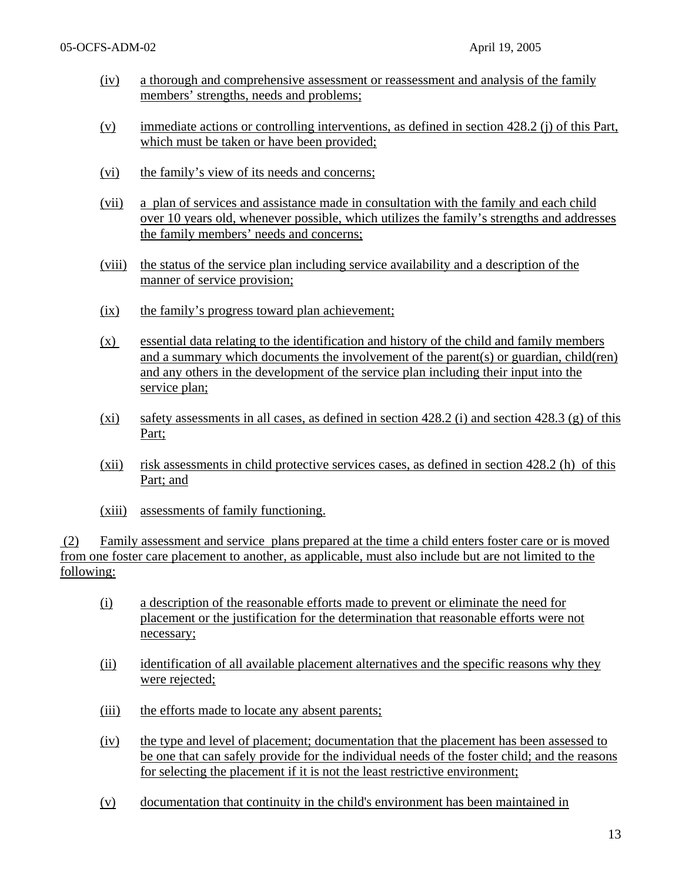- (iv) a thorough and comprehensive assessment or reassessment and analysis of the family members' strengths, needs and problems;
- (v) immediate actions or controlling interventions, as defined in section 428.2 (j) of this Part, which must be taken or have been provided;
- (vi) the family's view of its needs and concerns;
- (vii) a plan of services and assistance made in consultation with the family and each child over 10 years old, whenever possible, which utilizes the family's strengths and addresses the family members' needs and concerns;
- (viii) the status of the service plan including service availability and a description of the manner of service provision;
- (ix) the family's progress toward plan achievement;
- (x) essential data relating to the identification and history of the child and family members and a summary which documents the involvement of the parent(s) or guardian, child(ren) and any others in the development of the service plan including their input into the service plan;
- $(xi)$  safety assessments in all cases, as defined in section 428.2 (i) and section 428.3 (g) of this Part;
- (xii) risk assessments in child protective services cases, as defined in section 428.2 (h) of this Part; and
- (xiii) assessments of family functioning.

 (2) Family assessment and service plans prepared at the time a child enters foster care or is moved from one foster care placement to another, as applicable, must also include but are not limited to the following:

- (i) a description of the reasonable efforts made to prevent or eliminate the need for placement or the justification for the determination that reasonable efforts were not necessary;
- (ii) identification of all available placement alternatives and the specific reasons why they were rejected;
- (iii) the efforts made to locate any absent parents;
- (iv) the type and level of placement; documentation that the placement has been assessed to be one that can safely provide for the individual needs of the foster child; and the reasons for selecting the placement if it is not the least restrictive environment;
- (v) documentation that continuity in the child's environment has been maintained in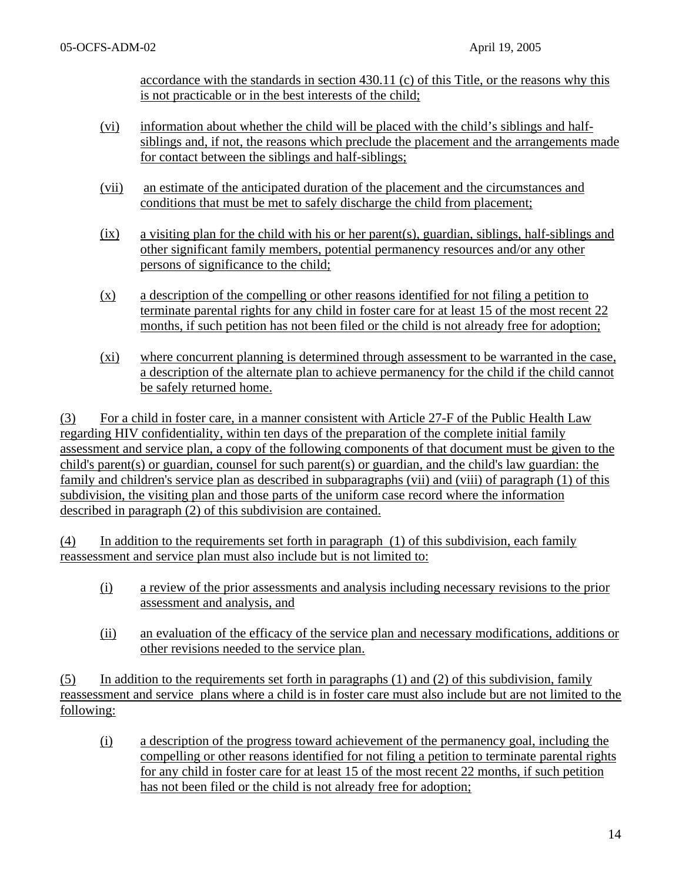accordance with the standards in section 430.11 (c) of this Title, or the reasons why this is not practicable or in the best interests of the child;

- (vi) information about whether the child will be placed with the child's siblings and halfsiblings and, if not, the reasons which preclude the placement and the arrangements made for contact between the siblings and half-siblings;
- (vii) an estimate of the anticipated duration of the placement and the circumstances and conditions that must be met to safely discharge the child from placement;
- (ix) a visiting plan for the child with his or her parent(s), guardian, siblings, half-siblings and other significant family members, potential permanency resources and/or any other persons of significance to the child;
- (x) a description of the compelling or other reasons identified for not filing a petition to terminate parental rights for any child in foster care for at least 15 of the most recent 22 months, if such petition has not been filed or the child is not already free for adoption;
- (xi) where concurrent planning is determined through assessment to be warranted in the case, a description of the alternate plan to achieve permanency for the child if the child cannot be safely returned home.

(3) For a child in foster care, in a manner consistent with Article 27-F of the Public Health Law regarding HIV confidentiality, within ten days of the preparation of the complete initial family assessment and service plan, a copy of the following components of that document must be given to the child's parent(s) or guardian, counsel for such parent(s) or guardian, and the child's law guardian: the family and children's service plan as described in subparagraphs (vii) and (viii) of paragraph (1) of this subdivision, the visiting plan and those parts of the uniform case record where the information described in paragraph (2) of this subdivision are contained.

(4) In addition to the requirements set forth in paragraph (1) of this subdivision, each family reassessment and service plan must also include but is not limited to:

- (i) a review of the prior assessments and analysis including necessary revisions to the prior assessment and analysis, and
- (ii) an evaluation of the efficacy of the service plan and necessary modifications, additions or other revisions needed to the service plan.

 $(5)$  In addition to the requirements set forth in paragraphs  $(1)$  and  $(2)$  of this subdivision, family reassessment and service plans where a child is in foster care must also include but are not limited to the following:

 (i) a description of the progress toward achievement of the permanency goal, including the compelling or other reasons identified for not filing a petition to terminate parental rights for any child in foster care for at least 15 of the most recent 22 months, if such petition has not been filed or the child is not already free for adoption;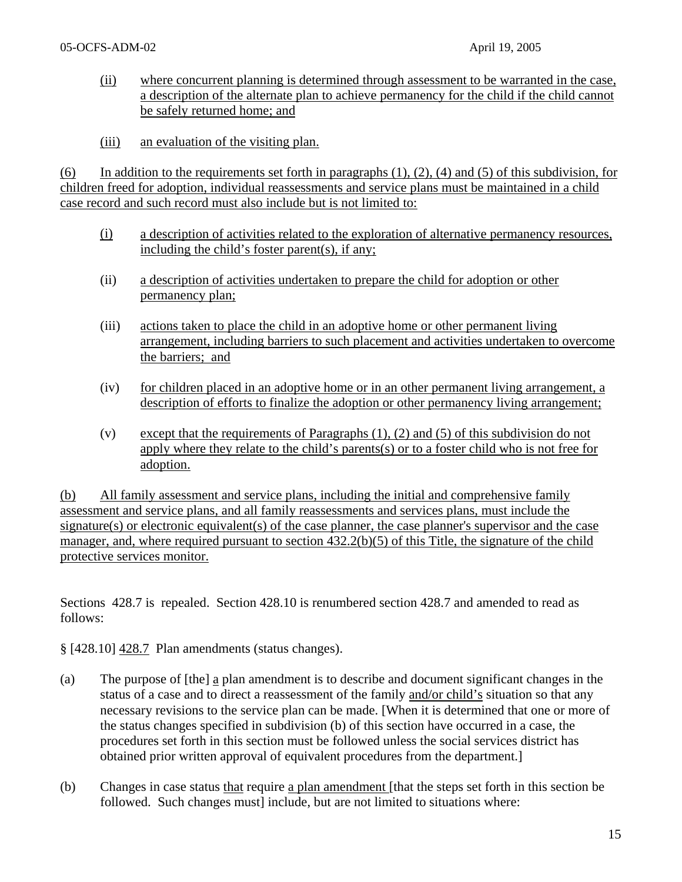- (ii) where concurrent planning is determined through assessment to be warranted in the case, a description of the alternate plan to achieve permanency for the child if the child cannot be safely returned home; and
- (iii) an evaluation of the visiting plan.

(6) In addition to the requirements set forth in paragraphs  $(1)$ ,  $(2)$ ,  $(4)$  and  $(5)$  of this subdivision, for children freed for adoption, individual reassessments and service plans must be maintained in a child case record and such record must also include but is not limited to:

- (i) a description of activities related to the exploration of alternative permanency resources, including the child's foster parent(s), if any;
- (ii) a description of activities undertaken to prepare the child for adoption or other permanency plan;
- (iii) actions taken to place the child in an adoptive home or other permanent living arrangement, including barriers to such placement and activities undertaken to overcome the barriers; and
- (iv) for children placed in an adoptive home or in an other permanent living arrangement, a description of efforts to finalize the adoption or other permanency living arrangement;
- (v) except that the requirements of Paragraphs (1), (2) and (5) of this subdivision do not apply where they relate to the child's parents(s) or to a foster child who is not free for adoption.

(b) All family assessment and service plans, including the initial and comprehensive family assessment and service plans, and all family reassessments and services plans, must include the signature(s) or electronic equivalent(s) of the case planner, the case planner's supervisor and the case manager, and, where required pursuant to section  $432.2(b)(5)$  of this Title, the signature of the child protective services monitor.

Sections 428.7 is repealed. Section 428.10 is renumbered section 428.7 and amended to read as follows:

§ [428.10] 428.7 Plan amendments (status changes).

- (a) The purpose of [the] a plan amendment is to describe and document significant changes in the status of a case and to direct a reassessment of the family and/or child's situation so that any necessary revisions to the service plan can be made. [When it is determined that one or more of the status changes specified in subdivision (b) of this section have occurred in a case, the procedures set forth in this section must be followed unless the social services district has obtained prior written approval of equivalent procedures from the department.]
- (b) Changes in case status that require a plan amendment [that the steps set forth in this section be followed. Such changes must] include, but are not limited to situations where: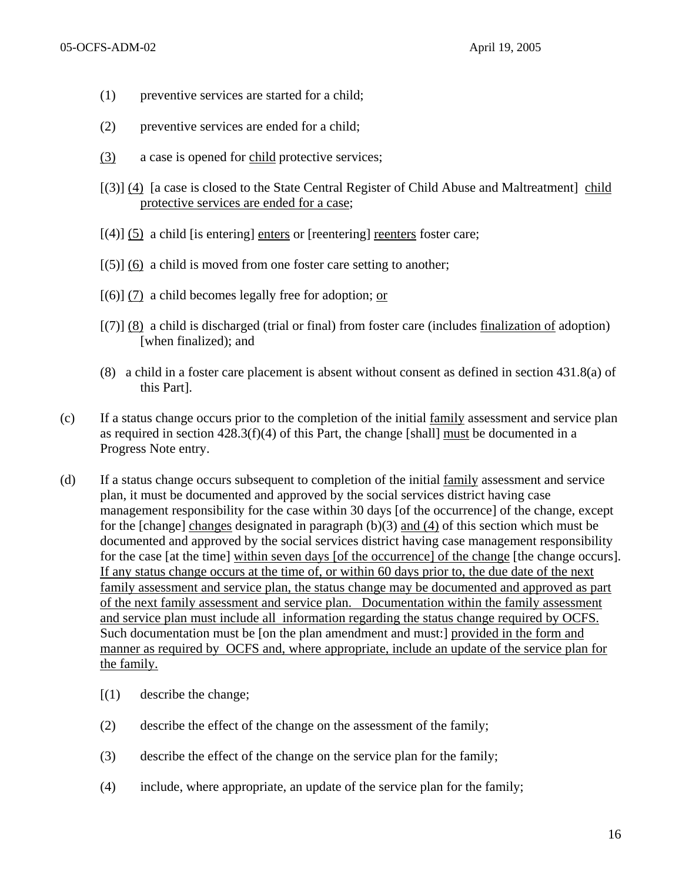- (1) preventive services are started for a child;
- (2) preventive services are ended for a child;
- (3) a case is opened for child protective services;
- [(3)] (4) [a case is closed to the State Central Register of Child Abuse and Maltreatment] child protective services are ended for a case;
- $[(4)]$  (5) a child [is entering] enters or [reentering] reenters foster care;
- $[(5)]$  (6) a child is moved from one foster care setting to another;
- $[(6)]$  (7) a child becomes legally free for adoption; or
- [(7)] (8) a child is discharged (trial or final) from foster care (includes finalization of adoption) [when finalized); and
- (8) a child in a foster care placement is absent without consent as defined in section 431.8(a) of this Part].
- (c) If a status change occurs prior to the completion of the initial family assessment and service plan as required in section 428.3(f)(4) of this Part, the change [shall] must be documented in a Progress Note entry.
- (d) If a status change occurs subsequent to completion of the initial family assessment and service plan, it must be documented and approved by the social services district having case management responsibility for the case within 30 days [of the occurrence] of the change, except for the [change] changes designated in paragraph (b)(3) and (4) of this section which must be documented and approved by the social services district having case management responsibility for the case [at the time] within seven days [of the occurrence] of the change [the change occurs]. If any status change occurs at the time of, or within 60 days prior to, the due date of the next family assessment and service plan, the status change may be documented and approved as part of the next family assessment and service plan. Documentation within the family assessment and service plan must include all information regarding the status change required by OCFS. Such documentation must be [on the plan amendment and must:] provided in the form and manner as required by OCFS and, where appropriate, include an update of the service plan for the family.
	- $(1)$  describe the change;
	- (2) describe the effect of the change on the assessment of the family;
	- (3) describe the effect of the change on the service plan for the family;
	- (4) include, where appropriate, an update of the service plan for the family;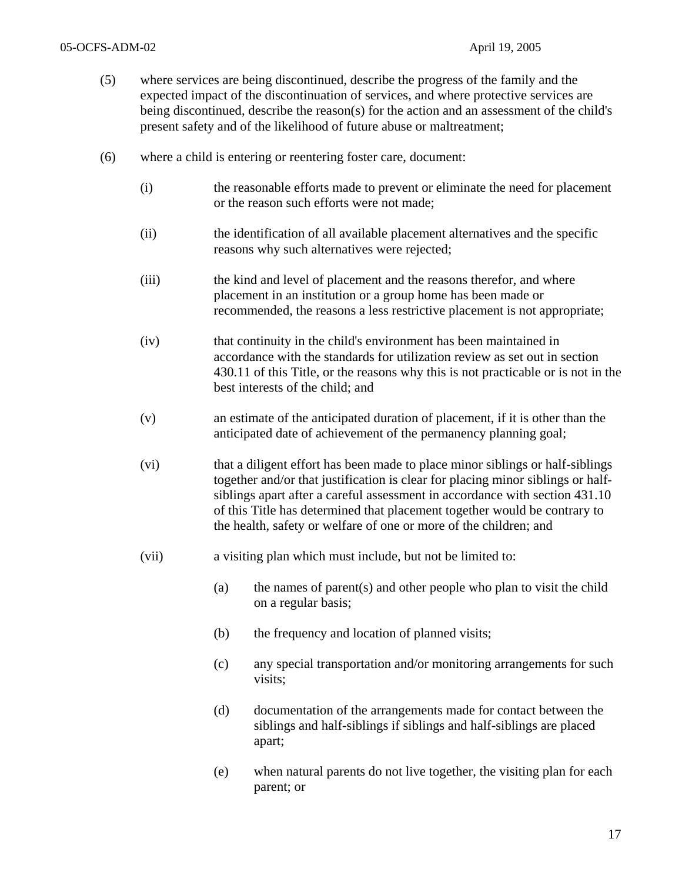- (5) where services are being discontinued, describe the progress of the family and the expected impact of the discontinuation of services, and where protective services are being discontinued, describe the reason(s) for the action and an assessment of the child's present safety and of the likelihood of future abuse or maltreatment;
- (6) where a child is entering or reentering foster care, document:
	- (i) the reasonable efforts made to prevent or eliminate the need for placement or the reason such efforts were not made;
	- (ii) the identification of all available placement alternatives and the specific reasons why such alternatives were rejected;
	- (iii) the kind and level of placement and the reasons therefor, and where placement in an institution or a group home has been made or recommended, the reasons a less restrictive placement is not appropriate;
	- (iv) that continuity in the child's environment has been maintained in accordance with the standards for utilization review as set out in section 430.11 of this Title, or the reasons why this is not practicable or is not in the best interests of the child; and
	- (v) an estimate of the anticipated duration of placement, if it is other than the anticipated date of achievement of the permanency planning goal;
	- (vi) that a diligent effort has been made to place minor siblings or half-siblings together and/or that justification is clear for placing minor siblings or halfsiblings apart after a careful assessment in accordance with section 431.10 of this Title has determined that placement together would be contrary to the health, safety or welfare of one or more of the children; and
	- (vii) a visiting plan which must include, but not be limited to:
		- (a) the names of parent(s) and other people who plan to visit the child on a regular basis;
		- (b) the frequency and location of planned visits;
		- (c) any special transportation and/or monitoring arrangements for such visits;
		- (d) documentation of the arrangements made for contact between the siblings and half-siblings if siblings and half-siblings are placed apart;
		- (e) when natural parents do not live together, the visiting plan for each parent; or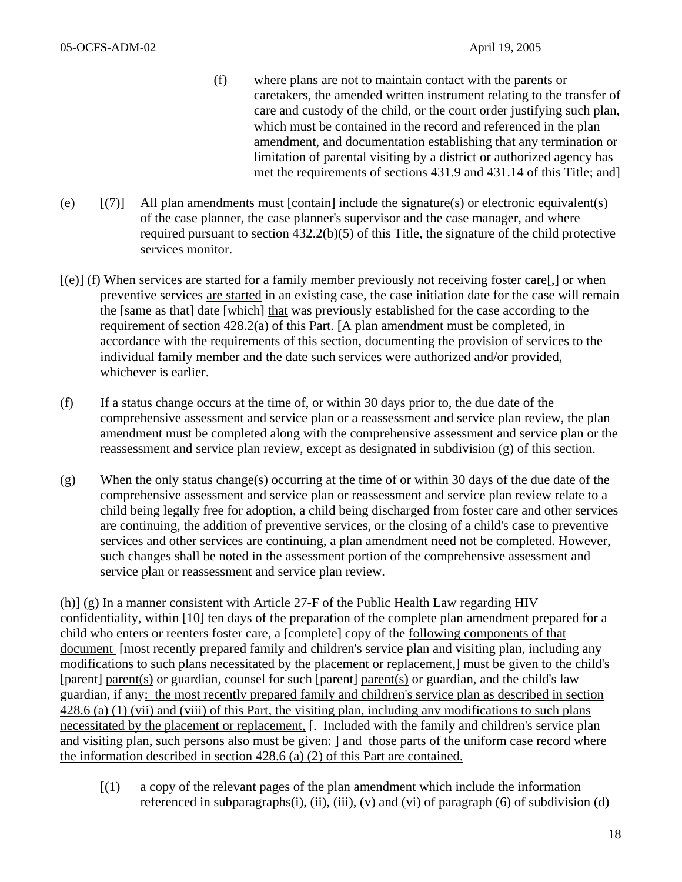- (f) where plans are not to maintain contact with the parents or caretakers, the amended written instrument relating to the transfer of care and custody of the child, or the court order justifying such plan, which must be contained in the record and referenced in the plan amendment, and documentation establishing that any termination or limitation of parental visiting by a district or authorized agency has met the requirements of sections 431.9 and 431.14 of this Title; and]
- (e)  $[(7)]$  All plan amendments must [contain] include the signature(s) or electronic equivalent(s) of the case planner, the case planner's supervisor and the case manager, and where required pursuant to section 432.2(b)(5) of this Title, the signature of the child protective services monitor.
- [(e)] (f) When services are started for a family member previously not receiving foster care[,] or when preventive services are started in an existing case, the case initiation date for the case will remain the [same as that] date [which] that was previously established for the case according to the requirement of section 428.2(a) of this Part. [A plan amendment must be completed, in accordance with the requirements of this section, documenting the provision of services to the individual family member and the date such services were authorized and/or provided, whichever is earlier.
- (f) If a status change occurs at the time of, or within 30 days prior to, the due date of the comprehensive assessment and service plan or a reassessment and service plan review, the plan amendment must be completed along with the comprehensive assessment and service plan or the reassessment and service plan review, except as designated in subdivision (g) of this section.
- (g) When the only status change(s) occurring at the time of or within 30 days of the due date of the comprehensive assessment and service plan or reassessment and service plan review relate to a child being legally free for adoption, a child being discharged from foster care and other services are continuing, the addition of preventive services, or the closing of a child's case to preventive services and other services are continuing, a plan amendment need not be completed. However, such changes shall be noted in the assessment portion of the comprehensive assessment and service plan or reassessment and service plan review.

(h)] (g) In a manner consistent with Article 27-F of the Public Health Law regarding HIV confidentiality, within [10] ten days of the preparation of the complete plan amendment prepared for a child who enters or reenters foster care, a [complete] copy of the following components of that document [most recently prepared family and children's service plan and visiting plan, including any modifications to such plans necessitated by the placement or replacement,] must be given to the child's [parent] parent(s) or guardian, counsel for such [parent] parent(s) or guardian, and the child's law guardian, if any: the most recently prepared family and children's service plan as described in section 428.6 (a) (1) (vii) and (viii) of this Part, the visiting plan, including any modifications to such plans necessitated by the placement or replacement, [. Included with the family and children's service plan and visiting plan, such persons also must be given: ] and those parts of the uniform case record where the information described in section 428.6 (a) (2) of this Part are contained.

[(1) a copy of the relevant pages of the plan amendment which include the information referenced in subparagraphs $(i)$ ,  $(ii)$ ,  $(iii)$ ,  $(v)$  and  $(vi)$  of paragraph  $(6)$  of subdivision  $(d)$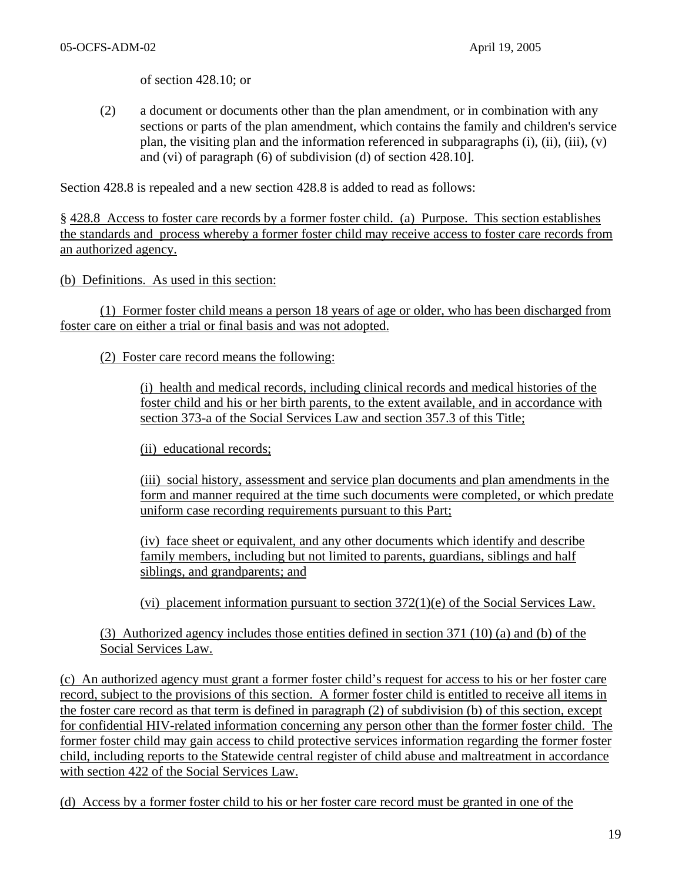of section 428.10; or

(2) a document or documents other than the plan amendment, or in combination with any sections or parts of the plan amendment, which contains the family and children's service plan, the visiting plan and the information referenced in subparagraphs (i), (ii), (iii), (v) and (vi) of paragraph (6) of subdivision (d) of section 428.10].

Section 428.8 is repealed and a new section 428.8 is added to read as follows:

§ 428.8 Access to foster care records by a former foster child. (a) Purpose. This section establishes the standards and process whereby a former foster child may receive access to foster care records from an authorized agency.

(b) Definitions. As used in this section:

(1) Former foster child means a person 18 years of age or older, who has been discharged from foster care on either a trial or final basis and was not adopted.

(2) Foster care record means the following:

(i) health and medical records, including clinical records and medical histories of the foster child and his or her birth parents, to the extent available, and in accordance with section 373-a of the Social Services Law and section 357.3 of this Title;

(ii) educational records;

(iii) social history, assessment and service plan documents and plan amendments in the form and manner required at the time such documents were completed, or which predate uniform case recording requirements pursuant to this Part;

(iv) face sheet or equivalent, and any other documents which identify and describe family members, including but not limited to parents, guardians, siblings and half siblings, and grandparents; and

(vi) placement information pursuant to section  $372(1)(e)$  of the Social Services Law.

(3) Authorized agency includes those entities defined in section 371 (10) (a) and (b) of the Social Services Law.

(c) An authorized agency must grant a former foster child's request for access to his or her foster care record, subject to the provisions of this section. A former foster child is entitled to receive all items in the foster care record as that term is defined in paragraph (2) of subdivision (b) of this section, except for confidential HIV-related information concerning any person other than the former foster child. The former foster child may gain access to child protective services information regarding the former foster child, including reports to the Statewide central register of child abuse and maltreatment in accordance with section 422 of the Social Services Law.

(d) Access by a former foster child to his or her foster care record must be granted in one of the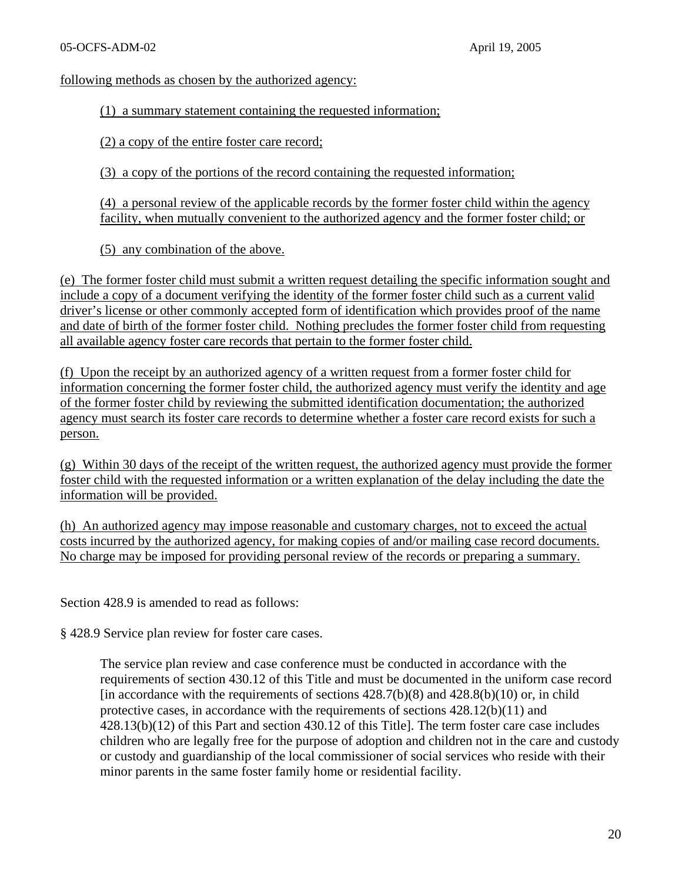following methods as chosen by the authorized agency:

(1) a summary statement containing the requested information;

(2) a copy of the entire foster care record;

(3) a copy of the portions of the record containing the requested information;

(4) a personal review of the applicable records by the former foster child within the agency facility, when mutually convenient to the authorized agency and the former foster child; or

(5) any combination of the above.

(e) The former foster child must submit a written request detailing the specific information sought and include a copy of a document verifying the identity of the former foster child such as a current valid driver's license or other commonly accepted form of identification which provides proof of the name and date of birth of the former foster child. Nothing precludes the former foster child from requesting all available agency foster care records that pertain to the former foster child.

(f) Upon the receipt by an authorized agency of a written request from a former foster child for information concerning the former foster child, the authorized agency must verify the identity and age of the former foster child by reviewing the submitted identification documentation; the authorized agency must search its foster care records to determine whether a foster care record exists for such a person.

(g) Within 30 days of the receipt of the written request, the authorized agency must provide the former foster child with the requested information or a written explanation of the delay including the date the information will be provided.

(h) An authorized agency may impose reasonable and customary charges, not to exceed the actual costs incurred by the authorized agency, for making copies of and/or mailing case record documents. No charge may be imposed for providing personal review of the records or preparing a summary.

Section 428.9 is amended to read as follows:

§ 428.9 Service plan review for foster care cases.

The service plan review and case conference must be conducted in accordance with the requirements of section 430.12 of this Title and must be documented in the uniform case record [in accordance with the requirements of sections  $428.7(b)(8)$  and  $428.8(b)(10)$  or, in child protective cases, in accordance with the requirements of sections 428.12(b)(11) and 428.13(b)(12) of this Part and section 430.12 of this Title]. The term foster care case includes children who are legally free for the purpose of adoption and children not in the care and custody or custody and guardianship of the local commissioner of social services who reside with their minor parents in the same foster family home or residential facility.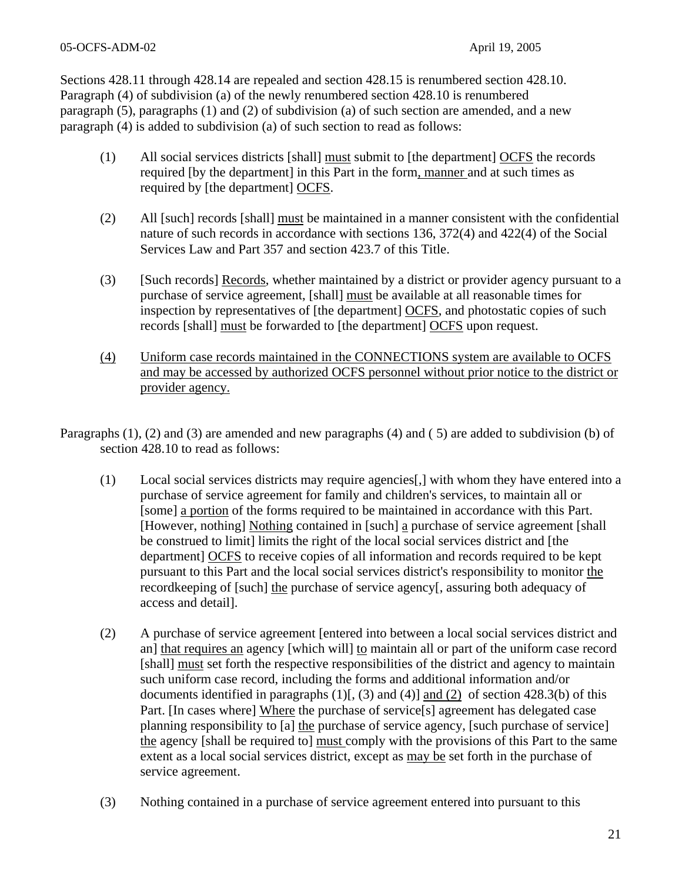Sections 428.11 through 428.14 are repealed and section 428.15 is renumbered section 428.10. Paragraph (4) of subdivision (a) of the newly renumbered section 428.10 is renumbered paragraph (5), paragraphs (1) and (2) of subdivision (a) of such section are amended, and a new paragraph (4) is added to subdivision (a) of such section to read as follows:

- (1) All social services districts [shall] must submit to [the department] OCFS the records required [by the department] in this Part in the form, manner and at such times as required by [the department] OCFS.
- (2) All [such] records [shall] must be maintained in a manner consistent with the confidential nature of such records in accordance with sections 136, 372(4) and 422(4) of the Social Services Law and Part 357 and section 423.7 of this Title.
- (3) [Such records] Records, whether maintained by a district or provider agency pursuant to a purchase of service agreement, [shall] must be available at all reasonable times for inspection by representatives of [the department] OCFS, and photostatic copies of such records [shall] must be forwarded to [the department] OCFS upon request.
- (4) Uniform case records maintained in the CONNECTIONS system are available to OCFS and may be accessed by authorized OCFS personnel without prior notice to the district or provider agency.
- Paragraphs (1), (2) and (3) are amended and new paragraphs (4) and ( 5) are added to subdivision (b) of section 428.10 to read as follows:
	- (1) Local social services districts may require agencies[,] with whom they have entered into a purchase of service agreement for family and children's services, to maintain all or [some] a portion of the forms required to be maintained in accordance with this Part. [However, nothing] Nothing contained in [such] a purchase of service agreement [shall be construed to limit] limits the right of the local social services district and [the department] OCFS to receive copies of all information and records required to be kept pursuant to this Part and the local social services district's responsibility to monitor the recordkeeping of [such] the purchase of service agency[, assuring both adequacy of access and detail].
	- (2) A purchase of service agreement [entered into between a local social services district and an] that requires an agency [which will] to maintain all or part of the uniform case record [shall] must set forth the respective responsibilities of the district and agency to maintain such uniform case record, including the forms and additional information and/or documents identified in paragraphs  $(1)$ [,  $(3)$  and  $(4)$ ] and  $(2)$  of section 428.3(b) of this Part. [In cases where] Where the purchase of service[s] agreement has delegated case planning responsibility to [a] the purchase of service agency, [such purchase of service] the agency [shall be required to] must comply with the provisions of this Part to the same extent as a local social services district, except as may be set forth in the purchase of service agreement.
	- (3) Nothing contained in a purchase of service agreement entered into pursuant to this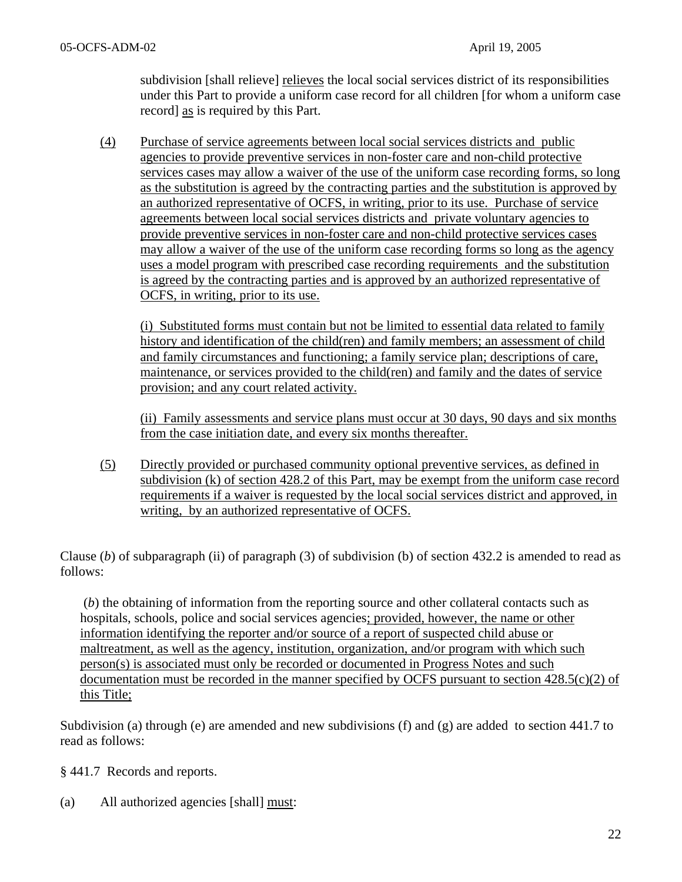subdivision [shall relieve] relieves the local social services district of its responsibilities under this Part to provide a uniform case record for all children [for whom a uniform case record] as is required by this Part.

 (4) Purchase of service agreements between local social services districts and public agencies to provide preventive services in non-foster care and non-child protective services cases may allow a waiver of the use of the uniform case recording forms, so long as the substitution is agreed by the contracting parties and the substitution is approved by an authorized representative of OCFS, in writing, prior to its use. Purchase of service agreements between local social services districts and private voluntary agencies to provide preventive services in non-foster care and non-child protective services cases may allow a waiver of the use of the uniform case recording forms so long as the agency uses a model program with prescribed case recording requirements and the substitution is agreed by the contracting parties and is approved by an authorized representative of OCFS, in writing, prior to its use.

(i) Substituted forms must contain but not be limited to essential data related to family history and identification of the child(ren) and family members; an assessment of child and family circumstances and functioning; a family service plan; descriptions of care, maintenance, or services provided to the child(ren) and family and the dates of service provision; and any court related activity.

(ii) Family assessments and service plans must occur at 30 days, 90 days and six months from the case initiation date, and every six months thereafter.

 (5) Directly provided or purchased community optional preventive services, as defined in subdivision (k) of section 428.2 of this Part, may be exempt from the uniform case record requirements if a waiver is requested by the local social services district and approved, in writing, by an authorized representative of OCFS.

Clause (*b*) of subparagraph (ii) of paragraph (3) of subdivision (b) of section 432.2 is amended to read as follows:

 (*b*) the obtaining of information from the reporting source and other collateral contacts such as hospitals, schools, police and social services agencies; provided, however, the name or other information identifying the reporter and/or source of a report of suspected child abuse or maltreatment, as well as the agency, institution, organization, and/or program with which such person(s) is associated must only be recorded or documented in Progress Notes and such documentation must be recorded in the manner specified by OCFS pursuant to section 428.5(c)(2) of this Title;

Subdivision (a) through (e) are amended and new subdivisions (f) and (g) are added to section 441.7 to read as follows:

§ 441.7 Records and reports.

(a) All authorized agencies [shall] must: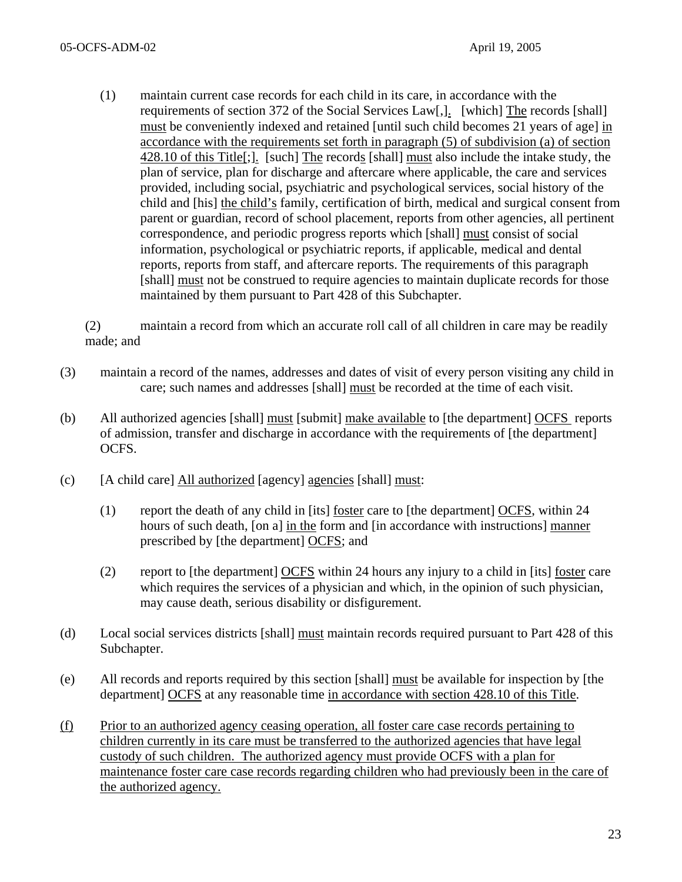(1) maintain current case records for each child in its care, in accordance with the requirements of section 372 of the Social Services Law[,]. [which] The records [shall] must be conveniently indexed and retained [until such child becomes 21 years of age] in accordance with the requirements set forth in paragraph (5) of subdivision (a) of section 428.10 of this Title[;]. [such] The records [shall] must also include the intake study, the plan of service, plan for discharge and aftercare where applicable, the care and services provided, including social, psychiatric and psychological services, social history of the child and [his] the child's family, certification of birth, medical and surgical consent from parent or guardian, record of school placement, reports from other agencies, all pertinent correspondence, and periodic progress reports which [shall] must consist of social information, psychological or psychiatric reports, if applicable, medical and dental reports, reports from staff, and aftercare reports. The requirements of this paragraph [shall] must not be construed to require agencies to maintain duplicate records for those maintained by them pursuant to Part 428 of this Subchapter.

(2) maintain a record from which an accurate roll call of all children in care may be readily made; and

- (3) maintain a record of the names, addresses and dates of visit of every person visiting any child in care; such names and addresses [shall] must be recorded at the time of each visit.
- (b) All authorized agencies [shall] must [submit] make available to [the department] OCFS reports of admission, transfer and discharge in accordance with the requirements of [the department] OCFS.
- (c) [A child care] All authorized [agency] agencies [shall] must:
	- (1) report the death of any child in [its] foster care to [the department] OCFS, within 24 hours of such death, [on a] in the form and [in accordance with instructions] manner prescribed by [the department] OCFS; and
	- (2) report to [the department] OCFS within 24 hours any injury to a child in [its] foster care which requires the services of a physician and which, in the opinion of such physician, may cause death, serious disability or disfigurement.
- (d) Local social services districts [shall] must maintain records required pursuant to Part 428 of this Subchapter.
- (e) All records and reports required by this section [shall] must be available for inspection by [the department] OCFS at any reasonable time in accordance with section 428.10 of this Title.
- (f) Prior to an authorized agency ceasing operation, all foster care case records pertaining to children currently in its care must be transferred to the authorized agencies that have legal custody of such children. The authorized agency must provide OCFS with a plan for maintenance foster care case records regarding children who had previously been in the care of the authorized agency.